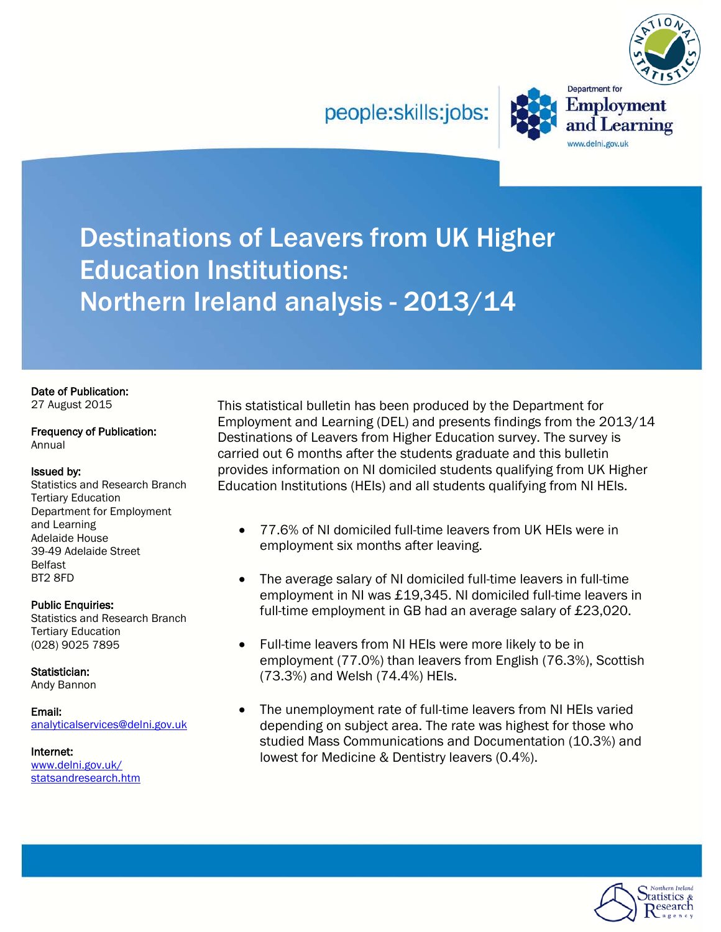people:skills:jobs:



**Employment** 

and Learning

www.delni.gov.uk

Destinations of Leavers from UK Higher Education Institutions: Northern Ireland analysis - 2013/14

# Date of Publication:

27 August 2015

#### Frequency of Publication: Annual

#### Issued by:

Statistics and Research Branch Tertiary Education Department for Employment and Learning Adelaide House 39-49 Adelaide Street Belfast BT2 8FD

### Public Enquiries:

Statistics and Research Branch Tertiary Education (028) 9025 7895

Statistician:

Andy Bannon

Email: [analyticalservices@delni.gov.uk](mailto:analyticalservices@delni.gov.uk)

Internet: [www.delni.gov.uk/](http://www.delni.gov.uk/statsandresearch.htm)  [statsandresearch.htm](http://www.delni.gov.uk/statsandresearch.htm) This statistical bulletin has been produced by the Department for Employment and Learning (DEL) and presents findings from the 2013/14 Destinations of Leavers from Higher Education survey. The survey is carried out 6 months after the students graduate and this bulletin provides information on NI domiciled students qualifying from UK Higher Education Institutions (HEIs) and all students qualifying from NI HEIs.

- 77.6% of NI domiciled full-time leavers from UK HEIs were in employment six months after leaving.
- The average salary of NI domiciled full-time leavers in full-time employment in NI was £19,345. NI domiciled full-time leavers in full-time employment in GB had an average salary of £23,020.
- Full-time leavers from NI HEIs were more likely to be in employment (77.0%) than leavers from English (76.3%), Scottish (73.3%) and Welsh (74.4%) HEIs.
- The unemployment rate of full-time leavers from NI HEIs varied depending on subject area. The rate was highest for those who studied Mass Communications and Documentation (10.3%) and lowest for Medicine & Dentistry leavers (0.4%).

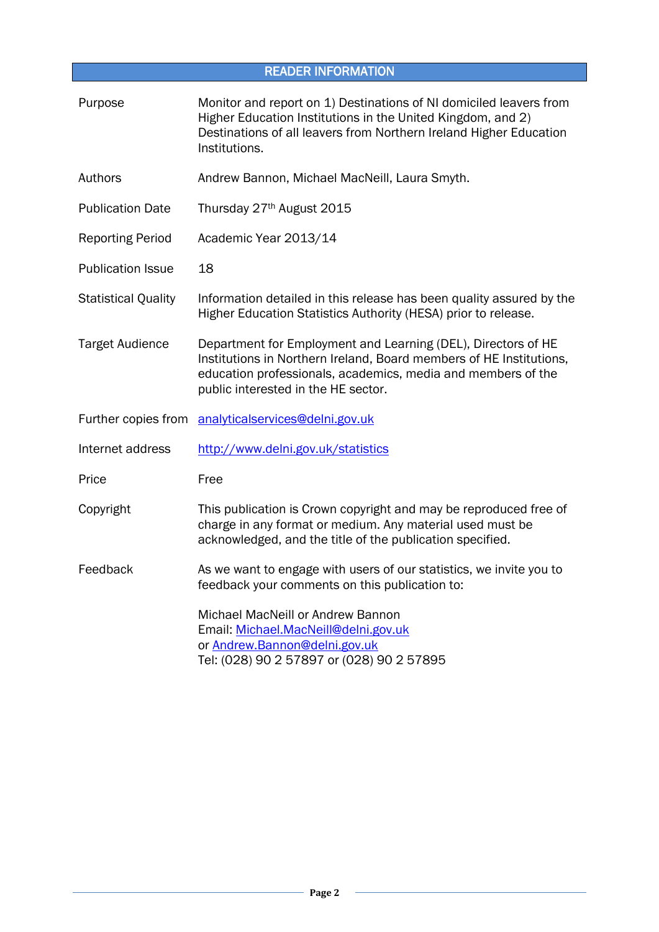<span id="page-1-0"></span>

| <b>READER INFORMATION</b>  |                                                                                                                                                                                                                                             |  |  |
|----------------------------|---------------------------------------------------------------------------------------------------------------------------------------------------------------------------------------------------------------------------------------------|--|--|
| Purpose                    | Monitor and report on 1) Destinations of NI domiciled leavers from<br>Higher Education Institutions in the United Kingdom, and 2)<br>Destinations of all leavers from Northern Ireland Higher Education<br>Institutions.                    |  |  |
| Authors                    | Andrew Bannon, Michael MacNeill, Laura Smyth.                                                                                                                                                                                               |  |  |
| <b>Publication Date</b>    | Thursday 27th August 2015                                                                                                                                                                                                                   |  |  |
| <b>Reporting Period</b>    | Academic Year 2013/14                                                                                                                                                                                                                       |  |  |
| <b>Publication Issue</b>   | 18                                                                                                                                                                                                                                          |  |  |
| <b>Statistical Quality</b> | Information detailed in this release has been quality assured by the<br>Higher Education Statistics Authority (HESA) prior to release.                                                                                                      |  |  |
| <b>Target Audience</b>     | Department for Employment and Learning (DEL), Directors of HE<br>Institutions in Northern Ireland, Board members of HE Institutions,<br>education professionals, academics, media and members of the<br>public interested in the HE sector. |  |  |
| Further copies from        | analyticalservices@delni.gov.uk                                                                                                                                                                                                             |  |  |
| Internet address           | http://www.delni.gov.uk/statistics                                                                                                                                                                                                          |  |  |
| Price                      | Free                                                                                                                                                                                                                                        |  |  |
| Copyright                  | This publication is Crown copyright and may be reproduced free of<br>charge in any format or medium. Any material used must be<br>acknowledged, and the title of the publication specified.                                                 |  |  |
| Feedback                   | As we want to engage with users of our statistics, we invite you to<br>feedback your comments on this publication to:                                                                                                                       |  |  |
|                            | Michael MacNeill or Andrew Bannon<br>Email: Michael.MacNeill@delni.gov.uk<br>or Andrew.Bannon@delni.gov.uk<br>Tel: (028) 90 2 57897 or (028) 90 2 57895                                                                                     |  |  |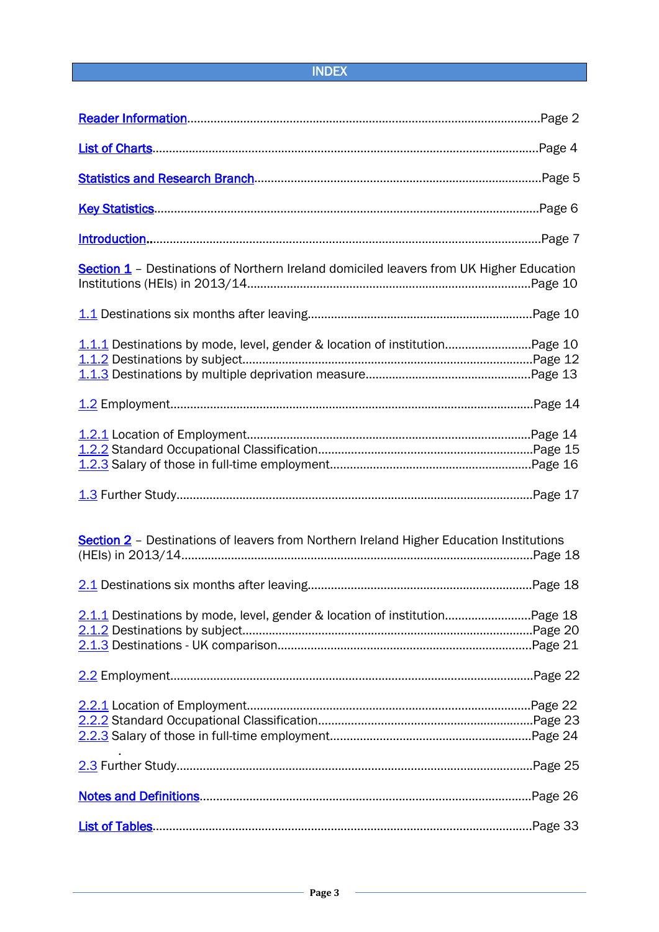# INDEX

| <b>Section 1</b> - Destinations of Northern Ireland domiciled leavers from UK Higher Education |  |
|------------------------------------------------------------------------------------------------|--|
|                                                                                                |  |
| 1.1.1 Destinations by mode, level, gender & location of institutionPage 10                     |  |
|                                                                                                |  |
|                                                                                                |  |
|                                                                                                |  |
| Section 2 - Destinations of leavers from Northern Ireland Higher Education Institutions        |  |
|                                                                                                |  |
|                                                                                                |  |
|                                                                                                |  |
|                                                                                                |  |
|                                                                                                |  |
|                                                                                                |  |
|                                                                                                |  |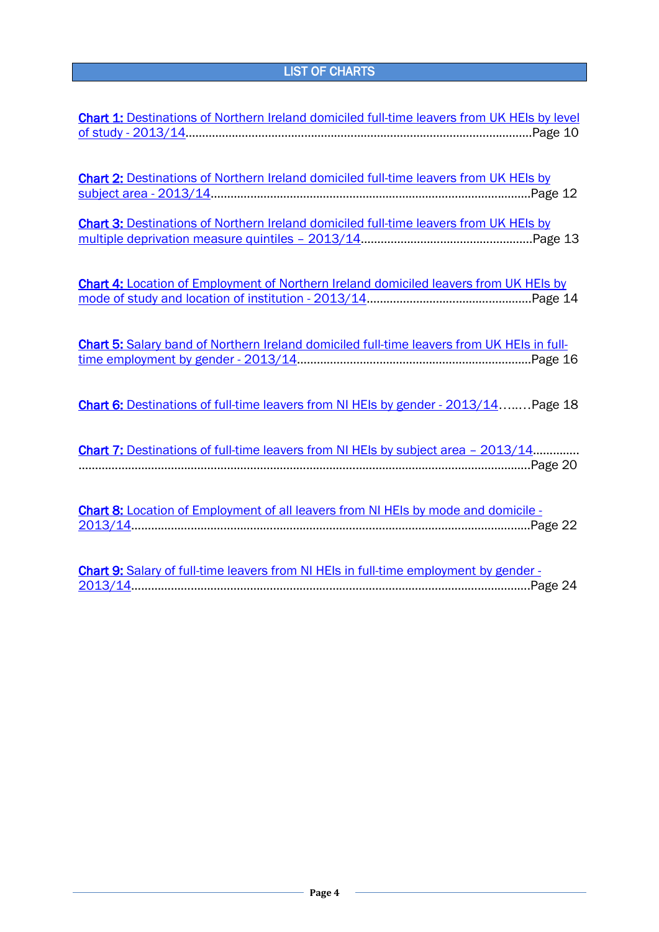# LIST OF CHARTS

<span id="page-3-0"></span>

| <b>Chart 1: Destinations of Northern Ireland domiciled full-time leavers from UK HEIs by level</b> |
|----------------------------------------------------------------------------------------------------|
|                                                                                                    |
|                                                                                                    |
| Chart 2: Destinations of Northern Ireland domiciled full-time leavers from UK HEIs by              |
|                                                                                                    |
|                                                                                                    |
| Chart 3: Destinations of Northern Ireland domiciled full-time leavers from UK HEIs by              |
|                                                                                                    |
|                                                                                                    |
| Chart 4: Location of Employment of Northern Ireland domiciled leavers from UK HEIs by              |
|                                                                                                    |
|                                                                                                    |
| Chart 5: Salary band of Northern Ireland domiciled full-time leavers from UK HEIs in full-         |
|                                                                                                    |
|                                                                                                    |
|                                                                                                    |
| Chart 6: Destinations of full-time leavers from NI HEIs by gender - 2013/14 Page 18                |
|                                                                                                    |
| Chart 7: Destinations of full-time leavers from NI HEIs by subject area - 2013/14                  |
|                                                                                                    |
|                                                                                                    |
| Chart 8: Location of Employment of all leavers from NI HEIs by mode and domicile -                 |
|                                                                                                    |
|                                                                                                    |
| Chart 9: Salary of full-time leavers from NI HEIs in full-time employment by gender -              |
|                                                                                                    |

[2013/14…](#page-23-1)……………………………………………………………………………………………………….Page 24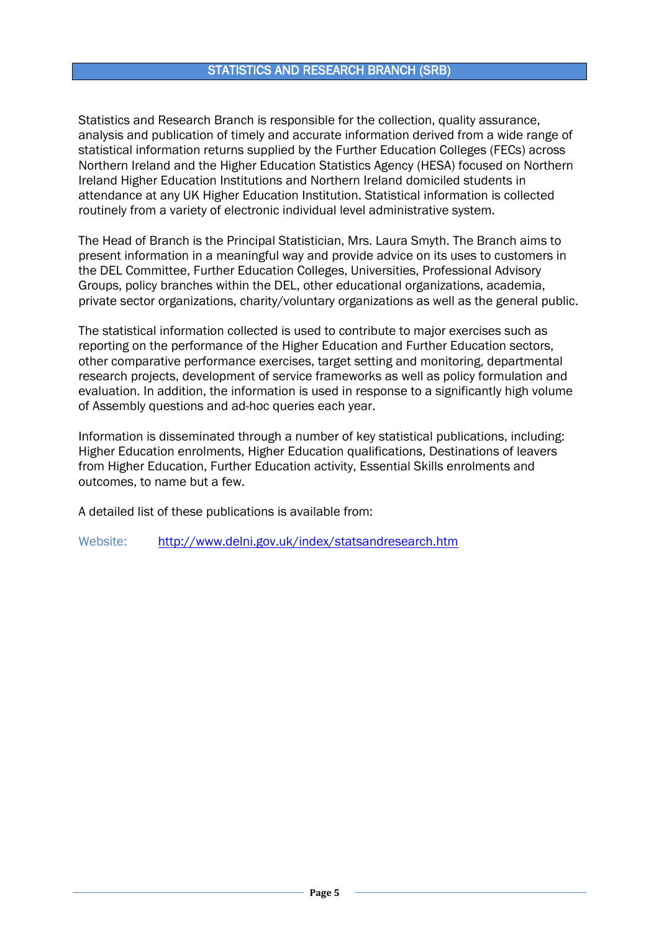### STATISTICS AND RESEARCH BRANCH (SRB)

<span id="page-4-0"></span>Statistics and Research Branch is responsible for the collection, quality assurance, analysis and publication of timely and accurate information derived from a wide range of statistical information returns supplied by the Further Education Colleges (FECs) across Northern Ireland and the Higher Education Statistics Agency (HESA) focused on Northern Ireland Higher Education Institutions and Northern Ireland domiciled students in attendance at any UK Higher Education Institution. Statistical information is collected routinely from a variety of electronic individual level administrative system.

The Head of Branch is the Principal Statistician, Mrs. Laura Smyth. The Branch aims to present information in a meaningful way and provide advice on its uses to customers in the DEL Committee, Further Education Colleges, Universities, Professional Advisory Groups, policy branches within the DEL, other educational organizations, academia, private sector organizations, charity/voluntary organizations as well as the general public.

The statistical information collected is used to contribute to major exercises such as reporting on the performance of the Higher Education and Further Education sectors, other comparative performance exercises, target setting and monitoring, departmental research projects, development of service frameworks as well as policy formulation and evaluation. In addition, the information is used in response to a significantly high volume of Assembly questions and ad-hoc queries each year.

Information is disseminated through a number of key statistical publications, including: Higher Education enrolments, Higher Education qualifications, Destinations of leavers from Higher Education, Further Education activity, Essential Skills enrolments and outcomes, to name but a few.

A detailed list of these publications is available from:

Website: <http://www.delni.gov.uk/index/statsandresearch.htm>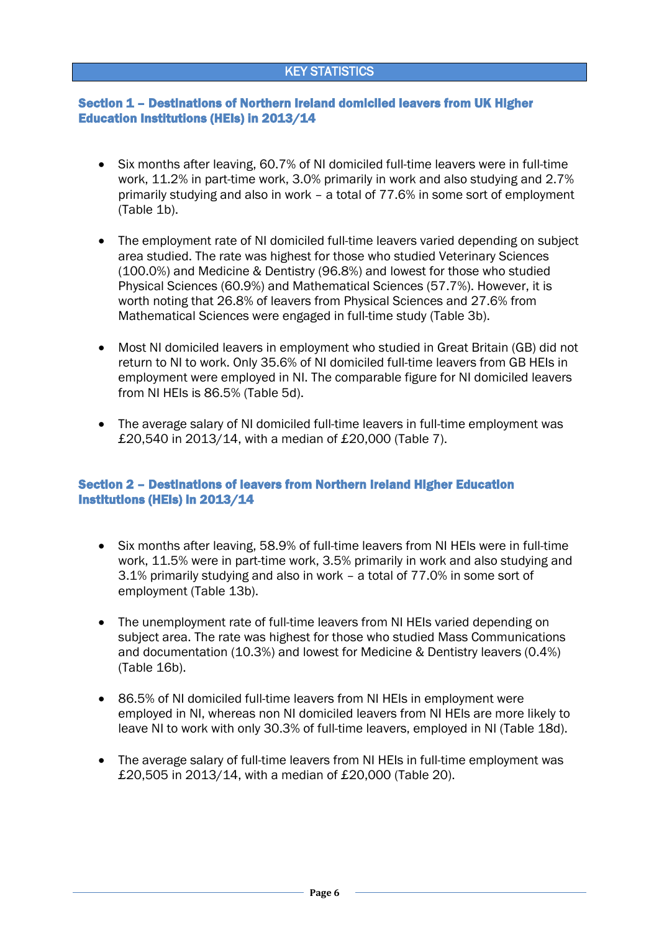### KEY STATISTICS

### <span id="page-5-0"></span>Section 1 – Destinations of Northern Ireland domiciled leavers from UK Higher Education Institutions (HEIs) in 2013/14

- Six months after leaving, 60.7% of NI domiciled full-time leavers were in full-time work, 11.2% in part-time work, 3.0% primarily in work and also studying and 2.7% primarily studying and also in work – a total of 77.6% in some sort of employment (Table 1b).
- The employment rate of NI domiciled full-time leavers varied depending on subject area studied. The rate was highest for those who studied Veterinary Sciences (100.0%) and Medicine & Dentistry (96.8%) and lowest for those who studied Physical Sciences (60.9%) and Mathematical Sciences (57.7%). However, it is worth noting that 26.8% of leavers from Physical Sciences and 27.6% from Mathematical Sciences were engaged in full-time study (Table 3b).
- Most NI domiciled leavers in employment who studied in Great Britain (GB) did not return to NI to work. Only 35.6% of NI domiciled full-time leavers from GB HEIs in employment were employed in NI. The comparable figure for NI domiciled leavers from NI HEIs is 86.5% (Table 5d).
- The average salary of NI domiciled full-time leavers in full-time employment was £20,540 in 2013/14, with a median of £20,000 (Table 7).

### Section 2 – Destinations of leavers from Northern Ireland Higher Education Institutions (HEIs) in 2013/14

- Six months after leaving, 58.9% of full-time leavers from NI HEIs were in full-time work, 11.5% were in part-time work, 3.5% primarily in work and also studying and 3.1% primarily studying and also in work – a total of 77.0% in some sort of employment (Table 13b).
- The unemployment rate of full-time leavers from NI HEIs varied depending on subject area. The rate was highest for those who studied Mass Communications and documentation (10.3%) and lowest for Medicine & Dentistry leavers (0.4%) (Table 16b).
- 86.5% of NI domiciled full-time leavers from NI HEIs in employment were employed in NI, whereas non NI domiciled leavers from NI HEIs are more likely to leave NI to work with only 30.3% of full-time leavers, employed in NI (Table 18d).
- The average salary of full-time leavers from NI HEIs in full-time employment was £20,505 in 2013/14, with a median of £20,000 (Table 20).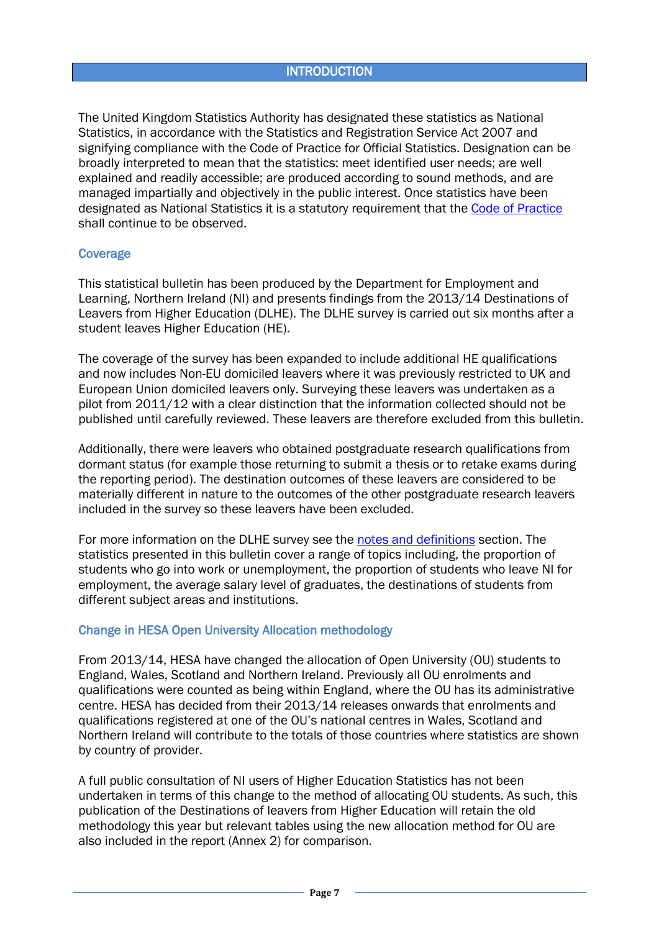### **INTRODUCTION**

<span id="page-6-0"></span>The United Kingdom Statistics Authority has designated these statistics as National Statistics, in accordance with the Statistics and Registration Service Act 2007 and signifying compliance with the Code of Practice for Official Statistics. Designation can be broadly interpreted to mean that the statistics: meet identified user needs; are well explained and readily accessible; are produced according to sound methods, and are managed impartially and objectively in the public interest. Once statistics have been designated as National Statistics it is a statutory requirement that the [Code of Practice](http://www.statisticsauthority.gov.uk/assessment/code-of-practice/) shall continue to be observed.

### **Coverage**

This statistical bulletin has been produced by the Department for Employment and Learning, Northern Ireland (NI) and presents findings from the 2013/14 Destinations of Leavers from Higher Education (DLHE). The DLHE survey is carried out six months after a student leaves Higher Education (HE).

The coverage of the survey has been expanded to include additional HE qualifications and now includes Non-EU domiciled leavers where it was previously restricted to UK and European Union domiciled leavers only. Surveying these leavers was undertaken as a pilot from 2011/12 with a clear distinction that the information collected should not be published until carefully reviewed. These leavers are therefore excluded from this bulletin.

Additionally, there were leavers who obtained postgraduate research qualifications from dormant status (for example those returning to submit a thesis or to retake exams during the reporting period). The destination outcomes of these leavers are considered to be materially different in nature to the outcomes of the other postgraduate research leavers included in the survey so these leavers have been excluded.

For more information on the DLHE survey see the [notes and definitions](#page-25-0) section. The statistics presented in this bulletin cover a range of topics including, the proportion of students who go into work or unemployment, the proportion of students who leave NI for employment, the average salary level of graduates, the destinations of students from different subject areas and institutions.

### <span id="page-6-1"></span>Change in HESA Open University Allocation methodology

From 2013/14, HESA have changed the allocation of Open University (OU) students to England, Wales, Scotland and Northern Ireland. Previously all OU enrolments and qualifications were counted as being within England, where the OU has its administrative centre. HESA has decided from their 2013/14 releases onwards that enrolments and qualifications registered at one of the OU's national centres in Wales, Scotland and Northern Ireland will contribute to the totals of those countries where statistics are shown by country of provider.

A full public consultation of NI users of Higher Education Statistics has not been undertaken in terms of this change to the method of allocating OU students. As such, this publication of the Destinations of leavers from Higher Education will retain the old methodology this year but relevant tables using the new allocation method for OU are also included in the report (Annex 2) for comparison.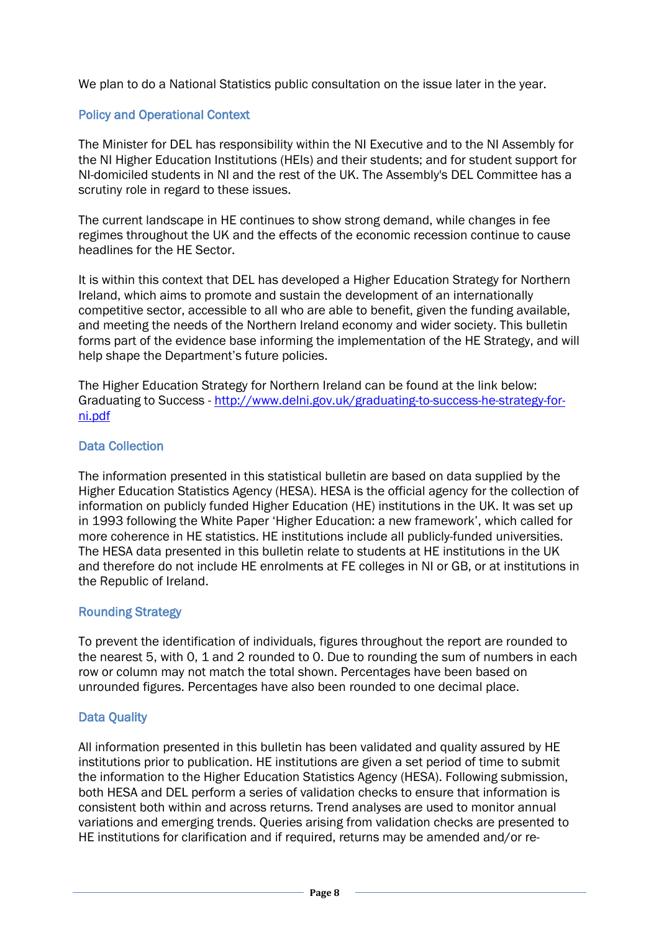We plan to do a National Statistics public consultation on the issue later in the year.

# Policy and Operational Context

The Minister for DEL has responsibility within the NI Executive and to the NI Assembly for the NI Higher Education Institutions (HEIs) and their students; and for student support for NI-domiciled students in NI and the rest of the UK. The Assembly's DEL Committee has a scrutiny role in regard to these issues.

The current landscape in HE continues to show strong demand, while changes in fee regimes throughout the UK and the effects of the economic recession continue to cause headlines for the HE Sector.

It is within this context that DEL has developed a Higher Education Strategy for Northern Ireland, which aims to promote and sustain the development of an internationally competitive sector, accessible to all who are able to benefit, given the funding available, and meeting the needs of the Northern Ireland economy and wider society. This bulletin forms part of the evidence base informing the implementation of the HE Strategy, and will help shape the Department's future policies.

The Higher Education Strategy for Northern Ireland can be found at the link below: Graduating to Success - [http://www.delni.gov.uk/graduating-to-success-he-strategy-for](http://www.delni.gov.uk/graduating-to-success-he-strategy-for-ni.pdf)[ni.pdf](http://www.delni.gov.uk/graduating-to-success-he-strategy-for-ni.pdf)

### Data Collection

The information presented in this statistical bulletin are based on data supplied by the Higher Education Statistics Agency (HESA). HESA is the official agency for the collection of information on publicly funded Higher Education (HE) institutions in the UK. It was set up in 1993 following the White Paper 'Higher Education: a new framework', which called for more coherence in HE statistics. HE institutions include all publicly-funded universities. The HESA data presented in this bulletin relate to students at HE institutions in the UK and therefore do not include HE enrolments at FE colleges in NI or GB, or at institutions in the Republic of Ireland.

### Rounding Strategy

To prevent the identification of individuals, figures throughout the report are rounded to the nearest 5, with 0, 1 and 2 rounded to 0. Due to rounding the sum of numbers in each row or column may not match the total shown. Percentages have been based on unrounded figures. Percentages have also been rounded to one decimal place.

### Data Quality

All information presented in this bulletin has been validated and quality assured by HE institutions prior to publication. HE institutions are given a set period of time to submit the information to the Higher Education Statistics Agency (HESA). Following submission, both HESA and DEL perform a series of validation checks to ensure that information is consistent both within and across returns. Trend analyses are used to monitor annual variations and emerging trends. Queries arising from validation checks are presented to HE institutions for clarification and if required, returns may be amended and/or re-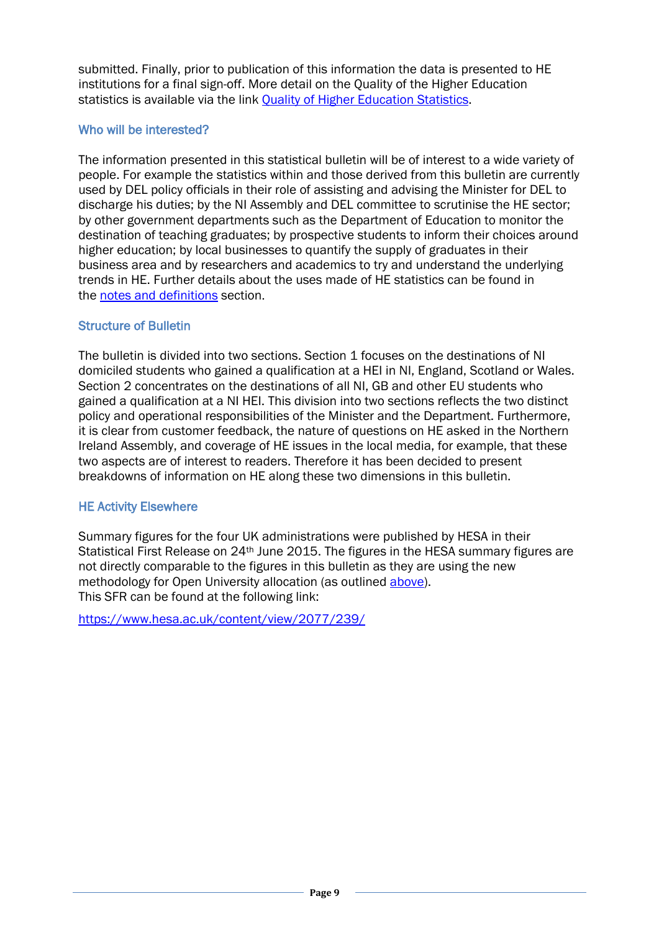submitted. Finally, prior to publication of this information the data is presented to HE institutions for a final sign-off. More detail on the Quality of the Higher Education statistics is available via the link [Quality of Higher Education Statistics.](http://www.delni.gov.uk/index/statsandresearch/higher-education-stats/he-statistical-methods.htm)

# Who will be interested?

The information presented in this statistical bulletin will be of interest to a wide variety of people. For example the statistics within and those derived from this bulletin are currently used by DEL policy officials in their role of assisting and advising the Minister for DEL to discharge his duties; by the NI Assembly and DEL committee to scrutinise the HE sector; by other government departments such as the Department of Education to monitor the destination of teaching graduates; by prospective students to inform their choices around higher education; by local businesses to quantify the supply of graduates in their business area and by researchers and academics to try and understand the underlying trends in HE. Further details about the uses made of HE statistics can be found in the [notes and definitions](#page-25-0) section[.](#page-6-0)

# Structure of Bulletin

The bulletin is divided into two sections. Section 1 focuses on the destinations of NI domiciled students who gained a qualification at a HEI in NI, England, Scotland or Wales. Section 2 concentrates on the destinations of all NI, GB and other EU students who gained a qualification at a NI HEI. This division into two sections reflects the two distinct policy and operational responsibilities of the Minister and the Department. Furthermore, it is clear from customer feedback, the nature of questions on HE asked in the Northern Ireland Assembly, and coverage of HE issues in the local media, for example, that these two aspects are of interest to readers. Therefore it has been decided to present breakdowns of information on HE along these two dimensions in this bulletin.

# HE Activity Elsewhere

Summary figures for the four UK administrations were published by HESA in their Statistical First Release on 24<sup>th</sup> June 2015. The figures in the HESA summary figures are not directly comparable to the figures in this bulletin as they are using the new methodology for Open University allocation (as outlined [above\)](#page-6-1). This SFR can be found at the following link:

<https://www.hesa.ac.uk/content/view/2077/239/>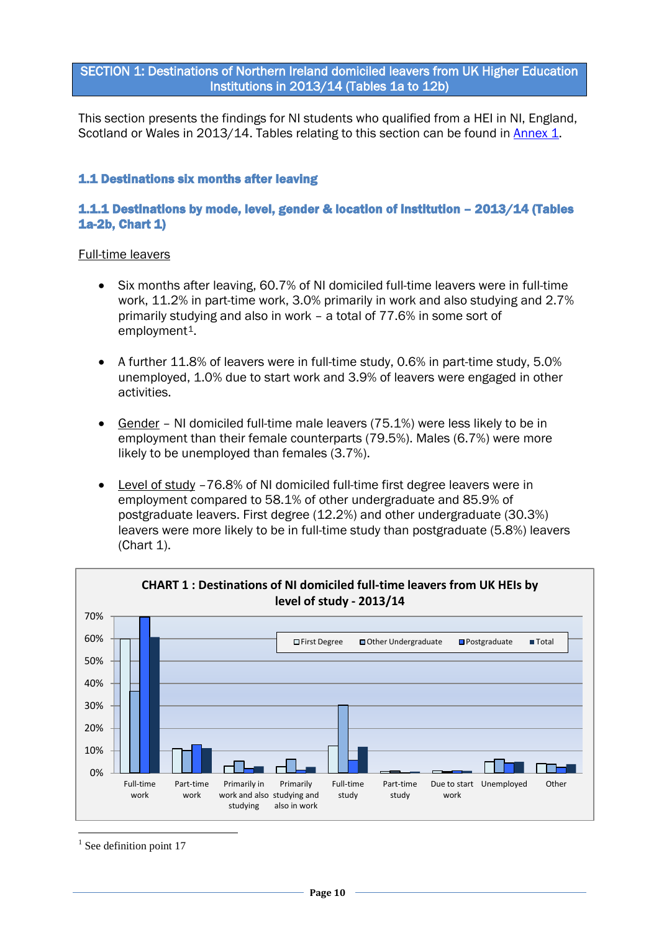<span id="page-9-0"></span>SECTION 1: Destinations of Northern Ireland domiciled leavers from UK Higher Education Institutions in 2013/14 (Tables 1a to 12b)

This section presents the findings for NI students who qualified from a HEI in NI, England, Scotland or Wales in 2013/14. Tables relating to this section can be found in [Annex 1.](#page-36-0)

# <span id="page-9-1"></span>1.1 Destinations six months after leaving

# 1.1.1 Destinations by mode, level, gender & location of institution – 2013/14 (Tables 1a-2b, Chart 1)

- Six months after leaving, 60.7% of NI domiciled full-time leavers were in full-time work, 11.2% in part-time work, 3.0% primarily in work and also studying and 2.7% primarily studying and also in work – a total of 77.6% in some sort of employment<sup>1</sup>.
- A further 11.8% of leavers were in full-time study, 0.6% in part-time study, 5.0% unemployed, 1.0% due to start work and 3.9% of leavers were engaged in other activities.
- Gender NI domiciled full-time male leavers (75.1%) were less likely to be in employment than their female counterparts (79.5%). Males (6.7%) were more likely to be unemployed than females (3.7%).
- Level of study -76.8% of NI domiciled full-time first degree leavers were in employment compared to 58.1% of other undergraduate and 85.9% of postgraduate leavers. First degree (12.2%) and other undergraduate (30.3%) leavers were more likely to be in full-time study than postgraduate (5.8%) leavers (Chart 1).

<span id="page-9-2"></span>

<span id="page-9-3"></span> $<sup>1</sup>$  See definition point 17</sup>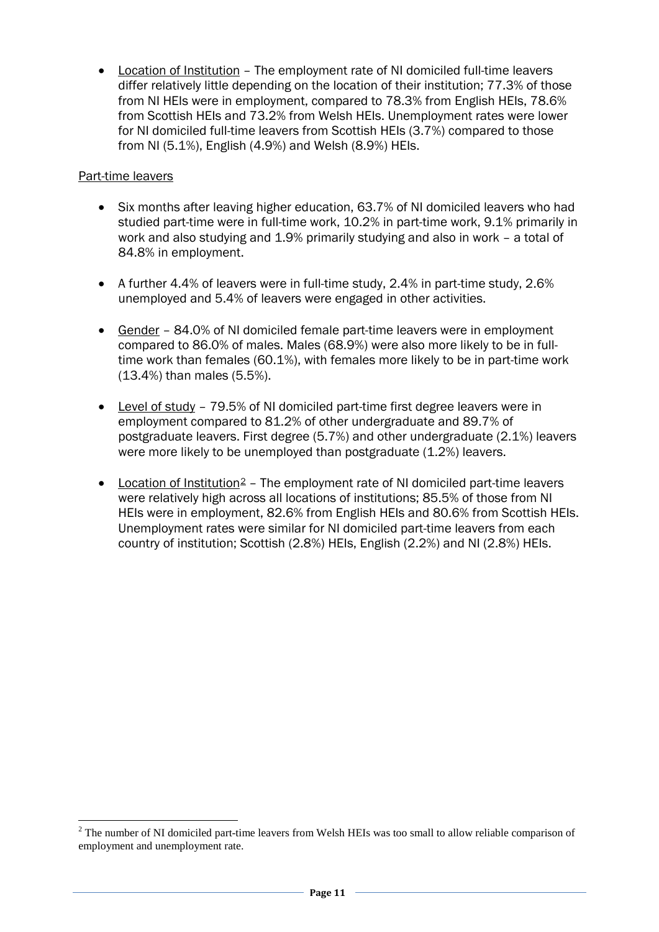• Location of Institution – The employment rate of NI domiciled full-time leavers differ relatively little depending on the location of their institution; 77.3% of those from NI HEIs were in employment, compared to 78.3% from English HEIs, 78.6% from Scottish HEIs and 73.2% from Welsh HEIs. Unemployment rates were lower for NI domiciled full-time leavers from Scottish HEIs (3.7%) compared to those from NI (5.1%), English (4.9%) and Welsh (8.9%) HEIs.

# Part-time leavers

- Six months after leaving higher education, 63.7% of NI domiciled leavers who had studied part-time were in full-time work, 10.2% in part-time work, 9.1% primarily in work and also studying and 1.9% primarily studying and also in work – a total of 84.8% in employment.
- A further 4.4% of leavers were in full-time study, 2.4% in part-time study, 2.6% unemployed and 5.4% of leavers were engaged in other activities.
- Gender 84.0% of NI domiciled female part-time leavers were in employment compared to 86.0% of males. Males (68.9%) were also more likely to be in fulltime work than females (60.1%), with females more likely to be in part-time work (13.4%) than males (5.5%).
- Level of study 79.5% of NI domiciled part-time first degree leavers were in employment compared to 81.2% of other undergraduate and 89.7% of postgraduate leavers. First degree (5.7%) and other undergraduate (2.1%) leavers were more likely to be unemployed than postgraduate (1.2%) leavers.
- Location of Institution<sup>[2](#page-10-0)</sup> The employment rate of NI domiciled part-time leavers were relatively high across all locations of institutions; 85.5% of those from NI HEIs were in employment, 82.6% from English HEIs and 80.6% from Scottish HEIs. Unemployment rates were similar for NI domiciled part-time leavers from each country of institution; Scottish (2.8%) HEIs, English (2.2%) and NI (2.8%) HEIs.

<span id="page-10-0"></span><sup>&</sup>lt;sup>2</sup> The number of NI domiciled part-time leavers from Welsh HEIs was too small to allow reliable comparison of employment and unemployment rate.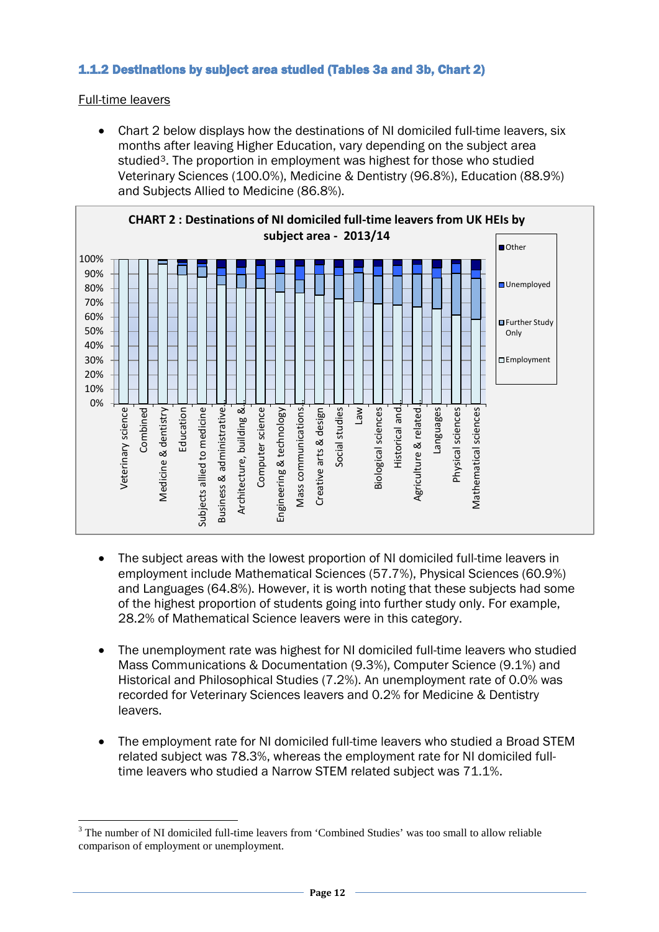# <span id="page-11-1"></span><span id="page-11-0"></span>1.1.2 Destinations by subject area studied (Tables 3a and 3b, Chart 2)

Full-time leavers

• Chart 2 below displays how the destinations of NI domiciled full-time leavers, six months after leaving Higher Education, vary depending on the subject area studied[3](#page-11-2) . The proportion in employment was highest for those who studied Veterinary Sciences (100.0%), Medicine & Dentistry (96.8%), Education (88.9%) and Subjects Allied to Medicine (86.8%).



- The subject areas with the lowest proportion of NI domiciled full-time leavers in employment include Mathematical Sciences (57.7%), Physical Sciences (60.9%) and Languages (64.8%). However, it is worth noting that these subjects had some of the highest proportion of students going into further study only. For example, 28.2% of Mathematical Science leavers were in this category.
- The unemployment rate was highest for NI domiciled full-time leavers who studied Mass Communications & Documentation (9.3%), Computer Science (9.1%) and Historical and Philosophical Studies (7.2%). An unemployment rate of 0.0% was recorded for Veterinary Sciences leavers and 0.2% for Medicine & Dentistry leavers.
- The employment rate for NI domiciled full-time leavers who studied a Broad STEM related subject was 78.3%, whereas the employment rate for NI domiciled fulltime leavers who studied a Narrow STEM related subject was 71.1%.

<span id="page-11-2"></span><sup>&</sup>lt;sup>3</sup> The number of NI domiciled full-time leavers from 'Combined Studies' was too small to allow reliable comparison of employment or unemployment.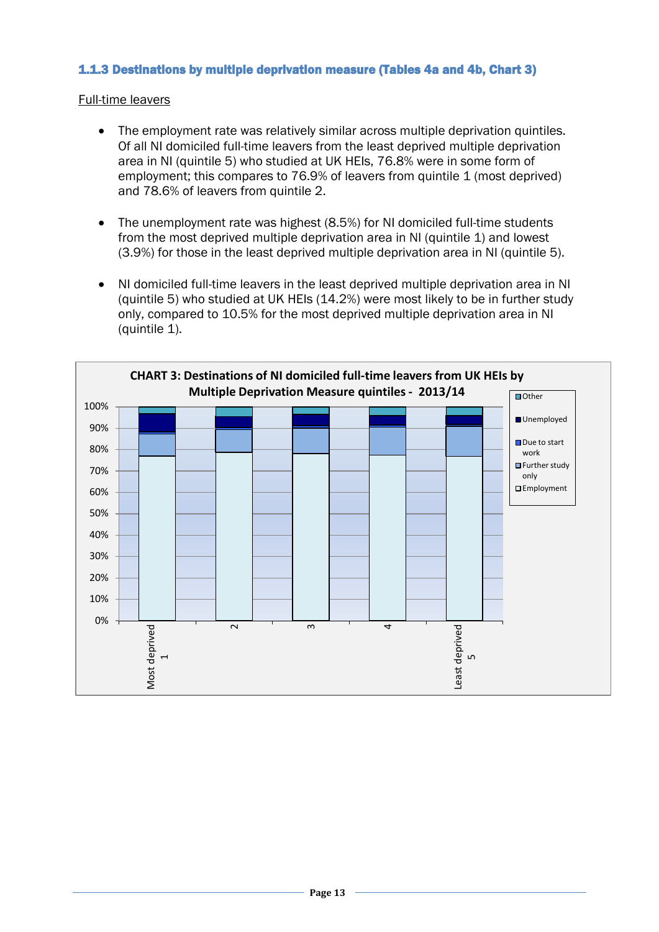# <span id="page-12-0"></span>1.1.3 Destinations by multiple deprivation measure (Tables 4a and 4b, Chart 3)

- The employment rate was relatively similar across multiple deprivation quintiles. Of all NI domiciled full-time leavers from the least deprived multiple deprivation area in NI (quintile 5) who studied at UK HEIs, 76.8% were in some form of employment; this compares to 76.9% of leavers from quintile 1 (most deprived) and 78.6% of leavers from quintile 2.
- The unemployment rate was highest (8.5%) for NI domiciled full-time students from the most deprived multiple deprivation area in NI (quintile 1) and lowest (3.9%) for those in the least deprived multiple deprivation area in NI (quintile 5).
- NI domiciled full-time leavers in the least deprived multiple deprivation area in NI (quintile 5) who studied at UK HEIs (14.2%) were most likely to be in further study only, compared to 10.5% for the most deprived multiple deprivation area in NI (quintile 1).

<span id="page-12-1"></span>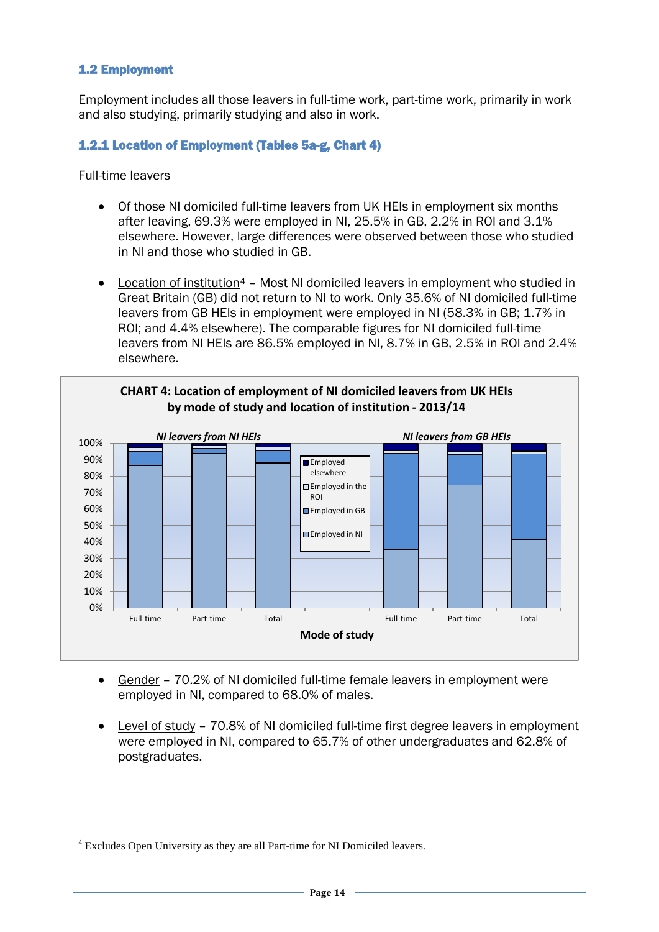# <span id="page-13-2"></span><span id="page-13-0"></span>1.2 Employment

Employment includes all those leavers in full-time work, part-time work, primarily in work and also studying, primarily studying and also in work.

# <span id="page-13-1"></span>1.2.1 Location of Employment (Tables 5a-g, Chart 4)

- Of those NI domiciled full-time leavers from UK HEIs in employment six months after leaving, 69.3% were employed in NI, 25.5% in GB, 2.2% in ROI and 3.1% elsewhere. However, large differences were observed between those who studied in NI and those who studied in GB.
- Location of institution<sup>[4](#page-13-3)</sup> Most NI domiciled leavers in employment who studied in Great Britain (GB) did not return to NI to work. Only 35.6% of NI domiciled full-time leavers from GB HEIs in employment were employed in NI (58.3% in GB; 1.7% in ROI; and 4.4% elsewhere). The comparable figures for NI domiciled full-time leavers from NI HEIs are 86.5% employed in NI, 8.7% in GB, 2.5% in ROI and 2.4% elsewhere.



- Gender 70.2% of NI domiciled full-time female leavers in employment were employed in NI, compared to 68.0% of males.
- Level of study 70.8% of NI domiciled full-time first degree leavers in employment were employed in NI, compared to 65.7% of other undergraduates and 62.8% of postgraduates.

<span id="page-13-3"></span> <sup>4</sup> Excludes Open University as they are all Part-time for NI Domiciled leavers.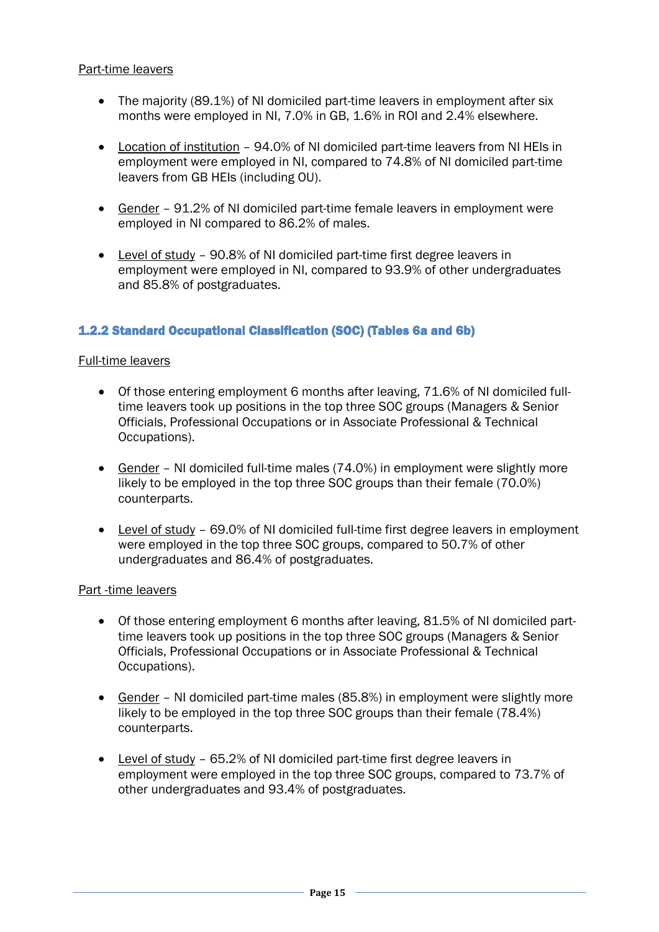# Part-time leavers

- The majority (89.1%) of NI domiciled part-time leavers in employment after six months were employed in NI, 7.0% in GB, 1.6% in ROI and 2.4% elsewhere.
- Location of institution 94.0% of NI domiciled part-time leavers from NI HEIs in employment were employed in NI, compared to 74.8% of NI domiciled part-time leavers from GB HEIs (including OU).
- Gender 91.2% of NI domiciled part-time female leavers in employment were employed in NI compared to 86.2% of males.
- Level of study 90.8% of NI domiciled part-time first degree leavers in employment were employed in NI, compared to 93.9% of other undergraduates and 85.8% of postgraduates.

### <span id="page-14-0"></span>1.2.2 Standard Occupational Classification (SOC) (Tables 6a and 6b)

### Full-time leavers

- Of those entering employment 6 months after leaving, 71.6% of NI domiciled fulltime leavers took up positions in the top three SOC groups (Managers & Senior Officials, Professional Occupations or in Associate Professional & Technical Occupations).
- Gender NI domiciled full-time males (74.0%) in employment were slightly more likely to be employed in the top three SOC groups than their female (70.0%) counterparts.
- Level of study 69.0% of NI domiciled full-time first degree leavers in employment were employed in the top three SOC groups, compared to 50.7% of other undergraduates and 86.4% of postgraduates.

### Part -time leavers

- Of those entering employment 6 months after leaving, 81.5% of NI domiciled parttime leavers took up positions in the top three SOC groups (Managers & Senior Officials, Professional Occupations or in Associate Professional & Technical Occupations).
- Gender NI domiciled part-time males (85.8%) in employment were slightly more likely to be employed in the top three SOC groups than their female (78.4%) counterparts.
- Level of study 65.2% of NI domiciled part-time first degree leavers in employment were employed in the top three SOC groups, compared to 73.7% of other undergraduates and 93.4% of postgraduates.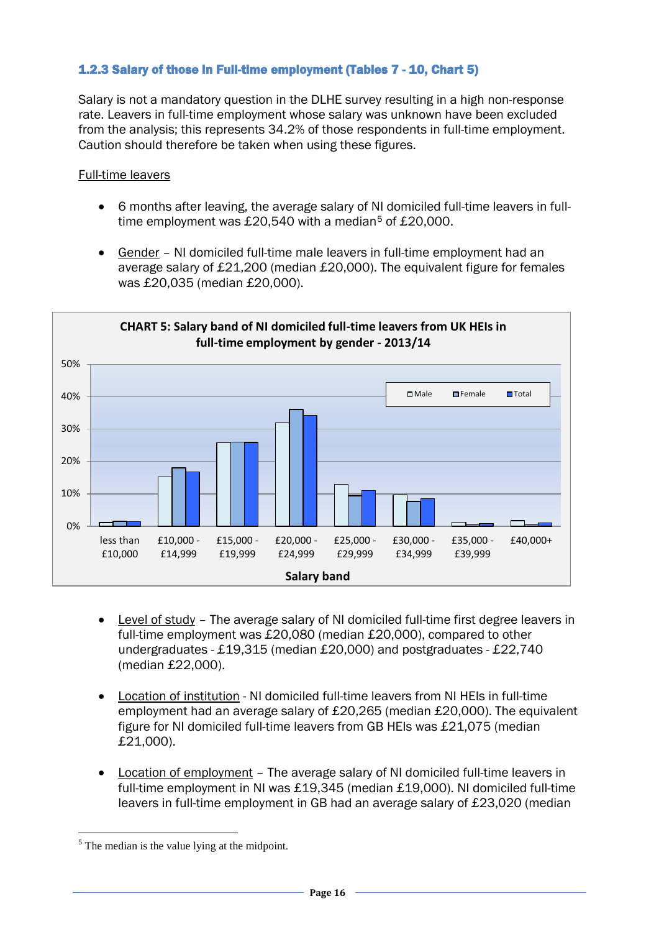# <span id="page-15-1"></span><span id="page-15-0"></span>1.2.3 Salary of those in Full-time employment (Tables 7 - 10, Chart 5)

Salary is not a mandatory question in the DLHE survey resulting in a high non-response rate. Leavers in full-time employment whose salary was unknown have been excluded from the analysis; this represents 34.2% of those respondents in full-time employment. Caution should therefore be taken when using these figures.

- 6 months after leaving, the average salary of NI domiciled full-time leavers in full-time employment was £20,[5](#page-15-2)40 with a median<sup>5</sup> of £20,000.
- Gender NI domiciled full-time male leavers in full-time employment had an average salary of £21,200 (median £20,000). The equivalent figure for females was £20,035 (median £20,000).



- Level of study The average salary of NI domiciled full-time first degree leavers in full-time employment was £20,080 (median £20,000), compared to other undergraduates - £19,315 (median £20,000) and postgraduates - £22,740 (median £22,000).
- Location of institution NI domiciled full-time leavers from NI HEIs in full-time employment had an average salary of £20,265 (median £20,000). The equivalent figure for NI domiciled full-time leavers from GB HEIs was £21,075 (median £21,000).
- Location of employment The average salary of NI domiciled full-time leavers in full-time employment in NI was £19,345 (median £19,000). NI domiciled full-time leavers in full-time employment in GB had an average salary of £23,020 (median

<span id="page-15-2"></span> $<sup>5</sup>$  The median is the value lying at the midpoint.</sup>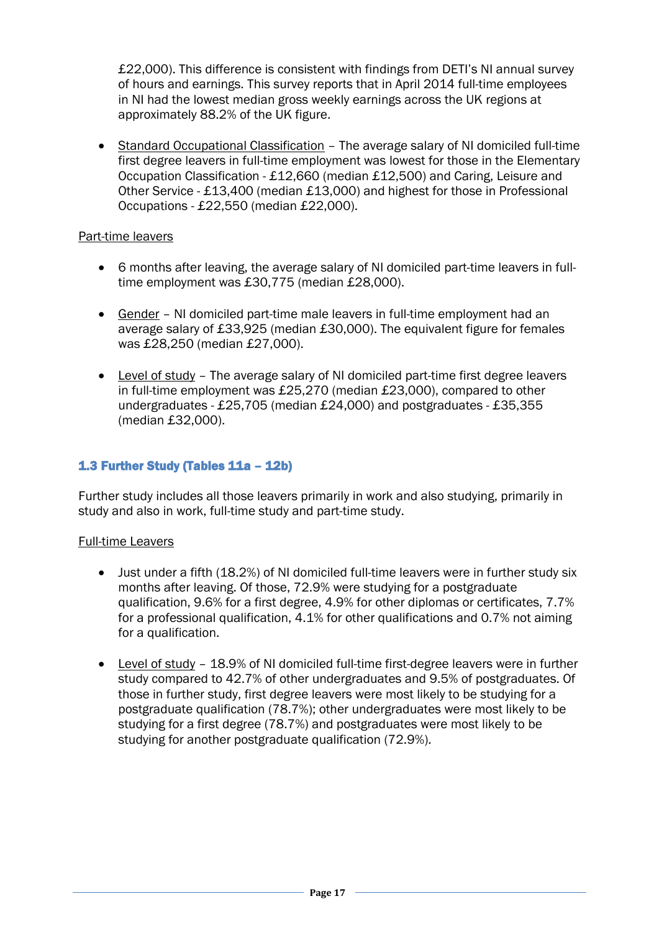£22,000). This difference is consistent with findings from DETI's NI annual survey of hours and earnings. This survey reports that in April 2014 full-time employees in NI had the lowest median gross weekly earnings across the UK regions at approximately 88.2% of the UK figure.

• Standard Occupational Classification – The average salary of NI domiciled full-time first degree leavers in full-time employment was lowest for those in the Elementary Occupation Classification - £12,660 (median £12,500) and Caring, Leisure and Other Service - £13,400 (median £13,000) and highest for those in Professional Occupations - £22,550 (median £22,000).

# Part-time leavers

- 6 months after leaving, the average salary of NI domiciled part-time leavers in fulltime employment was £30,775 (median £28,000).
- Gender NI domiciled part-time male leavers in full-time employment had an average salary of £33,925 (median £30,000). The equivalent figure for females was £28,250 (median £27,000).
- Level of study The average salary of NI domiciled part-time first degree leavers in full-time employment was £25,270 (median £23,000), compared to other undergraduates - £25,705 (median £24,000) and postgraduates - £35,355 (median £32,000).

# <span id="page-16-0"></span>1.3 Further Study (Tables 11a – 12b)

Further study includes all those leavers primarily in work and also studying, primarily in study and also in work, full-time study and part-time study.

- Just under a fifth (18.2%) of NI domiciled full-time leavers were in further study six months after leaving. Of those, 72.9% were studying for a postgraduate qualification, 9.6% for a first degree, 4.9% for other diplomas or certificates, 7.7% for a professional qualification, 4.1% for other qualifications and 0.7% not aiming for a qualification.
- Level of study 18.9% of NI domiciled full-time first-degree leavers were in further study compared to 42.7% of other undergraduates and 9.5% of postgraduates. Of those in further study, first degree leavers were most likely to be studying for a postgraduate qualification (78.7%); other undergraduates were most likely to be studying for a first degree (78.7%) and postgraduates were most likely to be studying for another postgraduate qualification (72.9%).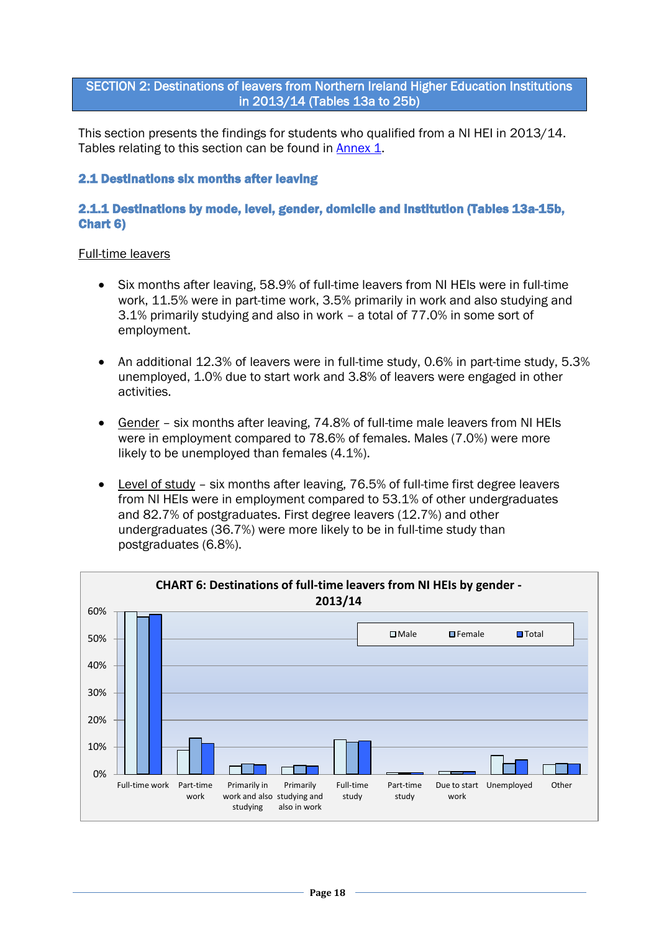# <span id="page-17-0"></span>SECTION 2: Destinations of leavers from Northern Ireland Higher Education Institutions in 2013/14 (Tables 13a to 25b)

This section presents the findings for students who qualified from a NI HEI in 2013/14. Tables relating to this section can be found in [Annex 1.](#page-36-0)

### <span id="page-17-1"></span>2.1 Destinations six months after leaving

### 2.1.1 Destinations by mode, level, gender, domicile and institution (Tables 13a-15b, Chart 6)

- Six months after leaving, 58.9% of full-time leavers from NI HEIs were in full-time work, 11.5% were in part-time work, 3.5% primarily in work and also studying and 3.1% primarily studying and also in work – a total of 77.0% in some sort of employment.
- An additional 12.3% of leavers were in full-time study, 0.6% in part-time study, 5.3% unemployed, 1.0% due to start work and 3.8% of leavers were engaged in other activities.
- Gender six months after leaving, 74.8% of full-time male leavers from NI HEIs were in employment compared to 78.6% of females. Males (7.0%) were more likely to be unemployed than females (4.1%).
- Level of study six months after leaving, 76.5% of full-time first degree leavers from NI HEIs were in employment compared to 53.1% of other undergraduates and 82.7% of postgraduates. First degree leavers (12.7%) and other undergraduates (36.7%) were more likely to be in full-time study than postgraduates (6.8%).

<span id="page-17-2"></span>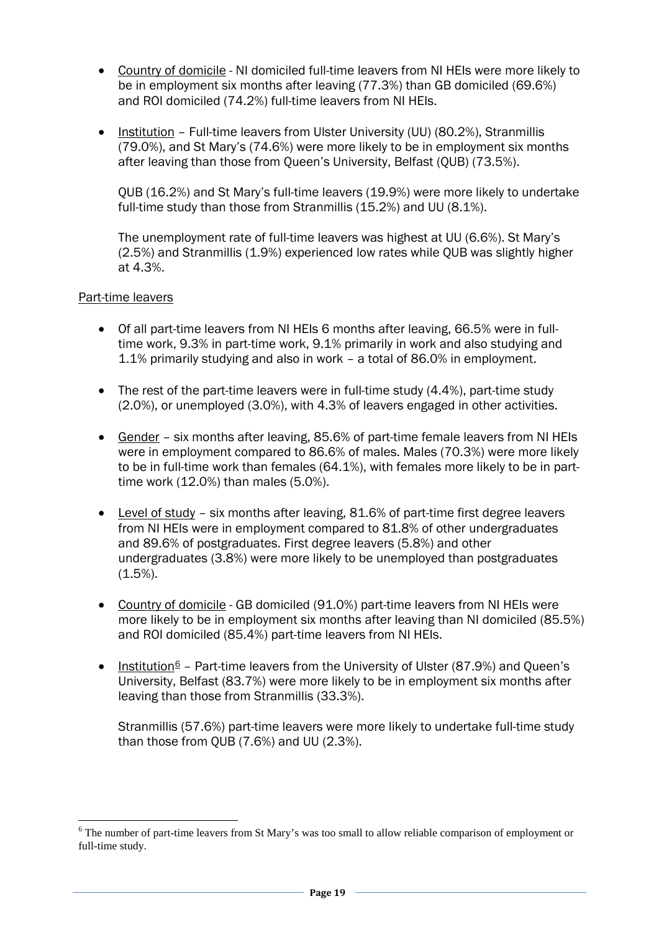- Country of domicile NI domiciled full-time leavers from NI HEIs were more likely to be in employment six months after leaving (77.3%) than GB domiciled (69.6%) and ROI domiciled (74.2%) full-time leavers from NI HEIs.
- Institution Full-time leavers from Ulster University (UU) (80.2%), Stranmillis (79.0%), and St Mary's (74.6%) were more likely to be in employment six months after leaving than those from Queen's University, Belfast (QUB) (73.5%).

QUB (16.2%) and St Mary's full-time leavers (19.9%) were more likely to undertake full-time study than those from Stranmillis (15.2%) and UU (8.1%).

The unemployment rate of full-time leavers was highest at UU (6.6%). St Mary's (2.5%) and Stranmillis (1.9%) experienced low rates while QUB was slightly higher at 4.3%.

### Part-time leavers

- Of all part-time leavers from NI HEIs 6 months after leaving, 66.5% were in fulltime work, 9.3% in part-time work, 9.1% primarily in work and also studying and 1.1% primarily studying and also in work – a total of 86.0% in employment.
- The rest of the part-time leavers were in full-time study (4.4%), part-time study (2.0%), or unemployed (3.0%), with 4.3% of leavers engaged in other activities.
- Gender six months after leaving, 85.6% of part-time female leavers from NI HEIs were in employment compared to 86.6% of males. Males (70.3%) were more likely to be in full-time work than females (64.1%), with females more likely to be in parttime work (12.0%) than males (5.0%).
- Level of study six months after leaving, 81.6% of part-time first degree leavers from NI HEIs were in employment compared to 81.8% of other undergraduates and 89.6% of postgraduates. First degree leavers (5.8%) and other undergraduates (3.8%) were more likely to be unemployed than postgraduates  $(1.5\%)$ .
- Country of domicile GB domiciled (91.0%) part-time leavers from NI HEIs were more likely to be in employment six months after leaving than NI domiciled (85.5%) and ROI domiciled (85.4%) part-time leavers from NI HEIs.
- Institution  $6$  Part-time leavers from the University of Ulster (87.9%) and Queen's University, Belfast (83.7%) were more likely to be in employment six months after leaving than those from Stranmillis (33.3%).

Stranmillis (57.6%) part-time leavers were more likely to undertake full-time study than those from QUB (7.6%) and UU (2.3%).

<span id="page-18-0"></span><sup>&</sup>lt;sup>6</sup> The number of part-time leavers from St Mary's was too small to allow reliable comparison of employment or full-time study.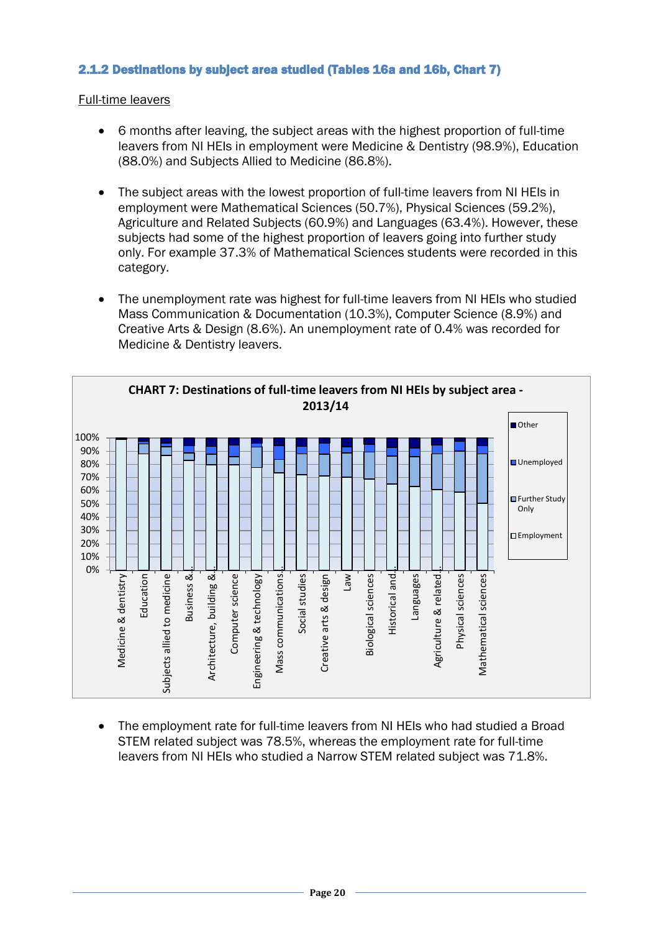# <span id="page-19-1"></span>2.1.2 Destinations by subject area studied (Tables 16a and 16b, Chart 7)

<span id="page-19-0"></span>Full-time leavers

- 6 months after leaving, the subject areas with the highest proportion of full-time leavers from NI HEIs in employment were Medicine & Dentistry (98.9%), Education (88.0%) and Subjects Allied to Medicine (86.8%).
- The subject areas with the lowest proportion of full-time leavers from NI HEIs in employment were Mathematical Sciences (50.7%), Physical Sciences (59.2%), Agriculture and Related Subjects (60.9%) and Languages (63.4%). However, these subjects had some of the highest proportion of leavers going into further study only. For example 37.3% of Mathematical Sciences students were recorded in this category.
- The unemployment rate was highest for full-time leavers from NI HEIs who studied Mass Communication & Documentation (10.3%), Computer Science (8.9%) and Creative Arts & Design (8.6%). An unemployment rate of 0.4% was recorded for Medicine & Dentistry leavers.



• The employment rate for full-time leavers from NI HEIs who had studied a Broad STEM related subject was 78.5%, whereas the employment rate for full-time leavers from NI HEIs who studied a Narrow STEM related subject was 71.8%.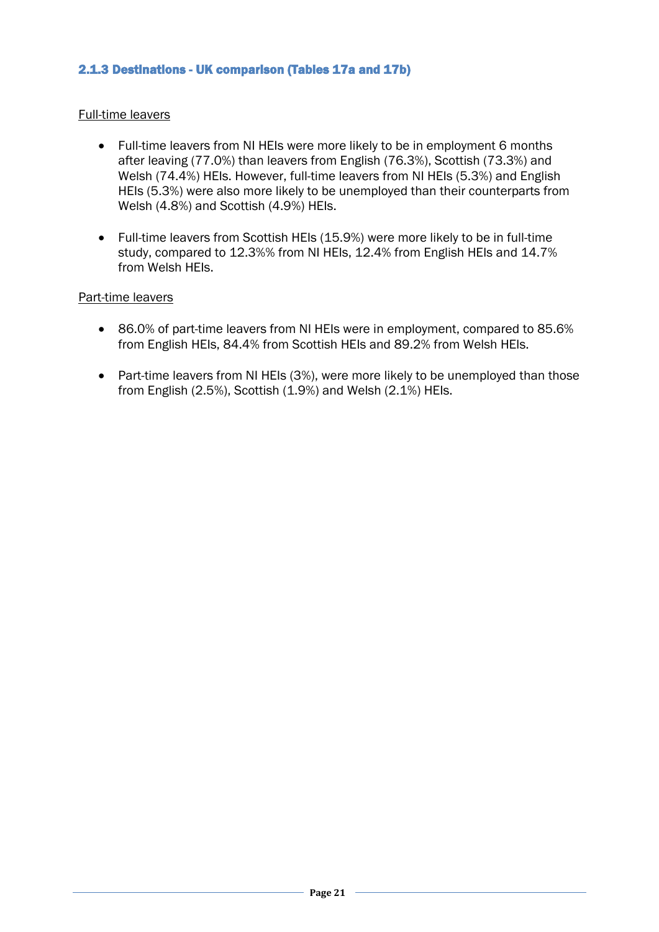# <span id="page-20-0"></span>2.1.3 Destinations - UK comparison (Tables 17a and 17b)

### Full-time leavers

- Full-time leavers from NI HEIs were more likely to be in employment 6 months after leaving (77.0%) than leavers from English (76.3%), Scottish (73.3%) and Welsh (74.4%) HEIs. However, full-time leavers from NI HEIs (5.3%) and English HEIs (5.3%) were also more likely to be unemployed than their counterparts from Welsh (4.8%) and Scottish (4.9%) HEIs.
- Full-time leavers from Scottish HEIs (15.9%) were more likely to be in full-time study, compared to 12.3%% from NI HEIs, 12.4% from English HEIs and 14.7% from Welsh HEIs.

### Part-time leavers

- 86.0% of part-time leavers from NI HEIs were in employment, compared to 85.6% from English HEIs, 84.4% from Scottish HEIs and 89.2% from Welsh HEIs.
- Part-time leavers from NI HEIs (3%), were more likely to be unemployed than those from English (2.5%), Scottish (1.9%) and Welsh (2.1%) HEIs.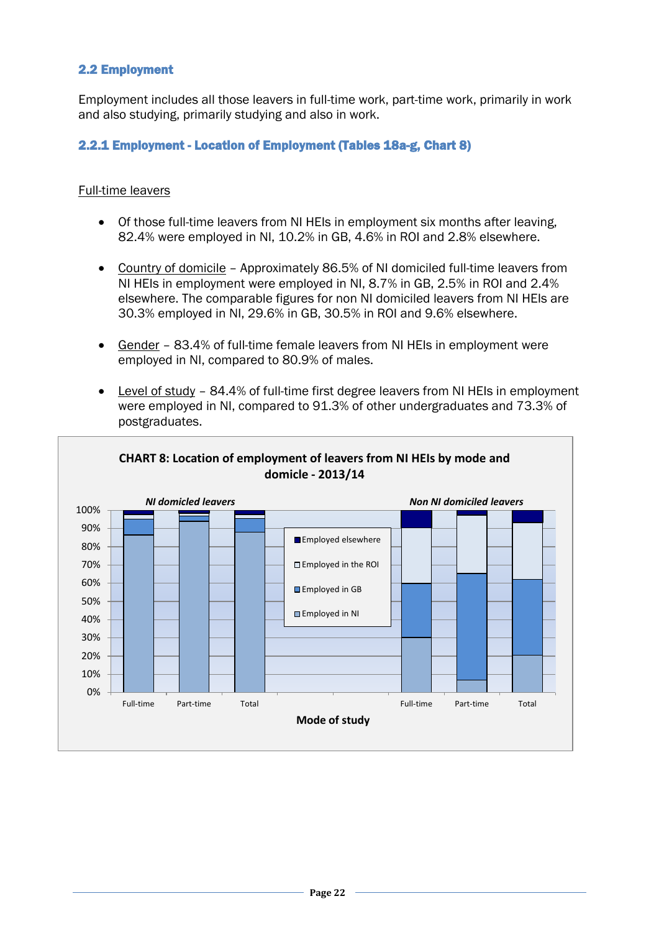# <span id="page-21-2"></span><span id="page-21-0"></span>2.2 Employment

Employment includes all those leavers in full-time work, part-time work, primarily in work and also studying, primarily studying and also in work.

# <span id="page-21-1"></span>2.2.1 Employment - Location of Employment (Tables 18a-g, Chart 8)

- Of those full-time leavers from NI HEIs in employment six months after leaving, 82.4% were employed in NI, 10.2% in GB, 4.6% in ROI and 2.8% elsewhere.
- Country of domicile Approximately 86.5% of NI domiciled full-time leavers from NI HEIs in employment were employed in NI, 8.7% in GB, 2.5% in ROI and 2.4% elsewhere. The comparable figures for non NI domiciled leavers from NI HEIs are 30.3% employed in NI, 29.6% in GB, 30.5% in ROI and 9.6% elsewhere.
- Gender 83.4% of full-time female leavers from NI HEIs in employment were employed in NI, compared to 80.9% of males.
- Level of study 84.4% of full-time first degree leavers from NI HEIs in employment were employed in NI, compared to 91.3% of other undergraduates and 73.3% of postgraduates.

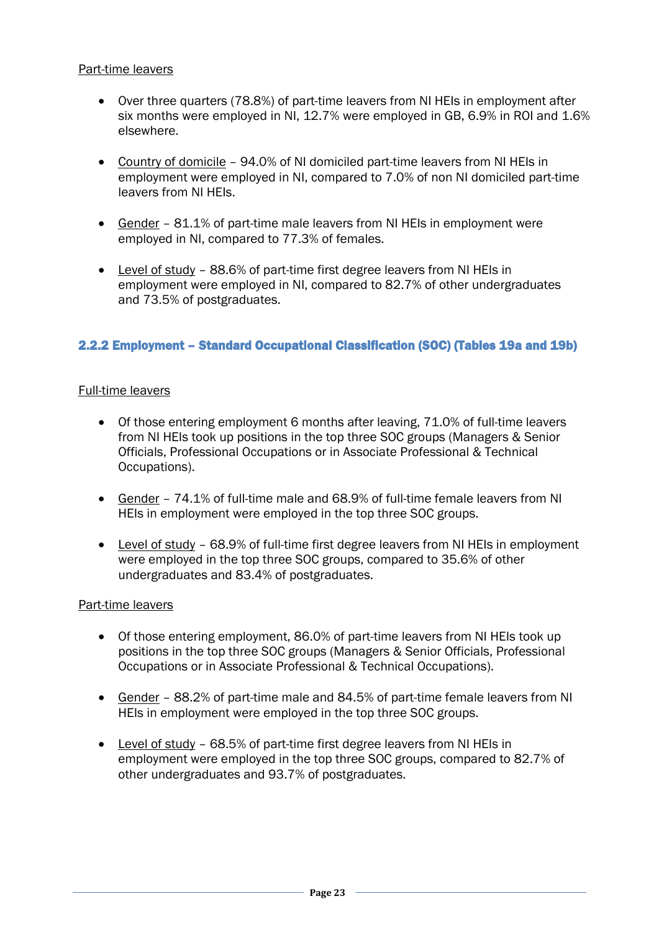# Part-time leavers

- Over three quarters (78.8%) of part-time leavers from NI HEIs in employment after six months were employed in NI, 12.7% were employed in GB, 6.9% in ROI and 1.6% elsewhere.
- Country of domicile 94.0% of NI domiciled part-time leavers from NI HEIs in employment were employed in NI, compared to 7.0% of non NI domiciled part-time leavers from NI HEIs.
- Gender 81.1% of part-time male leavers from NI HEIs in employment were employed in NI, compared to 77.3% of females.
- Level of study 88.6% of part-time first degree leavers from NI HEIs in employment were employed in NI, compared to 82.7% of other undergraduates and 73.5% of postgraduates.

# <span id="page-22-0"></span>2.2.2 Employment – Standard Occupational Classification (SOC) (Tables 19a and 19b)

### Full-time leavers

- Of those entering employment 6 months after leaving, 71.0% of full-time leavers from NI HEIs took up positions in the top three SOC groups (Managers & Senior Officials, Professional Occupations or in Associate Professional & Technical Occupations).
- Gender 74.1% of full-time male and 68.9% of full-time female leavers from NI HEIs in employment were employed in the top three SOC groups.
- Level of study 68.9% of full-time first degree leavers from NI HEIs in employment were employed in the top three SOC groups, compared to 35.6% of other undergraduates and 83.4% of postgraduates.

### Part-time leavers

- Of those entering employment, 86.0% of part-time leavers from NI HEIs took up positions in the top three SOC groups (Managers & Senior Officials, Professional Occupations or in Associate Professional & Technical Occupations).
- Gender 88.2% of part-time male and 84.5% of part-time female leavers from NI HEIs in employment were employed in the top three SOC groups.
- Level of study 68.5% of part-time first degree leavers from NI HEIs in employment were employed in the top three SOC groups, compared to 82.7% of other undergraduates and 93.7% of postgraduates.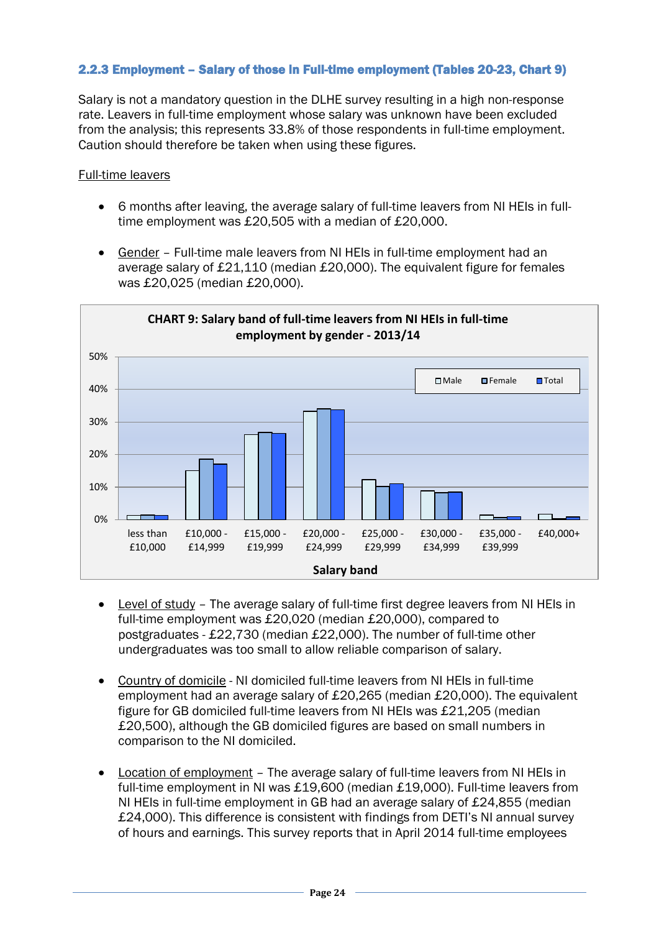# <span id="page-23-1"></span><span id="page-23-0"></span>2.2.3 Employment – Salary of those in Full-time employment (Tables 20-23, Chart 9)

Salary is not a mandatory question in the DLHE survey resulting in a high non-response rate. Leavers in full-time employment whose salary was unknown have been excluded from the analysis; this represents 33.8% of those respondents in full-time employment. Caution should therefore be taken when using these figures.

- 6 months after leaving, the average salary of full-time leavers from NI HEIs in fulltime employment was £20,505 with a median of £20,000.
- Gender Full-time male leavers from NI HEIs in full-time employment had an average salary of £21,110 (median £20,000). The equivalent figure for females was £20,025 (median £20,000).



- Level of study The average salary of full-time first degree leavers from NI HEIs in full-time employment was £20,020 (median £20,000), compared to postgraduates - £22,730 (median £22,000). The number of full-time other undergraduates was too small to allow reliable comparison of salary.
- Country of domicile NI domiciled full-time leavers from NI HEIs in full-time employment had an average salary of £20,265 (median £20,000). The equivalent figure for GB domiciled full-time leavers from NI HEIs was £21,205 (median £20,500), although the GB domiciled figures are based on small numbers in comparison to the NI domiciled.
- Location of employment The average salary of full-time leavers from NI HEIs in full-time employment in NI was £19,600 (median £19,000). Full-time leavers from NI HEIs in full-time employment in GB had an average salary of £24,855 (median £24,000). This difference is consistent with findings from DETI's NI annual survey of hours and earnings. This survey reports that in April 2014 full-time employees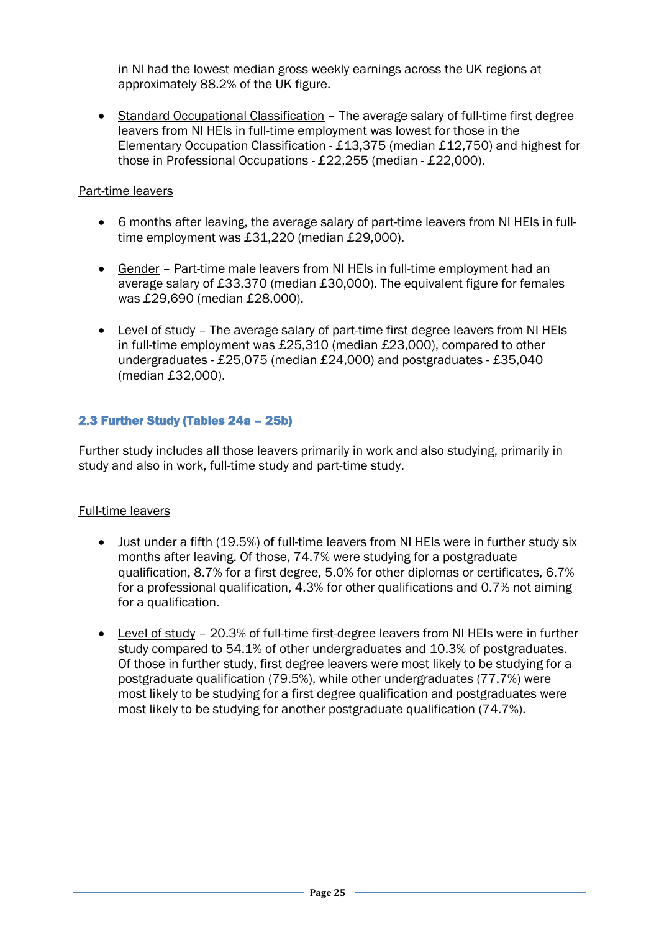in NI had the lowest median gross weekly earnings across the UK regions at approximately 88.2% of the UK figure.

• Standard Occupational Classification – The average salary of full-time first degree leavers from NI HEIs in full-time employment was lowest for those in the Elementary Occupation Classification - £13,375 (median £12,750) and highest for those in Professional Occupations - £22,255 (median - £22,000).

# Part-time leavers

- 6 months after leaving, the average salary of part-time leavers from NI HEIs in fulltime employment was £31,220 (median £29,000).
- Gender Part-time male leavers from NI HEIs in full-time employment had an average salary of £33,370 (median £30,000). The equivalent figure for females was £29,690 (median £28,000).
- Level of study The average salary of part-time first degree leavers from NI HEIs in full-time employment was £25,310 (median £23,000), compared to other undergraduates - £25,075 (median £24,000) and postgraduates - £35,040 (median £32,000).

# <span id="page-24-0"></span>2.3 Further Study (Tables 24a – 25b)

Further study includes all those leavers primarily in work and also studying, primarily in study and also in work, full-time study and part-time study.

- Just under a fifth (19.5%) of full-time leavers from NI HEIs were in further study six months after leaving. Of those, 74.7% were studying for a postgraduate qualification, 8.7% for a first degree, 5.0% for other diplomas or certificates, 6.7% for a professional qualification, 4.3% for other qualifications and 0.7% not aiming for a qualification.
- Level of study 20.3% of full-time first-degree leavers from NI HEIs were in further study compared to 54.1% of other undergraduates and 10.3% of postgraduates. Of those in further study, first degree leavers were most likely to be studying for a postgraduate qualification (79.5%), while other undergraduates (77.7%) were most likely to be studying for a first degree qualification and postgraduates were most likely to be studying for another postgraduate qualification (74.7%).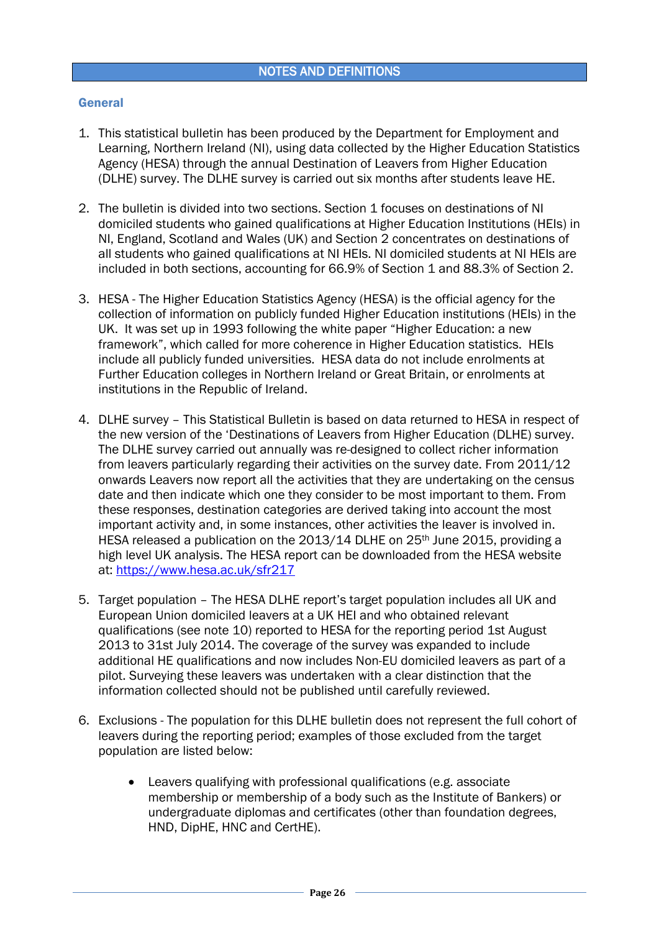### <span id="page-25-0"></span>General

- 1. This statistical bulletin has been produced by the Department for Employment and Learning, Northern Ireland (NI), using data collected by the Higher Education Statistics Agency (HESA) through the annual Destination of Leavers from Higher Education (DLHE) survey. The DLHE survey is carried out six months after students leave HE.
- 2. The bulletin is divided into two sections. Section 1 focuses on destinations of NI domiciled students who gained qualifications at Higher Education Institutions (HEIs) in NI, England, Scotland and Wales (UK) and Section 2 concentrates on destinations of all students who gained qualifications at NI HEIs. NI domiciled students at NI HEIs are included in both sections, accounting for 66.9% of Section 1 and 88.3% of Section 2.
- 3. HESA The Higher Education Statistics Agency (HESA) is the official agency for the collection of information on publicly funded Higher Education institutions (HEIs) in the UK. It was set up in 1993 following the white paper "Higher Education: a new framework", which called for more coherence in Higher Education statistics. HEIs include all publicly funded universities. HESA data do not include enrolments at Further Education colleges in Northern Ireland or Great Britain, or enrolments at institutions in the Republic of Ireland.
- 4. DLHE survey This Statistical Bulletin is based on data returned to HESA in respect of the new version of the 'Destinations of Leavers from Higher Education (DLHE) survey. The DLHE survey carried out annually was re-designed to collect richer information from leavers particularly regarding their activities on the survey date. From 2011/12 onwards Leavers now report all the activities that they are undertaking on the census date and then indicate which one they consider to be most important to them. From these responses, destination categories are derived taking into account the most important activity and, in some instances, other activities the leaver is involved in. HESA released a publication on the 2013/14 DLHE on 25th June 2015, providing a high level UK analysis. The HESA report can be downloaded from the HESA website at: <https://www.hesa.ac.uk/sfr217>
- 5. Target population The HESA DLHE report's target population includes all UK and European Union domiciled leavers at a UK HEI and who obtained relevant qualifications (see note 10) reported to HESA for the reporting period 1st August 2013 to 31st July 2014. The coverage of the survey was expanded to include additional HE qualifications and now includes Non-EU domiciled leavers as part of a pilot. Surveying these leavers was undertaken with a clear distinction that the information collected should not be published until carefully reviewed.
- 6. Exclusions The population for this DLHE bulletin does not represent the full cohort of leavers during the reporting period; examples of those excluded from the target population are listed below:
	- Leavers qualifying with professional qualifications (e.g. associate membership or membership of a body such as the Institute of Bankers) or undergraduate diplomas and certificates (other than foundation degrees, HND, DipHE, HNC and CertHE).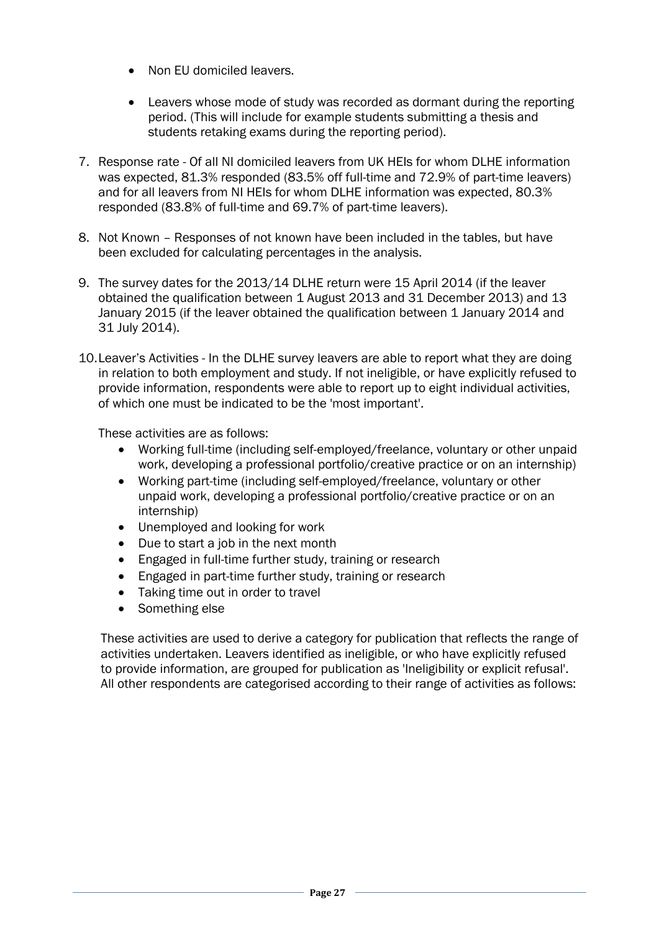- Non EU domiciled leavers.
- Leavers whose mode of study was recorded as dormant during the reporting period. (This will include for example students submitting a thesis and students retaking exams during the reporting period).
- 7. Response rate Of all NI domiciled leavers from UK HEIs for whom DLHE information was expected, 81.3% responded (83.5% off full-time and 72.9% of part-time leavers) and for all leavers from NI HEIs for whom DLHE information was expected, 80.3% responded (83.8% of full-time and 69.7% of part-time leavers).
- 8. Not Known Responses of not known have been included in the tables, but have been excluded for calculating percentages in the analysis.
- 9. The survey dates for the 2013/14 DLHE return were 15 April 2014 (if the leaver obtained the qualification between 1 August 2013 and 31 December 2013) and 13 January 2015 (if the leaver obtained the qualification between 1 January 2014 and 31 July 2014).
- 10.Leaver's Activities In the DLHE survey leavers are able to report what they are doing in relation to both employment and study. If not ineligible, or have explicitly refused to provide information, respondents were able to report up to eight individual activities, of which one must be indicated to be the 'most important'.

These activities are as follows:

- Working full-time (including self-employed/freelance, voluntary or other unpaid work, developing a professional portfolio/creative practice or on an internship)
- Working part-time (including self-employed/freelance, voluntary or other unpaid work, developing a professional portfolio/creative practice or on an internship)
- Unemployed and looking for work
- Due to start a job in the next month
- Engaged in full-time further study, training or research
- Engaged in part-time further study, training or research
- Taking time out in order to travel
- Something else

These activities are used to derive a category for publication that reflects the range of activities undertaken. Leavers identified as ineligible, or who have explicitly refused to provide information, are grouped for publication as 'Ineligibility or explicit refusal'. All other respondents are categorised according to their range of activities as follows: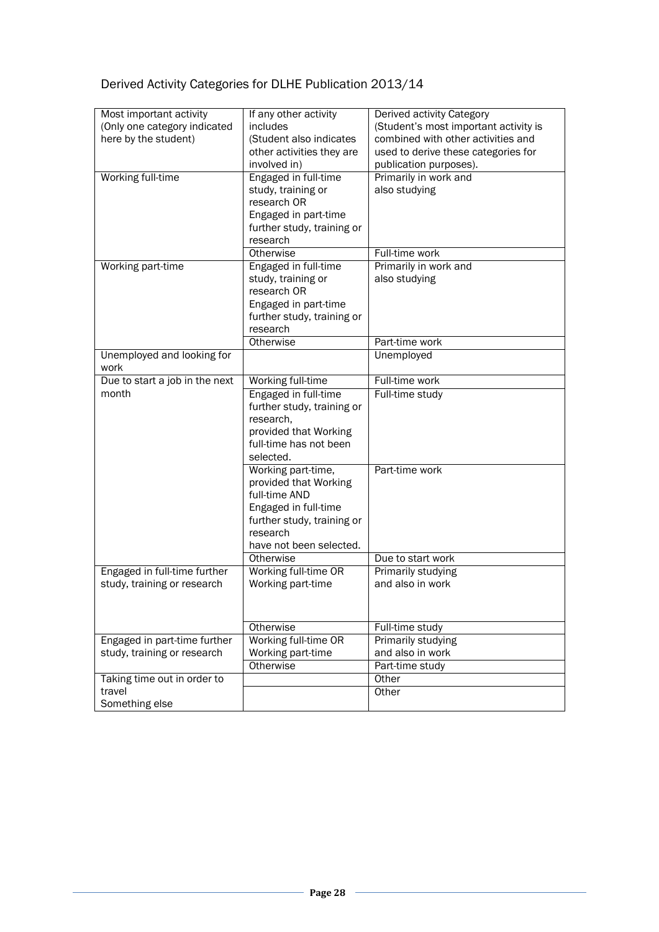# Derived Activity Categories for DLHE Publication 2013/14

| Most important activity        | If any other activity      | Derived activity Category             |
|--------------------------------|----------------------------|---------------------------------------|
| (Only one category indicated   | includes                   | (Student's most important activity is |
| here by the student)           | (Student also indicates    | combined with other activities and    |
|                                | other activities they are  | used to derive these categories for   |
|                                | involved in)               | publication purposes).                |
| Working full-time              | Engaged in full-time       | Primarily in work and                 |
|                                | study, training or         | also studying                         |
|                                | research OR                |                                       |
|                                | Engaged in part-time       |                                       |
|                                | further study, training or |                                       |
|                                | research                   |                                       |
|                                | Otherwise                  | Full-time work                        |
|                                |                            |                                       |
| Working part-time              | Engaged in full-time       | Primarily in work and                 |
|                                | study, training or         | also studying                         |
|                                | research OR                |                                       |
|                                | Engaged in part-time       |                                       |
|                                | further study, training or |                                       |
|                                | research                   |                                       |
|                                | Otherwise                  | Part-time work                        |
| Unemployed and looking for     |                            | Unemployed                            |
| work                           |                            |                                       |
| Due to start a job in the next | Working full-time          | Full-time work                        |
| month                          | Engaged in full-time       | Full-time study                       |
|                                | further study, training or |                                       |
|                                | research,                  |                                       |
|                                | provided that Working      |                                       |
|                                | full-time has not been     |                                       |
|                                | selected.                  |                                       |
|                                | Working part-time,         | Part-time work                        |
|                                | provided that Working      |                                       |
|                                | full-time AND              |                                       |
|                                |                            |                                       |
|                                | Engaged in full-time       |                                       |
|                                | further study, training or |                                       |
|                                | research                   |                                       |
|                                | have not been selected.    |                                       |
|                                | Otherwise                  | Due to start work                     |
| Engaged in full-time further   | Working full-time OR       | <b>Primarily studying</b>             |
| study, training or research    | Working part-time          | and also in work                      |
|                                |                            |                                       |
|                                |                            |                                       |
|                                | Otherwise                  | Full-time study                       |
| Engaged in part-time further   | Working full-time OR       | Primarily studying                    |
| study, training or research    | Working part-time          | and also in work                      |
|                                | Otherwise                  | Part-time study                       |
| Taking time out in order to    |                            | Other                                 |
| travel                         |                            |                                       |
|                                |                            | Other                                 |
| Something else                 |                            |                                       |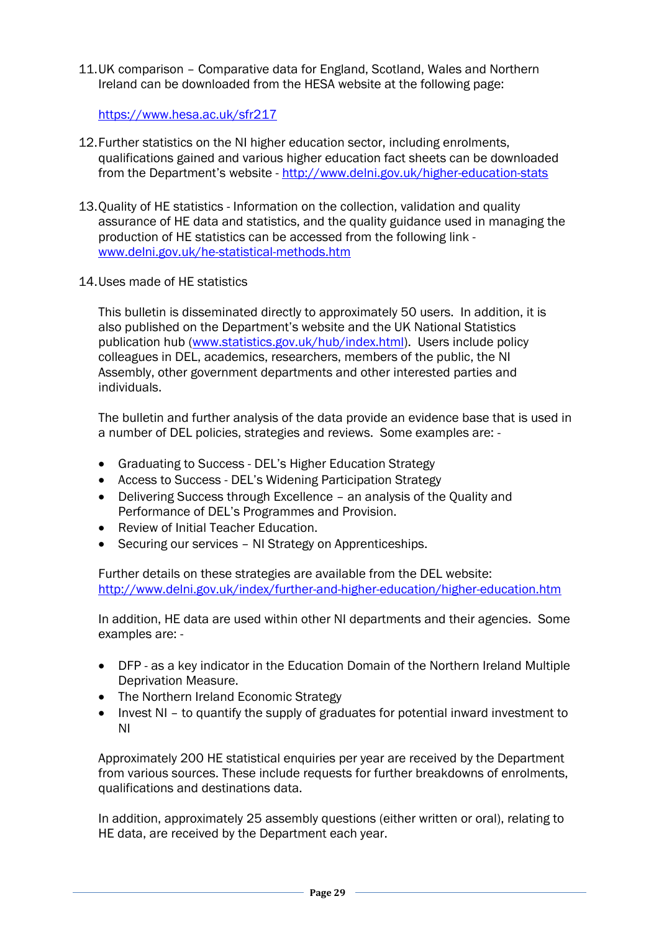11.UK comparison – Comparative data for England, Scotland, Wales and Northern Ireland can be downloaded from the HESA website at the following page:

<https://www.hesa.ac.uk/sfr217>

- 12.Further statistics on the NI higher education sector, including enrolments, qualifications gained and various higher education fact sheets can be downloaded from the Department's website - <http://www.delni.gov.uk/higher-education-stats>
- 13.Quality of HE statistics Information on the collection, validation and quality assurance of HE data and statistics, and the quality guidance used in managing the production of HE statistics can be accessed from the following link [www.delni.gov.uk/he-statistical-methods.htm](http://www.delni.gov.uk/he-statistical-methods.htm)
- 14.Uses made of HE statistics

This bulletin is disseminated directly to approximately 50 users. In addition, it is also published on the Department's website and the UK National Statistics publication hub [\(www.statistics.gov.uk/hub/index.html\)](http://www.statistics.gov.uk/hub/index.html). Users include policy colleagues in DEL, academics, researchers, members of the public, the NI Assembly, other government departments and other interested parties and individuals.

The bulletin and further analysis of the data provide an evidence base that is used in a number of DEL policies, strategies and reviews. Some examples are: -

- Graduating to Success DEL's Higher Education Strategy
- Access to Success DEL's Widening Participation Strategy
- Delivering Success through Excellence an analysis of the Quality and Performance of DEL's Programmes and Provision.
- Review of Initial Teacher Education.
- Securing our services NI Strategy on Apprenticeships.

Further details on these strategies are available from the DEL website: <http://www.delni.gov.uk/index/further-and-higher-education/higher-education.htm>

In addition, HE data are used within other NI departments and their agencies. Some examples are: -

- DFP as a key indicator in the Education Domain of the Northern Ireland Multiple Deprivation Measure.
- The Northern Ireland Economic Strategy
- Invest NI to quantify the supply of graduates for potential inward investment to NI

Approximately 200 HE statistical enquiries per year are received by the Department from various sources. These include requests for further breakdowns of enrolments, qualifications and destinations data.

In addition, approximately 25 assembly questions (either written or oral), relating to HE data, are received by the Department each year.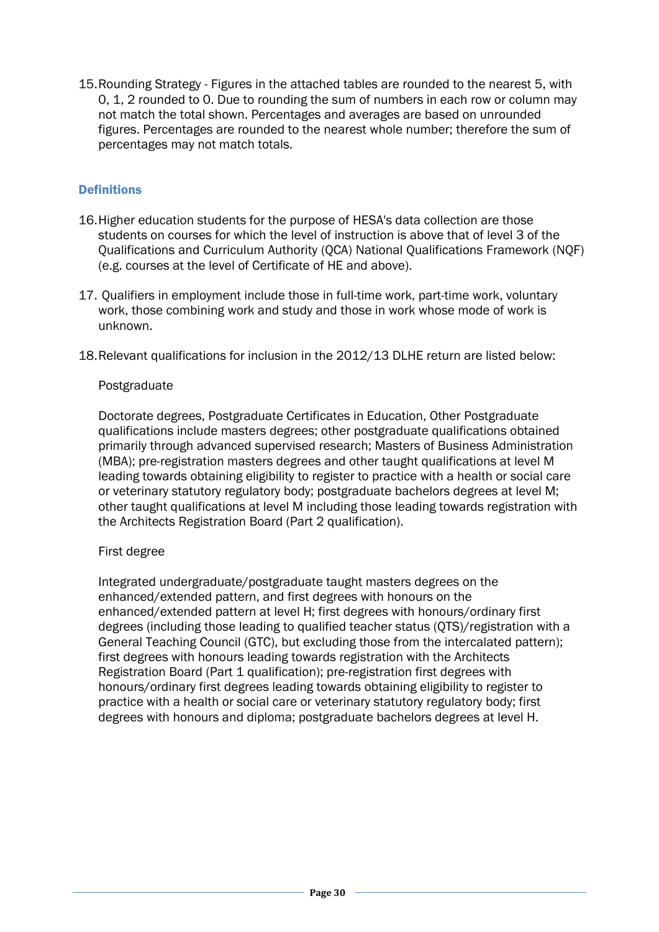15.Rounding Strategy - Figures in the attached tables are rounded to the nearest 5, with 0, 1, 2 rounded to 0. Due to rounding the sum of numbers in each row or column may not match the total shown. Percentages and averages are based on unrounded figures. Percentages are rounded to the nearest whole number; therefore the sum of percentages may not match totals.

# **Definitions**

- 16.Higher education students for the purpose of HESA's data collection are those students on courses for which the level of instruction is above that of level 3 of the Qualifications and Curriculum Authority (QCA) National Qualifications Framework (NQF) (e.g. courses at the level of Certificate of HE and above).
- 17. Qualifiers in employment include those in full-time work, part-time work, voluntary work, those combining work and study and those in work whose mode of work is unknown.
- 18.Relevant qualifications for inclusion in the 2012/13 DLHE return are listed below:

### Postgraduate

Doctorate degrees, Postgraduate Certificates in Education, Other Postgraduate qualifications include masters degrees; other postgraduate qualifications obtained primarily through advanced supervised research; Masters of Business Administration (MBA); pre-registration masters degrees and other taught qualifications at level M leading towards obtaining eligibility to register to practice with a health or social care or veterinary statutory regulatory body; postgraduate bachelors degrees at level M; other taught qualifications at level M including those leading towards registration with the Architects Registration Board (Part 2 qualification).

### First degree

Integrated undergraduate/postgraduate taught masters degrees on the enhanced/extended pattern, and first degrees with honours on the enhanced/extended pattern at level H; first degrees with honours/ordinary first degrees (including those leading to qualified teacher status (QTS)/registration with a General Teaching Council (GTC), but excluding those from the intercalated pattern); first degrees with honours leading towards registration with the Architects Registration Board (Part 1 qualification); pre-registration first degrees with honours/ordinary first degrees leading towards obtaining eligibility to register to practice with a health or social care or veterinary statutory regulatory body; first degrees with honours and diploma; postgraduate bachelors degrees at level H.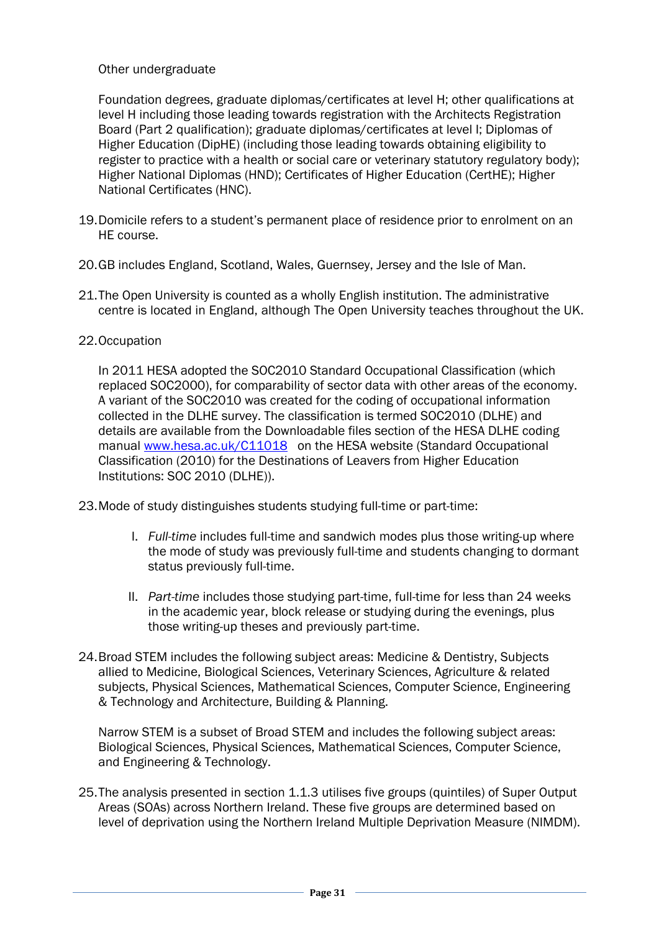# Other undergraduate

Foundation degrees, graduate diplomas/certificates at level H; other qualifications at level H including those leading towards registration with the Architects Registration Board (Part 2 qualification); graduate diplomas/certificates at level I; Diplomas of Higher Education (DipHE) (including those leading towards obtaining eligibility to register to practice with a health or social care or veterinary statutory regulatory body); Higher National Diplomas (HND); Certificates of Higher Education (CertHE); Higher National Certificates (HNC).

- 19.Domicile refers to a student's permanent place of residence prior to enrolment on an HE course.
- 20.GB includes England, Scotland, Wales, Guernsey, Jersey and the Isle of Man.
- 21.The Open University is counted as a wholly English institution. The administrative centre is located in England, although The Open University teaches throughout the UK.

# 22.Occupation

In 2011 HESA adopted the SOC2010 Standard Occupational Classification (which replaced SOC2000), for comparability of sector data with other areas of the economy. A variant of the SOC2010 was created for the coding of occupational information collected in the DLHE survey. The classification is termed SOC2010 (DLHE) and details are available from the Downloadable files section of the HESA DLHE coding manual [www.hesa.ac.uk/C11018](http://www.hesa.ac.uk/C11018) on the HESA website (Standard Occupational Classification (2010) for the Destinations of Leavers from Higher Education Institutions: SOC 2010 (DLHE)).

23.Mode of study distinguishes students studying full-time or part-time:

- I. *Full-time* includes full-time and sandwich modes plus those writing-up where the mode of study was previously full-time and students changing to dormant status previously full-time.
- II. *Part-time* includes those studying part-time, full-time for less than 24 weeks in the academic year, block release or studying during the evenings, plus those writing-up theses and previously part-time.
- 24.Broad STEM includes the following subject areas: Medicine & Dentistry, Subjects allied to Medicine, Biological Sciences, Veterinary Sciences, Agriculture & related subjects, Physical Sciences, Mathematical Sciences, Computer Science, Engineering & Technology and Architecture, Building & Planning.

Narrow STEM is a subset of Broad STEM and includes the following subject areas: Biological Sciences, Physical Sciences, Mathematical Sciences, Computer Science, and Engineering & Technology.

25.The analysis presented in section 1.1.3 utilises five groups (quintiles) of Super Output Areas (SOAs) across Northern Ireland. These five groups are determined based on level of deprivation using the Northern Ireland Multiple Deprivation Measure (NIMDM).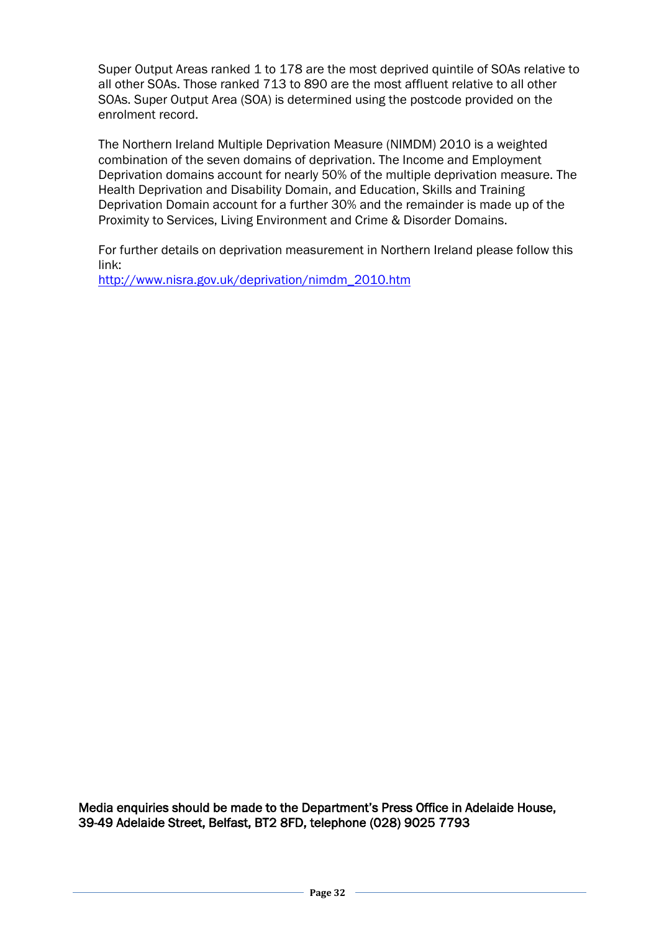Super Output Areas ranked 1 to 178 are the most deprived quintile of SOAs relative to all other SOAs. Those ranked 713 to 890 are the most affluent relative to all other SOAs. Super Output Area (SOA) is determined using the postcode provided on the enrolment record.

The Northern Ireland Multiple Deprivation Measure (NIMDM) 2010 is a weighted combination of the seven domains of deprivation. The Income and Employment Deprivation domains account for nearly 50% of the multiple deprivation measure. The Health Deprivation and Disability Domain, and Education, Skills and Training Deprivation Domain account for a further 30% and the remainder is made up of the Proximity to Services, Living Environment and Crime & Disorder Domains.

For further details on deprivation measurement in Northern Ireland please follow this link:

[http://www.nisra.gov.uk/deprivation/nimdm\\_2010.htm](http://www.nisra.gov.uk/deprivation/nimdm_2010.htm)

Media enquiries should be made to the Department's Press Office in Adelaide House, 39-49 Adelaide Street, Belfast, BT2 8FD, telephone (028) 9025 7793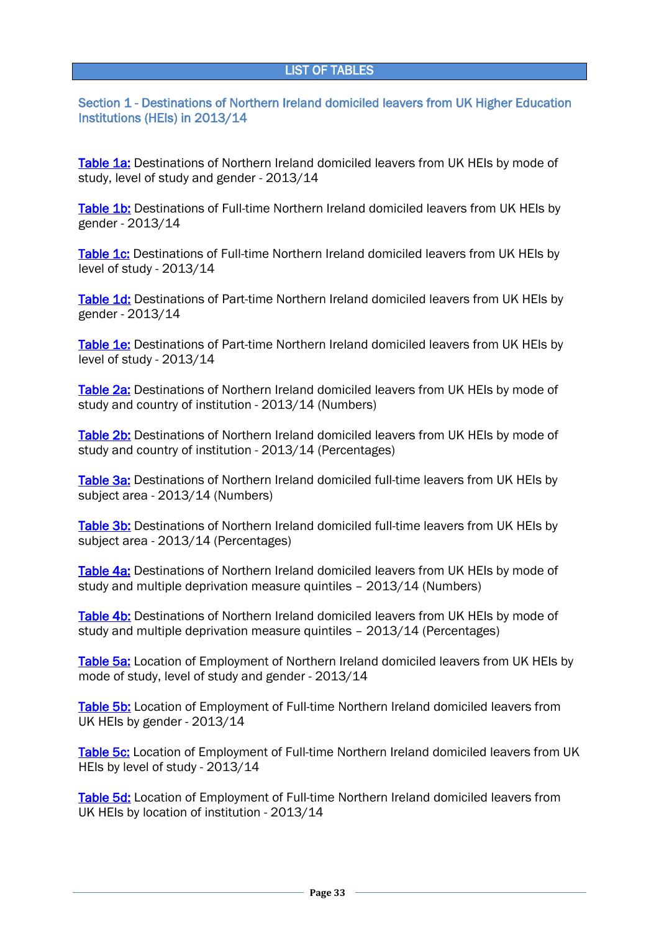<span id="page-32-0"></span>Section 1 - Destinations of Northern Ireland domiciled leavers from UK Higher Education Institutions (HEIs) in 2013/14

[Table 1a:](#page-37-0) Destinations of Northern Ireland domiciled leavers from UK HEIs by mode of study, level of study and gender - 2013/14

[Table 1b:](#page-38-0) Destinations of Full-time Northern Ireland domiciled leavers from UK HEIs by gender - 2013/14

[Table 1c:](#page-38-1) Destinations of Full-time Northern Ireland domiciled leavers from UK HEIs by level of study - 2013/14

[Table 1d:](#page-39-0) Destinations of Part-time Northern Ireland domiciled leavers from UK HEIs by gender - 2013/14

[Table 1e:](#page-39-1) Destinations of Part-time Northern Ireland domiciled leavers from UK HEIs by level of study - 2013/14

[Table 2a:](#page-40-0) Destinations of Northern Ireland domiciled leavers from UK HEIs by mode of study and country of institution - 2013/14 (Numbers)

[Table 2b:](#page-41-0) Destinations of Northern Ireland domiciled leavers from UK HEIs by mode of study and country of institution - 2013/14 (Percentages)

[Table 3a:](#page-42-0) Destinations of Northern Ireland domiciled full-time leavers from UK HEIs by subject area - 2013/14 (Numbers)

[Table 3b:](#page-43-0) Destinations of Northern Ireland domiciled full-time leavers from UK HEIs by subject area - 2013/14 (Percentages)

[Table 4a:](#page-44-0) Destinations of Northern Ireland domiciled leavers from UK HEIs by mode of study and multiple deprivation measure quintiles – 2013/14 (Numbers)

[Table 4b:](#page-45-0) Destinations of Northern Ireland domiciled leavers from UK HEIs by mode of study and multiple deprivation measure quintiles – 2013/14 (Percentages)

[Table 5a:](#page-46-0) Location of Employment of Northern Ireland domiciled leavers from UK HEIs by mode of study, level of study and gender - 2013/14

[Table 5b:](#page-47-0) Location of Employment of Full-time Northern Ireland domiciled leavers from UK HEIs by gender - 2013/14

[Table 5c:](#page-47-1) Location of Employment of Full-time Northern Ireland domiciled leavers from UK HEIs by level of study - 2013/14

[Table 5d:](#page-47-2) Location of Employment of Full-time Northern Ireland domiciled leavers from UK HEIs by location of institution - 2013/14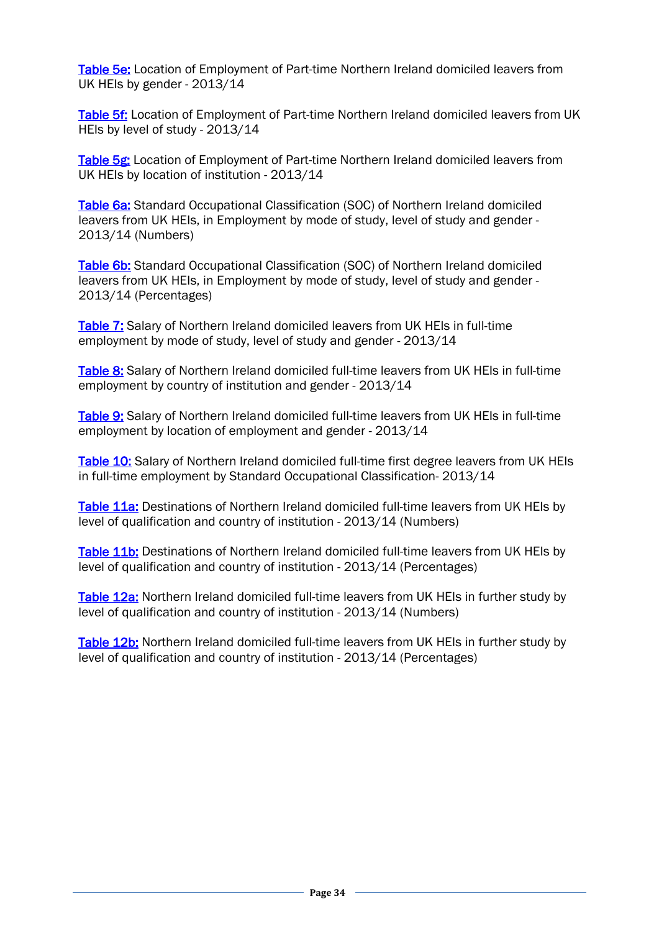[Table 5e:](#page-48-0) Location of Employment of Part-time Northern Ireland domiciled leavers from UK HEIs by gender - 2013/14

[Table 5f:](#page-48-1) Location of Employment of Part-time Northern Ireland domiciled leavers from UK HEIs by level of study - 2013/14

[Table 5g:](#page-48-2) Location of Employment of Part-time Northern Ireland domiciled leavers from UK HEIs by location of institution - 2013/14

[Table 6a:](#page-49-0) Standard Occupational Classification (SOC) of Northern Ireland domiciled leavers from UK HEIs, in Employment by mode of study, level of study and gender - 2013/14 (Numbers)

[Table 6b:](#page-50-0) Standard Occupational Classification (SOC) of Northern Ireland domiciled leavers from UK HEIs, in Employment by mode of study, level of study and gender - 2013/14 (Percentages)

[Table 7:](#page-51-0) Salary of Northern Ireland domiciled leavers from UK HEIs in full-time employment by mode of study, level of study and gender - 2013/14

[Table 8:](#page-52-0) Salary of Northern Ireland domiciled full-time leavers from UK HEIs in full-time employment by country of institution and gender - 2013/14

[Table 9:](#page-53-0) Salary of Northern Ireland domiciled full-time leavers from UK HEIs in full-time employment by location of employment and gender - 2013/14

[Table 10:](#page-54-0) Salary of Northern Ireland domiciled full-time first degree leavers from UK HEIs in full-time employment by Standard Occupational Classification- 2013/14

[Table 11a:](#page-55-0) Destinations of Northern Ireland domiciled full-time leavers from UK HEIs by level of qualification and country of institution - 2013/14 (Numbers)

[Table 11b:](#page-56-0) Destinations of Northern Ireland domiciled full-time leavers from UK HEIs by level of qualification and country of institution - 2013/14 (Percentages)

[Table 12a:](#page-57-0) Northern Ireland domiciled full-time leavers from UK HEIs in further study by level of qualification and country of institution - 2013/14 (Numbers)

[Table 12b:](#page-58-0) Northern Ireland domiciled full-time leavers from UK HEIs in further study by level of qualification and country of institution - 2013/14 (Percentages)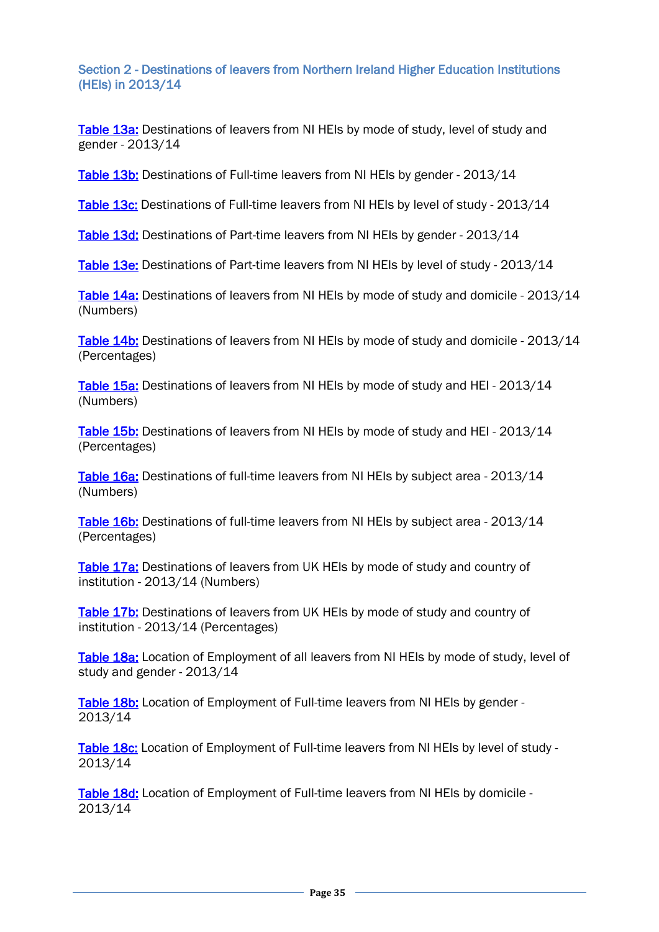Section 2 - Destinations of leavers from Northern Ireland Higher Education Institutions (HEIs) in 2013/14

[Table 13a:](#page-59-0) Destinations of leavers from NI HEIs by mode of study, level of study and gender - 2013/14

[Table 13b:](#page-60-0) Destinations of Full-time leavers from NI HEIs by gender - 2013/14

[Table 13c:](#page-60-1) Destinations of Full-time leavers from NI HEIs by level of study - 2013/14

[Table 13d:](#page-61-0) Destinations of Part-time leavers from NI HEIs by gender - 2013/14

[Table 13e:](#page-61-1) Destinations of Part-time leavers from NI HEIs by level of study - 2013/14

[Table 14a:](#page-62-0) Destinations of leavers from NI HEIs by mode of study and domicile - 2013/14 (Numbers)

[Table 14b:](#page-63-0) Destinations of leavers from NI HEIs by mode of study and domicile - 2013/14 (Percentages)

[Table 15a:](#page-64-0) Destinations of leavers from NI HEIs by mode of study and HEI - 2013/14 (Numbers)

[Table 15b:](#page-65-0) Destinations of leavers from NI HEIs by mode of study and HEI - 2013/14 (Percentages)

[Table 16a:](#page-66-0) Destinations of full-time leavers from NI HEIs by subject area - 2013/14 (Numbers)

[Table 16b:](#page-67-0) Destinations of full-time leavers from NI HEIs by subject area - 2013/14 (Percentages)

[Table 17a:](#page-68-0) Destinations of leavers from UK HEIs by mode of study and country of institution - 2013/14 (Numbers)

[Table 17b:](#page-69-0) Destinations of leavers from UK HEIs by mode of study and country of institution - 2013/14 (Percentages)

[Table 18a:](#page-70-0) Location of Employment of all leavers from NI HEIs by mode of study, level of study and gender - 2013/14

[Table 18b:](#page-71-0) Location of Employment of Full-time leavers from NI HEIs by gender -2013/14

[Table 18c:](#page-71-1) Location of Employment of Full-time leavers from NI HEIs by level of study -2013/14

[Table 18d:](#page-71-2) Location of Employment of Full-time leavers from NI HEIs by domicile -2013/14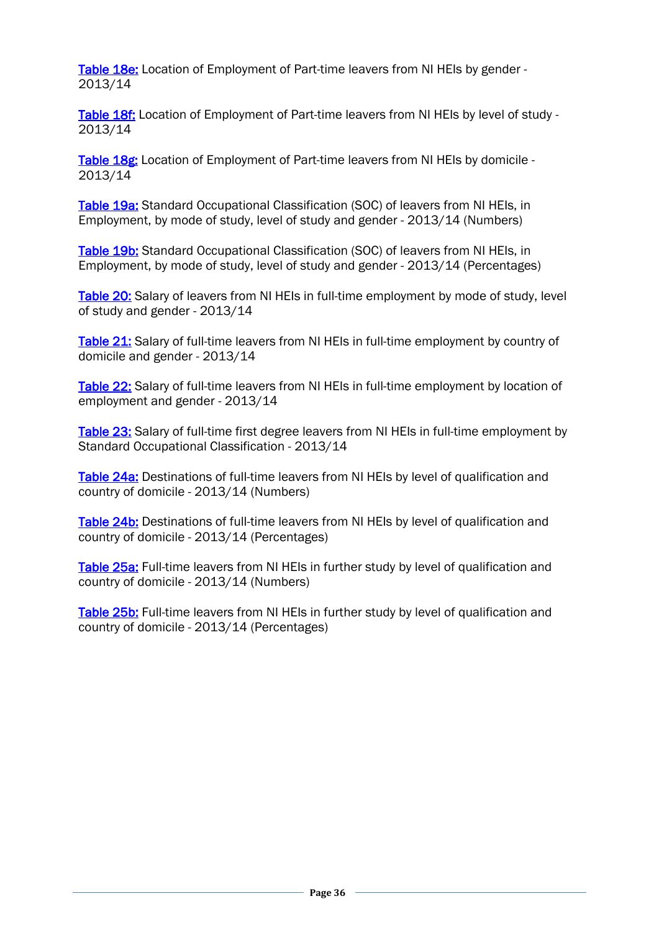[Table 18e:](#page-72-0) Location of Employment of Part-time leavers from NI HEIs by gender -2013/14

[Table 18f:](#page-72-1) Location of Employment of Part-time leavers from NI HEIs by level of study -2013/14

[Table 18g:](#page-72-2) Location of Employment of Part-time leavers from NI HEIs by domicile -2013/14

[Table 19a:](#page-73-0) Standard Occupational Classification (SOC) of leavers from NI HEIs, in Employment, by mode of study, level of study and gender - 2013/14 (Numbers)

[Table 19b:](#page-74-0) Standard Occupational Classification (SOC) of leavers from NI HEIs, in Employment, by mode of study, level of study and gender - 2013/14 (Percentages)

[Table 20:](#page-75-0) Salary of leavers from NI HEIs in full-time employment by mode of study, level of study and gender - 2013/14

[Table 21:](#page-76-0) Salary of full-time leavers from NI HEIs in full-time employment by country of domicile and gender - 2013/14

[Table 22:](#page-77-0) Salary of full-time leavers from NI HEIs in full-time employment by location of employment and gender - 2013/14

[Table 23:](#page-78-0) Salary of full-time first degree leavers from NI HEIs in full-time employment by Standard Occupational Classification - 2013/14

[Table 24a:](#page-79-0) Destinations of full-time leavers from NI HEIs by level of qualification and country of domicile - 2013/14 (Numbers)

[Table 24b:](#page-80-0) Destinations of full-time leavers from NI HEIs by level of qualification and country of domicile - 2013/14 (Percentages)

[Table 25a:](#page-81-0) Full-time leavers from NI HEIs in further study by level of qualification and country of domicile - 2013/14 (Numbers)

[Table 25b:](#page-82-0) Full-time leavers from NI HEIs in further study by level of qualification and country of domicile - 2013/14 (Percentages)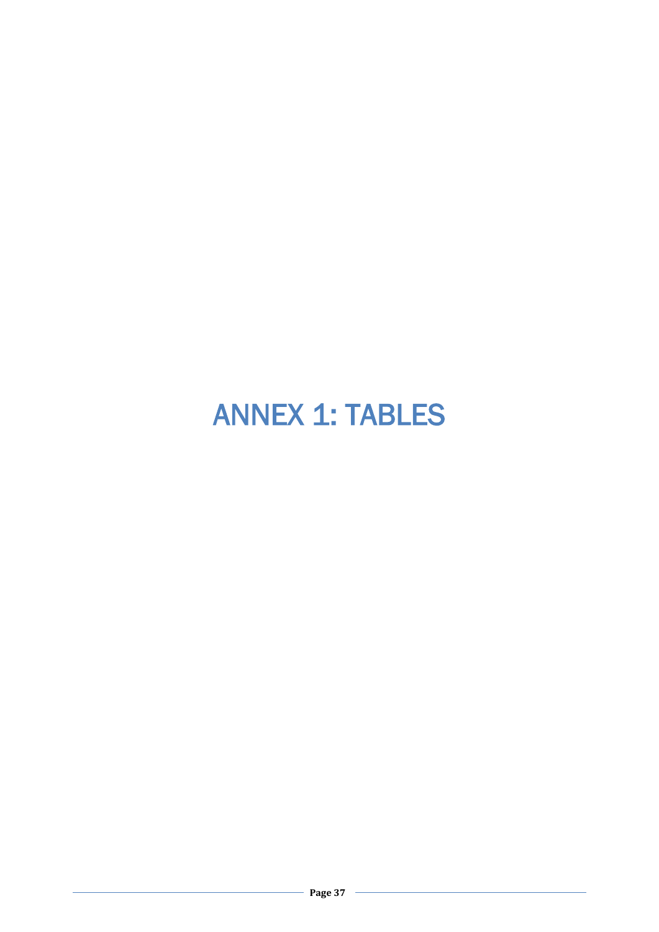# ANNEX 1: TABLES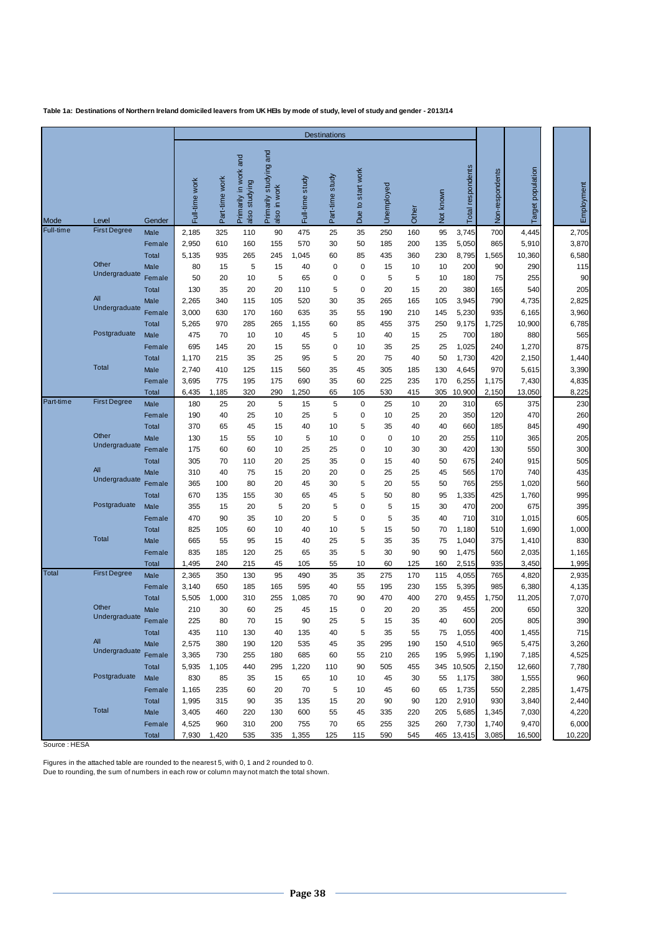|              |                             |               |                |                |                                              |                                           |                 | <b>Destinations</b> |                       |            |            |           |                   |                 |                      |                |
|--------------|-----------------------------|---------------|----------------|----------------|----------------------------------------------|-------------------------------------------|-----------------|---------------------|-----------------------|------------|------------|-----------|-------------------|-----------------|----------------------|----------------|
| Mode         | Level                       | Gender        | Full-time work | Part-time work | and<br>in work<br>also studying<br>Primarily | studying and<br>also in work<br>Primarily | Full-time study | Part-time study     | start work<br>Due to: | Unemployed | Other      | Not known | Total respondents | Non-respondents | population<br>Target | Employment     |
| Full-time    | <b>First Degree</b>         | Male          | 2,185          | 325            | 110                                          | 90                                        | 475             | 25                  | 35                    | 250        | 160        | 95        | 3,745             | 700             | 4,445                | 2,705          |
|              |                             | Female        | 2,950          | 610            | 160                                          | 155                                       | 570             | 30                  | 50                    | 185        | 200        | 135       | 5,050             | 865             | 5,910                | 3,870          |
|              |                             | <b>Total</b>  | 5,135          | 935            | 265                                          | 245                                       | 1,045           | 60                  | 85                    | 435        | 360        | 230       | 8,795             | 1,565           | 10,360               | 6,580          |
|              | Other<br>Undergraduate      | Male          | 80             | 15             | 5                                            | 15                                        | 40              | 0                   | 0                     | 15         | 10         | 10        | 200               | 90              | 290                  | 115            |
|              |                             | Female        | 50             | 20             | 10                                           | 5                                         | 65              | 0                   | $\mathbf 0$           | 5          | 5          | 10        | 180               | 75              | 255                  | 90             |
|              | <b>All</b>                  | <b>Total</b>  | 130            | 35             | 20                                           | 20                                        | 110             | 5                   | 0                     | 20         | 15         | 20        | 380               | 165             | 540                  | 205            |
|              | Undergraduate               | Male          | 2,265          | 340            | 115                                          | 105                                       | 520             | 30                  | 35                    | 265        | 165        | 105       | 3,945             | 790             | 4,735                | 2,825          |
|              |                             | Female        | 3,000          | 630<br>970     | 170<br>285                                   | 160<br>265                                | 635             | 35<br>60            | 55<br>85              | 190<br>455 | 210<br>375 | 145       | 5,230             | 935             | 6,165                | 3,960<br>6,785 |
|              | Postgraduate                | Total<br>Male | 5,265<br>475   | 70             | 10                                           | 10                                        | 1,155<br>45     | 5                   | 10                    | 40         | 15         | 250<br>25 | 9,175<br>700      | 1,725<br>180    | 10,900<br>880        | 565            |
|              |                             | Female        | 695            | 145            | 20                                           | 15                                        | 55              | 0                   | 10                    | 35         | 25         | 25        | 1,025             | 240             | 1,270                | 875            |
|              |                             | <b>Total</b>  | 1,170          | 215            | 35                                           | 25                                        | 95              | 5                   | 20                    | 75         | 40         | 50        | 1,730             | 420             | 2,150                | 1,440          |
|              | <b>Total</b>                | Male          | 2,740          | 410            | 125                                          | 115                                       | 560             | 35                  | 45                    | 305        | 185        | 130       | 4,645             | 970             | 5,615                | 3,390          |
|              |                             | Female        | 3,695          | 775            | 195                                          | 175                                       | 690             | 35                  | 60                    | 225        | 235        | 170       | 6,255             | 1,175           | 7,430                | 4,835          |
|              |                             | Total         | 6,435          | 1,185          | 320                                          | 290                                       | 1,250           | 65                  | 105                   | 530        | 415        | 305       | 10,900            | 2,150           | 13,050               | 8,225          |
| Part-time    | <b>First Degree</b>         | Male          | 180            | 25             | 20                                           | 5                                         | 15              | 5                   | 0                     | 25         | 10         | 20        | 310               | 65              | 375                  | 230            |
|              |                             | Female        | 190            | 40             | 25                                           | 10                                        | 25              | 5                   | 0                     | 10         | 25         | 20        | 350               | 120             | 470                  | 260            |
|              |                             | <b>Total</b>  | 370            | 65             | 45                                           | 15                                        | 40              | 10                  | 5                     | 35         | 40         | 40        | 660               | 185             | 845                  | 490            |
|              | Other                       | Male          | 130            | 15             | 55                                           | 10                                        | 5               | 10                  | 0                     | 0          | 10         | 20        | 255               | 110             | 365                  | 205            |
|              | Undergraduate               | Female        | 175            | 60             | 60                                           | 10                                        | 25              | 25                  | $\mathbf 0$           | 10         | 30         | 30        | 420               | 130             | 550                  | 300            |
|              |                             | <b>Total</b>  | 305            | 70             | 110                                          | 20                                        | 25              | 35                  | 0                     | 15         | 40         | 50        | 675               | 240             | 915                  | 505            |
|              | <b>All</b><br>Undergraduate | Male          | 310            | 40             | 75                                           | 15                                        | 20              | 20                  | 0                     | 25         | 25         | 45        | 565               | 170             | 740                  | 435            |
|              |                             | Female        | 365            | 100            | 80                                           | 20                                        | 45              | 30                  | 5                     | 20         | 55         | 50        | 765               | 255             | 1,020                | 560            |
|              | Postgraduate                | <b>Total</b>  | 670            | 135            | 155                                          | 30                                        | 65              | 45                  | 5                     | 50         | 80         | 95        | 1,335             | 425             | 1,760                | 995            |
|              |                             | Male          | 355            | 15             | 20                                           | 5                                         | 20              | 5                   | $\mathbf 0$           | 5          | 15         | 30        | 470               | 200             | 675                  | 395            |
|              |                             | Female        | 470            | 90             | 35                                           | 10                                        | 20              | 5                   | 0                     | 5          | 35         | 40        | 710               | 310             | 1,015                | 605            |
|              | <b>Total</b>                | Total<br>Male | 825<br>665     | 105<br>55      | 60<br>95                                     | 10<br>15                                  | 40<br>40        | 10<br>25            | 5<br>5                | 15<br>35   | 50<br>35   | 70<br>75  | 1,180<br>1,040    | 510<br>375      | 1,690<br>1,410       | 1,000<br>830   |
|              |                             | Female        | 835            | 185            | 120                                          | 25                                        | 65              | 35                  | 5                     | 30         | 90         | 90        | 1,475             | 560             | 2,035                | 1,165          |
|              |                             | <b>Total</b>  | 1,495          | 240            | 215                                          | 45                                        | 105             | 55                  | 10                    | 60         | 125        | 160       | 2,515             | 935             | 3,450                | 1,995          |
| <b>Total</b> | <b>First Degree</b>         | Male          | 2,365          | 350            | 130                                          | 95                                        | 490             | 35                  | 35                    | 275        | 170        | 115       | 4,055             | 765             | 4,820                | 2,935          |
|              |                             | Female        | 3,140          | 650            | 185                                          | 165                                       | 595             | 40                  | 55                    | 195        | 230        | 155       | 5,395             | 985             | 6,380                | 4,135          |
|              |                             | <b>Total</b>  | 5,505          | 1,000          | 310                                          | 255                                       | 1,085           | 70                  | 90                    | 470        | 400        | 270       | 9,455             | 1,750           | 11,205               | 7,070          |
|              | Other                       | Male          | 210            | 30             | 60                                           | 25                                        | 45              | 15                  | $\mathbf 0$           | 20         | 20         | 35        | 455               | 200             | 650                  | 320            |
|              | Undergraduate               | Female        | 225            | 80             | 70                                           | 15                                        | 90              | 25                  | 5                     | 15         | 35         | 40        | 600               | 205             | 805                  | 390            |
|              |                             | Total         | 435            | 110            | 130                                          | 40                                        | 135             | 40                  | 5                     | 35         | 55         | 75        | 1,055             | 400             | 1,455                | 715            |
|              | All                         | Male          | 2,575          | 380            | 190                                          | 120                                       | 535             | 45                  | 35                    | 295        | 190        | 150       | 4,510             | 965             | 5,475                | 3,260          |
|              | Undergraduate               | Female        | 3,365          | 730            | 255                                          | 180                                       | 685             | 60                  | 55                    | 210        | 265        | 195       | 5,995             | 1,190           | 7,185                | 4,525          |
|              |                             | Total         | 5,935          | 1,105          | 440                                          | 295                                       | 1,220           | 110                 | 90                    | 505        | 455        | 345       | 10,505            | 2,150           | 12,660               | 7,780          |
|              | Postgraduate                | Male          | 830            | 85             | 35                                           | 15                                        | 65              | 10                  | 10                    | 45         | 30         | 55        | 1,175             | 380             | 1,555                | 960            |
|              |                             | Female        | 1,165          | 235            | 60                                           | 20                                        | 70              | 5                   | 10                    | 45         | 60         | 65        | 1,735             | 550             | 2,285                | 1,475          |
|              |                             | Total         | 1,995          | 315            | 90                                           | 35                                        | 135             | 15                  | 20                    | 90         | 90         | 120       | 2,910             | 930             | 3,840                | 2,440          |
|              | <b>Total</b>                | Male          | 3,405          | 460            | 220                                          | 130                                       | 600             | 55                  | 45                    | 335        | 220        | 205       | 5,685             | 1,345           | 7,030                | 4,220          |
|              |                             | Female        | 4,525          | 960            | 310                                          | 200                                       | 755             | 70                  | 65                    | 255        | 325        | 260       | 7,730             | 1,740           | 9,470                | 6,000          |
|              |                             | Total         | 7,930          | 1,420          | 535                                          | 335                                       | 1,355           | 125                 | 115                   | 590        | 545        |           | 465 13,415        | 3,085           | 16,500               | 10,220         |

Source : HESA

Figures in the attached table are rounded to the nearest 5, with 0, 1 and 2 rounded to 0.

Due to rounding, the sum of numbers in each row or column may not match the total shown.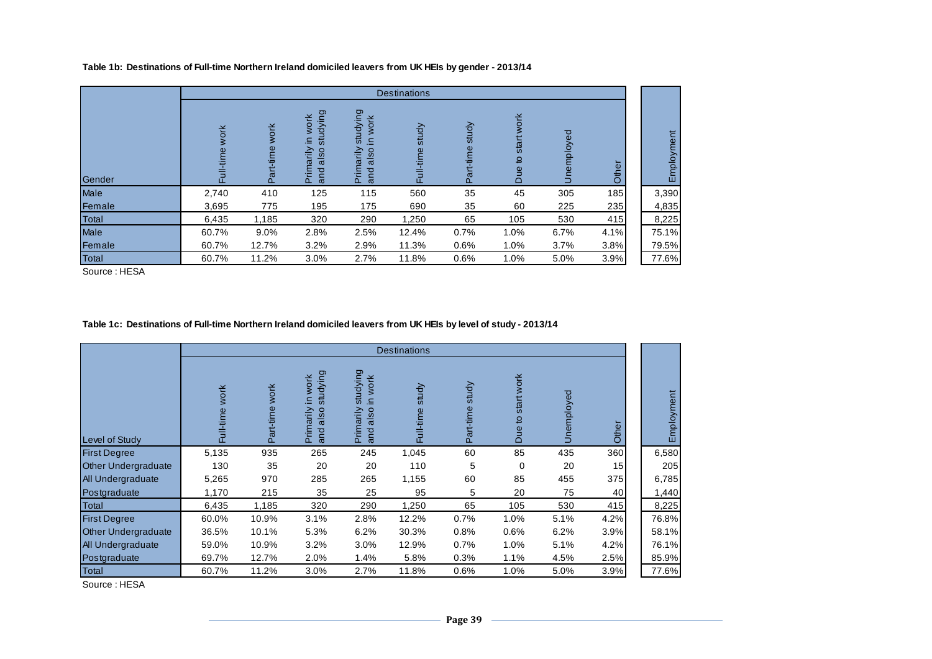|              |               |                          |                                                   |                                                        | <b>Destinations</b> |                    |                                  |            |        |            |
|--------------|---------------|--------------------------|---------------------------------------------------|--------------------------------------------------------|---------------------|--------------------|----------------------------------|------------|--------|------------|
| Gender       | work<br>-time | <b>WOrk</b><br>Part-time | studying<br>work<br>≘<br>also<br>Primarily<br>and | studying<br>work<br>르.<br>also<br>rimarily<br>and<br>ᅹ | study<br>Full-time  | study<br>Part-time | work<br>start<br>요<br><b>Due</b> | Jnemployed | ㅎ<br>Ĕ | Employment |
| Male         | 2,740         | 410                      | 125                                               | 115                                                    | 560                 | 35                 | 45                               | 305        | 185    | 3,390      |
| Female       | 3,695         | 775                      | 195                                               | 175                                                    | 690                 | 35                 | 60                               | 225        | 235    | 4,835      |
| Total        | 6,435         | 1,185                    | 320                                               | 290                                                    | 1,250               | 65                 | 105                              | 530        | 415    | 8,225      |
| Male         | 60.7%         | 9.0%                     | 2.8%                                              | 2.5%                                                   | 12.4%               | 0.7%               | 1.0%                             | 6.7%       | 4.1%   | 75.1%      |
| Female       | 60.7%         | 12.7%                    | 3.2%                                              | 2.9%                                                   | 11.3%               | 0.6%               | 1.0%                             | 3.7%       | 3.8%   | 79.5%      |
| <b>Total</b> | 60.7%         | 11.2%                    | 3.0%                                              | 2.7%                                                   | 11.8%               | 0.6%               | 1.0%                             | 5.0%       | 3.9%   | 77.6%      |

**Table 1b: Destinations of Full-time Northern Ireland domiciled leavers from UK HEIs by gender - 2013/14**

Source : HESA

#### **Table 1c: Destinations of Full-time Northern Ireland domiciled leavers from UK HEIs by level of study - 2013/14**

|                            |                          |                   |                                                                                     |                                                    | <b>Destinations</b> |                    |                               |            |       |            |
|----------------------------|--------------------------|-------------------|-------------------------------------------------------------------------------------|----------------------------------------------------|---------------------|--------------------|-------------------------------|------------|-------|------------|
| Level of Study             | <b>work</b><br>Full-time | work<br>Part-time | studying<br><b>work</b><br>Ξ.<br>Primarily<br>$\circ$<br>Ø<br>ᢛ<br>ਠ<br>$\tilde{a}$ | studying<br>work<br>Ξ.<br>also<br>Primarily<br>and | study<br>Full-time  | study<br>Part-time | start work<br>đ<br><b>Due</b> | Unemployed | Other | Employment |
| <b>First Degree</b>        | 5,135                    | 935               | 265                                                                                 | 245                                                | 1,045               | 60                 | 85                            | 435        | 360   | 6,580      |
| <b>Other Undergraduate</b> | 130                      | 35                | 20                                                                                  | 20                                                 | 110                 | 5                  | 0                             | 20         | 15    | 205        |
| <b>All Undergraduate</b>   | 5,265                    | 970               | 285                                                                                 | 265                                                | 1,155               | 60                 | 85                            | 455        | 375   | 6,785      |
| Postgraduate               | 1,170                    | 215               | 35                                                                                  | 25                                                 | 95                  | 5                  | 20                            | 75         | 40    | 1,440      |
| <b>Total</b>               | 6,435                    | 1,185             | 320                                                                                 | 290                                                | 1,250               | 65                 | 105                           | 530        | 415   | 8,225      |
| <b>First Degree</b>        | 60.0%                    | 10.9%             | 3.1%                                                                                | 2.8%                                               | 12.2%               | 0.7%               | 1.0%                          | 5.1%       | 4.2%  | 76.8%      |
| <b>Other Undergraduate</b> | 36.5%                    | 10.1%             | 5.3%                                                                                | 6.2%                                               | 30.3%               | 0.8%               | 0.6%                          | 6.2%       | 3.9%  | 58.1%      |
| All Undergraduate          | 59.0%                    | 10.9%             | $3.2\%$                                                                             | 3.0%                                               | 12.9%               | 0.7%               | 1.0%                          | 5.1%       | 4.2%  | 76.1%      |
| Postgraduate               | 69.7%                    | 12.7%             | 2.0%                                                                                | 1.4%                                               | 5.8%                | 0.3%               | 1.1%                          | 4.5%       | 2.5%  | 85.9%      |
| <b>Total</b>               | 60.7%                    | 11.2%             | 3.0%                                                                                | 2.7%                                               | 11.8%               | 0.6%               | 1.0%                          | 5.0%       | 3.9%  | 77.6%      |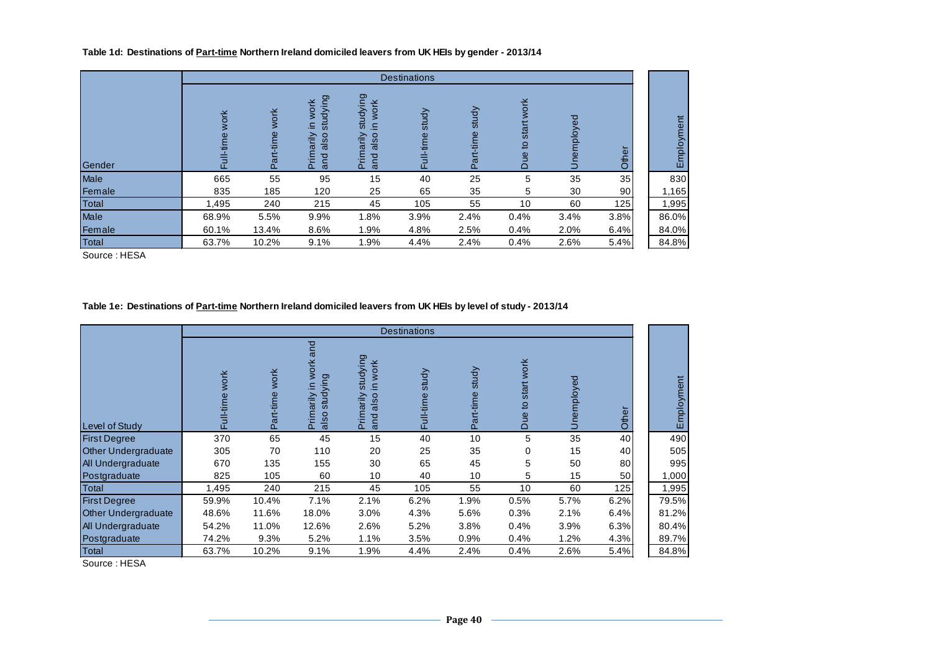#### **Table 1d: Destinations of Part-time Northern Ireland domiciled leavers from UK HEIs by gender - 2013/14**

|        |       |                      |                                                    |                                                                             | <b>Destinations</b>  |                    |                                                             |               |                 |            |
|--------|-------|----------------------|----------------------------------------------------|-----------------------------------------------------------------------------|----------------------|--------------------|-------------------------------------------------------------|---------------|-----------------|------------|
| Gender | 폰     | work<br>time<br>ក្លិ | studying<br>work<br>Ξ.<br>Primarily<br>also<br>and | studying<br>work<br>$\Xi$<br>also<br>rimarily<br>and<br>$\overline{\Omega}$ | study<br>I-time<br>퉌 | study<br>Part-time | work<br>ť<br>sta<br>$\mathbf{S}$<br>$\frac{6}{1}$<br>$\Box$ | ್ಥಾ<br>employ | Other           | Employment |
| Male   | 665   | 55                   | 95                                                 | 15                                                                          | 40                   | 25                 | 5                                                           | 35            | 35              | 830        |
| Female | 835   | 185                  | 120                                                | 25                                                                          | 65                   | 35                 | 5                                                           | 30            | 90 <sub>1</sub> | 1,165      |
| Total  | 1,495 | 240                  | 215                                                | 45                                                                          | 105                  | 55                 | 10                                                          | 60            | 125             | 1,995      |
| Male   | 68.9% | 5.5%                 | 9.9%                                               | 1.8%                                                                        | 3.9%                 | 2.4%               | 0.4%                                                        | 3.4%          | 3.8%            | 86.0%      |
| Female | 60.1% | 13.4%                | 8.6%                                               | 1.9%                                                                        | 4.8%                 | 2.5%               | 0.4%                                                        | 2.0%          | 6.4%            | 84.0%      |
| Total  | 63.7% | 10.2%                | 9.1%                                               | 1.9%                                                                        | 4.4%                 | 2.4%               | 0.4%                                                        | 2.6%          | 5.4%            | 84.8%      |

Source : HESA

#### **Table 1e: Destinations of Part-time Northern Ireland domiciled leavers from UK HEIs by level of study - 2013/14**

|                            |                   |                   |                                                                |                                                    | <b>Destinations</b> |                    |                               |            |       |            |
|----------------------------|-------------------|-------------------|----------------------------------------------------------------|----------------------------------------------------|---------------------|--------------------|-------------------------------|------------|-------|------------|
| Level of Study             | work<br>Full-time | work<br>Part-time | and<br><b>work</b><br>Ρg<br>Ξ.<br>studyir<br>Primarily<br>also | studying<br>work<br>르.<br>Primarily<br>also<br>and | study<br>Full-time  | study<br>Part-time | start work<br>₽<br><b>Due</b> | Unemployed | Other | Employment |
| <b>First Degree</b>        | 370               | 65                | 45                                                             | 15                                                 | 40                  | 10                 | 5                             | 35         | 40    | 490        |
| <b>Other Undergraduate</b> | 305               | 70                | 110                                                            | 20                                                 | 25                  | 35                 | 0                             | 15         | 40    | 505        |
| All Undergraduate          | 670               | 135               | 155                                                            | 30                                                 | 65                  | 45                 | 5                             | 50         | 80    | 995        |
| Postgraduate               | 825               | 105               | 60                                                             | 10                                                 | 40                  | 10                 | 5                             | 15         | 50    | 1,000      |
| Total                      | 1,495             | 240               | 215                                                            | 45                                                 | 105                 | 55                 | 10                            | 60         | 125   | 1,995      |
| <b>First Degree</b>        | 59.9%             | 10.4%             | 7.1%                                                           | 2.1%                                               | 6.2%                | 1.9%               | 0.5%                          | 5.7%       | 6.2%  | 79.5%      |
| <b>Other Undergraduate</b> | 48.6%             | 11.6%             | 18.0%                                                          | 3.0%                                               | 4.3%                | 5.6%               | 0.3%                          | 2.1%       | 6.4%  | 81.2%      |
| All Undergraduate          | 54.2%             | 11.0%             | 12.6%                                                          | 2.6%                                               | 5.2%                | 3.8%               | 0.4%                          | 3.9%       | 6.3%  | 80.4%      |
| Postgraduate               | 74.2%             | 9.3%              | 5.2%                                                           | 1.1%                                               | 3.5%                | 0.9%               | 0.4%                          | 1.2%       | 4.3%  | 89.7%      |
| Total                      | 63.7%             | 10.2%             | 9.1%                                                           | 1.9%                                               | 4.4%                | 2.4%               | 0.4%                          | 2.6%       | 5.4%  | 84.8%      |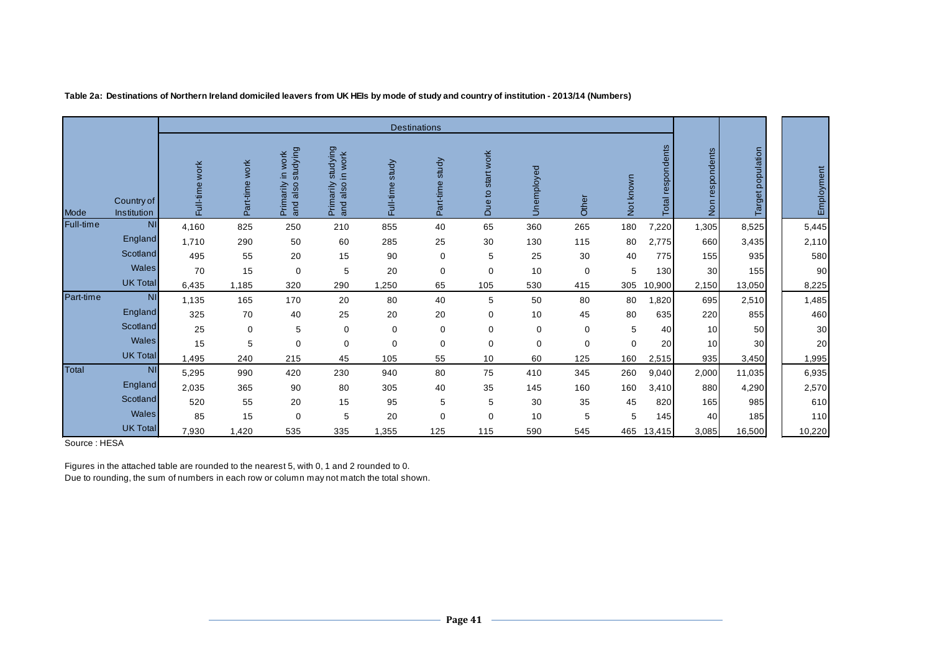|           |                           |                |                |                                           |                                              |                    | <b>Destinations</b> |                                    |            |             |                                  |                      |                              |                   |            |
|-----------|---------------------------|----------------|----------------|-------------------------------------------|----------------------------------------------|--------------------|---------------------|------------------------------------|------------|-------------|----------------------------------|----------------------|------------------------------|-------------------|------------|
| Mode      | Country of<br>Institution | Full-time work | Part-time work | studying<br>Primarily in work<br>and also | studying<br>in work<br>and also<br>Primarily | study<br>Full-time | study<br>Part-time  | startwork<br>$\overline{Q}$<br>Due | Unemployed | Other       | known<br>$\overline{\circ}$<br>ž | respondents<br>Total | respondents<br>$\frac{5}{2}$ | Target population | Employment |
| Full-time | <b>NI</b>                 | 4,160          | 825            | 250                                       | 210                                          | 855                | 40                  | 65                                 | 360        | 265         | 180                              | 7,220                | 1,305                        | 8,525             | 5,445      |
|           | England                   | 1,710          | 290            | 50                                        | 60                                           | 285                | 25                  | 30                                 | 130        | 115         | 80                               | 2,775                | 660                          | 3,435             | 2,110      |
|           | Scotland                  | 495            | 55             | 20                                        | 15                                           | 90                 | $\mathbf 0$         | 5                                  | 25         | 30          | 40                               | 775                  | 155                          | 935               | 580        |
|           | <b>Wales</b>              | 70             | 15             | 0                                         | 5                                            | 20                 | 0                   | 0                                  | 10         | 0           | 5                                | 130                  | 30                           | 155               | 90         |
|           | <b>UK Total</b>           | 6,435          | 1,185          | 320                                       | 290                                          | 1,250              | 65                  | 105                                | 530        | 415         | 305                              | 10,900               | 2,150                        | 13,050            | 8,225      |
| Part-time | <b>NI</b>                 | 1,135          | 165            | 170                                       | 20                                           | 80                 | 40                  | 5                                  | 50         | 80          | 80                               | 1,820                | 695                          | 2,510             | 1,485      |
|           | England                   | 325            | 70             | 40                                        | 25                                           | 20                 | 20                  | 0                                  | 10         | 45          | 80                               | 635                  | 220                          | 855               | 460        |
|           | Scotland                  | 25             | 0              | 5                                         | $\mathbf 0$                                  | $\mathbf 0$        | 0                   | $\mathbf 0$                        | $\pmb{0}$  | 0           | 5                                | 40                   | 10 <sup>1</sup>              | 50                | 30         |
|           | Wales                     | 15             | 5              | $\mathbf 0$                               | 0                                            | $\mathbf 0$        | $\mathbf 0$         | $\mathbf 0$                        | $\pmb{0}$  | $\mathbf 0$ | $\mathbf 0$                      | 20                   | 10 <sup>1</sup>              | 30                | 20         |
|           | <b>UK Total</b>           | 1,495          | 240            | 215                                       | 45                                           | 105                | 55                  | 10                                 | 60         | 125         | 160                              | 2,515                | 935                          | 3,450             | 1,995      |
| Total     | <b>NI</b>                 | 5,295          | 990            | 420                                       | 230                                          | 940                | 80                  | 75                                 | 410        | 345         | 260                              | 9,040                | 2,000                        | 11,035            | 6,935      |
|           | England                   | 2,035          | 365            | 90                                        | 80                                           | 305                | 40                  | 35                                 | 145        | 160         | 160                              | 3,410                | 880                          | 4,290             | 2,570      |
|           | Scotland                  | 520            | 55             | 20                                        | 15                                           | 95                 | 5                   | 5                                  | 30         | 35          | 45                               | 820                  | 165                          | 985               | 610        |
|           | Wales                     | 85             | 15             | $\mathbf 0$                               | 5                                            | 20                 | 0                   | $\mathbf 0$                        | 10         | 5           | 5                                | 145                  | 40                           | 185               | 110        |
|           | <b>UK Total</b>           | 7,930          | 1,420          | 535                                       | 335                                          | 1,355              | 125                 | 115                                | 590        | 545         | 465                              | 13,415               | 3,085                        | 16,500            | 10,220     |

**Table 2a: Destinations of Northern Ireland domiciled leavers from UK HEIs by mode of study and country of institution - 2013/14 (Numbers)**

Source : HESA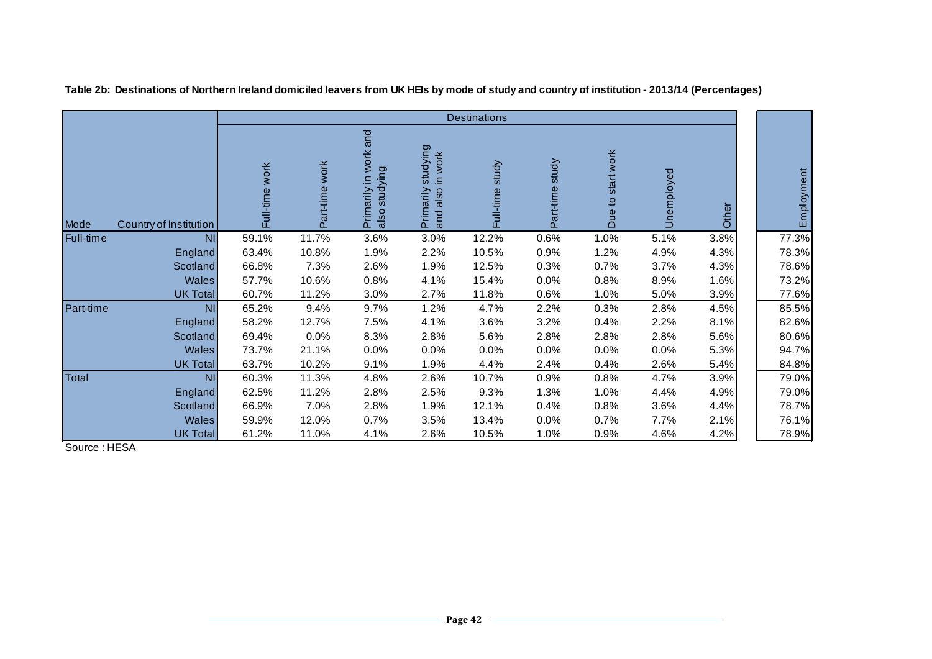|           |                        |                |                |                                                    |                                                 | <b>Destinations</b> |                    |                                   |            |       |            |
|-----------|------------------------|----------------|----------------|----------------------------------------------------|-------------------------------------------------|---------------------|--------------------|-----------------------------------|------------|-------|------------|
| Mode      | Country of Institution | Full-time work | Part-time work | Primarily in work and<br>also studying<br>studying | studying<br>in work<br>also<br>Primarily<br>and | study<br>Full-time  | study<br>Part-time | start work<br>$\mathbf{Q}$<br>Due | Unemployed | Other | Employment |
| Full-time | <b>NI</b>              | 59.1%          | 11.7%          | 3.6%                                               | 3.0%                                            | 12.2%               | 0.6%               | 1.0%                              | 5.1%       | 3.8%  | 77.3%      |
|           | England                | 63.4%          | 10.8%          | 1.9%                                               | 2.2%                                            | 10.5%               | 0.9%               | 1.2%                              | 4.9%       | 4.3%  | 78.3%      |
|           | Scotland               | 66.8%          | 7.3%           | 2.6%                                               | 1.9%                                            | 12.5%               | 0.3%               | 0.7%                              | 3.7%       | 4.3%  | 78.6%      |
|           | <b>Wales</b>           | 57.7%          | 10.6%          | 0.8%                                               | 4.1%                                            | 15.4%               | 0.0%               | 0.8%                              | 8.9%       | 1.6%  | 73.2%      |
|           | <b>UK Total</b>        | 60.7%          | 11.2%          | 3.0%                                               | 2.7%                                            | 11.8%               | 0.6%               | 1.0%                              | 5.0%       | 3.9%  | 77.6%      |
| Part-time | N <sub>1</sub>         | 65.2%          | 9.4%           | 9.7%                                               | 1.2%                                            | 4.7%                | 2.2%               | 0.3%                              | 2.8%       | 4.5%  | 85.5%      |
|           | England                | 58.2%          | 12.7%          | 7.5%                                               | 4.1%                                            | 3.6%                | 3.2%               | 0.4%                              | 2.2%       | 8.1%  | 82.6%      |
|           | Scotland               | 69.4%          | 0.0%           | 8.3%                                               | 2.8%                                            | 5.6%                | 2.8%               | 2.8%                              | 2.8%       | 5.6%  | 80.6%      |
|           | <b>Wales</b>           | 73.7%          | 21.1%          | 0.0%                                               | 0.0%                                            | 0.0%                | 0.0%               | 0.0%                              | 0.0%       | 5.3%  | 94.7%      |
|           | <b>UK Total</b>        | 63.7%          | 10.2%          | 9.1%                                               | 1.9%                                            | 4.4%                | 2.4%               | 0.4%                              | 2.6%       | 5.4%  | 84.8%      |
| Total     | <b>NI</b>              | 60.3%          | 11.3%          | 4.8%                                               | 2.6%                                            | 10.7%               | 0.9%               | 0.8%                              | 4.7%       | 3.9%  | 79.0%      |
|           | England                | 62.5%          | 11.2%          | 2.8%                                               | 2.5%                                            | 9.3%                | 1.3%               | 1.0%                              | 4.4%       | 4.9%  | 79.0%      |
|           | Scotland               | 66.9%          | 7.0%           | 2.8%                                               | 1.9%                                            | 12.1%               | 0.4%               | 0.8%                              | 3.6%       | 4.4%  | 78.7%      |
|           | <b>Wales</b>           | 59.9%          | 12.0%          | 0.7%                                               | 3.5%                                            | 13.4%               | 0.0%               | 0.7%                              | 7.7%       | 2.1%  | 76.1%      |
|           | <b>UK Total</b>        | 61.2%          | 11.0%          | 4.1%                                               | 2.6%                                            | 10.5%               | 1.0%               | 0.9%                              | 4.6%       | 4.2%  | 78.9%      |

**Table 2b: Destinations of Northern Ireland domiciled leavers from UK HEIs by mode of study and country of institution - 2013/14 (Percentages)**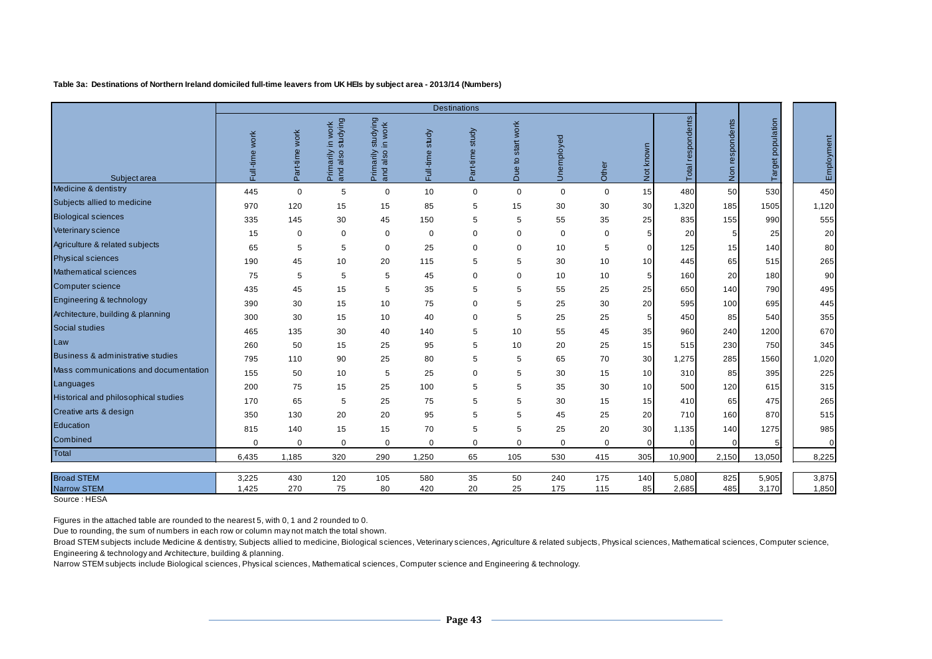#### **Table 3a: Destinations of Northern Ireland domiciled full-time leavers from UK HEIs by subject area - 2013/14 (Numbers)**

|                                         |                   |                   |                                                    |                                                          |                    | <b>Destinations</b> |                                   |             |             |                 |                   |                    |                   |                |
|-----------------------------------------|-------------------|-------------------|----------------------------------------------------|----------------------------------------------------------|--------------------|---------------------|-----------------------------------|-------------|-------------|-----------------|-------------------|--------------------|-------------------|----------------|
| Subject area                            | work<br>Full-time | work<br>Part-time | studying<br>work<br>⊇.<br>Primarily<br>also<br>and | studying<br>work<br>$\equiv$<br>Primarily<br>also<br>and | study<br>Full-time | Part-time study     | start work<br>$\mathtt{Q}$<br>Due | Unemployed  | Other       | Not known       | Total respondents | respondents<br>Non | Target population | Employment     |
| Medicine & dentistry                    | 445               | $\mathbf 0$       | 5                                                  | $\mathbf 0$                                              | 10                 | $\mathbf 0$         | $\mathbf 0$                       | $\mathbf 0$ | $\mathbf 0$ | 15              | 480               | 50                 | 530               | 450            |
| Subjects allied to medicine             | 970               | 120               | 15                                                 | 15                                                       | 85                 | 5                   | 15                                | 30          | 30          | 30              | 1,320             | 185                | 1505              | 1,120          |
| <b>Biological sciences</b>              | 335               | 145               | 30                                                 | 45                                                       | 150                | 5                   | 5                                 | 55          | 35          | 25              | 835               | 155                | 990               | 555            |
| Veterinary science                      | 15                | $\mathbf 0$       | $\mathbf 0$                                        | 0                                                        | $\mathbf 0$        | $\mathbf 0$         | 0                                 | $\mathbf 0$ | $\mathbf 0$ | 5               | 20                | 5                  | 25                | 20             |
| Agriculture & related subjects          | 65                | 5                 | 5                                                  | 0                                                        | 25                 | $\mathbf 0$         | 0                                 | 10          | 5           | $\Omega$        | 125               | 15                 | 140               | 80             |
| <b>Physical sciences</b>                | 190               | 45                | 10                                                 | 20                                                       | 115                | 5                   | 5                                 | 30          | 10          | 10              | 445               | 65                 | 515               | 265            |
| Mathematical sciences                   | 75                | 5                 | 5                                                  | 5                                                        | 45                 | 0                   | 0                                 | 10          | 10          | 5               | 160               | 20                 | 180               | 90             |
| Computer science                        | 435               | 45                | 15                                                 | 5                                                        | 35                 | 5                   | 5                                 | 55          | 25          | 25              | 650               | 140                | 790               | 495            |
| Engineering & technology                | 390               | 30                | 15                                                 | 10                                                       | 75                 | $\mathbf 0$         | 5                                 | 25          | 30          | 20              | 595               | 100                | 695               | 445            |
| Architecture, building & planning       | 300               | 30                | 15                                                 | 10                                                       | 40                 | $\mathbf 0$         | 5                                 | 25          | 25          | 5 <sup>5</sup>  | 450               | 85                 | 540               | 355            |
| Social studies                          | 465               | 135               | 30                                                 | 40                                                       | 140                | 5                   | 10                                | 55          | 45          | 35              | 960               | 240                | 1200              | 670            |
| Law                                     | 260               | 50                | 15                                                 | 25                                                       | 95                 | 5                   | 10                                | 20          | 25          | 15              | 515               | 230                | 750               | 345            |
| Business & administrative studies       | 795               | 110               | 90                                                 | 25                                                       | 80                 | 5                   | 5                                 | 65          | 70          | 30              | 1,275             | 285                | 1560              | 1,020          |
| Mass communications and documentation   | 155               | 50                | 10                                                 | 5                                                        | 25                 | $\mathbf 0$         | 5                                 | 30          | 15          | 10              | 310               | 85                 | 395               | 225            |
| Languages                               | 200               | 75                | 15                                                 | 25                                                       | 100                | 5                   | 5                                 | 35          | 30          | 10 <sup>1</sup> | 500               | 120                | 615               | 315            |
| Historical and philosophical studies    | 170               | 65                | 5                                                  | 25                                                       | 75                 | 5                   | 5                                 | 30          | 15          | 15              | 410               | 65                 | 475               | 265            |
| Creative arts & design                  | 350               | 130               | 20                                                 | 20                                                       | 95                 | 5                   | 5                                 | 45          | 25          | 20              | 710               | 160                | 870               | 515            |
| Education                               | 815               | 140               | 15                                                 | 15                                                       | 70                 | 5                   | 5                                 | 25          | 20          | 30              | 1,135             | 140                | 1275              | 985            |
| Combined                                | $\Omega$          | $\mathbf 0$       | $\Omega$                                           | $\mathbf 0$                                              | $\mathbf 0$        | $\mathbf 0$         | 0                                 | $\Omega$    | $\mathbf 0$ | $\Omega$        |                   |                    |                   | $\mathbf 0$    |
| Total                                   | 6,435             | 1,185             | 320                                                | 290                                                      | 1,250              | 65                  | 105                               | 530         | 415         | 305             | 10,900            | 2,150              | 13,050            | 8,225          |
|                                         |                   |                   |                                                    |                                                          |                    |                     |                                   |             |             |                 |                   |                    |                   |                |
| <b>Broad STEM</b><br><b>Narrow STEM</b> | 3,225<br>1,425    | 430<br>270        | 120<br>75                                          | 105<br>80                                                | 580<br>420         | 35<br>20            | 50<br>25                          | 240<br>175  | 175<br>115  | 140<br>85       | 5,080<br>2,685    | 825<br>485         | 5,905<br>3,170    | 3,875<br>1,850 |

Source : HESA

Figures in the attached table are rounded to the nearest 5, with 0, 1 and 2 rounded to 0.

Due to rounding, the sum of numbers in each row or column may not match the total shown.

Broad STEM subjects include Medicine & dentistry, Subjects allied to medicine, Biological sciences, Veterinary sciences, Agriculture & related subjects, Physical sciences, Mathematical sciences, Computer science, Engineering & technology and Architecture, building & planning.

Narrow STEM subjects include Biological sciences, Physical sciences, Mathematical sciences, Computer science and Engineering & technology.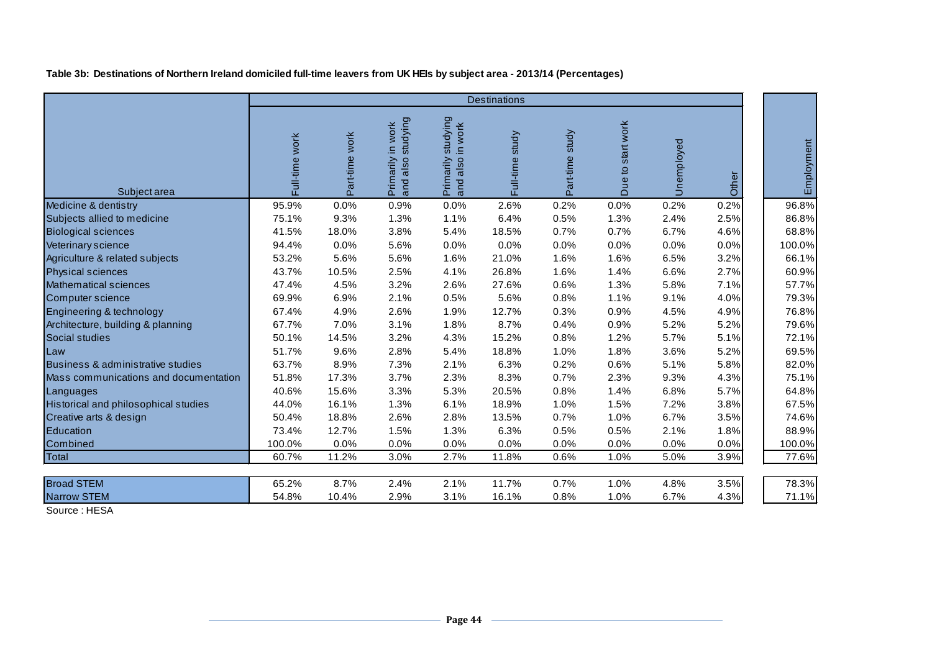**Table 3b: Destinations of Northern Ireland domiciled full-time leavers from UK HEIs by subject area - 2013/14 (Percentages)**

|                                       |                |                |                                        |                                                         | <b>Destinations</b> |                 |                   |            |       |            |
|---------------------------------------|----------------|----------------|----------------------------------------|---------------------------------------------------------|---------------------|-----------------|-------------------|------------|-------|------------|
| Subject area                          | Full-time work | Part-time work | and also studying<br>Primarily in work | studying<br>work<br>$\equiv$<br>Primarily<br>and also i | Full-time study     | Part-time study | Due to start work | Unemployed | Other | Employment |
| Medicine & dentistry                  | 95.9%          | 0.0%           | 0.9%                                   | 0.0%                                                    | 2.6%                | 0.2%            | 0.0%              | 0.2%       | 0.2%  | 96.8%      |
| Subjects allied to medicine           | 75.1%          | 9.3%           | 1.3%                                   | 1.1%                                                    | 6.4%                | 0.5%            | 1.3%              | 2.4%       | 2.5%  | 86.8%      |
| <b>Biological sciences</b>            | 41.5%          | 18.0%          | 3.8%                                   | 5.4%                                                    | 18.5%               | 0.7%            | 0.7%              | 6.7%       | 4.6%  | 68.8%      |
| Veterinary science                    | 94.4%          | 0.0%           | 5.6%                                   | 0.0%                                                    | 0.0%                | 0.0%            | 0.0%              | 0.0%       | 0.0%  | 100.0%     |
| Agriculture & related subjects        | 53.2%          | 5.6%           | 5.6%                                   | 1.6%                                                    | 21.0%               | 1.6%            | 1.6%              | 6.5%       | 3.2%  | 66.1%      |
| <b>Physical sciences</b>              | 43.7%          | 10.5%          | 2.5%                                   | 4.1%                                                    | 26.8%               | 1.6%            | 1.4%              | 6.6%       | 2.7%  | 60.9%      |
| Mathematical sciences                 | 47.4%          | 4.5%           | 3.2%                                   | 2.6%                                                    | 27.6%               | 0.6%            | 1.3%              | 5.8%       | 7.1%  | 57.7%      |
| Computer science                      | 69.9%          | 6.9%           | 2.1%                                   | 0.5%                                                    | 5.6%                | 0.8%            | 1.1%              | 9.1%       | 4.0%  | 79.3%      |
| Engineering & technology              | 67.4%          | 4.9%           | 2.6%                                   | 1.9%                                                    | 12.7%               | 0.3%            | 0.9%              | 4.5%       | 4.9%  | 76.8%      |
| Architecture, building & planning     | 67.7%          | 7.0%           | 3.1%                                   | 1.8%                                                    | 8.7%                | 0.4%            | 0.9%              | 5.2%       | 5.2%  | 79.6%      |
| Social studies                        | 50.1%          | 14.5%          | 3.2%                                   | 4.3%                                                    | 15.2%               | 0.8%            | 1.2%              | 5.7%       | 5.1%  | 72.1%      |
| Law                                   | 51.7%          | 9.6%           | 2.8%                                   | 5.4%                                                    | 18.8%               | 1.0%            | 1.8%              | 3.6%       | 5.2%  | 69.5%      |
| Business & administrative studies     | 63.7%          | 8.9%           | 7.3%                                   | 2.1%                                                    | 6.3%                | 0.2%            | 0.6%              | 5.1%       | 5.8%  | 82.0%      |
| Mass communications and documentation | 51.8%          | 17.3%          | 3.7%                                   | 2.3%                                                    | 8.3%                | 0.7%            | 2.3%              | 9.3%       | 4.3%  | 75.1%      |
| Languages                             | 40.6%          | 15.6%          | 3.3%                                   | 5.3%                                                    | 20.5%               | 0.8%            | 1.4%              | 6.8%       | 5.7%  | 64.8%      |
| Historical and philosophical studies  | 44.0%          | 16.1%          | 1.3%                                   | 6.1%                                                    | 18.9%               | 1.0%            | 1.5%              | 7.2%       | 3.8%  | 67.5%      |
| Creative arts & design                | 50.4%          | 18.8%          | 2.6%                                   | 2.8%                                                    | 13.5%               | 0.7%            | 1.0%              | 6.7%       | 3.5%  | 74.6%      |
| Education                             | 73.4%          | 12.7%          | 1.5%                                   | 1.3%                                                    | 6.3%                | 0.5%            | 0.5%              | 2.1%       | 1.8%  | 88.9%      |
| Combined                              | 100.0%         | 0.0%           | 0.0%                                   | 0.0%                                                    | 0.0%                | 0.0%            | 0.0%              | 0.0%       | 0.0%  | 100.0%     |
| Total                                 | 60.7%          | 11.2%          | 3.0%                                   | 2.7%                                                    | 11.8%               | 0.6%            | 1.0%              | 5.0%       | 3.9%  | 77.6%      |
| <b>Broad STEM</b>                     | 65.2%          | 8.7%           | 2.4%                                   | 2.1%                                                    | 11.7%               | 0.7%            | 1.0%              | 4.8%       | 3.5%  | 78.3%      |
| <b>Narrow STEM</b>                    | 54.8%          | 10.4%          | 2.9%                                   | 3.1%                                                    | 16.1%               | 0.8%            | 1.0%              | 6.7%       | 4.3%  | 71.1%      |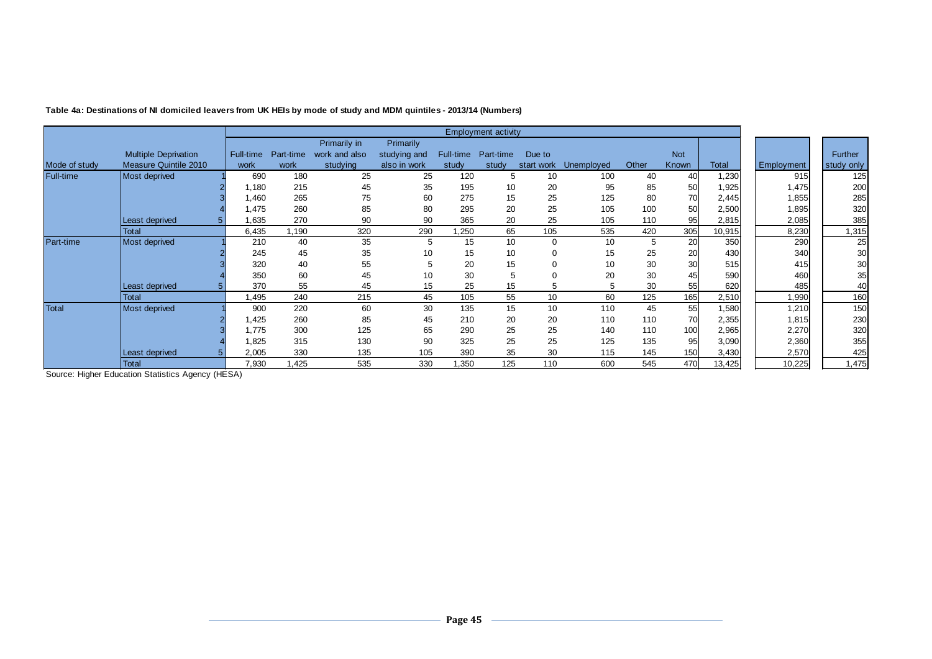|               |                             |           |           |               |              |           | <b>Employment activity</b> |             |            |       |            |        |            |            |
|---------------|-----------------------------|-----------|-----------|---------------|--------------|-----------|----------------------------|-------------|------------|-------|------------|--------|------------|------------|
|               |                             |           |           | Primarily in  | Primarily    |           |                            |             |            |       |            |        |            |            |
|               | <b>Multiple Deprivation</b> | Full-time | Part-time | work and also | studying and | Full-time | Part-time                  | Due to      |            |       | <b>Not</b> |        |            | Further    |
| Mode of study | Measure Quintile 2010       | work      | work      | studying      | also in work | study     | study                      | start work  | Unemployed | Other | Known      | Total  | Employment | study only |
| Full-time     | Most deprived               | 690       | 180       | 25            | 25           | 120       | 5                          | 10          | 100        | 40    | 40         | 1,230  | 915        | 125        |
|               |                             | 1,180     | 215       | 45            | 35           | 195       | 10                         | 20          | 95         | 85    | 50         | 1,925  | 1,475      | 200        |
|               |                             | 1,460     | 265       | 75            | 60           | 275       | 15                         | 25          | 125        | 80    | 70         | 2,445  | 1,855      | 285        |
|               |                             | 1.475     | 260       | 85            | 80           | 295       | 20                         | 25          | 105        | 100   | 50         | 2,500  | 1,895      | 320        |
|               | Least deprived              | .635      | 270       | 90            | 90           | 365       | 20                         | 25          | 105        | 110   | 95         | 2,815  | 2,085      | 385        |
|               | <b>Total</b>                | 6,435     | .190      | 320           | 290          | .250      | 65                         | 105         | 535        | 420   | 305        | 10,915 | 8,230      | 1,315      |
| Part-time     | Most deprived               | 210       | 40        | 35            | 5            | 15        | 10                         | $\mathbf 0$ | 10         | 5     | 20         | 350    | 290        | 25         |
|               |                             | 245       | 45        | 35            | 10           | 15        | 10                         | $\Omega$    | 15         | 25    | 20         | 430    | 340        | 30         |
|               |                             | 320       | 40        | 55            | 5            | 20        | 15                         |             | 10         | 30    | 30         | 515    | 415        | 30         |
|               |                             | 350       | 60        | 45            | 10           | 30        | 5                          |             | 20         | 30    | 45         | 590    | 460        | 35         |
|               | Least deprived              | 370       | 55        | 45            | 15           | 25        | 15                         |             |            | 30    | 55         | 620    | 485        | 40         |
|               | Total                       | .495      | 240       | 215           | 45           | 105       | 55                         | 10          | 60         | 125   | 165        | 2,510  | 1,990      | 160        |
| <b>Total</b>  | Most deprived               | 900       | 220       | 60            | 30           | 135       | 15                         | 10          | 110        | 45    | 55         | 1,580  | 1,210      | 150        |
|               |                             | 425. ا    | 260       | 85            | 45           | 210       | 20                         | 20          | 110        | 110   | 70         | 2,355  | 1,815      | 230        |
|               |                             | 1.775     | 300       | 125           | 65           | 290       | 25                         | 25          | 140        | 110   | 100        | 2,965  | 2,270      | 320        |
|               |                             | 825. ا    | 315       | 130           | 90           | 325       | 25                         | 25          | 125        | 135   | 95         | 3,090  | 2,360      | 355        |
|               | Least deprived              | 2,005     | 330       | 135           | 105          | 390       | 35                         | 30          | 115        | 145   | 150        | 3,430  | 2,570      | 425        |
|               | <b>Total</b>                | 7,930     | 1,425     | 535           | 330          | 1,350     | 125                        | 110         | 600        | 545   | 470        | 13,425 | 10,225     | 1,475      |

**Table 4a: Destinations of NI domiciled leavers from UK HEIs by mode of study and MDM quintiles - 2013/14 (Numbers)**

Source: Higher Education Statistics Agency (HESA)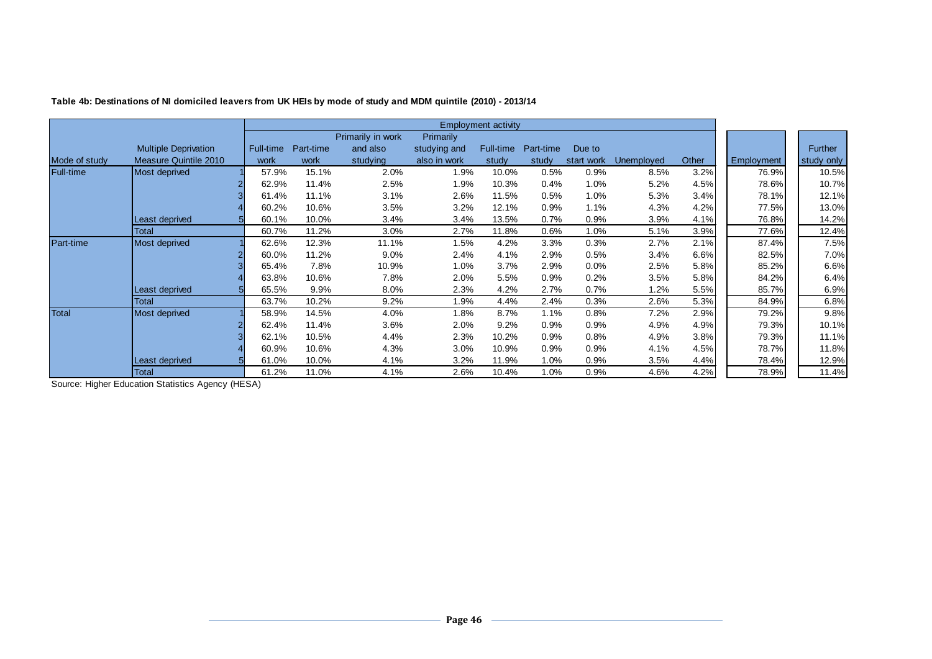|               |                              |           |           |                   |                  | <b>Employment activity</b> |           |            |                   |       |                   |                |
|---------------|------------------------------|-----------|-----------|-------------------|------------------|----------------------------|-----------|------------|-------------------|-------|-------------------|----------------|
|               |                              |           |           | Primarily in work | <b>Primarily</b> |                            |           |            |                   |       |                   |                |
|               | <b>Multiple Deprivation</b>  | Full-time | Part-time | and also          | studying and     | Full-time                  | Part-time | Due to     |                   |       |                   | <b>Further</b> |
| Mode of study | <b>Measure Quintile 2010</b> | work      | work      | studying          | also in work     | study                      | study     | start work | <b>Unemployed</b> | Other | <b>Employment</b> | study only     |
| Full-time     | Most deprived                | 57.9%     | 15.1%     | 2.0%              | 1.9%             | 10.0%                      | 0.5%      | 0.9%       | 8.5%              | 3.2%  | 76.9%             | 10.5%          |
|               |                              | 62.9%     | 11.4%     | 2.5%              | 1.9%             | 10.3%                      | 0.4%      | 1.0%       | 5.2%              | 4.5%  | 78.6%             | 10.7%          |
|               |                              | 61.4%     | 11.1%     | 3.1%              | 2.6%             | 11.5%                      | 0.5%      | 1.0%       | 5.3%              | 3.4%  | 78.1%             | 12.1%          |
|               |                              | 60.2%     | 10.6%     | 3.5%              | 3.2%             | 12.1%                      | 0.9%      | 1.1%       | 4.3%              | 4.2%  | 77.5%             | 13.0%          |
|               | Least deprived               | 60.1%     | 10.0%     | 3.4%              | 3.4%             | 13.5%                      | 0.7%      | 0.9%       | 3.9%              | 4.1%  | 76.8%             | 14.2%          |
|               | <b>Total</b>                 | 60.7%     | 11.2%     | 3.0%              | 2.7%             | 11.8%                      | 0.6%      | 1.0%       | 5.1%              | 3.9%  | 77.6%             | 12.4%          |
| Part-time     | Most deprived                | 62.6%     | 12.3%     | 11.1%             | 1.5%             | 4.2%                       | 3.3%      | 0.3%       | 2.7%              | 2.1%  | 87.4%             | 7.5%           |
|               |                              | 60.0%     | 11.2%     | 9.0%              | 2.4%             | 4.1%                       | 2.9%      | 0.5%       | 3.4%              | 6.6%  | 82.5%             | 7.0%           |
|               |                              | 65.4%     | 7.8%      | 10.9%             | 1.0%             | 3.7%                       | 2.9%      | $0.0\%$    | 2.5%              | 5.8%  | 85.2%             | 6.6%           |
|               |                              | 63.8%     | 10.6%     | 7.8%              | 2.0%             | 5.5%                       | 0.9%      | 0.2%       | 3.5%              | 5.8%  | 84.2%             | 6.4%           |
|               | Least deprived               | 65.5%     | 9.9%      | 8.0%              | 2.3%             | 4.2%                       | 2.7%      | 0.7%       | 1.2%              | 5.5%  | 85.7%             | 6.9%           |
|               | <b>Total</b>                 | 63.7%     | 10.2%     | 9.2%              | 1.9%             | 4.4%                       | 2.4%      | 0.3%       | 2.6%              | 5.3%  | 84.9%             | 6.8%           |
| <b>Total</b>  | Most deprived                | 58.9%     | 14.5%     | 4.0%              | 1.8%             | 8.7%                       | 1.1%      | 0.8%       | 7.2%              | 2.9%  | 79.2%             | 9.8%           |
|               |                              | 62.4%     | 11.4%     | 3.6%              | 2.0%             | 9.2%                       | 0.9%      | 0.9%       | 4.9%              | 4.9%  | 79.3%             | 10.1%          |
|               |                              | 62.1%     | 10.5%     | 4.4%              | 2.3%             | 10.2%                      | 0.9%      | 0.8%       | 4.9%              | 3.8%  | 79.3%             | 11.1%          |
|               |                              | 60.9%     | 10.6%     | 4.3%              | 3.0%             | 10.9%                      | 0.9%      | 0.9%       | 4.1%              | 4.5%  | 78.7%             | 11.8%          |
|               | Least deprived               | 61.0%     | 10.0%     | 4.1%              | 3.2%             | 11.9%                      | 1.0%      | 0.9%       | 3.5%              | 4.4%  | 78.4%             | 12.9%          |
|               | <b>Total</b><br>$\cdots$     | 61.2%     | 11.0%     | 4.1%              | 2.6%             | 10.4%                      | 1.0%      | 0.9%       | 4.6%              | 4.2%  | 78.9%             | 11.4%          |

**Table 4b: Destinations of NI domiciled leavers from UK HEIs by mode of study and MDM quintile (2010) - 2013/14**

Source: Higher Education Statistics Agency (HESA)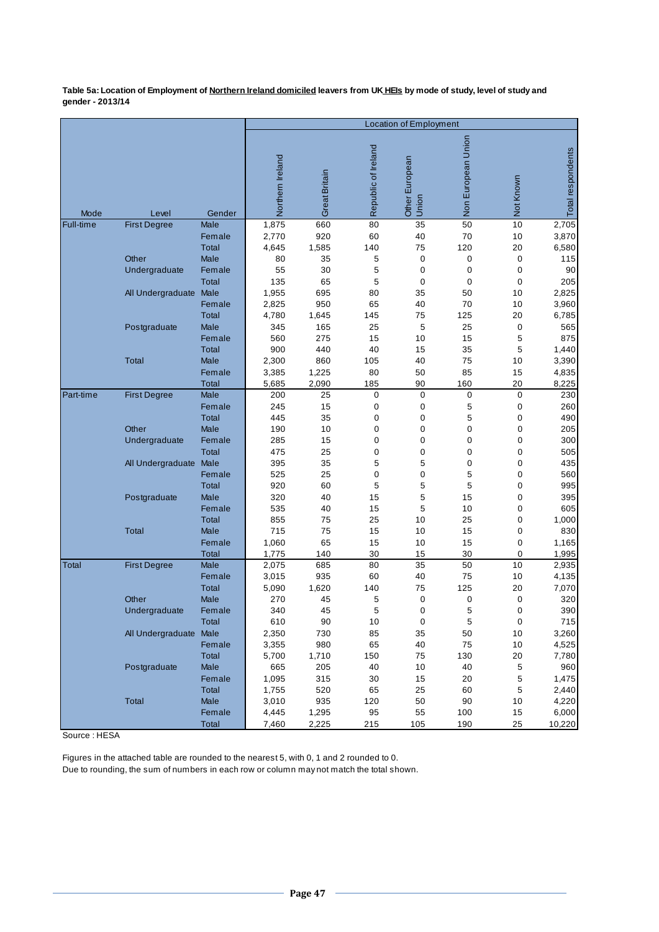**Table 5a: Location of Employment of Northern Ireland domiciled leavers from UK HEIs by mode of study, level of study and gender - 2013/14** 

| Non European Union<br>Republic of Ireland<br>Total respondents<br>Northern Ireland<br>Other European<br>Great Britain<br>Not Known<br>Union<br>Mode<br>Level<br>Gender<br>1,875<br>35<br>10<br>2,705<br>660<br>80<br>50<br>Full-time<br>Male<br><b>First Degree</b><br>2,770<br>920<br>60<br>40<br>3,870<br>70<br>10<br>Female<br><b>Total</b><br>4,645<br>1,585<br>140<br>75<br>120<br>20<br>6,580<br>Other<br>Male<br>80<br>35<br>5<br>0<br>0<br>0<br>115<br>30<br>90<br>Undergraduate<br>Female<br>55<br>5<br>0<br>0<br>0<br>5<br>135<br>65<br>$\boldsymbol{0}$<br>205<br><b>Total</b><br>0<br>0<br>695<br>All Undergraduate<br>Male<br>1,955<br>80<br>35<br>50<br>10<br>2,825<br>950<br>40<br>Female<br>2,825<br>65<br>70<br>10<br>3,960<br>20<br>Total<br>4,780<br>1,645<br>145<br>75<br>125<br>6,785<br>Postgraduate<br>Male<br>345<br>165<br>25<br>5<br>25<br>0<br>565<br>875<br>Female<br>560<br>275<br>15<br>10<br>15<br>5<br>40<br>5<br><b>Total</b><br>900<br>440<br>35<br>1,440<br>15<br>Male<br>860<br>Total<br>2,300<br>105<br>40<br>75<br>10<br>3,390<br>1,225<br>80<br>85<br>4,835<br>3,385<br>50<br>15<br>Female<br>5,685<br>2,090<br>185<br>90<br>160<br>20<br>8,225<br>Total<br>200<br>$\pmb{0}$<br>0<br><b>First Degree</b><br>Male<br>25<br>0<br>0<br>230<br>Part-time<br>5<br>Female<br>245<br>15<br>0<br>0<br>0<br>260<br>35<br>0<br>5<br>490<br><b>Total</b><br>445<br>0<br>0<br>Other<br>205<br>Male<br>190<br>10<br>0<br>0<br>0<br>0<br>$\boldsymbol{0}$<br>300<br>Undergraduate<br>Female<br>285<br>15<br>0<br>0<br>0<br>475<br>25<br>505<br>Total<br>0<br>0<br>0<br>0<br>5<br>5<br>435<br>All Undergraduate<br>Male<br>395<br>35<br>0<br>0<br>25<br>0<br>$\mathbf 0$<br>5<br>560<br>Female<br>525<br>0<br>5<br>5<br>5<br>995<br><b>Total</b><br>920<br>60<br>$\mathbf 0$<br>320<br>5<br>395<br>Male<br>40<br>15<br>15<br>$\mathbf 0$<br>Postgraduate<br>535<br>15<br>5<br>605<br>Female<br>40<br>10<br>0<br>75<br>25<br>1,000<br><b>Total</b><br>855<br>10<br>25<br>0<br>Male<br>715<br>75<br>830<br>Total<br>15<br>10<br>15<br>0<br>Female<br>1,060<br>65<br>15<br>10<br>15<br>0<br>1,165<br>1,775<br>140<br>30<br>15<br>30<br>0<br>1,995<br><b>Total</b><br>35<br>Male<br>2,075<br>685<br>80<br>50<br>10<br>2,935<br><b>First Degree</b><br>Total<br>Female<br>3,015<br>935<br>60<br>40<br>75<br>10<br>4,135<br>7,070<br><b>Total</b><br>5,090<br>1,620<br>140<br>75<br>125<br>20<br>Other<br>Male<br>270<br>45<br>5<br>0<br>0<br>0<br>320<br>390<br>5<br>5<br>340<br>45<br>$\Omega$<br>0<br>Undergraduate<br>Female<br>5<br>$\pmb{0}$<br>715<br>90<br>10<br>0<br>Total<br>610<br>All Undergraduate Male<br>2,350<br>730<br>85<br>35<br>50<br>$10$<br>3,260<br>65<br>3,355<br>980<br>40<br>75<br>10<br>4,525<br>Female<br>5,700<br>1,710<br>150<br>130<br>20<br>7,780<br><b>Total</b><br>75<br>Male<br>665<br>205<br>40<br>10<br>40<br>5<br>960<br>Postgraduate |  | <b>Location of Employment</b> |  |  |  |  |  |  |  |  |  |  |
|-----------------------------------------------------------------------------------------------------------------------------------------------------------------------------------------------------------------------------------------------------------------------------------------------------------------------------------------------------------------------------------------------------------------------------------------------------------------------------------------------------------------------------------------------------------------------------------------------------------------------------------------------------------------------------------------------------------------------------------------------------------------------------------------------------------------------------------------------------------------------------------------------------------------------------------------------------------------------------------------------------------------------------------------------------------------------------------------------------------------------------------------------------------------------------------------------------------------------------------------------------------------------------------------------------------------------------------------------------------------------------------------------------------------------------------------------------------------------------------------------------------------------------------------------------------------------------------------------------------------------------------------------------------------------------------------------------------------------------------------------------------------------------------------------------------------------------------------------------------------------------------------------------------------------------------------------------------------------------------------------------------------------------------------------------------------------------------------------------------------------------------------------------------------------------------------------------------------------------------------------------------------------------------------------------------------------------------------------------------------------------------------------------------------------------------------------------------------------------------------------------------------------------------------------------------------------------------------------------------------------------------------------------------------------------------------------------------------------------------------------------------------------------------------------------------------------------------------------------------------------------------------------|--|-------------------------------|--|--|--|--|--|--|--|--|--|--|
|                                                                                                                                                                                                                                                                                                                                                                                                                                                                                                                                                                                                                                                                                                                                                                                                                                                                                                                                                                                                                                                                                                                                                                                                                                                                                                                                                                                                                                                                                                                                                                                                                                                                                                                                                                                                                                                                                                                                                                                                                                                                                                                                                                                                                                                                                                                                                                                                                                                                                                                                                                                                                                                                                                                                                                                                                                                                                               |  |                               |  |  |  |  |  |  |  |  |  |  |
|                                                                                                                                                                                                                                                                                                                                                                                                                                                                                                                                                                                                                                                                                                                                                                                                                                                                                                                                                                                                                                                                                                                                                                                                                                                                                                                                                                                                                                                                                                                                                                                                                                                                                                                                                                                                                                                                                                                                                                                                                                                                                                                                                                                                                                                                                                                                                                                                                                                                                                                                                                                                                                                                                                                                                                                                                                                                                               |  |                               |  |  |  |  |  |  |  |  |  |  |
|                                                                                                                                                                                                                                                                                                                                                                                                                                                                                                                                                                                                                                                                                                                                                                                                                                                                                                                                                                                                                                                                                                                                                                                                                                                                                                                                                                                                                                                                                                                                                                                                                                                                                                                                                                                                                                                                                                                                                                                                                                                                                                                                                                                                                                                                                                                                                                                                                                                                                                                                                                                                                                                                                                                                                                                                                                                                                               |  |                               |  |  |  |  |  |  |  |  |  |  |
|                                                                                                                                                                                                                                                                                                                                                                                                                                                                                                                                                                                                                                                                                                                                                                                                                                                                                                                                                                                                                                                                                                                                                                                                                                                                                                                                                                                                                                                                                                                                                                                                                                                                                                                                                                                                                                                                                                                                                                                                                                                                                                                                                                                                                                                                                                                                                                                                                                                                                                                                                                                                                                                                                                                                                                                                                                                                                               |  |                               |  |  |  |  |  |  |  |  |  |  |
|                                                                                                                                                                                                                                                                                                                                                                                                                                                                                                                                                                                                                                                                                                                                                                                                                                                                                                                                                                                                                                                                                                                                                                                                                                                                                                                                                                                                                                                                                                                                                                                                                                                                                                                                                                                                                                                                                                                                                                                                                                                                                                                                                                                                                                                                                                                                                                                                                                                                                                                                                                                                                                                                                                                                                                                                                                                                                               |  |                               |  |  |  |  |  |  |  |  |  |  |
|                                                                                                                                                                                                                                                                                                                                                                                                                                                                                                                                                                                                                                                                                                                                                                                                                                                                                                                                                                                                                                                                                                                                                                                                                                                                                                                                                                                                                                                                                                                                                                                                                                                                                                                                                                                                                                                                                                                                                                                                                                                                                                                                                                                                                                                                                                                                                                                                                                                                                                                                                                                                                                                                                                                                                                                                                                                                                               |  |                               |  |  |  |  |  |  |  |  |  |  |
|                                                                                                                                                                                                                                                                                                                                                                                                                                                                                                                                                                                                                                                                                                                                                                                                                                                                                                                                                                                                                                                                                                                                                                                                                                                                                                                                                                                                                                                                                                                                                                                                                                                                                                                                                                                                                                                                                                                                                                                                                                                                                                                                                                                                                                                                                                                                                                                                                                                                                                                                                                                                                                                                                                                                                                                                                                                                                               |  |                               |  |  |  |  |  |  |  |  |  |  |
|                                                                                                                                                                                                                                                                                                                                                                                                                                                                                                                                                                                                                                                                                                                                                                                                                                                                                                                                                                                                                                                                                                                                                                                                                                                                                                                                                                                                                                                                                                                                                                                                                                                                                                                                                                                                                                                                                                                                                                                                                                                                                                                                                                                                                                                                                                                                                                                                                                                                                                                                                                                                                                                                                                                                                                                                                                                                                               |  |                               |  |  |  |  |  |  |  |  |  |  |
|                                                                                                                                                                                                                                                                                                                                                                                                                                                                                                                                                                                                                                                                                                                                                                                                                                                                                                                                                                                                                                                                                                                                                                                                                                                                                                                                                                                                                                                                                                                                                                                                                                                                                                                                                                                                                                                                                                                                                                                                                                                                                                                                                                                                                                                                                                                                                                                                                                                                                                                                                                                                                                                                                                                                                                                                                                                                                               |  |                               |  |  |  |  |  |  |  |  |  |  |
|                                                                                                                                                                                                                                                                                                                                                                                                                                                                                                                                                                                                                                                                                                                                                                                                                                                                                                                                                                                                                                                                                                                                                                                                                                                                                                                                                                                                                                                                                                                                                                                                                                                                                                                                                                                                                                                                                                                                                                                                                                                                                                                                                                                                                                                                                                                                                                                                                                                                                                                                                                                                                                                                                                                                                                                                                                                                                               |  |                               |  |  |  |  |  |  |  |  |  |  |
|                                                                                                                                                                                                                                                                                                                                                                                                                                                                                                                                                                                                                                                                                                                                                                                                                                                                                                                                                                                                                                                                                                                                                                                                                                                                                                                                                                                                                                                                                                                                                                                                                                                                                                                                                                                                                                                                                                                                                                                                                                                                                                                                                                                                                                                                                                                                                                                                                                                                                                                                                                                                                                                                                                                                                                                                                                                                                               |  |                               |  |  |  |  |  |  |  |  |  |  |
|                                                                                                                                                                                                                                                                                                                                                                                                                                                                                                                                                                                                                                                                                                                                                                                                                                                                                                                                                                                                                                                                                                                                                                                                                                                                                                                                                                                                                                                                                                                                                                                                                                                                                                                                                                                                                                                                                                                                                                                                                                                                                                                                                                                                                                                                                                                                                                                                                                                                                                                                                                                                                                                                                                                                                                                                                                                                                               |  |                               |  |  |  |  |  |  |  |  |  |  |
|                                                                                                                                                                                                                                                                                                                                                                                                                                                                                                                                                                                                                                                                                                                                                                                                                                                                                                                                                                                                                                                                                                                                                                                                                                                                                                                                                                                                                                                                                                                                                                                                                                                                                                                                                                                                                                                                                                                                                                                                                                                                                                                                                                                                                                                                                                                                                                                                                                                                                                                                                                                                                                                                                                                                                                                                                                                                                               |  |                               |  |  |  |  |  |  |  |  |  |  |
|                                                                                                                                                                                                                                                                                                                                                                                                                                                                                                                                                                                                                                                                                                                                                                                                                                                                                                                                                                                                                                                                                                                                                                                                                                                                                                                                                                                                                                                                                                                                                                                                                                                                                                                                                                                                                                                                                                                                                                                                                                                                                                                                                                                                                                                                                                                                                                                                                                                                                                                                                                                                                                                                                                                                                                                                                                                                                               |  |                               |  |  |  |  |  |  |  |  |  |  |
|                                                                                                                                                                                                                                                                                                                                                                                                                                                                                                                                                                                                                                                                                                                                                                                                                                                                                                                                                                                                                                                                                                                                                                                                                                                                                                                                                                                                                                                                                                                                                                                                                                                                                                                                                                                                                                                                                                                                                                                                                                                                                                                                                                                                                                                                                                                                                                                                                                                                                                                                                                                                                                                                                                                                                                                                                                                                                               |  |                               |  |  |  |  |  |  |  |  |  |  |
|                                                                                                                                                                                                                                                                                                                                                                                                                                                                                                                                                                                                                                                                                                                                                                                                                                                                                                                                                                                                                                                                                                                                                                                                                                                                                                                                                                                                                                                                                                                                                                                                                                                                                                                                                                                                                                                                                                                                                                                                                                                                                                                                                                                                                                                                                                                                                                                                                                                                                                                                                                                                                                                                                                                                                                                                                                                                                               |  |                               |  |  |  |  |  |  |  |  |  |  |
|                                                                                                                                                                                                                                                                                                                                                                                                                                                                                                                                                                                                                                                                                                                                                                                                                                                                                                                                                                                                                                                                                                                                                                                                                                                                                                                                                                                                                                                                                                                                                                                                                                                                                                                                                                                                                                                                                                                                                                                                                                                                                                                                                                                                                                                                                                                                                                                                                                                                                                                                                                                                                                                                                                                                                                                                                                                                                               |  |                               |  |  |  |  |  |  |  |  |  |  |
|                                                                                                                                                                                                                                                                                                                                                                                                                                                                                                                                                                                                                                                                                                                                                                                                                                                                                                                                                                                                                                                                                                                                                                                                                                                                                                                                                                                                                                                                                                                                                                                                                                                                                                                                                                                                                                                                                                                                                                                                                                                                                                                                                                                                                                                                                                                                                                                                                                                                                                                                                                                                                                                                                                                                                                                                                                                                                               |  |                               |  |  |  |  |  |  |  |  |  |  |
|                                                                                                                                                                                                                                                                                                                                                                                                                                                                                                                                                                                                                                                                                                                                                                                                                                                                                                                                                                                                                                                                                                                                                                                                                                                                                                                                                                                                                                                                                                                                                                                                                                                                                                                                                                                                                                                                                                                                                                                                                                                                                                                                                                                                                                                                                                                                                                                                                                                                                                                                                                                                                                                                                                                                                                                                                                                                                               |  |                               |  |  |  |  |  |  |  |  |  |  |
|                                                                                                                                                                                                                                                                                                                                                                                                                                                                                                                                                                                                                                                                                                                                                                                                                                                                                                                                                                                                                                                                                                                                                                                                                                                                                                                                                                                                                                                                                                                                                                                                                                                                                                                                                                                                                                                                                                                                                                                                                                                                                                                                                                                                                                                                                                                                                                                                                                                                                                                                                                                                                                                                                                                                                                                                                                                                                               |  |                               |  |  |  |  |  |  |  |  |  |  |
|                                                                                                                                                                                                                                                                                                                                                                                                                                                                                                                                                                                                                                                                                                                                                                                                                                                                                                                                                                                                                                                                                                                                                                                                                                                                                                                                                                                                                                                                                                                                                                                                                                                                                                                                                                                                                                                                                                                                                                                                                                                                                                                                                                                                                                                                                                                                                                                                                                                                                                                                                                                                                                                                                                                                                                                                                                                                                               |  |                               |  |  |  |  |  |  |  |  |  |  |
|                                                                                                                                                                                                                                                                                                                                                                                                                                                                                                                                                                                                                                                                                                                                                                                                                                                                                                                                                                                                                                                                                                                                                                                                                                                                                                                                                                                                                                                                                                                                                                                                                                                                                                                                                                                                                                                                                                                                                                                                                                                                                                                                                                                                                                                                                                                                                                                                                                                                                                                                                                                                                                                                                                                                                                                                                                                                                               |  |                               |  |  |  |  |  |  |  |  |  |  |
|                                                                                                                                                                                                                                                                                                                                                                                                                                                                                                                                                                                                                                                                                                                                                                                                                                                                                                                                                                                                                                                                                                                                                                                                                                                                                                                                                                                                                                                                                                                                                                                                                                                                                                                                                                                                                                                                                                                                                                                                                                                                                                                                                                                                                                                                                                                                                                                                                                                                                                                                                                                                                                                                                                                                                                                                                                                                                               |  |                               |  |  |  |  |  |  |  |  |  |  |
|                                                                                                                                                                                                                                                                                                                                                                                                                                                                                                                                                                                                                                                                                                                                                                                                                                                                                                                                                                                                                                                                                                                                                                                                                                                                                                                                                                                                                                                                                                                                                                                                                                                                                                                                                                                                                                                                                                                                                                                                                                                                                                                                                                                                                                                                                                                                                                                                                                                                                                                                                                                                                                                                                                                                                                                                                                                                                               |  |                               |  |  |  |  |  |  |  |  |  |  |
|                                                                                                                                                                                                                                                                                                                                                                                                                                                                                                                                                                                                                                                                                                                                                                                                                                                                                                                                                                                                                                                                                                                                                                                                                                                                                                                                                                                                                                                                                                                                                                                                                                                                                                                                                                                                                                                                                                                                                                                                                                                                                                                                                                                                                                                                                                                                                                                                                                                                                                                                                                                                                                                                                                                                                                                                                                                                                               |  |                               |  |  |  |  |  |  |  |  |  |  |
|                                                                                                                                                                                                                                                                                                                                                                                                                                                                                                                                                                                                                                                                                                                                                                                                                                                                                                                                                                                                                                                                                                                                                                                                                                                                                                                                                                                                                                                                                                                                                                                                                                                                                                                                                                                                                                                                                                                                                                                                                                                                                                                                                                                                                                                                                                                                                                                                                                                                                                                                                                                                                                                                                                                                                                                                                                                                                               |  |                               |  |  |  |  |  |  |  |  |  |  |
|                                                                                                                                                                                                                                                                                                                                                                                                                                                                                                                                                                                                                                                                                                                                                                                                                                                                                                                                                                                                                                                                                                                                                                                                                                                                                                                                                                                                                                                                                                                                                                                                                                                                                                                                                                                                                                                                                                                                                                                                                                                                                                                                                                                                                                                                                                                                                                                                                                                                                                                                                                                                                                                                                                                                                                                                                                                                                               |  |                               |  |  |  |  |  |  |  |  |  |  |
|                                                                                                                                                                                                                                                                                                                                                                                                                                                                                                                                                                                                                                                                                                                                                                                                                                                                                                                                                                                                                                                                                                                                                                                                                                                                                                                                                                                                                                                                                                                                                                                                                                                                                                                                                                                                                                                                                                                                                                                                                                                                                                                                                                                                                                                                                                                                                                                                                                                                                                                                                                                                                                                                                                                                                                                                                                                                                               |  |                               |  |  |  |  |  |  |  |  |  |  |
|                                                                                                                                                                                                                                                                                                                                                                                                                                                                                                                                                                                                                                                                                                                                                                                                                                                                                                                                                                                                                                                                                                                                                                                                                                                                                                                                                                                                                                                                                                                                                                                                                                                                                                                                                                                                                                                                                                                                                                                                                                                                                                                                                                                                                                                                                                                                                                                                                                                                                                                                                                                                                                                                                                                                                                                                                                                                                               |  |                               |  |  |  |  |  |  |  |  |  |  |
|                                                                                                                                                                                                                                                                                                                                                                                                                                                                                                                                                                                                                                                                                                                                                                                                                                                                                                                                                                                                                                                                                                                                                                                                                                                                                                                                                                                                                                                                                                                                                                                                                                                                                                                                                                                                                                                                                                                                                                                                                                                                                                                                                                                                                                                                                                                                                                                                                                                                                                                                                                                                                                                                                                                                                                                                                                                                                               |  |                               |  |  |  |  |  |  |  |  |  |  |
|                                                                                                                                                                                                                                                                                                                                                                                                                                                                                                                                                                                                                                                                                                                                                                                                                                                                                                                                                                                                                                                                                                                                                                                                                                                                                                                                                                                                                                                                                                                                                                                                                                                                                                                                                                                                                                                                                                                                                                                                                                                                                                                                                                                                                                                                                                                                                                                                                                                                                                                                                                                                                                                                                                                                                                                                                                                                                               |  |                               |  |  |  |  |  |  |  |  |  |  |
|                                                                                                                                                                                                                                                                                                                                                                                                                                                                                                                                                                                                                                                                                                                                                                                                                                                                                                                                                                                                                                                                                                                                                                                                                                                                                                                                                                                                                                                                                                                                                                                                                                                                                                                                                                                                                                                                                                                                                                                                                                                                                                                                                                                                                                                                                                                                                                                                                                                                                                                                                                                                                                                                                                                                                                                                                                                                                               |  |                               |  |  |  |  |  |  |  |  |  |  |
|                                                                                                                                                                                                                                                                                                                                                                                                                                                                                                                                                                                                                                                                                                                                                                                                                                                                                                                                                                                                                                                                                                                                                                                                                                                                                                                                                                                                                                                                                                                                                                                                                                                                                                                                                                                                                                                                                                                                                                                                                                                                                                                                                                                                                                                                                                                                                                                                                                                                                                                                                                                                                                                                                                                                                                                                                                                                                               |  |                               |  |  |  |  |  |  |  |  |  |  |
|                                                                                                                                                                                                                                                                                                                                                                                                                                                                                                                                                                                                                                                                                                                                                                                                                                                                                                                                                                                                                                                                                                                                                                                                                                                                                                                                                                                                                                                                                                                                                                                                                                                                                                                                                                                                                                                                                                                                                                                                                                                                                                                                                                                                                                                                                                                                                                                                                                                                                                                                                                                                                                                                                                                                                                                                                                                                                               |  |                               |  |  |  |  |  |  |  |  |  |  |
|                                                                                                                                                                                                                                                                                                                                                                                                                                                                                                                                                                                                                                                                                                                                                                                                                                                                                                                                                                                                                                                                                                                                                                                                                                                                                                                                                                                                                                                                                                                                                                                                                                                                                                                                                                                                                                                                                                                                                                                                                                                                                                                                                                                                                                                                                                                                                                                                                                                                                                                                                                                                                                                                                                                                                                                                                                                                                               |  |                               |  |  |  |  |  |  |  |  |  |  |
|                                                                                                                                                                                                                                                                                                                                                                                                                                                                                                                                                                                                                                                                                                                                                                                                                                                                                                                                                                                                                                                                                                                                                                                                                                                                                                                                                                                                                                                                                                                                                                                                                                                                                                                                                                                                                                                                                                                                                                                                                                                                                                                                                                                                                                                                                                                                                                                                                                                                                                                                                                                                                                                                                                                                                                                                                                                                                               |  |                               |  |  |  |  |  |  |  |  |  |  |
|                                                                                                                                                                                                                                                                                                                                                                                                                                                                                                                                                                                                                                                                                                                                                                                                                                                                                                                                                                                                                                                                                                                                                                                                                                                                                                                                                                                                                                                                                                                                                                                                                                                                                                                                                                                                                                                                                                                                                                                                                                                                                                                                                                                                                                                                                                                                                                                                                                                                                                                                                                                                                                                                                                                                                                                                                                                                                               |  |                               |  |  |  |  |  |  |  |  |  |  |
|                                                                                                                                                                                                                                                                                                                                                                                                                                                                                                                                                                                                                                                                                                                                                                                                                                                                                                                                                                                                                                                                                                                                                                                                                                                                                                                                                                                                                                                                                                                                                                                                                                                                                                                                                                                                                                                                                                                                                                                                                                                                                                                                                                                                                                                                                                                                                                                                                                                                                                                                                                                                                                                                                                                                                                                                                                                                                               |  |                               |  |  |  |  |  |  |  |  |  |  |
|                                                                                                                                                                                                                                                                                                                                                                                                                                                                                                                                                                                                                                                                                                                                                                                                                                                                                                                                                                                                                                                                                                                                                                                                                                                                                                                                                                                                                                                                                                                                                                                                                                                                                                                                                                                                                                                                                                                                                                                                                                                                                                                                                                                                                                                                                                                                                                                                                                                                                                                                                                                                                                                                                                                                                                                                                                                                                               |  |                               |  |  |  |  |  |  |  |  |  |  |
|                                                                                                                                                                                                                                                                                                                                                                                                                                                                                                                                                                                                                                                                                                                                                                                                                                                                                                                                                                                                                                                                                                                                                                                                                                                                                                                                                                                                                                                                                                                                                                                                                                                                                                                                                                                                                                                                                                                                                                                                                                                                                                                                                                                                                                                                                                                                                                                                                                                                                                                                                                                                                                                                                                                                                                                                                                                                                               |  |                               |  |  |  |  |  |  |  |  |  |  |
| Female<br>1,095<br>315<br>30<br>15<br>20<br>5<br>1,475                                                                                                                                                                                                                                                                                                                                                                                                                                                                                                                                                                                                                                                                                                                                                                                                                                                                                                                                                                                                                                                                                                                                                                                                                                                                                                                                                                                                                                                                                                                                                                                                                                                                                                                                                                                                                                                                                                                                                                                                                                                                                                                                                                                                                                                                                                                                                                                                                                                                                                                                                                                                                                                                                                                                                                                                                                        |  |                               |  |  |  |  |  |  |  |  |  |  |
| 520<br>2,440<br><b>Total</b><br>1,755<br>65<br>25<br>60<br>5<br>Male                                                                                                                                                                                                                                                                                                                                                                                                                                                                                                                                                                                                                                                                                                                                                                                                                                                                                                                                                                                                                                                                                                                                                                                                                                                                                                                                                                                                                                                                                                                                                                                                                                                                                                                                                                                                                                                                                                                                                                                                                                                                                                                                                                                                                                                                                                                                                                                                                                                                                                                                                                                                                                                                                                                                                                                                                          |  |                               |  |  |  |  |  |  |  |  |  |  |
| 935<br>Total<br>3,010<br>120<br>50<br>90<br>10<br>4,220<br>6,000<br>Female<br>1,295<br>95<br>55<br>100<br>4,445<br>15                                                                                                                                                                                                                                                                                                                                                                                                                                                                                                                                                                                                                                                                                                                                                                                                                                                                                                                                                                                                                                                                                                                                                                                                                                                                                                                                                                                                                                                                                                                                                                                                                                                                                                                                                                                                                                                                                                                                                                                                                                                                                                                                                                                                                                                                                                                                                                                                                                                                                                                                                                                                                                                                                                                                                                         |  |                               |  |  |  |  |  |  |  |  |  |  |
| <b>Total</b><br>2,225<br>215<br>105<br>190<br>25<br>10,220<br>7,460                                                                                                                                                                                                                                                                                                                                                                                                                                                                                                                                                                                                                                                                                                                                                                                                                                                                                                                                                                                                                                                                                                                                                                                                                                                                                                                                                                                                                                                                                                                                                                                                                                                                                                                                                                                                                                                                                                                                                                                                                                                                                                                                                                                                                                                                                                                                                                                                                                                                                                                                                                                                                                                                                                                                                                                                                           |  |                               |  |  |  |  |  |  |  |  |  |  |

Source : HESA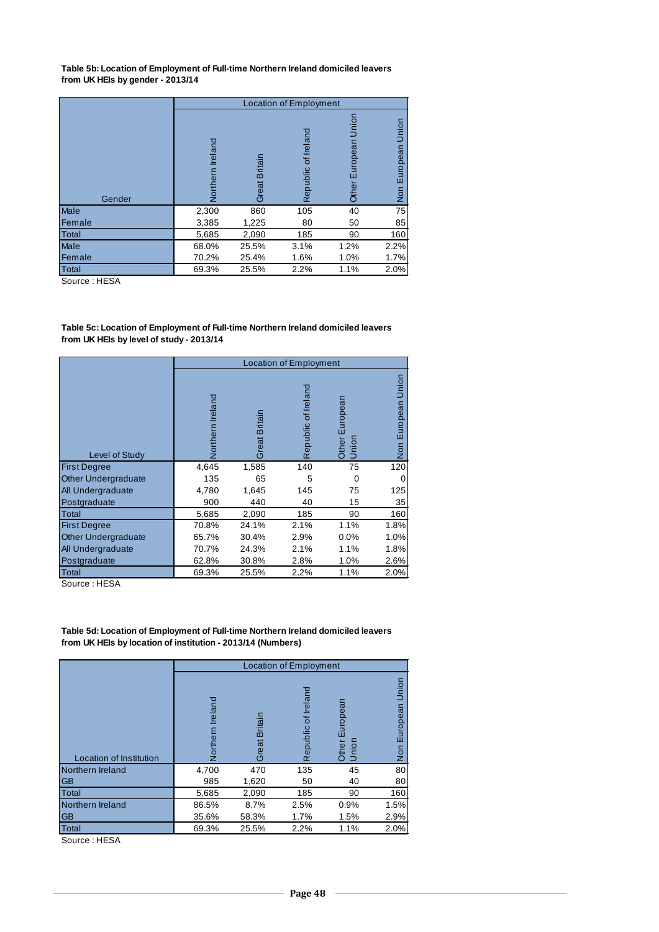**Table 5b: Location of Employment of Full-time Northern Ireland domiciled leavers from UK HEIs by gender - 2013/14**

|              |                     |                  | Location of Employment   |                           |                          |
|--------------|---------------------|------------------|--------------------------|---------------------------|--------------------------|
| Gender       | Ireland<br>Vorthern | Britain<br>Great | Irelano<br>ъ<br>Republic | Jnion<br>uropean<br>Other | Union<br>European<br>Non |
| Male         | 2,300               | 860              | 105                      | 40                        | 75                       |
| Female       | 3,385               | 1,225            | 80                       | 50                        | 85                       |
| <b>Total</b> | 5,685               | 2,090            | 185                      | 90                        | 160                      |
| Male         | 68.0%               | 25.5%            | 3.1%                     | 1.2%                      | 2.2%                     |
| Female       | 70.2%               | 25.4%            | 1.6%                     | 1.0%                      | 1.7%                     |
| Total        | 69.3%               | 25.5%            | 2.2%                     | 1.1%                      | 2.0%                     |

Source : HESA

**Table 5c: Location of Employment of Full-time Northern Ireland domiciled leavers from UK HEIs by level of study - 2013/14**

|                            |                 |               | <b>Location of Employment</b> |                         |                          |
|----------------------------|-----------------|---------------|-------------------------------|-------------------------|--------------------------|
| Level of Study             | orthern Ireland | Great Britain | Republic of Ireland           | Other European<br>Union | Union<br>European<br>Non |
| <b>First Degree</b>        | 4,645           | 1,585         | 140                           | 75                      | 120                      |
| <b>Other Undergraduate</b> | 135             | 65            | 5                             | $\Omega$                |                          |
| All Undergraduate          | 4,780           | 1,645         | 145                           | 75                      | 125                      |
| Postgraduate               | 900             | 440           | 40                            | 15                      | 35                       |
| Total                      | 5,685           | 2,090         | 185                           | 90                      | 160                      |
| <b>First Degree</b>        | 70.8%           | 24.1%         | 2.1%                          | 1.1%                    | 1.8%                     |
| <b>Other Undergraduate</b> | 65.7%           | 30.4%         | 2.9%                          | 0.0%                    | 1.0%                     |
| All Undergraduate          | 70.7%           | 24.3%         | 2.1%                          | 1.1%                    | 1.8%                     |
| Postgraduate               | 62.8%           | 30.8%         | 2.8%                          | 1.0%                    | 2.6%                     |
| Total                      | 69.3%           | 25.5%         | 2.2%                          | 1.1%                    | 2.0%                     |

Source : HESA

**Table 5d: Location of Employment of Full-time Northern Ireland domiciled leavers from UK HEIs by location of institution - 2013/14 (Numbers)** 

|                         |                     |                  | <b>Location of Employment</b> |                            |                               |
|-------------------------|---------------------|------------------|-------------------------------|----------------------------|-------------------------------|
| Location of Institution | Ireland<br>Northern | Britain<br>Great | Republic of Irelan            | European<br>Other<br>Union | Union<br>European<br>S<br>Non |
| Northern Ireland        | 4,700               | 470              | 135                           | 45                         | 80                            |
| <b>GB</b>               | 985                 | 1,620            | 50                            | 40                         | 80                            |
| Total                   | 5,685               | 2,090            | 185                           | 90                         | 160                           |
| Northern Ireland        | 86.5%               | 8.7%             | 2.5%                          | 0.9%                       | 1.5%                          |
| <b>GB</b>               | 35.6%               | 58.3%            | 1.7%                          | 1.5%                       | 2.9%                          |
| <b>Total</b>            | 69.3%               | 25.5%            | 2.2%                          | 1.1%                       | 2.0%                          |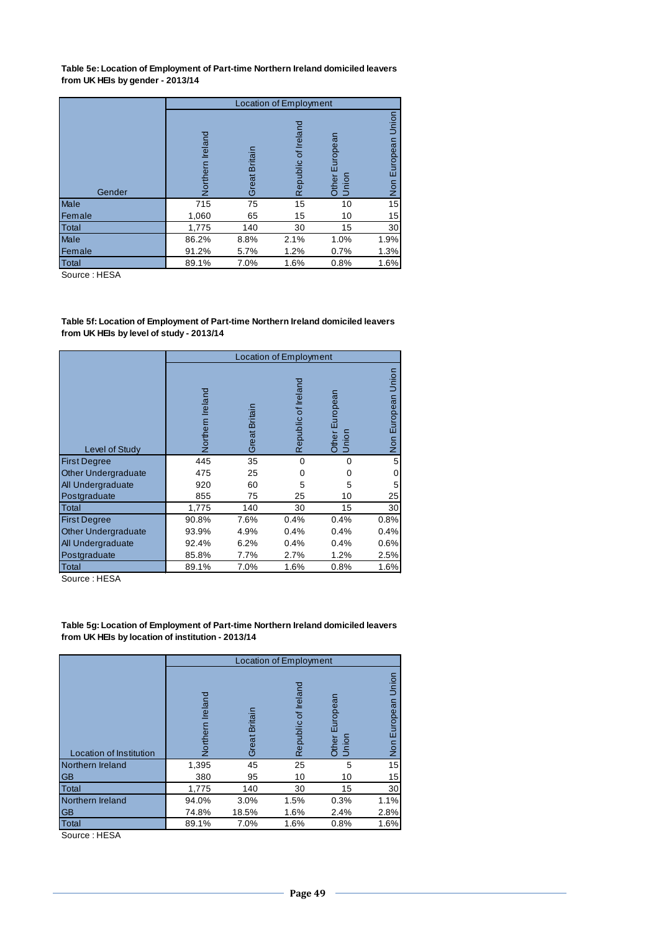**Table 5e: Location of Employment of Part-time Northern Ireland domiciled leavers from UK HEIs by gender - 2013/14**

|              |                     |               | <b>Location of Employment</b> |                            |                                    |
|--------------|---------------------|---------------|-------------------------------|----------------------------|------------------------------------|
| Gender       | Ireland<br>Northern | Great Britain | Republic of Irelan            | European<br>Union<br>Other | Union<br>European<br>$\frac{5}{2}$ |
| Male         | 715                 | 75            | 15                            | 10                         | 15                                 |
| Female       | 1,060               | 65            | 15                            | 10                         | 15                                 |
| <b>Total</b> | 1,775               | 140           | 30                            | 15                         | 30                                 |
| <b>Male</b>  | 86.2%               | 8.8%          | 2.1%                          | 1.0%                       | 1.9%                               |
| Female       | 91.2%               | 5.7%          | 1.2%                          | 0.7%                       | 1.3%                               |
| <b>Total</b> | 89.1%               | 7.0%          | 1.6%                          | 0.8%                       | 1.6%                               |

Source : HESA

**Table 5f: Location of Employment of Part-time Northern Ireland domiciled leavers from UK HEIs by level of study - 2013/14**

|                            |                  |               | <b>Location of Employment</b> |                         |                    |
|----------------------------|------------------|---------------|-------------------------------|-------------------------|--------------------|
| Level of Study             | Northern Ireland | Great Britain | Republic of Ireland           | Other European<br>Union | Non European Union |
| <b>First Degree</b>        | 445              | 35            | $\Omega$                      | $\Omega$                | 5                  |
| <b>Other Undergraduate</b> | 475              | 25            | ∩                             | O                       | O                  |
| All Undergraduate          | 920              | 60            | 5                             | 5                       | 5                  |
| Postgraduate               | 855              | 75            | 25                            | 10                      | 25                 |
| Total                      | 1,775            | 140           | 30                            | 15                      | 30                 |
| <b>First Degree</b>        | 90.8%            | 7.6%          | 0.4%                          | 0.4%                    | 0.8%               |
| Other Undergraduate        | 93.9%            | 4.9%          | 0.4%                          | 0.4%                    | 0.4%               |
| All Undergraduate          | 92.4%            | 6.2%          | 0.4%                          | 0.4%                    | 0.6%               |
| Postgraduate               | 85.8%            | 7.7%          | 2.7%                          | 1.2%                    | 2.5%               |
| Total                      | 89.1%            | 7.0%          | 1.6%                          | 0.8%                    | 1.6%               |

Source : HESA

**Table 5g: Location of Employment of Part-time Northern Ireland domiciled leavers from UK HEIs by location of institution - 2013/14**

|                         |                     |               | <b>Location of Employment</b> |                                 |                                    |
|-------------------------|---------------------|---------------|-------------------------------|---------------------------------|------------------------------------|
| Location of Institution | Ireland<br>Northern | Great Britain | Republic of Ireland           | ropean<br><b>Other</b><br>Union | Union<br>European<br>$\frac{5}{2}$ |
| Northern Ireland        | 1,395               | 45            | 25                            | 5                               | 15                                 |
| <b>GB</b>               | 380                 | 95            | 10                            | 10                              | 15                                 |
| <b>Total</b>            | 1,775               | 140           | 30                            | 15                              | 30                                 |
| Northern Ireland        | 94.0%               | 3.0%          | 1.5%                          | 0.3%                            | 1.1%                               |
| <b>GB</b>               | 74.8%               | 18.5%         | 1.6%                          | 2.4%                            | 2.8%                               |
| <b>Total</b>            | 89.1%               | 7.0%          | 1.6%                          | 0.8%                            | 1.6%                               |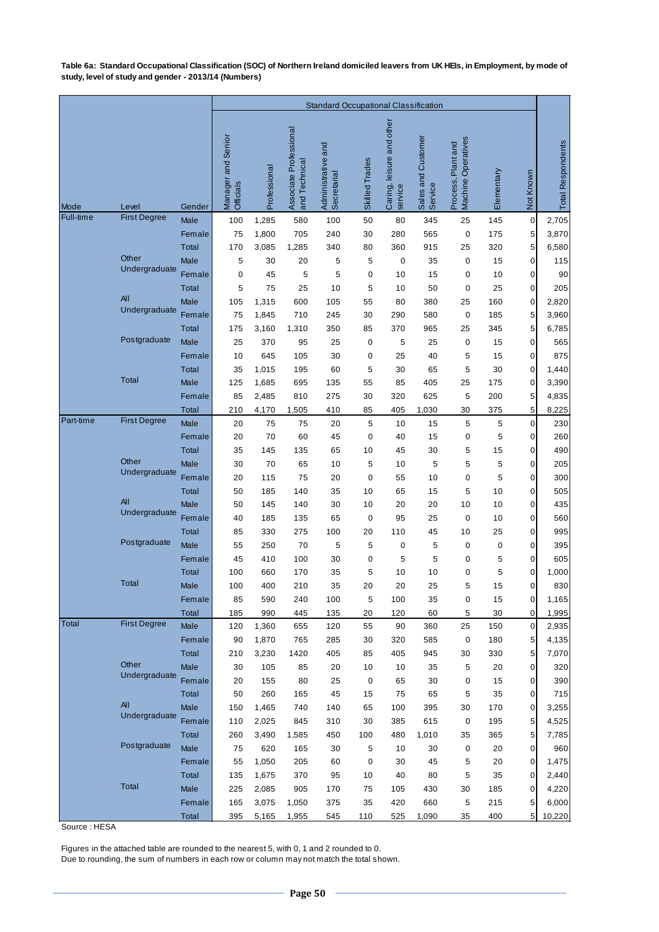**Table 6a: Standard Occupational Classification (SOC) of Northern Ireland domiciled leavers from UK HEIs, in Employment, by mode of study, level of study and gender - 2013/14 (Numbers)**

|           |                        |                             | <b>Standard Occupational Classification</b> |                |                                         |                                   |                |                                      |                               |                                          |            |                  |                          |
|-----------|------------------------|-----------------------------|---------------------------------------------|----------------|-----------------------------------------|-----------------------------------|----------------|--------------------------------------|-------------------------------|------------------------------------------|------------|------------------|--------------------------|
| Mode      | Level                  | Gender                      | Manager and Senior<br>Officials             | Professional   | Associate Professional<br>and Technical | Administrative and<br>Secretarial | Skilled Trades | Caring, leisure and other<br>service | Sales and Customer<br>Service | Machine Operatives<br>Process, Plant and | Elementary | Not Known        | <b>Total Respondents</b> |
| Full-time | <b>First Degree</b>    | Male                        | 100                                         | 1,285          | 580                                     | 100                               | 50             | 80                                   | 345                           | 25                                       | 145        | $\boldsymbol{0}$ | 2,705                    |
|           |                        | Female                      | 75                                          | 1,800          | 705                                     | 240                               | 30             | 280                                  | 565                           | $\mathbf 0$                              | 175        | 5                | 3,870                    |
|           |                        | <b>Total</b>                | 170                                         | 3,085          | 1,285                                   | 340                               | 80             | 360                                  | 915                           | 25                                       | 320        | 5                | 6,580                    |
|           | Other<br>Undergraduate | Male                        | 5                                           | 30             | 20                                      | 5                                 | 5              | $\pmb{0}$                            | 35                            | 0                                        | 15         | $\pmb{0}$        | 115                      |
|           |                        | Female                      | $\mathbf 0$                                 | 45             | 5                                       | 5                                 | 0              | 10                                   | 15                            | 0                                        | 10         | 0                | 90                       |
|           |                        | <b>Total</b>                | 5                                           | 75             | 25                                      | 10                                | 5              | 10                                   | 50                            | 0                                        | 25         | 0                | 205                      |
|           | All<br>Undergraduate   | Male                        | 105                                         | 1,315          | 600                                     | 105                               | 55             | 80                                   | 380                           | 25                                       | 160        | 0                | 2,820                    |
|           |                        | Female                      | 75                                          | 1,845          | 710                                     | 245                               | 30             | 290                                  | 580                           | $\mathbf 0$                              | 185        | 5                | 3,960                    |
|           | Postgraduate           | <b>Total</b>                | 175                                         | 3,160          | 1,310                                   | 350                               | 85             | 370                                  | 965                           | 25                                       | 345        | 5                | 6,785                    |
|           |                        | Male                        | 25                                          | 370            | 95                                      | 25                                | 0              | 5                                    | 25                            | 0                                        | 15         | 0                | 565                      |
|           |                        | Female                      | 10                                          | 645            | 105                                     | 30                                | 0<br>5         | 25<br>30                             | 40                            | 5<br>5                                   | 15         | 0<br>0           | 875                      |
|           | <b>Total</b>           | <b>Total</b><br><b>Male</b> | 35<br>125                                   | 1,015<br>1,685 | 195<br>695                              | 60<br>135                         | 55             | 85                                   | 65<br>405                     | 25                                       | 30<br>175  | $\pmb{0}$        | 1,440<br>3,390           |
|           |                        | Female                      | 85                                          | 2,485          | 810                                     | 275                               | 30             | 320                                  | 625                           | 5                                        | 200        | 5                | 4,835                    |
|           |                        | Total                       | 210                                         | 4,170          | 1,505                                   | 410                               | 85             | 405                                  | 1,030                         | 30                                       | 375        | 5                | 8,225                    |
| Part-time | <b>First Degree</b>    | Male                        | 20                                          | 75             | 75                                      | 20                                | 5              | 10                                   | 15                            | 5                                        | 5          | $\pmb{0}$        | 230                      |
|           |                        | Female                      | 20                                          | 70             | 60                                      | 45                                | 0              | 40                                   | 15                            | 0                                        | 5          | 0                | 260                      |
|           |                        | <b>Total</b>                | 35                                          | 145            | 135                                     | 65                                | 10             | 45                                   | 30                            | 5                                        | 15         | 0                | 490                      |
|           | Other                  | Male                        | 30                                          | 70             | 65                                      | 10                                | 5              | 10                                   | 5                             | 5                                        | 5          | 0                | 205                      |
|           | Undergraduate          | Female                      | 20                                          | 115            | 75                                      | 20                                | 0              | 55                                   | 10                            | 0                                        | 5          | 0                | 300                      |
|           |                        | <b>Total</b>                | 50                                          | 185            | 140                                     | 35                                | 10             | 65                                   | 15                            | 5                                        | 10         | 0                | 505                      |
|           | All                    | Male                        | 50                                          | 145            | 140                                     | 30                                | 10             | 20                                   | 20                            | 10                                       | 10         | 0                | 435                      |
|           | Undergraduate          | Female                      | 40                                          | 185            | 135                                     | 65                                | $\mathbf 0$    | 95                                   | 25                            | 0                                        | 10         | 0                | 560                      |
|           |                        | <b>Total</b>                | 85                                          | 330            | 275                                     | 100                               | 20             | 110                                  | 45                            | 10                                       | 25         | 0                | 995                      |
|           | Postgraduate           | Male                        | 55                                          | 250            | 70                                      | 5                                 | 5              | 0                                    | 5                             | 0                                        | 0          | 0                | 395                      |
|           |                        | Female                      | 45                                          | 410            | 100                                     | 30                                | $\mathbf 0$    | 5                                    | 5                             | 0                                        | 5          | 0                | 605                      |
|           | <b>Total</b>           | <b>Total</b>                | 100                                         | 660            | 170                                     | 35                                | 5              | 10                                   | 10                            | 0                                        | 5          | $\mathbf 0$      | 1,000                    |
|           |                        | Male                        | 100                                         | 400            | 210                                     | 35                                | 20             | 20                                   | 25                            | 5                                        | 15         | 0                | 830                      |
|           |                        | Female                      | 85                                          | 590            | 240                                     | 100                               | 5              | 100                                  | 35                            | 0                                        | 15         | $\pmb{0}$        | 1,165                    |
| Total     | <b>First Degree</b>    | Total<br>Male               | 185                                         | 990            | 445                                     | 135                               | 20             | 120                                  | 60                            | 5<br>25                                  | 30         | 0<br>$\mathbf 0$ | 1,995                    |
|           |                        | Female                      | 120<br>90                                   | 1,360<br>1,870 | 655<br>765                              | 120<br>285                        | 55<br>30       | 90<br>320                            | 360<br>585                    | 0                                        | 150<br>180 | 5                | 2,935<br>4,135           |
|           |                        | Total                       | 210                                         | 3,230          | 1420                                    | 405                               | 85             | 405                                  | 945                           | 30                                       | 330        | 5                | 7,070                    |
|           | Other                  | Male                        | 30                                          | 105            | 85                                      | 20                                | 10             | 10                                   | 35                            | 5                                        | 20         | 0                | 320                      |
|           | Undergraduate          | Female                      | 20                                          | 155            | 80                                      | 25                                | 0              | 65                                   | 30                            | 0                                        | 15         | 0                | 390                      |
|           |                        | Total                       | 50                                          | 260            | 165                                     | 45                                | 15             | 75                                   | 65                            | 5                                        | 35         | $\mathbf 0$      | 715                      |
|           | All                    | Male                        | 150                                         | 1,465          | 740                                     | 140                               | 65             | 100                                  | 395                           | 30                                       | 170        | $\mathbf 0$      | 3,255                    |
|           | Undergraduate          | Female                      | 110                                         | 2,025          | 845                                     | 310                               | 30             | 385                                  | 615                           | 0                                        | 195        | 5                | 4,525                    |
|           |                        | Total                       | 260                                         | 3,490          | 1,585                                   | 450                               | 100            | 480                                  | 1,010                         | 35                                       | 365        | 5                | 7,785                    |
|           | Postgraduate           | Male                        | 75                                          | 620            | 165                                     | 30                                | 5              | 10                                   | 30                            | 0                                        | 20         | $\pmb{0}$        | 960                      |
|           |                        | Female                      | 55                                          | 1,050          | 205                                     | 60                                | 0              | 30                                   | 45                            | 5                                        | 20         | $\pmb{0}$        | 1,475                    |
|           |                        | Total                       | 135                                         | 1,675          | 370                                     | 95                                | 10             | 40                                   | 80                            | 5                                        | 35         | $\mathbf 0$      | 2,440                    |
|           | <b>Total</b>           | Male                        | 225                                         | 2,085          | 905                                     | 170                               | 75             | 105                                  | 430                           | 30                                       | 185        | $\mathbf 0$      | 4,220                    |
|           |                        | Female                      | 165                                         | 3,075          | 1,050                                   | 375                               | 35             | 420                                  | 660                           | 5                                        | 215        | 5                | 6,000                    |
|           |                        | Total                       | 395                                         | 5,165          | 1,955                                   | 545                               | 110            | 525                                  | 1,090                         | 35                                       | 400        | $5\overline{)}$  | 10,220                   |

Source : HESA

Figures in the attached table are rounded to the nearest 5, with 0, 1 and 2 rounded to 0.

Due to rounding, the sum of numbers in each row or column may not match the total shown.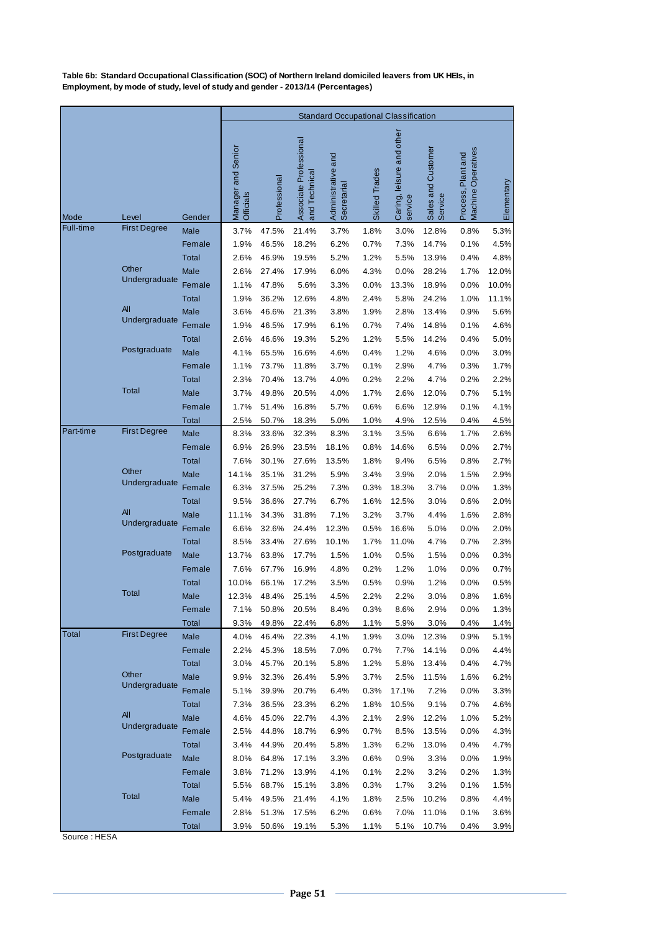**Table 6b: Standard Occupational Classification (SOC) of Northern Ireland domiciled leavers from UK HEIs, in Employment, by mode of study, level of study and gender - 2013/14 (Percentages)**

|           |                     |                 |                                 |                |                                         | <b>Standard Occupational Classification</b> |                |                                         |                               |                                          |              |
|-----------|---------------------|-----------------|---------------------------------|----------------|-----------------------------------------|---------------------------------------------|----------------|-----------------------------------------|-------------------------------|------------------------------------------|--------------|
| Mode      | Level               | Gender          | Manager and Senior<br>Officials | Professional   | Associate Professional<br>and Technical | Administrative and<br>Secretarial           | Skilled Trades | and other<br>Caring, leisure<br>service | Sales and Customer<br>Service | Process, Plant and<br>Machine Operatives | Elementary   |
| Full-time | <b>First Degree</b> | Male            | 3.7%                            | 47.5%          | 21.4%                                   | 3.7%                                        | 1.8%           | 3.0%                                    | 12.8%                         | 0.8%                                     | 5.3%         |
|           |                     | Female          | 1.9%                            | 46.5%          | 18.2%                                   | 6.2%                                        | 0.7%           | 7.3%                                    | 14.7%                         | 0.1%                                     | 4.5%         |
|           |                     | Total           | 2.6%                            | 46.9%          | 19.5%                                   | 5.2%                                        | 1.2%           | 5.5%                                    | 13.9%                         | 0.4%                                     | 4.8%         |
|           | Other               | Male            | 2.6%                            | 27.4%          | 17.9%                                   | 6.0%                                        | 4.3%           | 0.0%                                    | 28.2%                         | 1.7%                                     | 12.0%        |
|           | Undergraduate       | Female          | 1.1%                            | 47.8%          | 5.6%                                    | 3.3%                                        | 0.0%           | 13.3%                                   | 18.9%                         | 0.0%                                     | 10.0%        |
|           |                     | Total           | 1.9%                            | 36.2%          | 12.6%                                   | 4.8%                                        | 2.4%           | 5.8%                                    | 24.2%                         | 1.0%                                     | 11.1%        |
|           | All                 | Male            | 3.6%                            | 46.6%          | 21.3%                                   | 3.8%                                        | 1.9%           | 2.8%                                    | 13.4%                         | 0.9%                                     | 5.6%         |
|           | Undergraduate       | Female          | 1.9%                            | 46.5%          | 17.9%                                   | 6.1%                                        | 0.7%           | 7.4%                                    | 14.8%                         | 0.1%                                     | 4.6%         |
|           |                     | Total           | 2.6%                            | 46.6%          | 19.3%                                   | 5.2%                                        | 1.2%           | 5.5%                                    | 14.2%                         | 0.4%                                     | 5.0%         |
|           | Postgraduate        | Male            | 4.1%                            | 65.5%          | 16.6%                                   | 4.6%                                        | 0.4%           | 1.2%                                    | 4.6%                          | 0.0%                                     | 3.0%         |
|           |                     | Female          | 1.1%                            | 73.7%          | 11.8%                                   | 3.7%                                        | 0.1%           | 2.9%                                    | 4.7%                          | 0.3%                                     | 1.7%         |
|           |                     | Total           | 2.3%                            | 70.4%          | 13.7%                                   | 4.0%                                        | 0.2%           | 2.2%                                    | 4.7%                          | 0.2%                                     | 2.2%         |
|           | <b>Total</b>        | <b>Male</b>     | 3.7%                            | 49.8%          | 20.5%                                   | 4.0%                                        | 1.7%           | 2.6%                                    | 12.0%                         | 0.7%                                     | 5.1%         |
|           |                     | Female          | 1.7%                            | 51.4%          | 16.8%                                   | 5.7%                                        | 0.6%           | 6.6%                                    | 12.9%                         | 0.1%                                     | 4.1%         |
|           |                     | Total           | 2.5%                            | 50.7%          | 18.3%                                   | 5.0%                                        | 1.0%           | 4.9%                                    | 12.5%                         | 0.4%                                     | 4.5%         |
| Part-time | <b>First Degree</b> | Male            | 8.3%                            | 33.6%          | 32.3%                                   | 8.3%                                        | 3.1%           | 3.5%                                    | 6.6%                          | 1.7%                                     | 2.6%         |
|           |                     | Female          | 6.9%                            | 26.9%          | 23.5%                                   | 18.1%                                       | 0.8%           | 14.6%                                   | 6.5%                          | 0.0%                                     | 2.7%         |
|           |                     | Total           | 7.6%                            | 30.1%          | 27.6%                                   | 13.5%                                       | 1.8%           | 9.4%                                    | 6.5%                          | 0.8%                                     | 2.7%         |
|           | Other               | Male            | 14.1%                           | 35.1%          | 31.2%                                   | 5.9%                                        | 3.4%           | 3.9%                                    | 2.0%                          | 1.5%                                     | 2.9%         |
|           | Undergraduate       | Female          | 6.3%                            | 37.5%          | 25.2%                                   | 7.3%                                        | 0.3%           | 18.3%                                   | 3.7%                          | 0.0%                                     | 1.3%         |
|           |                     | Total           | 9.5%                            | 36.6%          | 27.7%                                   | 6.7%                                        | 1.6%           | 12.5%                                   | 3.0%                          | 0.6%                                     | 2.0%         |
|           | All                 | <b>Male</b>     | 11.1%                           | 34.3%          | 31.8%                                   | 7.1%                                        | 3.2%           | 3.7%                                    | 4.4%                          | 1.6%                                     | 2.8%         |
|           | Undergraduate       | Female          | 6.6%                            | 32.6%          | 24.4%                                   | 12.3%                                       | 0.5%           | 16.6%                                   | 5.0%                          | 0.0%                                     | 2.0%         |
|           |                     | <b>Total</b>    | 8.5%                            | 33.4%          | 27.6%                                   | 10.1%                                       | 1.7%           | 11.0%                                   | 4.7%                          | 0.7%                                     | 2.3%         |
|           | Postgraduate        | Male            | 13.7%                           | 63.8%          | 17.7%                                   | 1.5%                                        | 1.0%           | 0.5%                                    | 1.5%                          | 0.0%                                     | 0.3%         |
|           |                     | Female          | 7.6%                            | 67.7%          | 16.9%                                   | 4.8%                                        | 0.2%           | 1.2%                                    | 1.0%                          | 0.0%                                     | 0.7%         |
|           |                     | Total           | 10.0%                           | 66.1%          | 17.2%                                   | 3.5%                                        | 0.5%           | 0.9%                                    | 1.2%                          | 0.0%                                     | 0.5%         |
|           | Total               | Male            | 12.3%                           | 48.4%          | 25.1%                                   | 4.5%                                        | 2.2%           | 2.2%                                    | 3.0%                          | 0.8%                                     | 1.6%         |
|           |                     | Female          | 7.1%                            | 50.8%          | 20.5%                                   | 8.4%                                        | 0.3%           | 8.6%                                    | 2.9%                          | 0.0%                                     | 1.3%         |
|           |                     | Total           | 9.3%                            | 49.8%          | 22.4%                                   | 6.8%                                        | 1.1%           | 5.9%                                    | 3.0%                          | 0.4%                                     | 1.4%         |
| Total     | <b>First Degree</b> | Male            | 4.0%                            | 46.4%          | 22.3%                                   | 4.1%                                        | 1.9%           | 3.0%                                    | 12.3%                         | 0.9%                                     | 5.1%         |
|           |                     | Female          | 2.2%                            | 45.3%          | 18.5%                                   | 7.0%                                        | 0.7%           | 7.7%                                    | 14.1%                         | 0.0%                                     | 4.4%         |
|           | Other               | <b>Total</b>    | 3.0%                            | 45.7%          | 20.1%                                   | 5.8%                                        | 1.2%           | 5.8%                                    | 13.4%                         | 0.4%                                     | 4.7%         |
|           | Undergraduate       | Male            | 9.9%                            | 32.3%          | 26.4%                                   | 5.9%                                        | 3.7%           | 2.5%                                    | 11.5%                         | 1.6%                                     | 6.2%         |
|           |                     | Female          | 5.1%                            | 39.9%          | 20.7%                                   | 6.4%                                        | 0.3%           | 17.1%                                   | 7.2%                          | 0.0%                                     | 3.3%         |
|           | All                 | <b>Total</b>    | 7.3%                            | 36.5%          | 23.3%                                   | 6.2%                                        | 1.8%           | 10.5%                                   | 9.1%                          | 0.7%                                     | 4.6%         |
|           | Undergraduate       | Male            | 4.6%                            | 45.0%          | 22.7%                                   | 4.3%                                        | 2.1%           | 2.9%                                    | 12.2%                         | 1.0%                                     | 5.2%         |
|           |                     | Female          | 2.5%                            | 44.8%          | 18.7%                                   | 6.9%                                        | 0.7%           | 8.5%                                    | 13.5%                         | 0.0%                                     | 4.3%         |
|           | Postgraduate        | Total           | 3.4%                            | 44.9%          | 20.4%                                   | 5.8%                                        | 1.3%           | 6.2%                                    | 13.0%                         | 0.4%                                     | 4.7%         |
|           |                     | Male            | 8.0%                            | 64.8%          | 17.1%                                   | 3.3%                                        | 0.6%           | 0.9%                                    | 3.3%                          | 0.0%                                     | 1.9%         |
|           |                     | Female          | 3.8%                            | 71.2%          | 13.9%                                   | 4.1%                                        | 0.1%           | 2.2%                                    | 3.2%                          | 0.2%                                     | 1.3%         |
|           | Total               | Total           | 5.5%                            | 68.7%          | 15.1%                                   | 3.8%                                        | 0.3%           | 1.7%                                    | 3.2%                          | 0.1%                                     | 1.5%         |
|           |                     | Male            | 5.4%                            | 49.5%          | 21.4%                                   | 4.1%                                        | 1.8%           | 2.5%                                    | 10.2%                         | 0.8%                                     | 4.4%         |
|           |                     | Female<br>Total | 2.8%<br>3.9%                    | 51.3%<br>50.6% | 17.5%<br>19.1%                          | 6.2%<br>5.3%                                | 0.6%<br>1.1%   | 7.0%<br>5.1%                            | 11.0%<br>10.7%                | 0.1%<br>0.4%                             | 3.6%<br>3.9% |
|           |                     |                 |                                 |                |                                         |                                             |                |                                         |                               |                                          |              |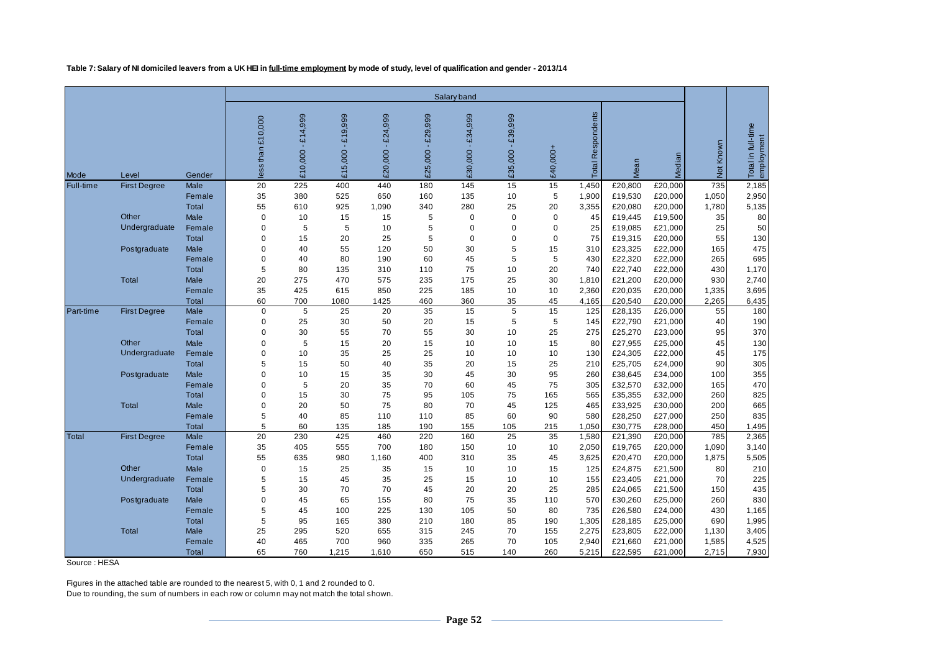**Table 7: Salary of NI domiciled leavers from a UK HEI in full-time employment by mode of study, level of qualification and gender - 2013/14**

|                  |                     |              | Salary band      |                    |                                    |                   |                   |                    |                       |             |                      |         |         |           |                                  |
|------------------|---------------------|--------------|------------------|--------------------|------------------------------------|-------------------|-------------------|--------------------|-----------------------|-------------|----------------------|---------|---------|-----------|----------------------------------|
| Mode             | Level               | Gender       | ess than £10,000 | £14,999<br>£10,000 | £19,999<br>5,000<br>$\mathfrak{L}$ | £20,000 - £24,999 | £25,000 - £29,999 | £34,999<br>£30,000 | $-£39,999$<br>£35,000 | £40,000+    | Respondents<br>Total | Mean    | Median  | Not Known | Total in full-time<br>employment |
| <b>Full-time</b> | <b>First Degree</b> | Male         | 20               | 225                | 400                                | 440               | 180               | 145                | 15                    | 15          | 1,450                | £20,800 | £20,000 | 735       | 2,185                            |
|                  |                     | Female       | 35               | 380                | 525                                | 650               | 160               | 135                | 10                    | 5           | 1,900                | £19,530 | £20,000 | 1,050     | 2,950                            |
|                  |                     | Total        | 55               | 610                | 925                                | 1,090             | 340               | 280                | 25                    | 20          | 3,355                | £20,080 | £20,000 | 1,780     | 5,135                            |
|                  | Other               | Male         | 0                | 10                 | 15                                 | 15                | 5                 | $\pmb{0}$          | $\mathbf 0$           | $\mathbf 0$ | 45                   | £19,445 | £19,500 | 35        | 80                               |
|                  | Undergraduate       | Female       | $\Omega$         | 5                  | 5                                  | 10                | 5                 | $\Omega$           | $\mathbf 0$           | $\mathbf 0$ | 25                   | £19,085 | £21,000 | 25        | 50                               |
|                  |                     | Total        | $\Omega$         | 15                 | 20                                 | 25                | 5                 | $\mathbf 0$        | $\mathbf 0$           | $\mathbf 0$ | 75                   | £19,315 | £20,000 | 55        | 130                              |
|                  | Postgraduate        | Male         | $\mathbf 0$      | 40                 | 55                                 | 120               | 50                | 30                 | 5                     | 15          | 310                  | £23,325 | £22,000 | 165       | 475                              |
|                  |                     | Female       | $\Omega$         | 40                 | 80                                 | 190               | 60                | 45                 | 5                     | 5           | 430                  | £22,320 | £22,000 | 265       | 695                              |
|                  |                     | Total        | 5                | 80                 | 135                                | 310               | 110               | 75                 | 10                    | 20          | 740                  | £22,740 | £22,000 | 430       | 1,170                            |
|                  | Total               | Male         | 20               | 275                | 470                                | 575               | 235               | 175                | 25                    | 30          | 1,810                | £21,200 | £20,000 | 930       | 2,740                            |
|                  |                     | Female       | 35               | 425                | 615                                | 850               | 225               | 185                | 10                    | 10          | 2,360                | £20,035 | £20,000 | 1,335     | 3,695                            |
|                  |                     | <b>Total</b> | 60               | 700                | 1080                               | 1425              | 460               | 360                | 35                    | 45          | 4,165                | £20,540 | £20,000 | 2,265     | 6,435                            |
| Part-time        | <b>First Degree</b> | Male         | $\mathbf 0$      | 5                  | $\overline{25}$                    | 20                | 35                | 15                 | 5                     | 15          | $\frac{125}{2}$      | £28,135 | £26,000 | 55        | 180                              |
|                  |                     | Female       | 0                | 25                 | 30                                 | 50                | 20                | 15                 | 5                     | $\sqrt{5}$  | 145                  | £22,790 | £21,000 | 40        | 190                              |
|                  |                     | <b>Total</b> | $\Omega$         | 30                 | 55                                 | 70                | 55                | 30                 | 10                    | 25          | 275                  | £25,270 | £23,000 | 95        | 370                              |
|                  | Other               | Male         | $\mathbf 0$      | 5                  | 15                                 | 20                | 15                | 10                 | 10                    | 15          | 80                   | £27,955 | £25,000 | 45        | 130                              |
|                  | Undergraduate       | Female       | $\Omega$         | 10                 | 35                                 | 25                | 25                | 10                 | 10                    | 10          | 130                  | £24,305 | £22,000 | 45        | 175                              |
|                  |                     | Total        | 5                | 15                 | 50                                 | 40                | 35                | 20                 | 15                    | 25          | 210                  | £25,705 | £24,000 | 90        | 305                              |
|                  | Postgraduate        | Male         | $\Omega$         | 10                 | 15                                 | 35                | 30                | 45                 | 30                    | 95          | 260                  | £38,645 | £34,000 | 100       | 355                              |
|                  |                     | Female       | $\Omega$         | 5                  | 20                                 | 35                | 70                | 60                 | 45                    | 75          | 305                  | £32,570 | £32,000 | 165       | 470                              |
|                  |                     | Total        | $\Omega$         | 15                 | 30                                 | 75                | 95                | 105                | 75                    | 165         | 565                  | £35,355 | £32,000 | 260       | 825                              |
|                  | Total               | Male         | $\Omega$         | 20                 | 50                                 | 75                | 80                | 70                 | 45                    | 125         | 465                  | £33,925 | £30,000 | 200       | 665                              |
|                  |                     | Female       | 5                | 40                 | 85                                 | 110               | 110               | 85                 | 60                    | 90          | 580                  | £28,250 | £27,000 | 250       | 835                              |
|                  |                     | Total        | 5                | 60                 | 135                                | 185               | 190               | 155                | 105                   | 215         | 1,050                | £30,775 | £28,000 | 450       | 1,495                            |
| Total            | <b>First Degree</b> | Male         | 20               | 230                | 425                                | 460               | 220               | 160                | 25                    | 35          | 1,580                | £21,390 | £20,000 | 785       | 2,365                            |
|                  |                     | Female       | 35               | 405                | 555                                | 700               | 180               | 150                | 10                    | 10          | 2,050                | £19,765 | £20,000 | 1,090     | 3,140                            |
|                  |                     | <b>Total</b> | 55               | 635                | 980                                | 1,160             | 400               | 310                | 35                    | 45          | 3,625                | £20,470 | £20,000 | 1,875     | 5,505                            |
|                  | Other               | Male         | $\mathbf 0$      | 15                 | 25                                 | 35                | 15                | 10                 | 10                    | 15          | 125                  | £24,875 | £21,500 | 80        | 210                              |
|                  | Undergraduate       | Female       | 5                | 15                 | 45                                 | 35                | 25                | 15                 | 10                    | 10          | 155                  | £23,405 | £21,000 | 70        | 225                              |
|                  |                     | <b>Total</b> | 5                | 30                 | 70                                 | 70                | 45                | 20                 | 20                    | 25          | 285                  | £24,065 | £21,500 | 150       | 435                              |
|                  | Postgraduate        | Male         | $\Omega$         | 45                 | 65                                 | 155               | 80                | 75                 | 35                    | 110         | 570                  | £30,260 | £25,000 | 260       | 830                              |
|                  |                     | Female       | 5                | 45                 | 100                                | 225               | 130               | 105                | 50                    | 80          | 735                  | £26,580 | £24,000 | 430       | 1,165                            |
|                  |                     | <b>Total</b> | 5                | 95                 | 165                                | 380               | 210               | 180                | 85                    | 190         | 1,305                | £28,185 | £25,000 | 690       | 1,995                            |
|                  | <b>Total</b>        | Male         | 25               | 295                | 520<br>700                         | 655               | 315               | 245                | 70                    | 155         | 2,275                | £23,805 | £22,000 | 1,130     | 3,405                            |
|                  |                     | Female       | 40               | 465                |                                    | 960               | 335               | 265                | 70                    | 105         | 2,940                | £21,660 | £21,000 | 1,585     | 4,525                            |
|                  |                     | <b>Total</b> | 65               | 760                | 1,215                              | 1,610             | 650               | 515                | 140                   | 260         | 5,215                | £22,595 | £21,000 | 2,715     | 7,930                            |

Source : HESA

Figures in the attached table are rounded to the nearest 5, with 0, 1 and 2 rounded to 0.

Due to rounding, the sum of numbers in each row or column may not match the total shown.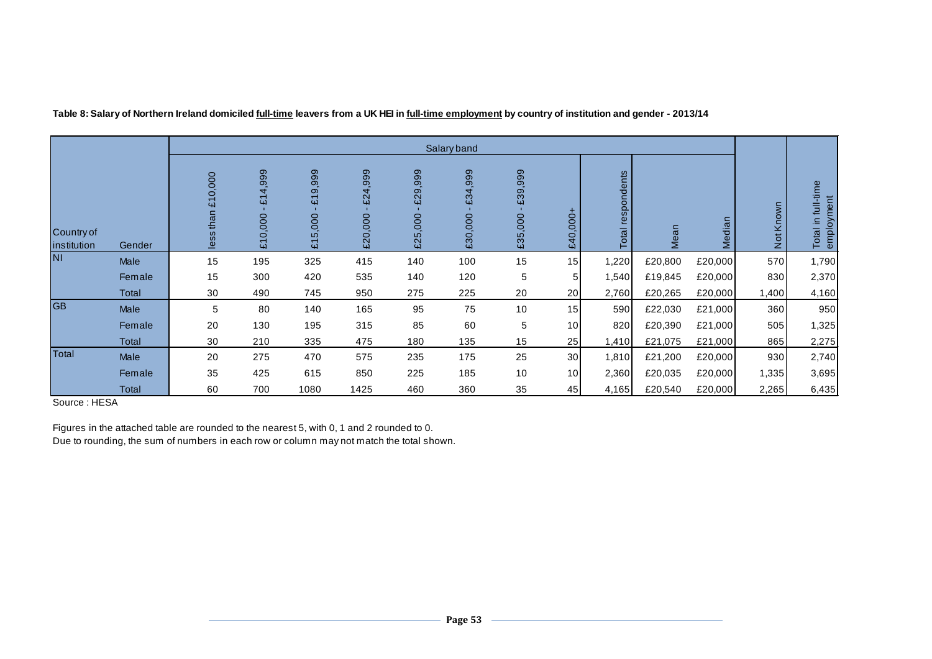|                           |             |                                                 |                                             |                                                                                              |                          |                                               | Salary band           |                    |              |                      |         |         |            |                                     |
|---------------------------|-------------|-------------------------------------------------|---------------------------------------------|----------------------------------------------------------------------------------------------|--------------------------|-----------------------------------------------|-----------------------|--------------------|--------------|----------------------|---------|---------|------------|-------------------------------------|
| Country of<br>institution | Gender      | 000,<br>$\circ$<br>$\overline{u}$<br>than<br>ës | 4,999<br>$\overline{\mathbf{u}}$<br>£10,000 | 999<br>တ<br>$\overline{\phantom{0}}$<br>$\overline{u}$<br>5,000<br>$\overline{\mathfrak{L}}$ | 999<br>4<br>ଅ<br>£20,000 | ,999<br>$\sigma$<br>$\tilde{E}$<br>000<br>£25 | 999<br>£34<br>£30,000 | £39,999<br>£35,000 | ٠<br>£40,000 | respondents<br>Total | Mean    | Median  | Known<br>ă | full-time<br>employment<br>Total in |
| <b>NI</b>                 | Male        | 15                                              | 195                                         | 325                                                                                          | 415                      | 140                                           | 100                   | 15                 | 15           | 1,220                | £20,800 | £20,000 | 570        | 1,790                               |
|                           | Female      | 15                                              | 300                                         | 420                                                                                          | 535                      | 140                                           | 120                   | 5                  | 5            | 1,540                | £19,845 | £20,000 | 830        | 2,370                               |
|                           | Total       | 30                                              | 490                                         | 745                                                                                          | 950                      | 275                                           | 225                   | 20                 | 20           | 2,760                | £20,265 | £20,000 | 1,400      | 4,160                               |
| <b>GB</b>                 | <b>Male</b> | 5                                               | 80                                          | 140                                                                                          | 165                      | 95                                            | 75                    | 10                 | 15           | 590                  | £22,030 | £21,000 | 360        | 950                                 |
|                           | Female      | 20                                              | 130                                         | 195                                                                                          | 315                      | 85                                            | 60                    | 5                  | 10           | 820                  | £20,390 | £21,000 | 505        | 1,325                               |
|                           | Total       | 30                                              | 210                                         | 335                                                                                          | 475                      | 180                                           | 135                   | 15                 | 25           | 1,410                | £21,075 | £21,000 | 865        | 2,275                               |
| Total                     | Male        | 20                                              | 275                                         | 470                                                                                          | 575                      | 235                                           | 175                   | 25                 | 30           | 1,810                | £21,200 | £20,000 | 930        | 2,740                               |
|                           | Female      | 35                                              | 425                                         | 615                                                                                          | 850                      | 225                                           | 185                   | 10                 | 10           | 2,360                | £20,035 | £20,000 | 1,335      | 3,695                               |
|                           | Total       | 60                                              | 700                                         | 1080                                                                                         | 1425                     | 460                                           | 360                   | 35                 | 45           | 4,165                | £20,540 | £20,000 | 2,265      | 6,435                               |

**Table 8: Salary of Northern Ireland domiciled full-time leavers from a UK HEI in full-time employment by country of institution and gender - 2013/14**

Source : HESA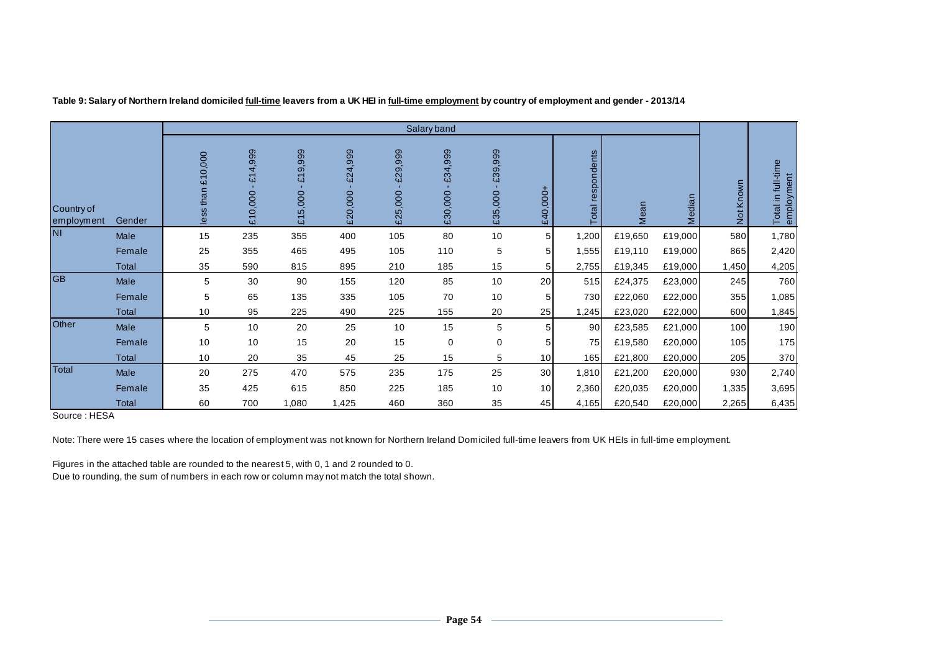|                          |              |                   |                                    |                                                  |                    |                    | Salary band        |                    |                 |                   |         |         |           |                                     |
|--------------------------|--------------|-------------------|------------------------------------|--------------------------------------------------|--------------------|--------------------|--------------------|--------------------|-----------------|-------------------|---------|---------|-----------|-------------------------------------|
| Country of<br>employment | Gender       | less than £10,000 | £14,999<br>$\mathbf{r}$<br>£10,000 | 9,999<br>$\overline{\mathcal{L}}$<br>,000<br>£15 | £24,999<br>£20,000 | £29,999<br>£25,000 | £34,999<br>£30,000 | £39,999<br>£35,000 | $-0001$<br>£40  | Total respondents | Mean    | Median  | Not Known | full-time<br>employment<br>Total in |
| <b>NI</b>                | Male         | 15                | 235                                | 355                                              | 400                | 105                | 80                 | 10                 | 5 <sup>1</sup>  | 1,200             | £19,650 | £19,000 | 580       | 1,780                               |
|                          | Female       | 25                | 355                                | 465                                              | 495                | 105                | 110                | 5                  | 5 <sup>1</sup>  | 1,555             | £19,110 | £19,000 | 865       | 2,420                               |
|                          | <b>Total</b> | 35                | 590                                | 815                                              | 895                | 210                | 185                | 15                 | 5               | 2,755             | £19,345 | £19,000 | 1,450     | 4,205                               |
| <b>GB</b>                | Male         | 5                 | 30                                 | 90                                               | 155                | 120                | 85                 | 10                 | 20              | 515               | £24,375 | £23,000 | 245       | 760                                 |
|                          | Female       | 5                 | 65                                 | 135                                              | 335                | 105                | 70                 | 10                 | 5 <sup>1</sup>  | 730               | £22,060 | £22,000 | 355       | 1,085                               |
|                          | Total        | 10                | 95                                 | 225                                              | 490                | 225                | 155                | 20                 | 25              | 1,245             | £23,020 | £22,000 | 600       | 1,845                               |
| Other                    | <b>Male</b>  | 5                 | 10                                 | 20                                               | 25                 | 10                 | 15                 | 5                  | 5 <sup>1</sup>  | 90                | £23,585 | £21,000 | 100       | 190                                 |
|                          | Female       | 10                | 10                                 | 15                                               | 20                 | 15                 | 0                  | 0                  | 5 <sup>1</sup>  | 75                | £19,580 | £20,000 | 105       | 175                                 |
|                          | Total        | 10                | 20                                 | 35                                               | 45                 | 25                 | 15                 | 5                  | 10 <sup>1</sup> | 165               | £21,800 | £20,000 | 205       | 370                                 |
| <b>Total</b>             | Male         | 20                | 275                                | 470                                              | 575                | 235                | 175                | 25                 | 30 <sup>1</sup> | 1,810             | £21,200 | £20,000 | 930       | 2,740                               |
|                          | Female       | 35                | 425                                | 615                                              | 850                | 225                | 185                | 10                 | 10 <sup>1</sup> | 2,360             | £20,035 | £20,000 | 1,335     | 3,695                               |
|                          | Total        | 60                | 700                                | 1,080                                            | 1,425              | 460                | 360                | 35                 | 45              | 4,165             | £20,540 | £20,000 | 2,265     | 6,435                               |

**Table 9: Salary of Northern Ireland domiciled full-time leavers from a UK HEI in full-time employment by country of employment and gender - 2013/14**

Source : HESA

Note: There were 15 cases where the location of employment was not known for Northern Ireland Domiciled full-time leavers from UK HEIs in full-time employment.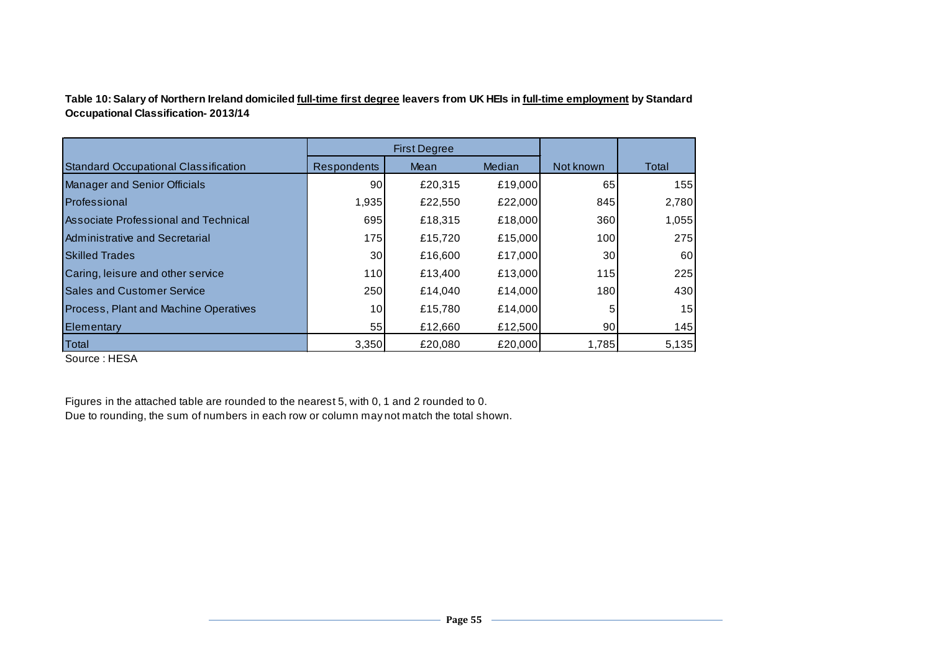**Table 10: Salary of Northern Ireland domiciled full-time first degree leavers from UK HEIs in full-time employment by Standard Occupational Classification- 2013/14**

|                                              |                    | <b>First Degree</b> |         |                 |       |
|----------------------------------------------|--------------------|---------------------|---------|-----------------|-------|
| <b>Standard Occupational Classification</b>  | <b>Respondents</b> | Mean                | Median  | Not known       | Total |
| <b>Manager and Senior Officials</b>          | 90                 | £20,315             | £19,000 | 65              | 155   |
| Professional                                 | 1,935              | £22,550             | £22,000 | 845             | 2,780 |
| <b>Associate Professional and Technical</b>  | 695                | £18,315             | £18,000 | 360             | 1,055 |
| Administrative and Secretarial               | 175                | £15,720             | £15,000 | 100             | 275   |
| <b>Skilled Trades</b>                        | 30 <sup>1</sup>    | £16,600             | £17,000 | 30 <sup>°</sup> | 60    |
| Caring, leisure and other service            | 110                | £13,400             | £13,000 | 115             | 225   |
| <b>Sales and Customer Service</b>            | 250                | £14,040             | £14,000 | 180             | 430   |
| <b>Process, Plant and Machine Operatives</b> | 10 <sup>1</sup>    | £15,780             | £14,000 | 5               | 15    |
| <b>Elementary</b>                            | 55                 | £12,660             | £12,500 | 90              | 145   |
| Total                                        | 3,350              | £20,080             | £20,000 | 1,785           | 5,135 |

Source : HESA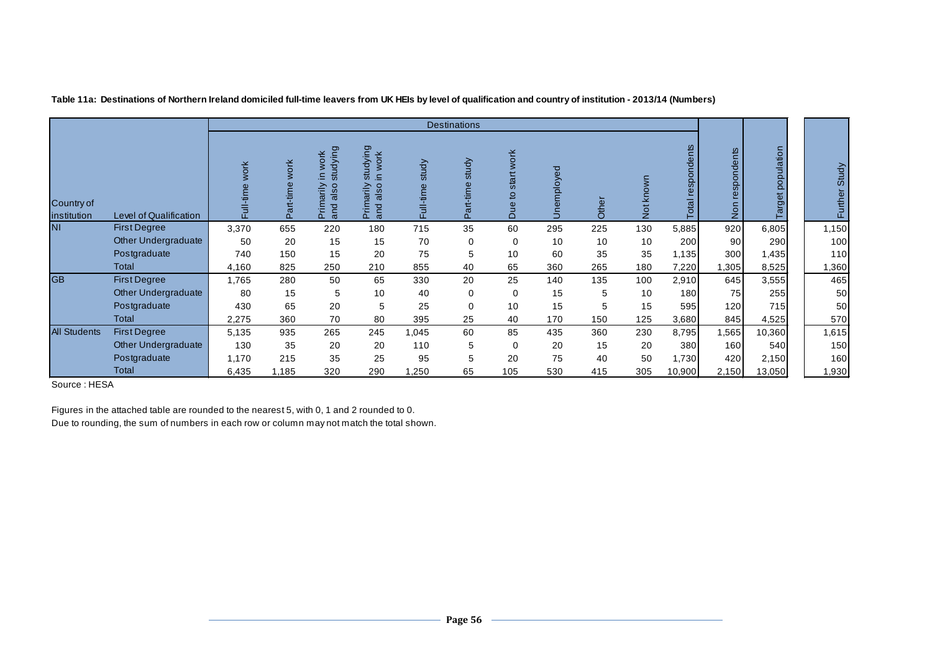|                           |                               |                   |                          |                                                                    |                                                           |                                       | <b>Destinations</b> |                                        |                    |                                               |           |                      |                      |                   |                   |
|---------------------------|-------------------------------|-------------------|--------------------------|--------------------------------------------------------------------|-----------------------------------------------------------|---------------------------------------|---------------------|----------------------------------------|--------------------|-----------------------------------------------|-----------|----------------------|----------------------|-------------------|-------------------|
| Country of<br>institution | <b>Level of Qualification</b> | work<br>Full-time | <b>WOrk</b><br>Part-time | studying<br>work<br>rimarily<br>SO <sub>1</sub><br>ಹ<br>and<br>άĒ. | studying<br>work<br>≘<br>also<br>marily<br>and<br>Ξ<br>n. | study<br>$\mathbf{d}$<br>im<br>F<br>Ē | study<br>n.         | work<br>start<br>q<br>Ф<br>∍<br>$\Box$ | ್ಥಾ<br>employ<br>Š | $\overline{\omega}$<br>$\check{\bar{\sigma}}$ | Not known | respondents<br>Total | spondents<br>உ<br>ē, | Target population | Study<br>the<br>군 |
| <b>NI</b>                 | <b>First Degree</b>           | 3,370             | 655                      | 220                                                                | 180                                                       | 715                                   | 35                  | 60                                     | 295                | 225                                           | 130       | 5,885                | 920                  | 6,805             | 1,150             |
|                           | <b>Other Undergraduate</b>    | 50                | 20                       | 15                                                                 | 15                                                        | 70                                    | 0                   | $\Omega$                               | 10                 | 10                                            | 10        | 200                  | 90                   | 290               | 100               |
|                           | Postgraduate                  | 740               | 150                      | 15                                                                 | 20                                                        | 75                                    | 5                   | 10                                     | 60                 | 35                                            | 35        | 1,135                | 300                  | 1,435             | 110               |
|                           | Total                         | 4,160             | 825                      | 250                                                                | 210                                                       | 855                                   | 40                  | 65                                     | 360                | 265                                           | 180       | 7,220                | 305                  | 8,525             | 1,360             |
| <b>GB</b>                 | <b>First Degree</b>           | 1,765             | 280                      | 50                                                                 | 65                                                        | 330                                   | 20                  | 25                                     | 140                | 135                                           | 100       | 2,910                | 645                  | 3,555             | 465               |
|                           | <b>Other Undergraduate</b>    | 80                | 15                       | 5                                                                  | 10                                                        | 40                                    | 0                   | $\Omega$                               | 15                 | 5                                             | 10        | 180                  | 75                   | 255               | 50                |
|                           | Postgraduate                  | 430               | 65                       | 20                                                                 | 5                                                         | 25                                    | $\Omega$            | 10                                     | 15                 | 5                                             | 15        | 595                  | 120                  | 715               | 50                |
|                           | Total                         | 2,275             | 360                      | 70                                                                 | 80                                                        | 395                                   | 25                  | 40                                     | 170                | 150                                           | 125       | 3,680                | 845                  | 4,525             | 570               |
| <b>All Students</b>       | <b>First Degree</b>           | 5,135             | 935                      | 265                                                                | 245                                                       | 1,045                                 | 60                  | 85                                     | 435                | 360                                           | 230       | 8,795                | 1,565                | 10,360            | 1,615             |
|                           | <b>Other Undergraduate</b>    | 130               | 35                       | 20                                                                 | 20                                                        | 110                                   | 5                   | $\Omega$                               | 20                 | 15                                            | 20        | 380                  | 160                  | 540               | 150               |
|                           | Postgraduate                  | 1,170             | 215                      | 35                                                                 | 25                                                        | 95                                    | 5                   | 20                                     | 75                 | 40                                            | 50        | 1,730                | 420                  | 2,150             | 160               |
|                           | Total                         | 6,435             | 1,185                    | 320                                                                | 290                                                       | 1,250                                 | 65                  | 105                                    | 530                | 415                                           | 305       | 10,900               | 2,150                | 13,050            | 1,930             |

**Table 11a: Destinations of Northern Ireland domiciled full-time leavers from UK HEIs by level of qualification and country of institution - 2013/14 (Numbers)**

Source : HESA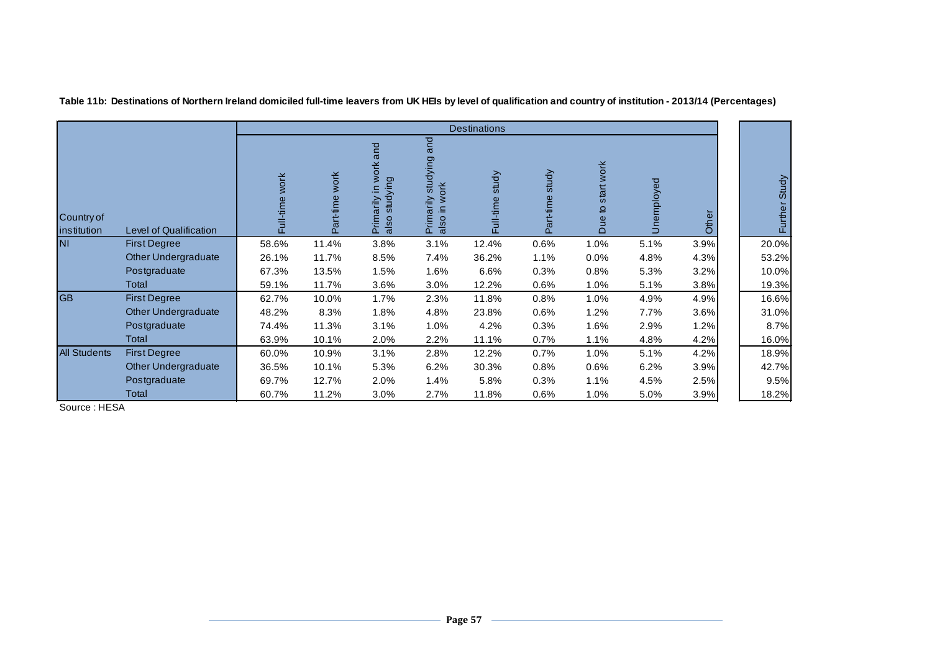|                           |                               |                          |                                          |                                                                        |                                                        | <b>Destinations</b> |                                    |                                   |          |       |               |
|---------------------------|-------------------------------|--------------------------|------------------------------------------|------------------------------------------------------------------------|--------------------------------------------------------|---------------------|------------------------------------|-----------------------------------|----------|-------|---------------|
| Country of<br>institution | <b>Level of Qualification</b> | <b>work</b><br>Full-time | <b>work</b><br>rt-time<br>$\mathbb{C}^n$ | work and<br>ying<br>₽.<br>Primarily<br>also study<br>stud <sup>-</sup> | and<br>studying<br>ŏΚ<br>Primarily<br>$\equiv$<br>also | study<br>Full-time  | study<br>rt-time<br>$\mathbb{R}^2$ | start work<br>$\overline{a}$<br>Ξ | employed | Other | Further Study |
| <b>NI</b>                 | <b>First Degree</b>           | 58.6%                    | 11.4%                                    | 3.8%                                                                   | 3.1%                                                   | 12.4%               | 0.6%                               | 1.0%                              | 5.1%     | 3.9%  | 20.0%         |
|                           | <b>Other Undergraduate</b>    | 26.1%                    | 11.7%                                    | 8.5%                                                                   | 7.4%                                                   | 36.2%               | 1.1%                               | 0.0%                              | 4.8%     | 4.3%  | 53.2%         |
|                           | Postgraduate                  | 67.3%                    | 13.5%                                    | 1.5%                                                                   | 1.6%                                                   | 6.6%                | 0.3%                               | 0.8%                              | 5.3%     | 3.2%  | 10.0%         |
|                           | Total                         | 59.1%                    | 11.7%                                    | 3.6%                                                                   | 3.0%                                                   | 12.2%               | 0.6%                               | 1.0%                              | 5.1%     | 3.8%  | 19.3%         |
| <b>GB</b>                 | <b>First Degree</b>           | 62.7%                    | 10.0%                                    | 1.7%                                                                   | 2.3%                                                   | 11.8%               | 0.8%                               | 1.0%                              | 4.9%     | 4.9%  | 16.6%         |
|                           | <b>Other Undergraduate</b>    | 48.2%                    | 8.3%                                     | 1.8%                                                                   | 4.8%                                                   | 23.8%               | 0.6%                               | 1.2%                              | 7.7%     | 3.6%  | 31.0%         |
|                           | Postgraduate                  | 74.4%                    | 11.3%                                    | 3.1%                                                                   | 1.0%                                                   | 4.2%                | 0.3%                               | 1.6%                              | 2.9%     | 1.2%  | 8.7%          |
|                           | Total                         | 63.9%                    | 10.1%                                    | 2.0%                                                                   | 2.2%                                                   | 11.1%               | 0.7%                               | 1.1%                              | 4.8%     | 4.2%  | 16.0%         |
| <b>All Students</b>       | <b>First Degree</b>           | 60.0%                    | 10.9%                                    | 3.1%                                                                   | 2.8%                                                   | 12.2%               | 0.7%                               | 1.0%                              | 5.1%     | 4.2%  | 18.9%         |
|                           | Other Undergraduate           | 36.5%                    | 10.1%                                    | 5.3%                                                                   | 6.2%                                                   | 30.3%               | 0.8%                               | 0.6%                              | 6.2%     | 3.9%  | 42.7%         |
|                           | Postgraduate                  | 69.7%                    | 12.7%                                    | 2.0%                                                                   | 1.4%                                                   | 5.8%                | 0.3%                               | 1.1%                              | 4.5%     | 2.5%  | 9.5%          |
|                           | Total                         | 60.7%                    | 11.2%                                    | 3.0%                                                                   | 2.7%                                                   | 11.8%               | 0.6%                               | 1.0%                              | 5.0%     | 3.9%  | 18.2%         |

**Table 11b: Destinations of Northern Ireland domiciled full-time leavers from UK HEIs by level of qualification and country of institution - 2013/14 (Percentages)**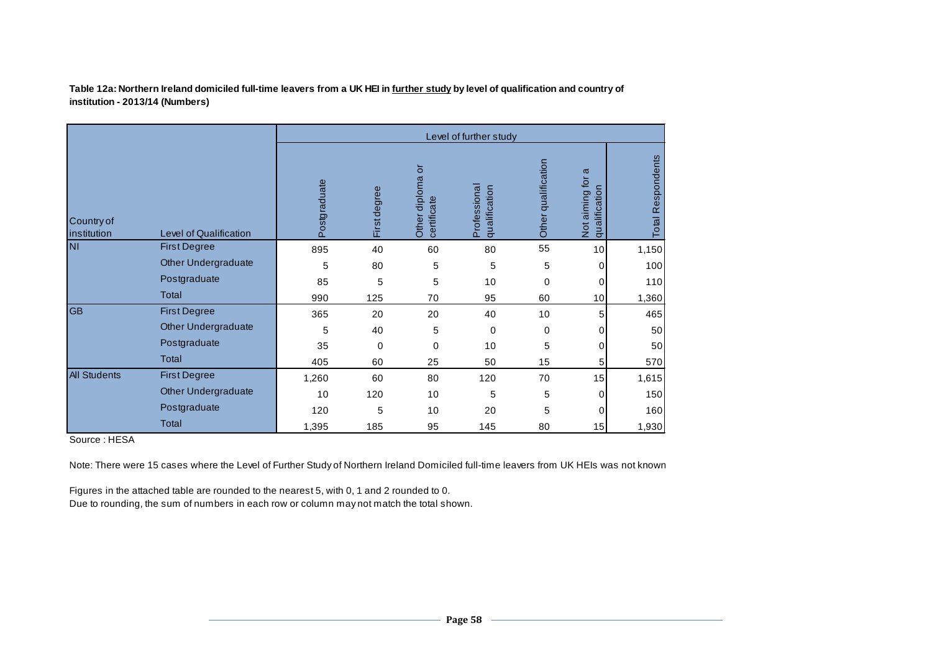**Table 12a: Northern Ireland domiciled full-time leavers from a UK HEI in further study by level of qualification and country of institution - 2013/14 (Numbers)**

|                           |                            |              |              |                                                | Level of further study        |                     |                                          |                      |
|---------------------------|----------------------------|--------------|--------------|------------------------------------------------|-------------------------------|---------------------|------------------------------------------|----------------------|
| Country of<br>institution | Level of Qualification     | Postgraduate | First degree | $\overline{5}$<br>Other diploma<br>certificate | Professional<br>qualification | Other qualification | ω<br>Not aiming for<br>ification<br>qual | Respondents<br>Total |
| <b>NI</b>                 | <b>First Degree</b>        | 895          | 40           | 60                                             | 80                            | 55                  | 10                                       | 1,150                |
|                           | <b>Other Undergraduate</b> | 5            | 80           | 5                                              | 5                             | 5                   | 0                                        | 100                  |
|                           | Postgraduate               | 85           | 5            | 5                                              | 10                            | 0                   | 0                                        | 110                  |
|                           | Total                      | 990          | 125          | 70                                             | 95                            | 60                  | 10                                       | 1,360                |
| <b>GB</b>                 | <b>First Degree</b>        | 365          | 20           | 20                                             | 40                            | 10                  | 5                                        | 465                  |
|                           | <b>Other Undergraduate</b> | 5            | 40           | 5                                              | $\mathbf 0$                   | 0                   | 0                                        | 50                   |
|                           | Postgraduate               | 35           | $\mathbf 0$  | $\mathbf 0$                                    | 10                            | 5                   | 0                                        | 50                   |
|                           | <b>Total</b>               | 405          | 60           | 25                                             | 50                            | 15                  | 5                                        | 570                  |
| <b>All Students</b>       | <b>First Degree</b>        | 1,260        | 60           | 80                                             | 120                           | 70                  | 15                                       | 1,615                |
|                           | Other Undergraduate        | 10           | 120          | 10                                             | 5                             | 5                   | 0                                        | 150                  |
|                           | Postgraduate               | 120          | 5            | 10                                             | 20                            | 5                   | 0                                        | 160                  |
|                           | <b>Total</b>               | 1,395        | 185          | 95                                             | 145                           | 80                  | 15                                       | 1,930                |

Source : HESA

Note: There were 15 cases where the Level of Further Study of Northern Ireland Domiciled full-time leavers from UK HEIs was not known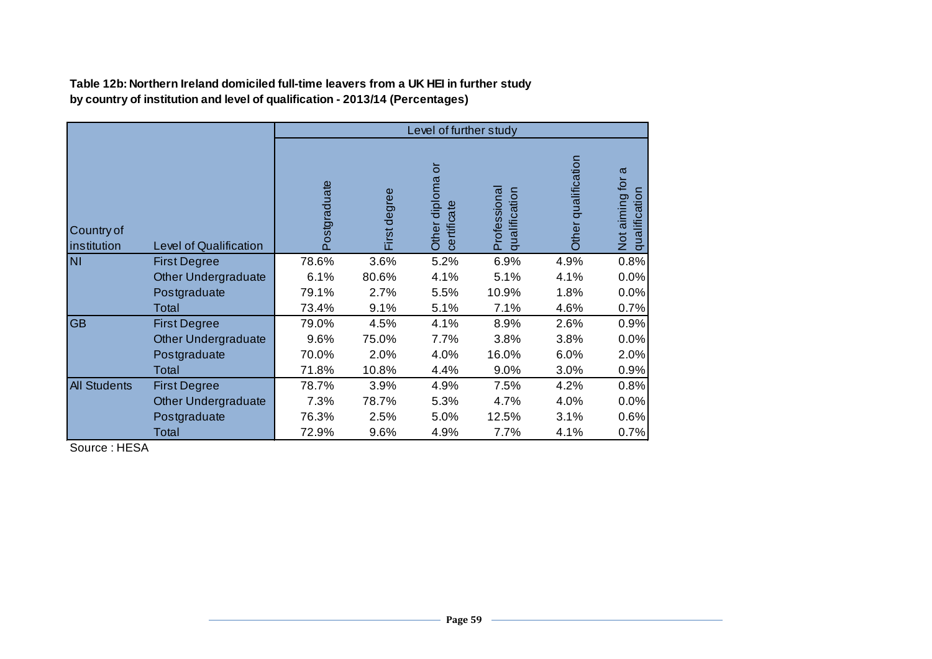**Table 12b: Northern Ireland domiciled full-time leavers from a UK HEI in further study by country of institution and level of qualification - 2013/14 (Percentages)**

|                           |                               |              |              | Level of further study            |                               |                     |                                      |
|---------------------------|-------------------------------|--------------|--------------|-----------------------------------|-------------------------------|---------------------|--------------------------------------|
| Country of<br>institution | <b>Level of Qualification</b> | Postgraduate | First degree | ៑<br>Other diploma<br>certificate | Professional<br>qualification | Other qualification | σ<br>Not aiming for<br>qualification |
| <b>NI</b>                 | <b>First Degree</b>           | 78.6%        | 3.6%         | 5.2%                              | 6.9%                          | 4.9%                | 0.8%                                 |
|                           | Other Undergraduate           | 6.1%         | 80.6%        | 4.1%                              | 5.1%                          | 4.1%                | 0.0%                                 |
|                           | Postgraduate                  | 79.1%        | 2.7%         | 5.5%                              | 10.9%                         | 1.8%                | 0.0%                                 |
|                           | Total                         | 73.4%        | 9.1%         | 5.1%                              | 7.1%                          | 4.6%                | 0.7%                                 |
| <b>GB</b>                 | <b>First Degree</b>           | 79.0%        | 4.5%         | 4.1%                              | 8.9%                          | 2.6%                | 0.9%                                 |
|                           | <b>Other Undergraduate</b>    | 9.6%         | 75.0%        | 7.7%                              | 3.8%                          | 3.8%                | 0.0%                                 |
|                           | Postgraduate                  | 70.0%        | 2.0%         | 4.0%                              | 16.0%                         | 6.0%                | 2.0%                                 |
|                           | Total                         | 71.8%        | 10.8%        | 4.4%                              | 9.0%                          | 3.0%                | 0.9%                                 |
| <b>All Students</b>       | <b>First Degree</b>           | 78.7%        | 3.9%         | 4.9%                              | 7.5%                          | 4.2%                | 0.8%                                 |
|                           | Other Undergraduate           | 7.3%         | 78.7%        | 5.3%                              | 4.7%                          | 4.0%                | 0.0%                                 |
|                           | Postgraduate                  | 76.3%        | 2.5%         | 5.0%                              | 12.5%                         | 3.1%                | 0.6%                                 |
|                           | Total                         | 72.9%        | 9.6%         | 4.9%                              | 7.7%                          | 4.1%                | 0.7%                                 |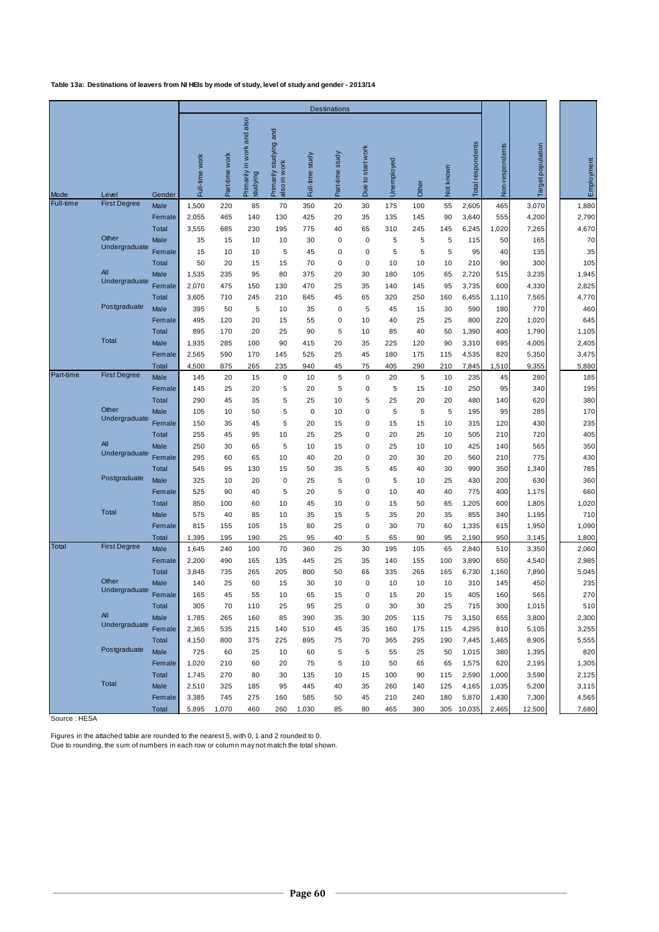**Table 13a: Destinations of leavers from NI HEIs by mode of study, level of study and gender - 2013/14**

| <b>Destinations</b>                                                                                                                                                                                       |                                |                 |                   |            |
|-----------------------------------------------------------------------------------------------------------------------------------------------------------------------------------------------------------|--------------------------------|-----------------|-------------------|------------|
| in work and also<br>Primarily studying and<br>Due to start work<br>Part-time study<br>Part-time work<br>Full-time study<br>Full-time work<br>Unemployed<br>also in work<br>Primarily<br>studying<br>Other | Total respondents<br>Not known | Non-respondents | Target population | Employment |
| Mode<br>Level<br>Gender<br>Full-time<br><b>First Degree</b><br>1,500<br>220<br>85<br>350<br>20<br>30<br>100<br>Male<br>70<br>175                                                                          | 55<br>2,605                    | 465             | 3,070             | 1,880      |
| 140<br>425<br>2,055<br>465<br>130<br>20<br>35<br>135<br>145<br>Female                                                                                                                                     | 90<br>3,640                    | 555             | 4,200             | 2,790      |
| Total<br>3,555<br>685<br>230<br>195<br>775<br>40<br>65<br>310<br>245                                                                                                                                      | 145<br>6,245                   | 1,020           | 7,265             | 4,670      |
| Other<br>5<br>Male<br>35<br>15<br>10<br>10<br>30<br>$\mathbf 0$<br>0<br>5                                                                                                                                 | 5<br>115                       | 50              | 165               | 70         |
| Undergraduate<br>Female<br>5<br>5<br>15<br>10<br>10<br>45<br>$\mathbf 0$<br>$\mathbf 0$<br>5                                                                                                              | 5<br>95                        | 40              | 135               | 35         |
| <b>Total</b><br>50<br>20<br>15<br>15<br>70<br>$\mathbf 0$<br>$\mathbf 0$<br>10<br>10                                                                                                                      | 10<br>210                      | 90              | 300               | 105        |
| <b>All</b><br>95<br>1,535<br>235<br>80<br>375<br>20<br>30<br>105<br>Male<br>180                                                                                                                           | 65<br>2,720                    | 515             | 3,235             | 1,945      |
| Undergraduate<br>Female<br>2,070<br>475<br>470<br>150<br>130<br>25<br>35<br>140<br>145                                                                                                                    | 95<br>3,735                    | 600             | 4,330             | 2,825      |
| 245<br>3,605<br>710<br>210<br>845<br>45<br>65<br>320<br>250<br><b>Total</b>                                                                                                                               | 160<br>6,455                   | 1,110           | 7,565             | 4,770      |
| Postgraduate<br>395<br>Male<br>50<br>5<br>10<br>35<br>0<br>5<br>45<br>15                                                                                                                                  | 30<br>590                      | 180             | 770               | 460        |
| 495<br>20<br>120<br>15<br>55<br>0<br>10<br>40<br>25<br>Female                                                                                                                                             | 800<br>25                      | 220             | 1,020             | 645        |
| 895<br><b>Total</b><br>170<br>20<br>25<br>90<br>5<br>10<br>85<br>40                                                                                                                                       | 50<br>1,390                    | 400             | 1,790             | 1,105      |
| <b>Total</b><br>Male<br>1,935<br>285<br>100<br>90<br>415<br>20<br>35<br>225<br>120                                                                                                                        | 90<br>3,310                    | 695             | 4,005             | 2,405      |
| Female<br>2,565<br>590<br>170<br>145<br>525<br>25<br>45<br>180<br>175                                                                                                                                     | 115<br>4,535                   | 820             | 5,350             | 3,475      |
| 4,500<br><b>Total</b><br>875<br>265<br>235<br>940<br>45<br>75<br>405<br>290                                                                                                                               | 210<br>7,845                   | 1,510           | 9,355             | 5,880      |
| Part-time<br><b>First Degree</b><br>Male<br>145<br>20<br>0<br>5<br>$\mathbf 0$<br>5<br>15<br>10<br>20                                                                                                     | 10<br>235                      | 45              | 280               | 185        |
| 25<br>5<br>5<br>5<br>145<br>20<br>20<br>0<br>15<br>Female                                                                                                                                                 | 250<br>10                      | 95              | 340               | 195        |
| 290<br>45<br>5<br>5<br><b>Total</b><br>35<br>25<br>10<br>25<br>20                                                                                                                                         | 480<br>20                      | 140             | 620               | 380        |
| Other<br>5<br>5<br>5<br>Male<br>105<br>10<br>50<br>0<br>10<br>0                                                                                                                                           | 5<br>195                       | 95              | 285               | 170        |
| Undergraduate<br>5<br>Female<br>150<br>35<br>45<br>20<br>15<br>0<br>15<br>15                                                                                                                              | 10<br>315                      | 120             | 430               | 235        |
| 10<br><b>Total</b><br>255<br>45<br>95<br>25<br>25<br>0<br>20<br>25                                                                                                                                        | 505<br>10                      | 210             | 720               | 405        |
| All<br>5<br>Male<br>250<br>30<br>65<br>10<br>15<br>0<br>25<br>10<br>Undergraduate                                                                                                                         | 10<br>425                      | 140             | 565               | 350        |
| Female<br>295<br>60<br>65<br>10<br>40<br>20<br>$\mathbf 0$<br>20<br>30                                                                                                                                    | 20<br>560                      | 210             | 775               | 430        |
| <b>Total</b><br>545<br>95<br>130<br>15<br>50<br>35<br>5<br>45<br>40                                                                                                                                       | 30<br>990                      | 350             | 1,340             | 785        |
| Postgraduate<br>5<br>5<br>Male<br>325<br>10<br>20<br>0<br>$\mathbf 0$<br>25<br>10                                                                                                                         | 25<br>430                      | 200             | 630               | 360        |
| 525<br>5<br>5<br>90<br>40<br>20<br>$\mathbf 0$<br>40<br>Female<br>10                                                                                                                                      | 40<br>775                      | 400             | 1,175             | 660        |
| 850<br>100<br>60<br>10<br>45<br>0<br>15<br><b>Total</b><br>10<br>50                                                                                                                                       | 1,205<br>65                    | 600             | 1,805             | 1,020      |
| <b>Total</b><br>575<br>40<br>85<br>Male<br>10<br>35<br>15<br>5<br>35<br>20                                                                                                                                | 855<br>35                      | 340             | 1,195             | 710        |
| 815<br>25<br>Female<br>155<br>105<br>15<br>60<br>0<br>30<br>70                                                                                                                                            | 1,335<br>60                    | 615             | 1,950             | 1,090      |
| Total<br>1,395<br>195<br>190<br>25<br>95<br>40<br>5<br>65<br>90<br>Total<br><b>First Degree</b>                                                                                                           | 95<br>2,190                    | 950             | 3,145             | 1,800      |
| 70<br>Male<br>1,645<br>240<br>100<br>360<br>25<br>30<br>195<br>105                                                                                                                                        | 65<br>2,840                    | 510             | 3,350             | 2,060      |
| 2,200<br>490<br>165<br>135<br>445<br>25<br>35<br>140<br>155<br>Female                                                                                                                                     | 100<br>3,890                   | 650             | 4,540             | 2,985      |
| 3,845<br>735<br>265<br>205<br>800<br>50<br>335<br>265<br>Total<br>65<br>Other<br>$\mathbf 0$                                                                                                              | 165<br>6,730                   | 1,160           | 7,890             | 5,045      |
| Male<br>140<br>25<br>60<br>10<br>15<br>30<br>10<br>10<br>Undergraduate                                                                                                                                    | 310<br>10                      | 145             | 450               | 235        |
| Female<br>165<br>45<br>55<br>10<br>65<br>15<br>0<br>15<br>20<br>305<br>Total<br>70<br>110<br>25<br>95<br>25<br>0<br>30<br>30                                                                              | 15<br>405<br>25<br>715         | 160<br>300      | 565<br>1,015      | 270<br>510 |
| <b>AII</b><br>Male<br>1,785<br>265<br>160<br>85<br>390<br>35<br>205<br>115<br>30                                                                                                                          | 75<br>3,150                    | 655             | 3,800             | 2,300      |
| Undergraduate<br>Female<br>2,365<br>535<br>215<br>140<br>510<br>45<br>35<br>160<br>175                                                                                                                    | 115<br>4,295                   | 810             | 5,105             | 3,255      |
| Total<br>4,150<br>800<br>295<br>375<br>225<br>895<br>75<br>70<br>365                                                                                                                                      | 190<br>7,445                   | 1,465           | 8,905             | 5,555      |
| Postgraduate<br>Male<br>725<br>60<br>5<br>25<br>10<br>60<br>5<br>55<br>25                                                                                                                                 | 50<br>1,015                    | 380             | 1,395             | 820        |
| 5<br>Female<br>1,020<br>210<br>60<br>20<br>75<br>10<br>50<br>65                                                                                                                                           | 65<br>1,575                    | 620             | 2,195             | 1,305      |
| Total<br>1,745<br>270<br>80<br>30<br>135<br>10<br>15<br>90<br>100                                                                                                                                         | 115<br>2,590                   | 1,000           | 3,590             | 2,125      |
| <b>Total</b><br>2,510<br>Male<br>325<br>185<br>95<br>445<br>40<br>35<br>260<br>140                                                                                                                        | 125<br>4,165                   | 1,035           | 5,200             | 3,115      |
| 3,385<br>745<br>275<br>585<br>210<br>240<br>Female<br>160<br>50<br>45                                                                                                                                     | 180<br>5,870                   | 1,430           | 7,300             | 4,565      |
| 5,895<br>1,070<br>1,030<br>Total<br>460<br>260<br>85<br>80<br>465<br>380<br>$P_{\text{out}}$ $\sim$ $1150A$                                                                                               | 305 10,035                     | 2,465           | 12,500            | 7,680      |

Source : HESA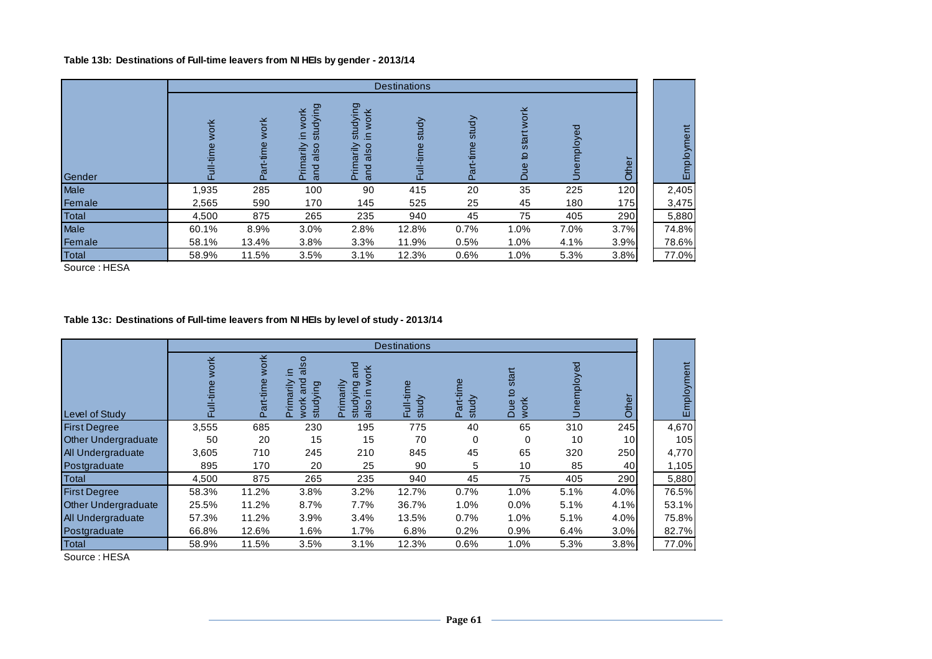#### **Table 13b: Destinations of Full-time leavers from NI HEIs by gender - 2013/14**

|        |                    |                               |                                                                                           |                                                                                   | <b>Destinations</b> |                    |                                    |              |                |                                      |
|--------|--------------------|-------------------------------|-------------------------------------------------------------------------------------------|-----------------------------------------------------------------------------------|---------------------|--------------------|------------------------------------|--------------|----------------|--------------------------------------|
| Gender | work<br>time<br>ш. | <b>WOrk</b><br>-time<br>Part- | ldying<br>work<br>ms<br>≘.<br>also<br>rimarily<br><b>PU</b><br>ā<br>$\boldsymbol{\sigma}$ | studying<br>work<br>크.<br>also<br>arily<br>P<br>$\Omega$<br>$\boldsymbol{\sigma}$ | study<br>-time<br>퉌 | study<br>Part-time | work<br>start<br>유<br>gn<br>$\cap$ | ್ಠಾ<br>voldt | $\Omega$<br>ర్ | $\overline{a}$<br>$\frac{1}{2}$<br>ш |
| Male   | 1,935              | 285                           | 100                                                                                       | 90                                                                                | 415                 | 20                 | 35                                 | 225          | 120            | 2,405                                |
| Female | 2,565              | 590                           | 170                                                                                       | 145                                                                               | 525                 | 25                 | 45                                 | 180          | 175            | 3,475                                |
| Total  | 4,500              | 875                           | 265                                                                                       | 235                                                                               | 940                 | 45                 | 75                                 | 405          | 290            | 5,880                                |
| Male   | 60.1%              | 8.9%                          | 3.0%                                                                                      | 2.8%                                                                              | 12.8%               | 0.7%               | 1.0%                               | 7.0%         | 3.7%           | 74.8%                                |
| Female | 58.1%              | 13.4%                         | 3.8%                                                                                      | 3.3%                                                                              | 11.9%               | 0.5%               | 1.0%                               | 4.1%         | 3.9%           | 78.6%                                |
| Total  | 58.9%              | 11.5%                         | 3.5%                                                                                      | 3.1%                                                                              | 12.3%               | 0.6%               | 1.0%                               | 5.3%         | 3.8%           | 77.0%                                |

Source : HESA

# **Table 13c: Destinations of Full-time leavers from NI HEIs by level of study - 2013/14**

|                            |                       |                       |                                                                           |                                                                              | <b>Destinations</b>   |                      |                           |           |               |               |
|----------------------------|-----------------------|-----------------------|---------------------------------------------------------------------------|------------------------------------------------------------------------------|-----------------------|----------------------|---------------------------|-----------|---------------|---------------|
| Level of Study             | 폰<br>⊽s<br>-time<br>言 | work<br>Φ<br>Part-tim | SO<br>$\overline{\sigma}$<br>Ξ.<br>ਠ<br>arily<br>studying<br>폰<br>Ş<br>έΕ | and<br>ork<br>marily<br>lying<br>크.<br>$\circ$<br>ਹ<br>훈<br>als<br><b>us</b> | em<br>₽<br>study<br>忌 | Φ<br>study<br>Part-i | start<br>₽<br>work<br>Due | ಠ<br>ploy | $\Omega$<br>흉 | Ë<br>Employme |
| <b>First Degree</b>        | 3,555                 | 685                   | 230                                                                       | 195                                                                          | 775                   | 40                   | 65                        | 310       | 245           | 4,670         |
| <b>Other Undergraduate</b> | 50                    | 20                    | 15                                                                        | 15                                                                           | 70                    | 0                    | 0                         | 10        | 10            | 105           |
| All Undergraduate          | 3,605                 | 710                   | 245                                                                       | 210                                                                          | 845                   | 45                   | 65                        | 320       | 250           | 4,770         |
| Postgraduate               | 895                   | 170                   | 20                                                                        | 25                                                                           | 90                    | 5                    | 10                        | 85        | 40            | 1,105         |
| Total                      | 4,500                 | 875                   | 265                                                                       | 235                                                                          | 940                   | 45                   | 75                        | 405       | 290           | 5,880         |
| <b>First Degree</b>        | 58.3%                 | 11.2%                 | 3.8%                                                                      | 3.2%                                                                         | 12.7%                 | 0.7%                 | 1.0%                      | 5.1%      | 4.0%          | 76.5%         |
| <b>Other Undergraduate</b> | 25.5%                 | 11.2%                 | 8.7%                                                                      | 7.7%                                                                         | 36.7%                 | 1.0%                 | 0.0%                      | 5.1%      | 4.1%          | 53.1%         |
| All Undergraduate          | 57.3%                 | 11.2%                 | 3.9%                                                                      | 3.4%                                                                         | 13.5%                 | 0.7%                 | 1.0%                      | 5.1%      | 4.0%          | 75.8%         |
| Postgraduate               | 66.8%                 | 12.6%                 | 1.6%                                                                      | 1.7%                                                                         | 6.8%                  | 0.2%                 | 0.9%                      | 6.4%      | 3.0%          | 82.7%         |
| Total                      | 58.9%                 | 11.5%                 | 3.5%                                                                      | 3.1%                                                                         | 12.3%                 | 0.6%                 | 1.0%                      | 5.3%      | 3.8%          | 77.0%         |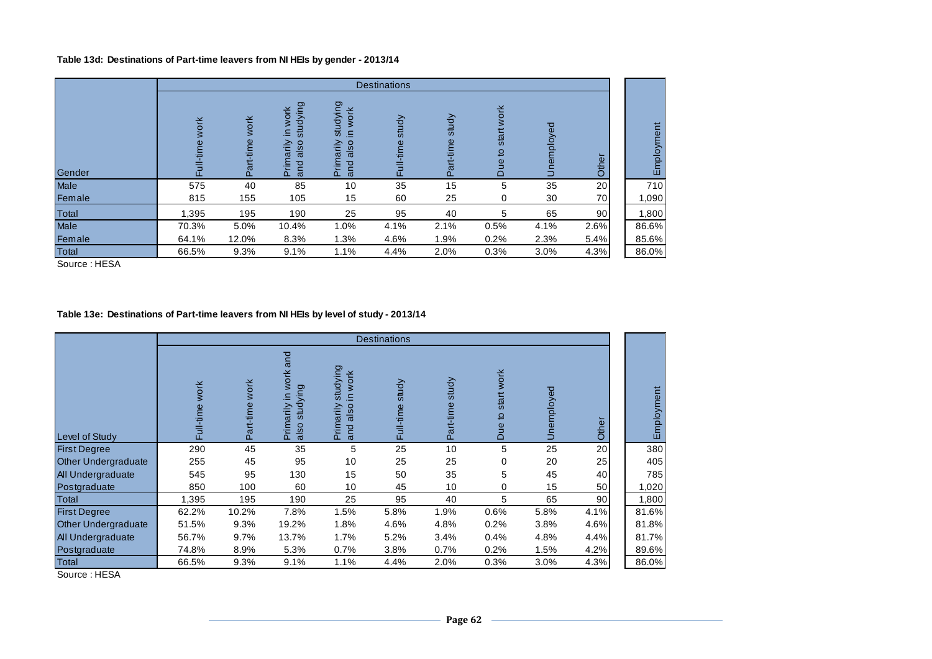## **Table 13d: Destinations of Part-time leavers from NI HEIs by gender - 2013/14**

|        |                    |                   |                                                    |                                                    | <b>Destinations</b> |                    |                         |            |                              |            |
|--------|--------------------|-------------------|----------------------------------------------------|----------------------------------------------------|---------------------|--------------------|-------------------------|------------|------------------------------|------------|
| Gender | work<br>-time<br>큔 | work<br>Part-time | studying<br>work<br>⊇.<br>Primarily<br>also<br>and | studying<br>work<br>Ξ.<br>Primarily<br>also<br>and | study<br>Full-time  | study<br>Part-time | start work<br>₽,<br>Due | Unemployed | $\overline{\mathbf{v}}$<br>Š | Employment |
| Male   | 575                | 40                | 85                                                 | 10                                                 | 35                  | 15                 | 5                       | 35         | 20                           | 710        |
| Female | 815                | 155               | 105                                                | 15                                                 | 60                  | 25                 | 0                       | 30         | 70                           | 1,090      |
| Total  | 1,395              | 195               | 190                                                | 25                                                 | 95                  | 40                 | 5                       | 65         | 90 <sub>0</sub>              | 1,800      |
| Male   | 70.3%              | 5.0%              | 10.4%                                              | 1.0%                                               | 4.1%                | 2.1%               | 0.5%                    | 4.1%       | 2.6%                         | 86.6%      |
| Female | 64.1%              | 12.0%             | 8.3%                                               | 1.3%                                               | 4.6%                | 1.9%               | 0.2%                    | 2.3%       | 5.4%                         | 85.6%      |
| Total  | 66.5%              | 9.3%              | 9.1%                                               | 1.1%                                               | 4.4%                | 2.0%               | 0.3%                    | 3.0%       | 4.3%                         | 86.0%      |

Source : HESA

### **Table 13e: Destinations of Part-time leavers from NI HEIs by level of study - 2013/14**

|                            |                     |                          |                                                 |                                                                        | <b>Destinations</b> |                        |                       |            |       |                |
|----------------------------|---------------------|--------------------------|-------------------------------------------------|------------------------------------------------------------------------|---------------------|------------------------|-----------------------|------------|-------|----------------|
| Level of Study             | work<br>l-time<br>Ē | <b>work</b><br>Part-time | work and<br>studying<br>≘.<br>Primarily<br>also | studying<br>work<br>$\subseteq$<br>rimarily<br>also<br>and<br>$\Omega$ | study<br>Full-time  | study<br>art-time<br>۵ | start work<br>Due to: | Unemployed | Other | mployment<br>ш |
| <b>First Degree</b>        | 290                 | 45                       | 35                                              | 5                                                                      | 25                  | 10                     | 5                     | 25         | 20    | 380            |
| <b>Other Undergraduate</b> | 255                 | 45                       | 95                                              | 10                                                                     | 25                  | 25                     | 0                     | 20         | 25    | 405            |
| <b>All Undergraduate</b>   | 545                 | 95                       | 130                                             | 15                                                                     | 50                  | 35                     | 5                     | 45         | 40    | 785            |
| Postgraduate               | 850                 | 100                      | 60                                              | 10                                                                     | 45                  | 10                     | 0                     | 15         | 50    | 1,020          |
| Total                      | 1,395               | 195                      | 190                                             | 25                                                                     | 95                  | 40                     | 5                     | 65         | 90    | 1,800          |
| <b>First Degree</b>        | 62.2%               | 10.2%                    | 7.8%                                            | 1.5%                                                                   | 5.8%                | 1.9%                   | 0.6%                  | 5.8%       | 4.1%  | 81.6%          |
| <b>Other Undergraduate</b> | 51.5%               | 9.3%                     | 19.2%                                           | 1.8%                                                                   | 4.6%                | 4.8%                   | 0.2%                  | 3.8%       | 4.6%  | 81.8%          |
| All Undergraduate          | 56.7%               | 9.7%                     | 13.7%                                           | 1.7%                                                                   | 5.2%                | 3.4%                   | 0.4%                  | 4.8%       | 4.4%  | 81.7%          |
| Postgraduate               | 74.8%               | 8.9%                     | 5.3%                                            | 0.7%                                                                   | 3.8%                | 0.7%                   | 0.2%                  | 1.5%       | 4.2%  | 89.6%          |
| Total                      | 66.5%               | 9.3%                     | 9.1%                                            | 1.1%                                                                   | 4.4%                | 2.0%                   | 0.3%                  | 3.0%       | 4.3%  | 86.0%          |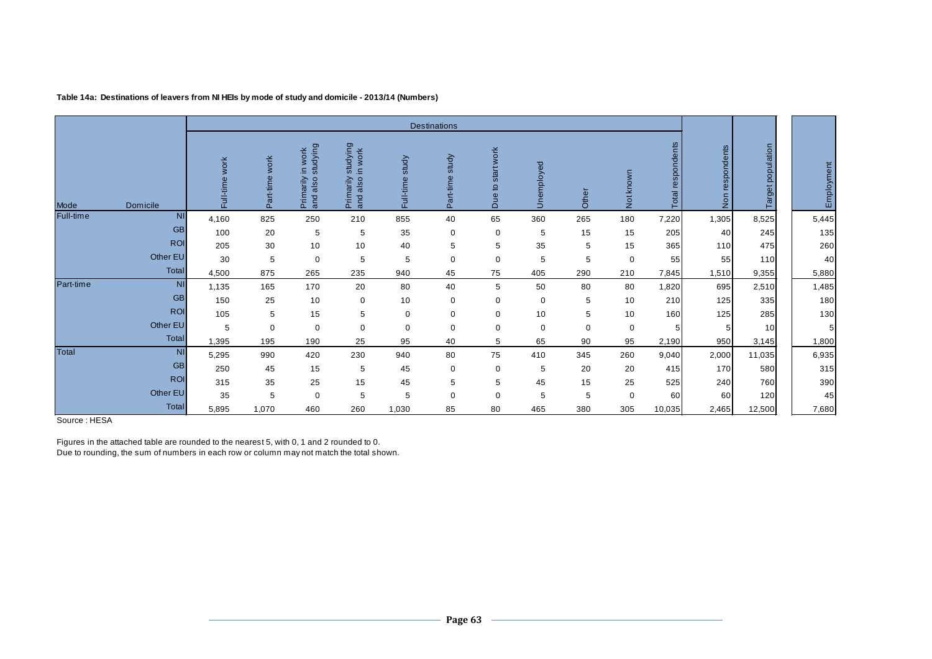|           |            |                   |                |                                                   |                                                 |                    | Destinations                  |                      |             |       |             |                      |                               |                   |            |
|-----------|------------|-------------------|----------------|---------------------------------------------------|-------------------------------------------------|--------------------|-------------------------------|----------------------|-------------|-------|-------------|----------------------|-------------------------------|-------------------|------------|
| Mode      | Domicile   | work<br>Full-time | Part-time work | studying<br>work<br>-<br>Primarily<br>also<br>and | studying<br>in work<br>Primarily<br>also<br>and | study<br>Full-time | study<br>art-time<br>$\alpha$ | start work<br>Due to | Unemployed  | Other | Notknown    | respondents<br>Total | respondents<br>$\overline{5}$ | Target population | Employment |
| Full-time | <b>NI</b>  | 4,160             | 825            | 250                                               | 210                                             | 855                | 40                            | 65                   | 360         | 265   | 180         | 7,220                | 1,305                         | 8,525             | 5,445      |
|           | <b>GB</b>  | 100               | 20             | 5                                                 | 5                                               | 35                 | $\mathbf 0$                   | 0                    | 5           | 15    | 15          | 205                  | 40                            | 245               | 135        |
|           | <b>ROI</b> | 205               | 30             | 10                                                | 10                                              | 40                 | 5                             | 5                    | 35          | 5     | 15          | 365                  | 110                           | 475               | 260        |
|           | Other EU   | 30                | 5              | 0                                                 | 5                                               | 5                  | 0                             | $\mathbf 0$          | 5           | 5     | $\mathbf 0$ | 55                   | 55                            | 110               | 40         |
|           | Total      | 4,500             | 875            | 265                                               | 235                                             | 940                | 45                            | 75                   | 405         | 290   | 210         | 7,845                | 1,510                         | 9,355             | 5,880      |
| Part-time | <b>NI</b>  | 1,135             | 165            | 170                                               | 20                                              | 80                 | 40                            | 5                    | 50          | 80    | 80          | 1,820                | 695                           | 2,510             | 1,485      |
|           | <b>GB</b>  | 150               | 25             | 10                                                | 0                                               | 10                 | 0                             | $\mathbf 0$          | $\mathbf 0$ | 5     | 10          | 210                  | 125                           | 335               | 180        |
|           | <b>ROI</b> | 105               | 5              | 15                                                | 5                                               | $\mathbf 0$        | 0                             | $\mathbf 0$          | 10          | 5     | 10          | 160                  | 125                           | 285               | 130        |
|           | Other EU   | 5                 | 0              | 0                                                 | 0                                               | $\mathbf 0$        | 0                             | $\mathbf 0$          | $\mathbf 0$ | 0     | 0           | 5                    |                               | 10                | 5          |
|           | Total      | 1,395             | 195            | 190                                               | 25                                              | 95                 | 40                            | 5                    | 65          | 90    | 95          | 2,190                | 950                           | 3,145             | 1,800      |
| Total     | <b>NI</b>  | 5,295             | 990            | 420                                               | 230                                             | 940                | 80                            | 75                   | 410         | 345   | 260         | 9,040                | 2,000                         | 11,035            | 6,935      |
|           | <b>GB</b>  | 250               | 45             | 15                                                | 5                                               | 45                 | 0                             | $\mathbf 0$          | 5           | 20    | 20          | 415                  | <b>170</b>                    | 580               | 315        |
|           | <b>ROI</b> | 315               | 35             | 25                                                | 15                                              | 45                 | 5                             | 5                    | 45          | 15    | 25          | 525                  | 240                           | 760               | 390        |
|           | Other EU   | 35                | 5              | 0                                                 | 5                                               | 5                  | $\mathbf 0$                   | $\mathbf 0$          | 5           | 5     | $\mathbf 0$ | 60                   | 60                            | 120               | 45         |
|           | Total      | 5,895             | 1,070          | 460                                               | 260                                             | 1,030              | 85                            | 80                   | 465         | 380   | 305         | 10,035               | 2,465                         | 12,500            | 7,680      |

**Table 14a: Destinations of leavers from NI HEIs by mode of study and domicile - 2013/14 (Numbers)**

Source : HESA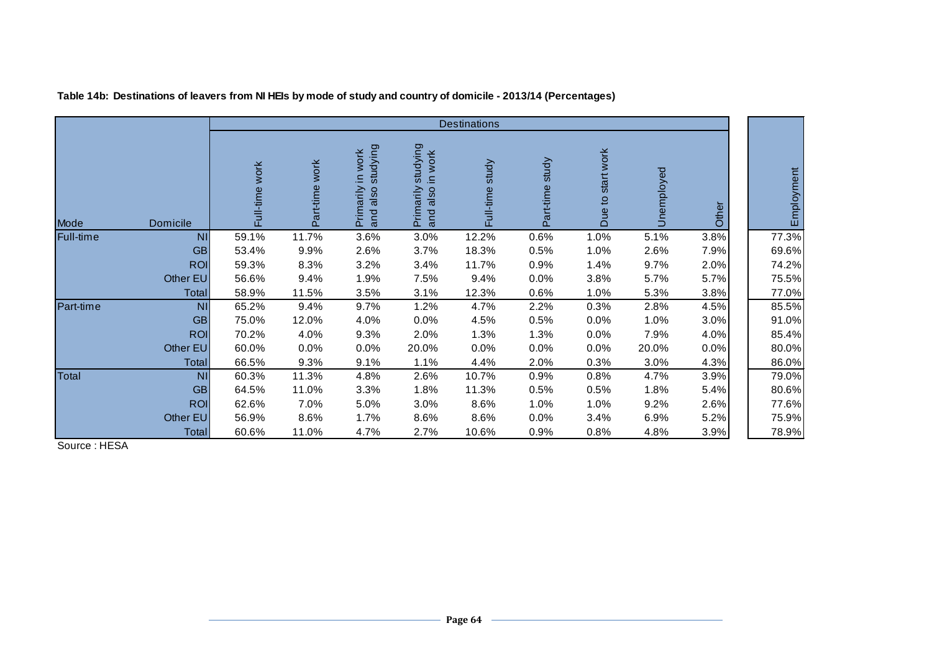|           |              |                |                |                                                    |                                                 | <b>Destinations</b> |                    |                      |            |       |            |
|-----------|--------------|----------------|----------------|----------------------------------------------------|-------------------------------------------------|---------------------|--------------------|----------------------|------------|-------|------------|
| Mode      | Domicile     | Full-time work | Part-time work | studying<br>Primarily in work<br>and also studying | studying<br>in work<br>also<br>Primarily<br>and | study<br>Full-time  | study<br>Part-time | start work<br>Due to | Unemployed | Other | Employment |
| Full-time | <b>NI</b>    | 59.1%          | 11.7%          | 3.6%                                               | 3.0%                                            | 12.2%               | 0.6%               | 1.0%                 | 5.1%       | 3.8%  | 77.3%      |
|           | <b>GB</b>    | 53.4%          | 9.9%           | 2.6%                                               | 3.7%                                            | 18.3%               | 0.5%               | 1.0%                 | 2.6%       | 7.9%  | 69.6%      |
|           | <b>ROI</b>   | 59.3%          | 8.3%           | 3.2%                                               | 3.4%                                            | 11.7%               | 0.9%               | 1.4%                 | 9.7%       | 2.0%  | 74.2%      |
|           | Other EU     | 56.6%          | 9.4%           | 1.9%                                               | 7.5%                                            | 9.4%                | $0.0\%$            | 3.8%                 | 5.7%       | 5.7%  | 75.5%      |
|           | <b>Total</b> | 58.9%          | 11.5%          | 3.5%                                               | 3.1%                                            | 12.3%               | 0.6%               | 1.0%                 | 5.3%       | 3.8%  | 77.0%      |
| Part-time | <b>NI</b>    | 65.2%          | 9.4%           | 9.7%                                               | 1.2%                                            | 4.7%                | 2.2%               | 0.3%                 | 2.8%       | 4.5%  | 85.5%      |
|           | <b>GB</b>    | 75.0%          | 12.0%          | 4.0%                                               | 0.0%                                            | 4.5%                | 0.5%               | 0.0%                 | 1.0%       | 3.0%  | 91.0%      |
|           | <b>ROI</b>   | 70.2%          | 4.0%           | 9.3%                                               | 2.0%                                            | 1.3%                | 1.3%               | 0.0%                 | 7.9%       | 4.0%  | 85.4%      |
|           | Other EU     | 60.0%          | 0.0%           | 0.0%                                               | 20.0%                                           | 0.0%                | 0.0%               | 0.0%                 | 20.0%      | 0.0%  | 80.0%      |
|           | Total        | 66.5%          | 9.3%           | 9.1%                                               | 1.1%                                            | 4.4%                | 2.0%               | 0.3%                 | 3.0%       | 4.3%  | 86.0%      |
| Total     | <b>NI</b>    | 60.3%          | 11.3%          | 4.8%                                               | 2.6%                                            | 10.7%               | 0.9%               | 0.8%                 | 4.7%       | 3.9%  | 79.0%      |
|           | <b>GB</b>    | 64.5%          | 11.0%          | 3.3%                                               | 1.8%                                            | 11.3%               | 0.5%               | 0.5%                 | 1.8%       | 5.4%  | 80.6%      |
|           | <b>ROI</b>   | 62.6%          | 7.0%           | 5.0%                                               | 3.0%                                            | 8.6%                | 1.0%               | 1.0%                 | 9.2%       | 2.6%  | 77.6%      |
|           | Other EU     | 56.9%          | 8.6%           | 1.7%                                               | 8.6%                                            | 8.6%                | $0.0\%$            | 3.4%                 | 6.9%       | 5.2%  | 75.9%      |
|           | Total        | 60.6%          | 11.0%          | 4.7%                                               | 2.7%                                            | 10.6%               | $0.9\%$            | $0.8\%$              | 4.8%       | 3.9%  | 78.9%      |

**Table 14b: Destinations of leavers from NI HEIs by mode of study and country of domicile - 2013/14 (Percentages)**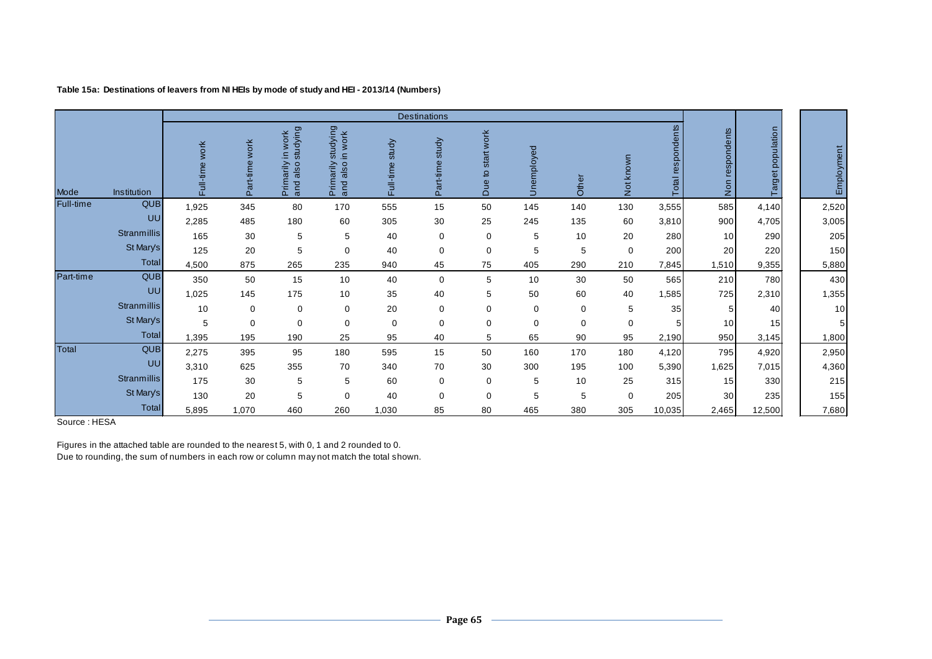|           |             |                |                   |                                                    |                                                 |                    | <b>Destinations</b> |                      |                     |          |           |                   |                           |                   |            |
|-----------|-------------|----------------|-------------------|----------------------------------------------------|-------------------------------------------------|--------------------|---------------------|----------------------|---------------------|----------|-----------|-------------------|---------------------------|-------------------|------------|
| Mode      | Institution | Full-time work | work<br>Part-time | studying<br>work<br>Ξ.<br>Primarily<br>also<br>and | studying<br>in work<br>Primarily<br>also<br>and | study<br>Full-time | study<br>Part-time  | start work<br>Due to | nemployed<br>$\Box$ | Other    | Not known | Total respondents | respondents<br><b>Non</b> | Target population | Employment |
| Full-time | <b>QUB</b>  | 1,925          | 345               | 80                                                 | 170                                             | 555                | 15                  | 50                   | 145                 | 140      | 130       | 3,555             | 585                       | 4,140             | 2,520      |
|           | UU          | 2,285          | 485               | 180                                                | 60                                              | 305                | 30                  | 25                   | 245                 | 135      | 60        | 3,810             | 900                       | 4,705             | 3,005      |
|           | Stranmillis | 165            | 30                | 5                                                  | 5                                               | 40                 | 0                   | 0                    | 5                   | 10       | 20        | 280               | 10                        | 290               | 205        |
|           | St Mary's   | 125            | 20                | 5                                                  | $\Omega$                                        | 40                 | 0                   | 0                    | 5                   | 5        | 0         | 200               | 20                        | 220               | 150        |
|           | Total       | 4,500          | 875               | 265                                                | 235                                             | 940                | 45                  | 75                   | 405                 | 290      | 210       | 7,845             | 1,510                     | 9,355             | 5,880      |
| Part-time | <b>QUB</b>  | 350            | 50                | 15                                                 | 10                                              | 40                 | 0                   | 5                    | 10                  | 30       | 50        | 565               | 210                       | 780               | 430        |
|           | UU          | 1,025          | 145               | 175                                                | 10                                              | 35                 | 40                  | 5                    | 50                  | 60       | 40        | 1,585             | 725                       | 2,310             | 1,355      |
|           | Stranmillis | 10             | 0                 | $\mathbf 0$                                        | $\Omega$                                        | 20                 | 0                   | 0                    | $\mathbf 0$         | 0        | 5         | 35                | 5                         | 40                | 10         |
|           | St Mary's   | 5              | $\mathbf 0$       | $\mathbf 0$                                        | $\mathbf 0$                                     | 0                  | 0                   | 0                    | $\mathbf 0$         | $\Omega$ | 0         |                   | 10                        | 15                | 5          |
|           | Total       | 1,395          | 195               | 190                                                | 25                                              | 95                 | 40                  | 5                    | 65                  | 90       | 95        | 2,190             | 950                       | 3,145             | 1,800      |
| Total     | QUB         | 2,275          | 395               | 95                                                 | 180                                             | 595                | 15                  | 50                   | 160                 | 170      | 180       | 4,120             | 795                       | 4,920             | 2,950      |
|           | UU          | 3,310          | 625               | 355                                                | 70                                              | 340                | 70                  | 30                   | 300                 | 195      | 100       | 5,390             | 1,625                     | 7,015             | 4,360      |
|           | Stranmillis | 175            | 30                | 5                                                  | 5                                               | 60                 | $\mathbf 0$         | 0                    | 5                   | 10       | 25        | 315               | 15                        | 330               | 215        |
|           | St Mary's   | 130            | 20                | 5                                                  | $\mathbf 0$                                     | 40                 | 0                   | 0                    | 5                   | 5        | 0         | 205               | 30                        | 235               | 155        |
|           | Total       | 5,895          | 1,070             | 460                                                | 260                                             | 1,030              | 85                  | 80                   | 465                 | 380      | 305       | 10,035            | 2,465                     | 12,500            | 7,680      |

### **Table 15a: Destinations of leavers from NI HEIs by mode of study and HEI - 2013/14 (Numbers)**

Source : HESA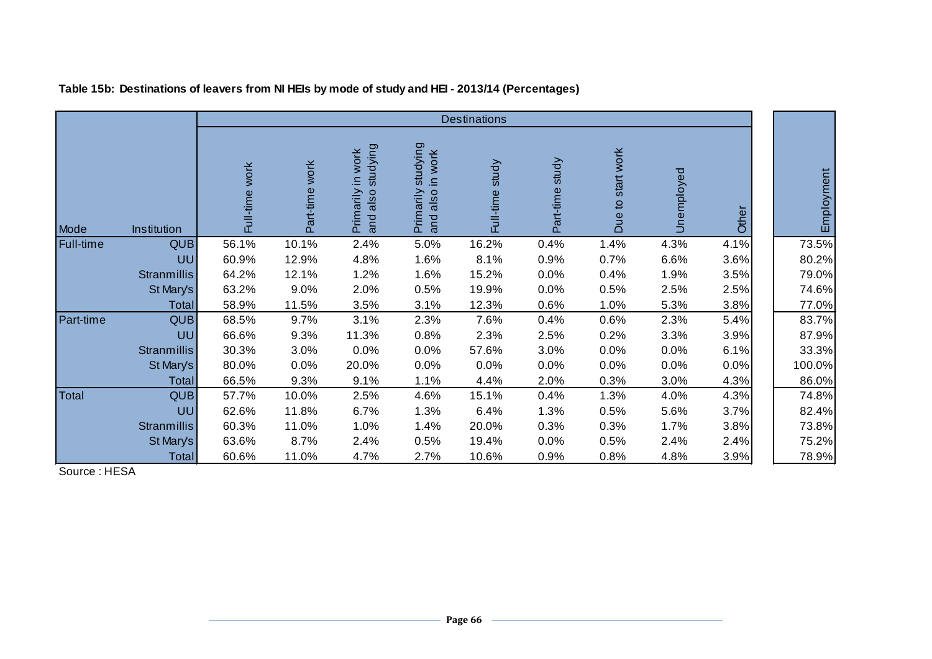|           |                    |                |                |                                                        |                                                | <b>Destinations</b> |                 |                   |            |       |            |
|-----------|--------------------|----------------|----------------|--------------------------------------------------------|------------------------------------------------|---------------------|-----------------|-------------------|------------|-------|------------|
| Mode      | Institution        | Full-time work | Part-time work | studying<br><b>WOrk</b><br>Ξ.<br>Primarily<br>and also | studying<br>in work<br>Primarily<br>and also i | study<br>Full-time  | Part-time study | Due to start work | Unemployed | Other | Employment |
| Full-time | QUB                | 56.1%          | 10.1%          | 2.4%                                                   | 5.0%                                           | 16.2%               | 0.4%            | 1.4%              | 4.3%       | 4.1%  | 73.5%      |
|           | UU                 | 60.9%          | 12.9%          | 4.8%                                                   | 1.6%                                           | 8.1%                | 0.9%            | 0.7%              | 6.6%       | 3.6%  | 80.2%      |
|           | <b>Stranmillis</b> | 64.2%          | 12.1%          | 1.2%                                                   | 1.6%                                           | 15.2%               | 0.0%            | 0.4%              | 1.9%       | 3.5%  | 79.0%      |
|           | St Mary's          | 63.2%          | 9.0%           | 2.0%                                                   | 0.5%                                           | 19.9%               | 0.0%            | 0.5%              | 2.5%       | 2.5%  | 74.6%      |
|           | Total              | 58.9%          | 11.5%          | 3.5%                                                   | 3.1%                                           | 12.3%               | 0.6%            | 1.0%              | 5.3%       | 3.8%  | 77.0%      |
| Part-time | QUB                | 68.5%          | 9.7%           | 3.1%                                                   | 2.3%                                           | 7.6%                | 0.4%            | 0.6%              | 2.3%       | 5.4%  | 83.7%      |
|           | UU                 | 66.6%          | 9.3%           | 11.3%                                                  | 0.8%                                           | 2.3%                | 2.5%            | 0.2%              | 3.3%       | 3.9%  | 87.9%      |
|           | <b>Stranmillis</b> | 30.3%          | 3.0%           | 0.0%                                                   | 0.0%                                           | 57.6%               | 3.0%            | 0.0%              | 0.0%       | 6.1%  | 33.3%      |
|           | St Mary's          | 80.0%          | 0.0%           | 20.0%                                                  | 0.0%                                           | 0.0%                | 0.0%            | 0.0%              | 0.0%       | 0.0%  | 100.0%     |
|           | Total              | 66.5%          | 9.3%           | 9.1%                                                   | 1.1%                                           | 4.4%                | 2.0%            | 0.3%              | 3.0%       | 4.3%  | 86.0%      |
| Total     | QUB                | 57.7%          | 10.0%          | 2.5%                                                   | 4.6%                                           | 15.1%               | 0.4%            | 1.3%              | 4.0%       | 4.3%  | 74.8%      |
|           | UU                 | 62.6%          | 11.8%          | 6.7%                                                   | 1.3%                                           | 6.4%                | 1.3%            | 0.5%              | 5.6%       | 3.7%  | 82.4%      |
|           | Stranmillis        | 60.3%          | 11.0%          | 1.0%                                                   | 1.4%                                           | 20.0%               | 0.3%            | 0.3%              | 1.7%       | 3.8%  | 73.8%      |
|           | St Mary's          | 63.6%          | 8.7%           | 2.4%                                                   | 0.5%                                           | 19.4%               | 0.0%            | 0.5%              | 2.4%       | 2.4%  | 75.2%      |
|           | <b>Total</b>       | 60.6%          | 11.0%          | 4.7%                                                   | 2.7%                                           | 10.6%               | 0.9%            | 0.8%              | 4.8%       | 3.9%  | 78.9%      |

**Table 15b: Destinations of leavers from NI HEIs by mode of study and HEI - 2013/14 (Percentages)**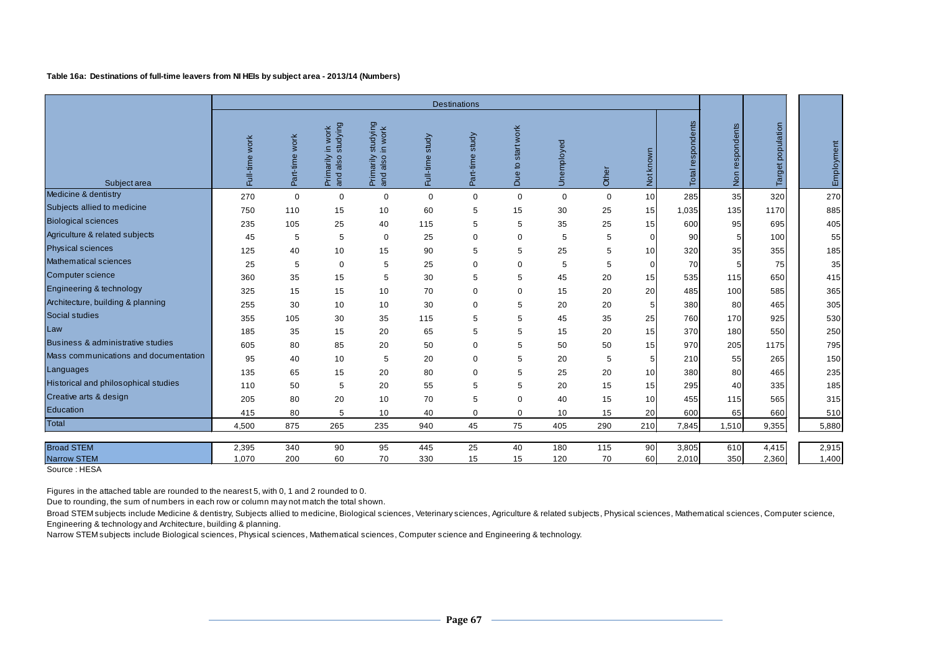#### **Table 16a: Destinations of full-time leavers from NI HEIs by subject area - 2013/14 (Numbers)**

|                                       | <b>Destinations</b>            |                   |                                                    |                                                       |                    |                 |                                   |             |             |                 |                   |                    |                   |                |
|---------------------------------------|--------------------------------|-------------------|----------------------------------------------------|-------------------------------------------------------|--------------------|-----------------|-----------------------------------|-------------|-------------|-----------------|-------------------|--------------------|-------------------|----------------|
| Subject area                          | work<br>$\omega$<br>nait-<br>Ē | work<br>Part-time | studying<br>work<br>Ξ.<br>Primarily<br>also<br>and | studying<br>work<br>$\simeq$<br>Primarily<br>and also | study<br>Full-time | Part-time study | start work<br>$\mathsf{S}$<br>Due | Unemployed  | Other       | Not known       | Total respondents | respondents<br>Non | Target population | Employment     |
| Medicine & dentistry                  | 270                            | $\mathbf 0$       | $\mathbf 0$                                        | 0                                                     | $\mathbf 0$        | $\mathbf 0$     | $\mathbf 0$                       | $\mathbf 0$ | $\mathbf 0$ | 10              | 285               | 35                 | 320               | 270            |
| Subjects allied to medicine           | 750                            | 110               | 15                                                 | 10                                                    | 60                 | 5               | 15                                | 30          | 25          | 15              | 1,035             | 135                | 1170              | 885            |
| <b>Biological sciences</b>            | 235                            | 105               | 25                                                 | 40                                                    | 115                | 5               | 5                                 | 35          | 25          | 15              | 600               | 95                 | 695               | 405            |
| Agriculture & related subjects        | 45                             | 5                 | 5                                                  | $\mathbf 0$                                           | 25                 | $\mathbf 0$     | 0                                 | 5           | 5           | $\Omega$        | 90                |                    | 100               | 55             |
| <b>Physical sciences</b>              | 125                            | 40                | 10                                                 | 15                                                    | 90                 | 5               | 5                                 | 25          | 5           | 10              | 320               | 35                 | 355               | 185            |
| Mathematical sciences                 | 25                             | 5                 | $\mathbf 0$                                        | 5                                                     | 25                 | $\mathbf 0$     | 0                                 | 5           | 5           | $\Omega$        | 70                |                    | 75                | 35             |
| Computer science                      | 360                            | 35                | 15                                                 | 5                                                     | 30                 | 5               | 5                                 | 45          | 20          | 15              | 535               | 115                | 650               | 415            |
| Engineering & technology              | 325                            | 15                | 15                                                 | 10                                                    | 70                 | 0               | 0                                 | 15          | 20          | 20              | 485               | 100                | 585               | 365            |
| Architecture, building & planning     | 255                            | 30                | 10                                                 | 10                                                    | 30                 | 0               | 5                                 | 20          | 20          | 5 <sub>l</sub>  | 380               | 80                 | 465               | 305            |
| Social studies                        | 355                            | 105               | 30                                                 | 35                                                    | 115                | 5               | 5                                 | 45          | 35          | 25              | 760               | 170                | 925               | 530            |
| Law                                   | 185                            | 35                | 15                                                 | 20                                                    | 65                 | 5               | 5                                 | 15          | 20          | 15              | 370               | 180                | 550               | 250            |
| Business & administrative studies     | 605                            | 80                | 85                                                 | 20                                                    | 50                 | 0               | 5                                 | 50          | 50          | 15              | 970               | 205                | 1175              | 795            |
| Mass communications and documentation | 95                             | 40                | 10                                                 | 5                                                     | 20                 | $\mathbf 0$     | 5                                 | 20          | 5           | 5               | 210               | 55                 | 265               | 150            |
| Languages                             | 135                            | 65                | 15                                                 | 20                                                    | 80                 | $\mathbf 0$     | 5                                 | 25          | 20          | 10 <sup>1</sup> | 380               | 80                 | 465               | 235            |
| Historical and philosophical studies  | 110                            | 50                | 5                                                  | 20                                                    | 55                 | 5               | 5                                 | 20          | 15          | 15              | 295               | 40                 | 335               | 185            |
| Creative arts & design                | 205                            | 80                | 20                                                 | 10                                                    | 70                 | 5               | 0                                 | 40          | 15          | 10              | 455               | 115                | 565               | 315            |
| Education                             | 415                            | 80                | 5                                                  | 10                                                    | 40                 | $\pmb{0}$       | $\mathbf 0$                       | 10          | 15          | 20              | 600               | 65                 | 660               | 510            |
| Total                                 | 4,500                          | 875               | 265                                                | 235                                                   | 940                | 45              | 75                                | 405         | 290         | 210             | 7,845             | 1,510              | 9,355             | 5,880          |
| <b>Broad STEM</b>                     | 2,395                          | 340               | 90                                                 | 95                                                    | 445                | 25              | 40                                | 180         | 115         | 90              | 3,805             | 610                | 4,415             |                |
| <b>Narrow STEM</b>                    | 1,070                          | 200               | 60                                                 | 70                                                    | 330                | 15              | 15                                | 120         | 70          | 60              | 2,010             | 350                | 2,360             | 2,915<br>1,400 |
|                                       |                                |                   |                                                    |                                                       |                    |                 |                                   |             |             |                 |                   |                    |                   |                |

Source : HESA

Figures in the attached table are rounded to the nearest 5, with 0, 1 and 2 rounded to 0.

Due to rounding, the sum of numbers in each row or column may not match the total shown.

Broad STEM subjects include Medicine & dentistry, Subjects allied to medicine, Biological sciences, Veterinary sciences, Agriculture & related subjects, Physical sciences, Mathematical sciences, Computer science, Engineering & technology and Architecture, building & planning.

Narrow STEM subjects include Biological sciences, Physical sciences, Mathematical sciences, Computer science and Engineering & technology.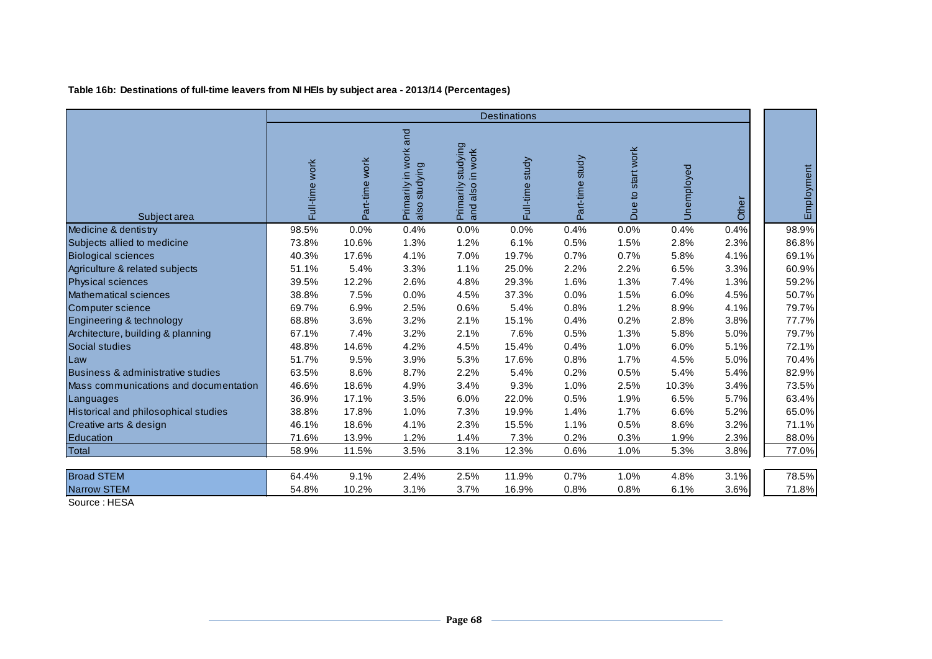# **Table 16b: Destinations of full-time leavers from NI HEIs by subject area - 2013/14 (Percentages)**

|                                       |                | <b>Destinations</b> |                                        |                                                   |                 |                 |                   |            |       |            |  |  |
|---------------------------------------|----------------|---------------------|----------------------------------------|---------------------------------------------------|-----------------|-----------------|-------------------|------------|-------|------------|--|--|
| Subject area                          | Full-time work | Part-ime work       | Primarily in work and<br>also studying | studying<br>Primarily studyin<br>and also in work | Full-time study | Part-time study | Due to start work | Unemployed | Other | Employment |  |  |
| Medicine & dentistry                  | 98.5%          | 0.0%                | 0.4%                                   | 0.0%                                              | 0.0%            | 0.4%            | 0.0%              | 0.4%       | 0.4%  | 98.9%      |  |  |
| Subjects allied to medicine           | 73.8%          | 10.6%               | 1.3%                                   | 1.2%                                              | 6.1%            | 0.5%            | 1.5%              | 2.8%       | 2.3%  | 86.8%      |  |  |
| <b>Biological sciences</b>            | 40.3%          | 17.6%               | 4.1%                                   | 7.0%                                              | 19.7%           | 0.7%            | 0.7%              | 5.8%       | 4.1%  | 69.1%      |  |  |
| Agriculture & related subjects        | 51.1%          | 5.4%                | 3.3%                                   | 1.1%                                              | 25.0%           | 2.2%            | 2.2%              | 6.5%       | 3.3%  | 60.9%      |  |  |
| <b>Physical sciences</b>              | 39.5%          | 12.2%               | 2.6%                                   | 4.8%                                              | 29.3%           | 1.6%            | 1.3%              | 7.4%       | 1.3%  | 59.2%      |  |  |
| <b>Mathematical sciences</b>          | 38.8%          | 7.5%                | 0.0%                                   | 4.5%                                              | 37.3%           | 0.0%            | 1.5%              | 6.0%       | 4.5%  | 50.7%      |  |  |
| Computer science                      | 69.7%          | 6.9%                | 2.5%                                   | 0.6%                                              | 5.4%            | 0.8%            | 1.2%              | 8.9%       | 4.1%  | 79.7%      |  |  |
| Engineering & technology              | 68.8%          | 3.6%                | 3.2%                                   | 2.1%                                              | 15.1%           | 0.4%            | 0.2%              | 2.8%       | 3.8%  | 77.7%      |  |  |
| Architecture, building & planning     | 67.1%          | 7.4%                | 3.2%                                   | 2.1%                                              | 7.6%            | 0.5%            | 1.3%              | 5.8%       | 5.0%  | 79.7%      |  |  |
| Social studies                        | 48.8%          | 14.6%               | 4.2%                                   | 4.5%                                              | 15.4%           | 0.4%            | 1.0%              | 6.0%       | 5.1%  | 72.1%      |  |  |
| Law                                   | 51.7%          | 9.5%                | 3.9%                                   | 5.3%                                              | 17.6%           | 0.8%            | 1.7%              | 4.5%       | 5.0%  | 70.4%      |  |  |
| Business & administrative studies     | 63.5%          | 8.6%                | 8.7%                                   | 2.2%                                              | 5.4%            | 0.2%            | 0.5%              | 5.4%       | 5.4%  | 82.9%      |  |  |
| Mass communications and documentation | 46.6%          | 18.6%               | 4.9%                                   | 3.4%                                              | 9.3%            | 1.0%            | 2.5%              | 10.3%      | 3.4%  | 73.5%      |  |  |
| Languages                             | 36.9%          | 17.1%               | 3.5%                                   | 6.0%                                              | 22.0%           | 0.5%            | 1.9%              | 6.5%       | 5.7%  | 63.4%      |  |  |
| Historical and philosophical studies  | 38.8%          | 17.8%               | 1.0%                                   | 7.3%                                              | 19.9%           | 1.4%            | 1.7%              | 6.6%       | 5.2%  | 65.0%      |  |  |
| Creative arts & design                | 46.1%          | 18.6%               | 4.1%                                   | 2.3%                                              | 15.5%           | 1.1%            | 0.5%              | 8.6%       | 3.2%  | 71.1%      |  |  |
| Education                             | 71.6%          | 13.9%               | 1.2%                                   | 1.4%                                              | 7.3%            | 0.2%            | 0.3%              | 1.9%       | 2.3%  | 88.0%      |  |  |
| Total                                 | 58.9%          | 11.5%               | 3.5%                                   | 3.1%                                              | 12.3%           | 0.6%            | 1.0%              | 5.3%       | 3.8%  | 77.0%      |  |  |
| <b>Broad STEM</b>                     | 64.4%          | 9.1%                | 2.4%                                   | 2.5%                                              | 11.9%           | 0.7%            | 1.0%              | 4.8%       | 3.1%  | 78.5%      |  |  |
| <b>Narrow STEM</b>                    | 54.8%          | 10.2%               | 3.1%                                   | 3.7%                                              | 16.9%           | 0.8%            | 0.8%              | 6.1%       | 3.6%  | 71.8%      |  |  |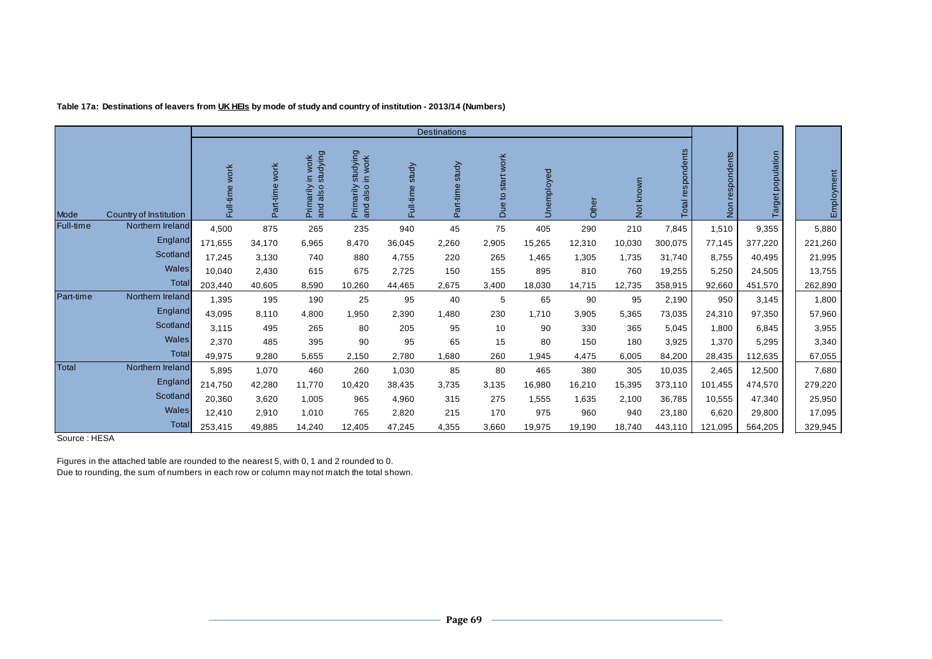| Table 17a: Destinations of leavers from <u>UK HEIs</u> by mode of study and country of institution - 2013/14 (Numbers) |  |
|------------------------------------------------------------------------------------------------------------------------|--|
|------------------------------------------------------------------------------------------------------------------------|--|

|           |                        |                |                   |                                                    |                                                |                    | <b>Destinations</b> |                                     |            |        |                  |                        |                           |                   |            |
|-----------|------------------------|----------------|-------------------|----------------------------------------------------|------------------------------------------------|--------------------|---------------------|-------------------------------------|------------|--------|------------------|------------------------|---------------------------|-------------------|------------|
| Mode      | Country of Institution | Full-time work | work<br>Part-time | studying<br>work<br>Ξ.<br>Primarily<br>also<br>and | studying<br>in work<br>Primarily<br>and also i | study<br>Full-time | study<br>Part-time  | start work<br>$\overline{a}$<br>Due | Unemployed | Other  | known<br>tó<br>z | respondents<br>Total i | respondents<br><b>Non</b> | Target population | Employment |
| Full-time | Northern Ireland       | 4,500          | 875               | 265                                                | 235                                            | 940                | 45                  | 75                                  | 405        | 290    | 210              | 7,845                  | 1,510                     | 9,355             | 5,880      |
|           | England                | 171,655        | 34,170            | 6,965                                              | 8,470                                          | 36,045             | 2,260               | 2,905                               | 15,265     | 12,310 | 10,030           | 300,075                | 77,145                    | 377,220           | 221,260    |
|           | Scotland               | 17,245         | 3,130             | 740                                                | 880                                            | 4,755              | 220                 | 265                                 | 1,465      | 1,305  | 1,735            | 31,740                 | 8,755                     | 40,495            | 21,995     |
|           | Wales                  | 10,040         | 2,430             | 615                                                | 675                                            | 2,725              | 150                 | 155                                 | 895        | 810    | 760              | 19,255                 | 5,250                     | 24,505            | 13,755     |
|           | <b>Total</b>           | 203,440        | 40,605            | 8,590                                              | 10,260                                         | 44,465             | 2,675               | 3,400                               | 18,030     | 14,715 | 12,735           | 358,915                | 92,660                    | 451,570           | 262,890    |
| Part-time | Northern Ireland       | 1,395          | 195               | 190                                                | 25                                             | 95                 | 40                  | 5                                   | 65         | 90     | 95               | 2,190                  | 950                       | 3,145             | 1,800      |
|           | England                | 43,095         | 8,110             | 4,800                                              | 1,950                                          | 2,390              | 1,480               | 230                                 | 1,710      | 3,905  | 5,365            | 73,035                 | 24,310                    | 97,350            | 57,960     |
|           | Scotland               | 3,115          | 495               | 265                                                | 80                                             | 205                | 95                  | 10                                  | 90         | 330    | 365              | 5,045                  | 1,800                     | 6,845             | 3,955      |
|           | <b>Wales</b>           | 2,370          | 485               | 395                                                | 90                                             | 95                 | 65                  | 15                                  | 80         | 150    | 180              | 3,925                  | 1,370                     | 5,295             | 3,340      |
|           | Total                  | 49,975         | 9,280             | 5,655                                              | 2,150                                          | 2,780              | 0.680               | 260                                 | 1,945      | 4,475  | 6,005            | 84,200                 | 28,435                    | 112,635           | 67,055     |
| Total     | Northern Ireland       | 5,895          | 1,070             | 460                                                | 260                                            | 1,030              | 85                  | 80                                  | 465        | 380    | 305              | 10,035                 | 2,465                     | 12,500            | 7,680      |
|           | England                | 214,750        | 42,280            | 11,770                                             | 10,420                                         | 38,435             | 3,735               | 3,135                               | 16,980     | 16,210 | 15,395           | 373,110                | 101,455                   | 474,570           | 279,220    |
|           | Scotland               | 20,360         | 3,620             | 1,005                                              | 965                                            | 4,960              | 315                 | 275                                 | 1,555      | 1,635  | 2,100            | 36,785                 | 10,555                    | 47,340            | 25,950     |
|           | Wales                  | 12,410         | 2,910             | 1,010                                              | 765                                            | 2,820              | 215                 | 170                                 | 975        | 960    | 940              | 23,180                 | 6,620                     | 29,800            | 17,095     |
|           | <b>Total</b>           | 253,415        | 49,885            | 14,240                                             | 12,405                                         | 47,245             | 4,355               | 3,660                               | 19,975     | 19,190 | 18,740           | 443,110                | 121,095                   | 564,205           | 329,945    |

Source : HESA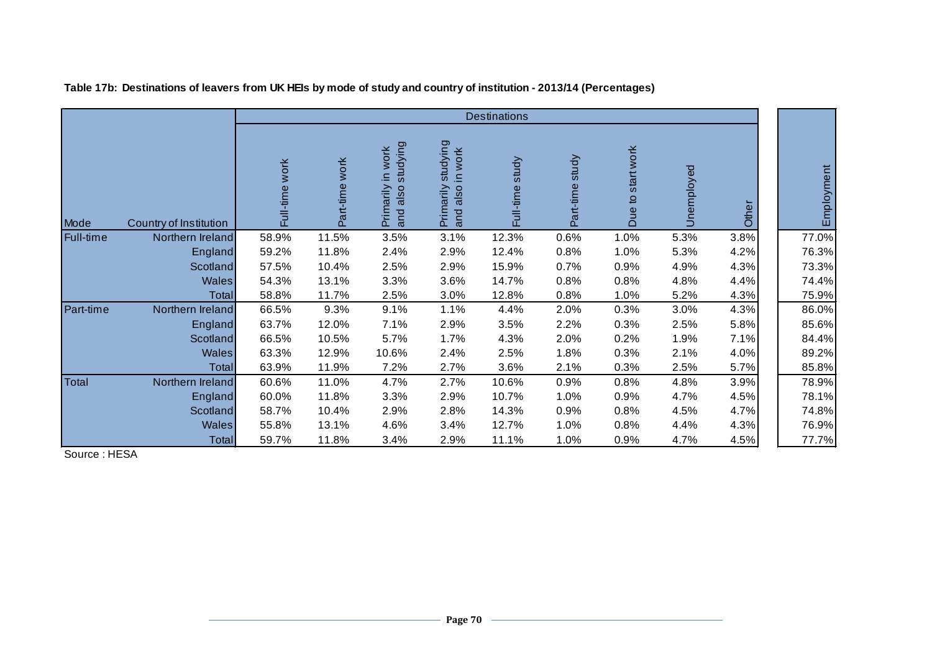|           |                        |                   |                   |                                                 |                                                 | <b>Destinations</b> |                    |                      |            |       |            |
|-----------|------------------------|-------------------|-------------------|-------------------------------------------------|-------------------------------------------------|---------------------|--------------------|----------------------|------------|-------|------------|
| Mode      | Country of Institution | work<br>Full-time | work<br>Part-time | studying<br>in work<br>Primarily<br>also<br>and | studying<br>in work<br>also<br>Primarily<br>and | study<br>Full-time  | study<br>Part-time | start work<br>Due to | Unemployed | Other | Employment |
| Full-time | Northern Ireland       | 58.9%             | 11.5%             | 3.5%                                            | 3.1%                                            | 12.3%               | 0.6%               | 1.0%                 | 5.3%       | 3.8%  | 77.0%      |
|           | England                | 59.2%             | 11.8%             | 2.4%                                            | 2.9%                                            | 12.4%               | 0.8%               | 1.0%                 | 5.3%       | 4.2%  | 76.3%      |
|           | Scotland               | 57.5%             | 10.4%             | 2.5%                                            | 2.9%                                            | 15.9%               | 0.7%               | 0.9%                 | 4.9%       | 4.3%  | 73.3%      |
|           | <b>Wales</b>           | 54.3%             | 13.1%             | 3.3%                                            | 3.6%                                            | 14.7%               | 0.8%               | 0.8%                 | 4.8%       | 4.4%  | 74.4%      |
|           | Total                  | 58.8%             | 11.7%             | 2.5%                                            | 3.0%                                            | 12.8%               | 0.8%               | 1.0%                 | 5.2%       | 4.3%  | 75.9%      |
| Part-time | Northern Ireland       | 66.5%             | 9.3%              | 9.1%                                            | 1.1%                                            | 4.4%                | 2.0%               | 0.3%                 | 3.0%       | 4.3%  | 86.0%      |
|           | England                | 63.7%             | 12.0%             | 7.1%                                            | 2.9%                                            | 3.5%                | 2.2%               | 0.3%                 | 2.5%       | 5.8%  | 85.6%      |
|           | Scotland               | 66.5%             | 10.5%             | 5.7%                                            | 1.7%                                            | 4.3%                | 2.0%               | 0.2%                 | 1.9%       | 7.1%  | 84.4%      |
|           | <b>Wales</b>           | 63.3%             | 12.9%             | 10.6%                                           | 2.4%                                            | 2.5%                | 1.8%               | 0.3%                 | 2.1%       | 4.0%  | 89.2%      |
|           | Total                  | 63.9%             | 11.9%             | 7.2%                                            | 2.7%                                            | 3.6%                | 2.1%               | 0.3%                 | 2.5%       | 5.7%  | 85.8%      |
| Total     | Northern Ireland       | 60.6%             | 11.0%             | 4.7%                                            | 2.7%                                            | 10.6%               | 0.9%               | 0.8%                 | 4.8%       | 3.9%  | 78.9%      |
|           | England                | 60.0%             | 11.8%             | 3.3%                                            | 2.9%                                            | 10.7%               | 1.0%               | 0.9%                 | 4.7%       | 4.5%  | 78.1%      |
|           | Scotland               | 58.7%             | 10.4%             | 2.9%                                            | 2.8%                                            | 14.3%               | 0.9%               | 0.8%                 | 4.5%       | 4.7%  | 74.8%      |
|           | <b>Wales</b>           | 55.8%             | 13.1%             | 4.6%                                            | 3.4%                                            | 12.7%               | 1.0%               | 0.8%                 | 4.4%       | 4.3%  | 76.9%      |
|           | Total                  | 59.7%             | 11.8%             | 3.4%                                            | 2.9%                                            | 11.1%               | 1.0%               | 0.9%                 | 4.7%       | 4.5%  | 77.7%      |

**Table 17b: Destinations of leavers from UK HEIs by mode of study and country of institution - 2013/14 (Percentages)**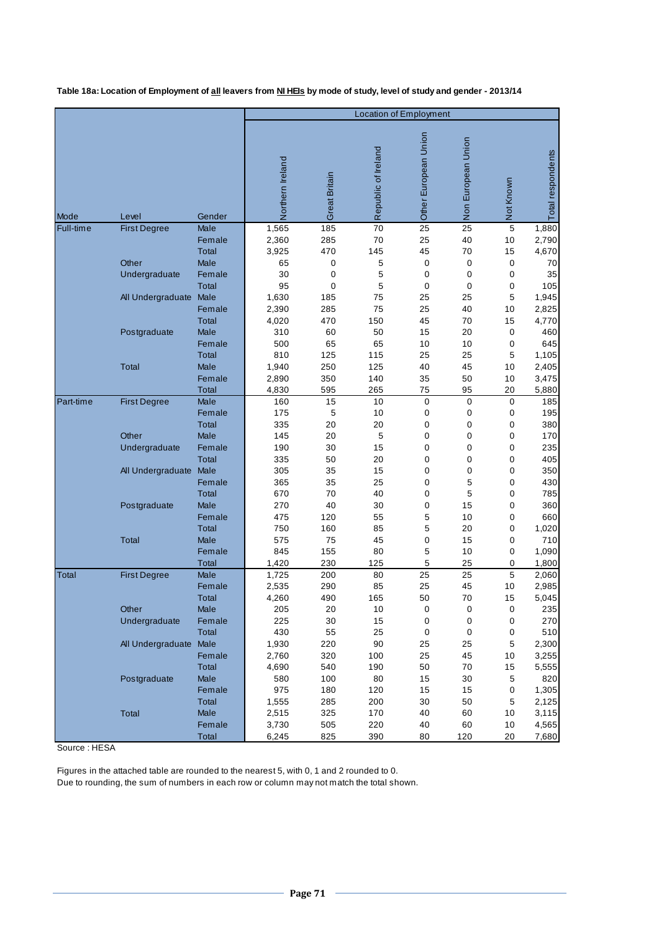**Table 18a: Location of Employment of all leavers from NI HEIs by mode of study, level of study and gender - 2013/14**

|           |                        |                        | <b>Location of Employment</b> |                      |                     |                      |                |           |                   |  |  |
|-----------|------------------------|------------------------|-------------------------------|----------------------|---------------------|----------------------|----------------|-----------|-------------------|--|--|
|           |                        |                        |                               |                      |                     |                      |                |           |                   |  |  |
|           |                        |                        | Northern Ireland              | <b>Great Britain</b> | Republic of Ireland | Other European Union | European Union | Not Known | Total respondents |  |  |
| Mode      | Level                  | Gender                 |                               |                      |                     |                      | Non            |           |                   |  |  |
| Full-time | <b>First Degree</b>    | Male                   | 1,565                         | 185                  | 70                  | 25                   | 25             | 5         | 1,880             |  |  |
|           |                        | Female                 | 2,360                         | 285                  | 70                  | 25                   | 40             | 10        | 2,790             |  |  |
|           |                        | <b>Total</b>           | 3,925                         | 470                  | 145                 | 45                   | 70             | 15        | 4,670             |  |  |
|           | Other                  | <b>Male</b>            | 65                            | 0                    | 5                   | 0                    | 0              | $\pmb{0}$ | 70                |  |  |
|           | Undergraduate          | Female                 | 30                            | 0                    | 5                   | 0                    | 0              | 0         | 35                |  |  |
|           |                        | <b>Total</b>           | 95                            | 0                    | 5                   | 0                    | 0              | 0         | 105               |  |  |
|           | All Undergraduate Male |                        | 1,630                         | 185                  | 75<br>75            | 25                   | 25             | 5         | 1,945             |  |  |
|           |                        | Female<br><b>Total</b> | 2,390                         | 285<br>470           | 150                 | 25<br>45             | 40<br>70       | 10<br>15  | 2,825             |  |  |
|           | Postgraduate           | <b>Male</b>            | 4,020<br>310                  | 60                   | 50                  | 15                   | 20             | $\pmb{0}$ | 4,770<br>460      |  |  |
|           |                        | Female                 | 500                           | 65                   | 65                  | 10                   | 10             | 0         | 645               |  |  |
|           |                        | <b>Total</b>           | 810                           | 125                  | 115                 | 25                   | 25             | 5         | 1,105             |  |  |
|           | <b>Total</b>           | <b>Male</b>            | 1,940                         | 250                  | 125                 | 40                   | 45             | 10        | 2,405             |  |  |
|           |                        | Female                 | 2,890                         | 350                  | 140                 | 35                   | 50             | 10        | 3,475             |  |  |
|           |                        | Total                  | 4,830                         | 595                  | 265                 | 75                   | 95             | 20        | 5,880             |  |  |
| Part-time | <b>First Degree</b>    | Male                   | 160                           | 15                   | 10                  | $\mathbf 0$          | 0              | 0         | 185               |  |  |
|           |                        | Female                 | 175                           | 5                    | 10                  | 0                    | 0              | 0         | 195               |  |  |
|           |                        | <b>Total</b>           | 335                           | 20                   | 20                  | 0                    | 0              | 0         | 380               |  |  |
|           | Other                  | <b>Male</b>            | 145                           | 20                   | 5                   | 0                    | 0              | 0         | 170               |  |  |
|           | Undergraduate          | Female                 | 190                           | 30                   | 15                  | 0                    | 0              | 0         | 235               |  |  |
|           |                        | Total                  | 335                           | 50                   | 20                  | 0                    | 0              | 0         | 405               |  |  |
|           | All Undergraduate Male |                        | 305                           | 35                   | 15                  | 0                    | 0              | 0         | 350               |  |  |
|           |                        | Female                 | 365                           | 35                   | 25                  | 0                    | 5              | 0         | 430               |  |  |
|           |                        | <b>Total</b>           | 670                           | 70                   | 40                  | 0                    | 5              | 0         | 785               |  |  |
|           | Postgraduate           | <b>Male</b><br>Female  | 270<br>475                    | 40<br>120            | 30<br>55            | 0<br>5               | 15<br>10       | 0<br>0    | 360<br>660        |  |  |
|           |                        | <b>Total</b>           | 750                           | 160                  | 85                  | 5                    | 20             | 0         | 1,020             |  |  |
|           | <b>Total</b>           | <b>Male</b>            | 575                           | 75                   | 45                  | 0                    | 15             | 0         | 710               |  |  |
|           |                        | Female                 | 845                           | 155                  | 80                  | 5                    | 10             | 0         | 1,090             |  |  |
|           |                        | Total                  | 1,420                         | 230                  | 125                 | 5                    | 25             | 0         | 1,800             |  |  |
| Total     | <b>First Degree</b>    | Male                   | 1,725                         | 200                  | 80                  | 25                   | 25             | 5         | 2,060             |  |  |
|           |                        | Female                 | 2,535                         | 290                  | 85                  | 25                   | 45             | 10        | 2,985             |  |  |
|           |                        | Total                  | 4,260                         | 490                  | 165                 | 50                   | 70             | 15        | 5.045             |  |  |
|           | Other                  | Male                   | 205                           | 20                   | 10                  | 0                    | 0              | 0         | 235               |  |  |
|           | Undergraduate          | Female                 | 225                           | $30\,$               | 15                  | 0                    | $\pmb{0}$      | 0         | 270               |  |  |
|           |                        | Total                  | 430                           | 55                   | 25                  | 0                    | 0              | 0         | 510               |  |  |
|           | All Undergraduate Male |                        | 1,930                         | 220                  | 90                  | 25                   | 25             | 5         | 2,300             |  |  |
|           |                        | Female                 | 2,760                         | 320                  | 100                 | 25                   | 45             | 10        | 3,255             |  |  |
|           |                        | Total                  | 4,690                         | 540                  | 190                 | 50                   | 70             | 15        | 5,555             |  |  |
|           | Postgraduate           | Male                   | 580                           | 100                  | 80                  | 15                   | 30             | 5         | 820               |  |  |
|           |                        | Female                 | 975                           | 180                  | 120                 | 15                   | 15             | 0         | 1,305             |  |  |
|           | Total                  | Total<br>Male          | 1,555<br>2,515                | 285<br>325           | 200<br>170          | 30<br>40             | 50<br>60       | 5<br>10   | 2,125<br>3,115    |  |  |
|           |                        | Female                 | 3,730                         | 505                  | 220                 | 40                   | 60             | 10        | 4,565             |  |  |
|           |                        | <b>Total</b>           | 6,245                         | 825                  | 390                 | 80                   | 120            | 20        | 7,680             |  |  |

Source : HESA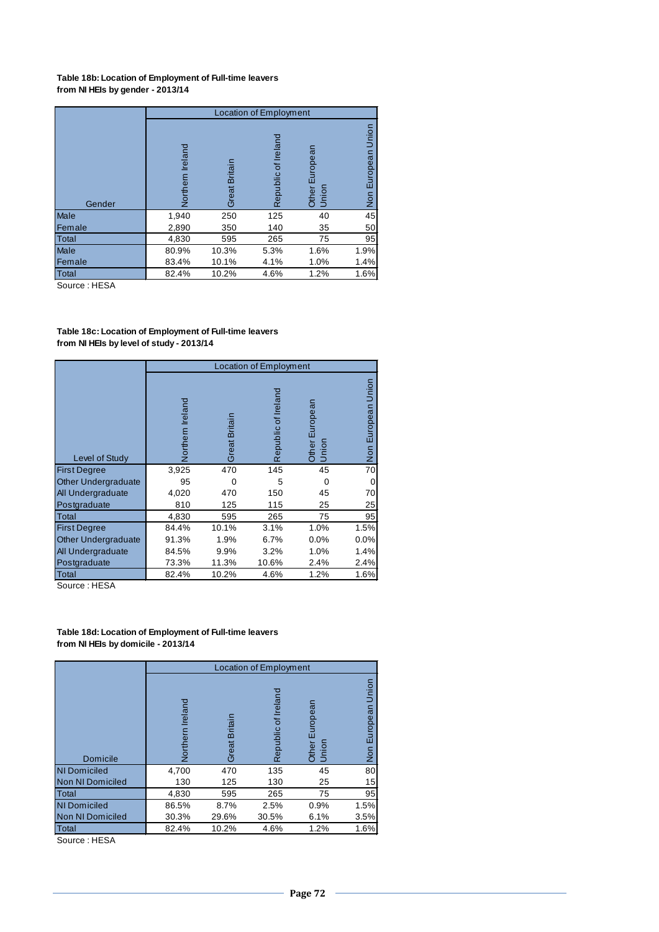#### **Table 18b: Location of Employment of Full-time leavers from NI HEIs by gender - 2013/14**

|             |                     |               | <b>Location of Employment</b> |                            |                                    |
|-------------|---------------------|---------------|-------------------------------|----------------------------|------------------------------------|
| Gender      | Ireland<br>Northern | Great Britain | Ireland<br>Republic of        | European<br>Union<br>Other | Union<br>European<br>$\frac{5}{2}$ |
| Male        | 1,940               | 250           | 125                           | 40                         | 45                                 |
| Female      | 2,890               | 350           | 140                           | 35                         | 50                                 |
| Total       | 4,830               | 595           | 265                           | 75                         | 95                                 |
| <b>Male</b> | 80.9%               | 10.3%         | 5.3%                          | 1.6%                       | 1.9%                               |
| Female      | 83.4%               | 10.1%         | 4.1%                          | 1.0%                       | 1.4%                               |
| Total       | 82.4%               | 10.2%         | 4.6%                          | 1.2%                       | 1.6%                               |

Source : HESA

#### **Table 18c: Location of Employment of Full-time leavers from NI HEIs by level of study - 2013/14**

|                            |                  |               | <b>Location of Employment</b> |                         |                    |
|----------------------------|------------------|---------------|-------------------------------|-------------------------|--------------------|
| Level of Study             | Northern Ireland | Great Britain | Republic of Ireland           | Other European<br>Union | Non European Union |
| <b>First Degree</b>        | 3,925            | 470           | 145                           | 45                      | 70                 |
| <b>Other Undergraduate</b> | 95               |               | 5                             | 0                       | 0                  |
| All Undergraduate          | 4,020            | 470           | 150                           | 45                      | 70                 |
| Postgraduate               | 810              | 125           | 115                           | 25                      | 25                 |
| <b>Total</b>               | 4,830            | 595           | 265                           | 75                      | 95                 |
| <b>First Degree</b>        | 84.4%            | 10.1%         | 3.1%                          | 1.0%                    | 1.5%               |
| <b>Other Undergraduate</b> | 91.3%            | 1.9%          | 6.7%                          | 0.0%                    | 0.0%               |
| <b>All Undergraduate</b>   | 84.5%            | 9.9%          | 3.2%                          | 1.0%                    | 1.4%               |
| Postgraduate               | 73.3%            | 11.3%         | 10.6%                         | 2.4%                    | 2.4%               |
| Total                      | 82.4%            | 10.2%         | 4.6%                          | 1.2%                    | 1.6%               |

Source : HESA

#### **Table 18d: Location of Employment of Full-time leavers from NI HEIs by domicile - 2013/14**

| <b>Domicile</b>     | Ireland<br>Northern | <b>Great Britair</b> | Irelan<br>tō<br>Republic | Europea<br>Other<br>Union | Non European Union |
|---------------------|---------------------|----------------------|--------------------------|---------------------------|--------------------|
| <b>NI Domiciled</b> | 4,700               | 470                  | 135                      | 45                        | 80                 |
| Non NI Domiciled    | 130                 | 125                  | 130                      | 25                        | 15                 |
| <b>Total</b>        | 4,830               | 595                  | 265                      | 75                        | 95                 |
| <b>NI Domiciled</b> | 86.5%               | 8.7%                 | 2.5%                     | 0.9%                      | 1.5%               |
| Non NI Domiciled    | 30.3%               | 29.6%                | 30.5%                    | 6.1%                      | 3.5%               |
| Total               | 82.4%               | 10.2%                | 4.6%                     | 1.2%                      | 1.6%               |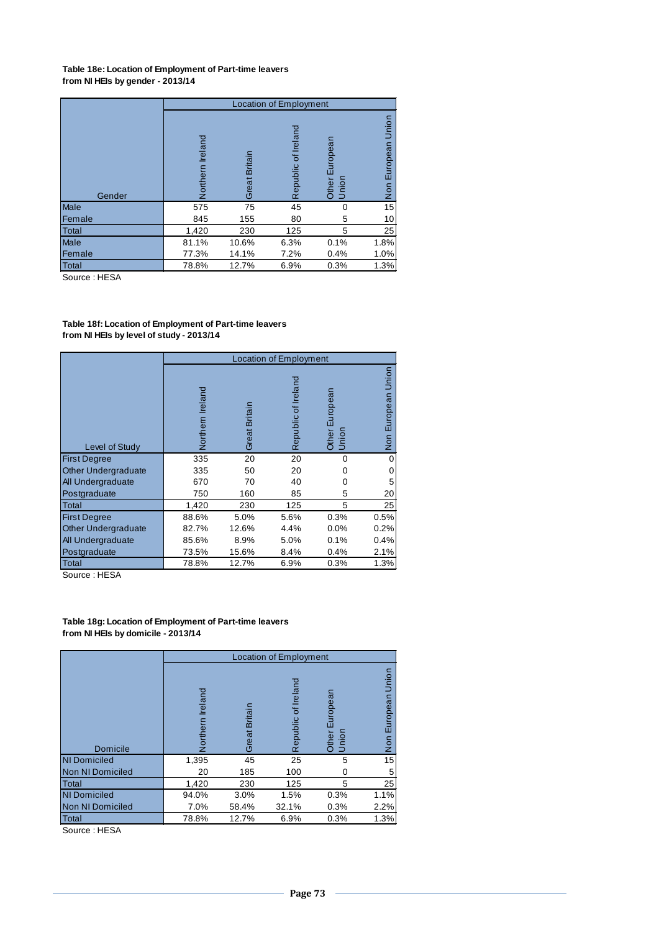## **Table 18e: Location of Employment of Part-time leavers from NI HEIs by gender - 2013/14**

|        |                  |               | Location of Employment |                            |                                    |
|--------|------------------|---------------|------------------------|----------------------------|------------------------------------|
| Gender | Northern Ireland | Great Britain | Republic of Ireland    | European<br>Union<br>Other | Union<br>European<br>$\frac{5}{2}$ |
| Male   | 575              | 75            | 45                     | 0                          | 15                                 |
| Female | 845              | 155           | 80                     | 5                          | 10                                 |
| Total  | 1,420            | 230           | 125                    | 5                          | 25                                 |
| Male   | 81.1%            | 10.6%         | 6.3%                   | 0.1%                       | 1.8%                               |
| Female | 77.3%            | 14.1%         | 7.2%                   | 0.4%                       | 1.0%                               |
| Total  | 78.8%            | 12.7%         | 6.9%                   | 0.3%                       | 1.3%                               |

Source : HESA

## **Table 18f: Location of Employment of Part-time leavers from NI HEIs by level of study - 2013/14**

|                            |                  |               | <b>Location of Employment</b> |                            |                       |
|----------------------------|------------------|---------------|-------------------------------|----------------------------|-----------------------|
| Level of Study             | Northern Ireland | Great Britain | Republic of Ireland           | European<br>Other<br>Union | Union<br>Non European |
| <b>First Degree</b>        | 335              | 20            | 20                            | $\Omega$                   |                       |
| <b>Other Undergraduate</b> | 335              | 50            | 20                            | O                          |                       |
| All Undergraduate          | 670              | 70            | 40                            |                            |                       |
| Postgraduate               | 750              | 160           | 85                            | 5                          | 20                    |
| Total                      | 1,420            | 230           | 125                           | 5                          | 25                    |
| <b>First Degree</b>        | 88.6%            | 5.0%          | 5.6%                          | 0.3%                       | 0.5%                  |
| <b>Other Undergraduate</b> | 82.7%            | 12.6%         | 4.4%                          | 0.0%                       | 0.2%                  |
| All Undergraduate          | 85.6%            | 8.9%          | 5.0%                          | 0.1%                       | 0.4%                  |
| Postgraduate               | 73.5%            | 15.6%         | 8.4%                          | 0.4%                       | 2.1%                  |
| Total                      | 78.8%            | 12.7%         | 6.9%                          | 0.3%                       | 1.3%                  |

Source : HESA

## **Table 18g: Location of Employment of Part-time leavers from NI HEIs by domicile - 2013/14**

|                     |                     |               | Location of Employment |                               |                                      |
|---------------------|---------------------|---------------|------------------------|-------------------------------|--------------------------------------|
| <b>Domicile</b>     | Ireland<br>Vorthern | Great Britain | Republic of Irelan     | ropean<br>品<br>Other<br>Union | Union<br>European<br>S <sub>ON</sub> |
| <b>NI Domiciled</b> | 1,395               | 45            | 25                     | 5                             | 15                                   |
| Non NI Domiciled    | 20                  | 185           | 100                    |                               |                                      |
| Total               | 1,420               | 230           | 125                    | 5                             | 25                                   |
| <b>NI Domiciled</b> | 94.0%               | 3.0%          | 1.5%                   | 0.3%                          | 1.1%                                 |
| Non NI Domiciled    | 7.0%                | 58.4%         | 32.1%                  | 0.3%                          | 2.2%                                 |
| Total               | 78.8%               | 12.7%         | 6.9%                   | 0.3%                          | 1.3%                                 |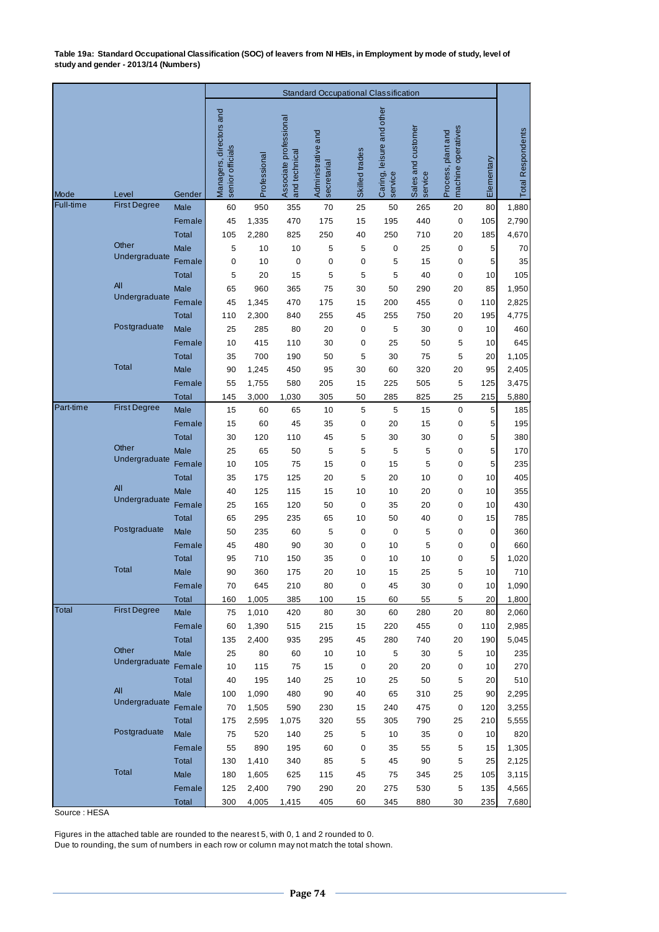**Table 19a: Standard Occupational Classification (SOC) of leavers from NI HEIs, in Employment by mode of study, level of study and gender - 2013/14 (Numbers)**

|              |                      |                      |                                             |                |                                         |                                   | <b>Standard Occupational Classification</b> |                                      |                               |                                          |            |                          |
|--------------|----------------------|----------------------|---------------------------------------------|----------------|-----------------------------------------|-----------------------------------|---------------------------------------------|--------------------------------------|-------------------------------|------------------------------------------|------------|--------------------------|
| Mode         | Level                | Gender               | Managers, directors and<br>senior officials | Professional   | Associate professional<br>and technical | Administrative and<br>secretarial | Skilled trades                              | Caring, leisure and other<br>service | Sales and customer<br>service | machine operatives<br>Process, plant and | Elementary | <b>Total Respondents</b> |
| Full-time    | <b>First Degree</b>  | Male                 | 60                                          | 950            | 355                                     | 70                                | 25                                          | 50                                   | 265                           | 20                                       | 80         | 1,880                    |
|              |                      | Female               | 45                                          | 1,335          | 470                                     | 175                               | 15                                          | 195                                  | 440                           | $\mathbf 0$                              | 105        | 2,790                    |
|              |                      | <b>Total</b>         | 105                                         | 2,280          | 825                                     | 250                               | 40                                          | 250                                  | 710                           | 20                                       | 185        | 4,670                    |
|              | Other                | Male                 | 5                                           | 10             | 10                                      | 5                                 | $\sqrt{5}$                                  | $\mathbf 0$                          | 25                            | $\mathbf 0$                              | 5          | 70                       |
|              | Undergraduate        | Female               | 0                                           | 10             | $\mathbf 0$                             | $\mathbf 0$                       | $\mathbf 0$                                 | 5                                    | 15                            | 0                                        | 5          | 35                       |
|              |                      | <b>Total</b>         | 5                                           | 20             | 15                                      | 5                                 | 5                                           | 5                                    | 40                            | $\mathbf 0$                              | 10         | 105                      |
|              | All<br>Undergraduate | Male                 | 65                                          | 960            | 365                                     | 75                                | 30                                          | 50                                   | 290                           | 20                                       | 85         | 1,950                    |
|              |                      | Female               | 45                                          | 1,345          | 470                                     | 175                               | 15                                          | 200                                  | 455                           | $\mathbf 0$                              | 110        | 2,825                    |
|              | Postgraduate         | <b>Total</b>         | 110                                         | 2,300          | 840                                     | 255                               | 45                                          | 255                                  | 750                           | 20                                       | 195        | 4,775                    |
|              |                      | Male                 | 25                                          | 285            | 80                                      | 20                                | 0                                           | 5                                    | 30                            | 0                                        | 10         | 460                      |
|              |                      | Female               | 10                                          | 415            | 110                                     | 30                                | 0                                           | 25                                   | 50                            | 5                                        | 10         | 645                      |
|              | <b>Total</b>         | <b>Total</b><br>Male | 35                                          | 700            | 190                                     | 50                                | 5<br>30                                     | 30                                   | 75<br>320                     | 5                                        | 20         | 1,105                    |
|              |                      | Female               | 90<br>55                                    | 1,245<br>1,755 | 450<br>580                              | 95<br>205                         | 15                                          | 60<br>225                            | 505                           | 20<br>5                                  | 95<br>125  | 2,405<br>3,475           |
|              |                      | <b>Total</b>         | 145                                         | 3,000          | 1,030                                   | 305                               | 50                                          | 285                                  | 825                           | 25                                       | 215        | 5,880                    |
| Part-time    | <b>First Degree</b>  | Male                 | 15                                          | 60             | 65                                      | 10                                | 5                                           | 5                                    | 15                            | $\pmb{0}$                                | 5          | 185                      |
|              |                      | Female               | 15                                          | 60             | 45                                      | 35                                | 0                                           | 20                                   | 15                            | 0                                        | 5          | 195                      |
|              |                      | <b>Total</b>         | 30                                          | 120            | 110                                     | 45                                | 5                                           | 30                                   | 30                            | $\pmb{0}$                                | 5          | 380                      |
|              | Other                | <b>Male</b>          | 25                                          | 65             | 50                                      | 5                                 | 5                                           | 5                                    | 5                             | $\mathbf 0$                              | 5          | 170                      |
|              | Undergraduate        | Female               | 10                                          | 105            | 75                                      | 15                                | $\mathbf 0$                                 | 15                                   | 5                             | 0                                        | 5          | 235                      |
|              |                      | <b>Total</b>         | 35                                          | 175            | 125                                     | 20                                | 5                                           | 20                                   | 10                            | 0                                        | 10         | 405                      |
|              | All                  | <b>Male</b>          | 40                                          | 125            | 115                                     | 15                                | 10                                          | 10                                   | 20                            | 0                                        | 10         | 355                      |
|              | Undergraduate        | Female               | 25                                          | 165            | 120                                     | 50                                | 0                                           | 35                                   | 20                            | 0                                        | 10         | 430                      |
|              |                      | <b>Total</b>         | 65                                          | 295            | 235                                     | 65                                | 10                                          | 50                                   | 40                            | 0                                        | 15         | 785                      |
|              | Postgraduate         | Male                 | 50                                          | 235            | 60                                      | 5                                 | 0                                           | 0                                    | 5                             | 0                                        | 0          | 360                      |
|              |                      | Female               | 45                                          | 480            | 90                                      | 30                                | 0                                           | 10                                   | 5                             | 0                                        | 0          | 660                      |
|              |                      | Total                | 95                                          | 710            | 150                                     | 35                                | 0                                           | 10                                   | 10                            | 0                                        | 5          | 1,020                    |
|              | <b>Total</b>         | Male                 | 90                                          | 360            | 175                                     | 20                                | 10                                          | 15                                   | 25                            | 5                                        | 10         | 710                      |
|              |                      | Female               | 70                                          | 645            | 210                                     | 80                                | 0                                           | 45                                   | 30                            | 0                                        | 10         | 1,090                    |
| <b>Total</b> | <b>First Degree</b>  | Total                | 160                                         | 1,005          | 385                                     | 100                               | 15                                          | 60                                   | 55                            | 5                                        | 20         | 1,800                    |
|              |                      | Male<br>Female       | 75<br>60                                    | 1,010<br>1,390 | 420<br>515                              | 80<br>215                         | 30<br>15                                    | 60<br>220                            | 280<br>455                    | 20<br>0                                  | 80<br>110  | 2,060<br>2,985           |
|              |                      | Total                | 135                                         | 2,400          | 935                                     | 295                               | 45                                          | 280                                  | 740                           | 20                                       | 190        | 5,045                    |
|              | Other                | Male                 | 25                                          | 80             | 60                                      | 10                                | $10$                                        | 5                                    | 30                            | 5                                        | 10         | 235                      |
|              | Undergraduate        | Female               | 10                                          | 115            | 75                                      | 15                                | $\pmb{0}$                                   | 20                                   | 20                            | 0                                        | 10         | 270                      |
|              |                      | Total                | 40                                          | 195            | 140                                     | 25                                | 10                                          | 25                                   | 50                            | $\sqrt{5}$                               | 20         | 510                      |
|              | All                  | Male                 | 100                                         | 1,090          | 480                                     | 90                                | 40                                          | 65                                   | 310                           | 25                                       | 90         | 2,295                    |
|              | Undergraduate        | Female               | 70                                          | 1,505          | 590                                     | 230                               | 15                                          | 240                                  | 475                           | 0                                        | 120        | 3,255                    |
|              |                      | Total                | 175                                         | 2,595          | 1,075                                   | 320                               | 55                                          | 305                                  | 790                           | 25                                       | 210        | 5,555                    |
|              | Postgraduate         | Male                 | 75                                          | 520            | 140                                     | 25                                | $\sqrt{5}$                                  | 10                                   | 35                            | 0                                        | 10         | 820                      |
|              |                      | Female               | 55                                          | 890            | 195                                     | 60                                | 0                                           | 35                                   | 55                            | 5                                        | 15         | 1,305                    |
|              |                      | Total                | 130                                         | 1,410          | 340                                     | 85                                | 5                                           | 45                                   | 90                            | 5                                        | 25         | 2,125                    |
|              | Total                | Male                 | 180                                         | 1,605          | 625                                     | 115                               | 45                                          | 75                                   | 345                           | 25                                       | 105        | 3,115                    |
|              |                      | Female               | 125                                         | 2,400          | 790                                     | 290                               | 20                                          | 275                                  | 530                           | $\,$ 5 $\,$                              | 135        | 4,565                    |
|              |                      | <b>Total</b>         | 300                                         | 4,005          | 1,415                                   | 405                               | 60                                          | 345                                  | 880                           | $30\,$                                   | 235        | 7,680                    |

Source : HESA

Figures in the attached table are rounded to the nearest 5, with 0, 1 and 2 rounded to 0.

Due to rounding, the sum of numbers in each row or column may not match the total shown.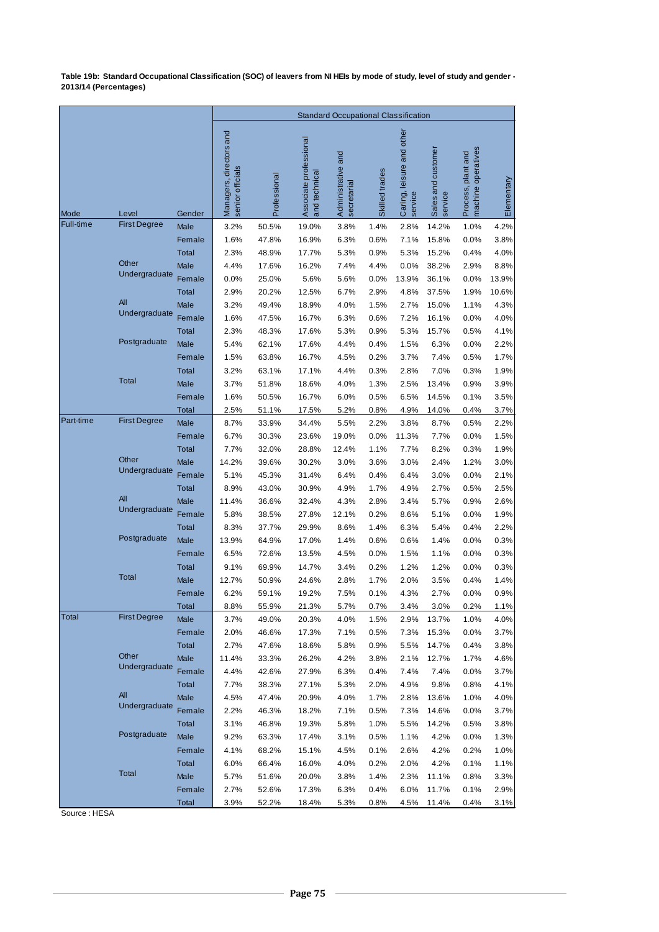**Table 19b: Standard Occupational Classification (SOC) of leavers from NI HEIs by mode of study, level of study and gender - 2013/14 (Percentages)**

|           |                     |              |                                             |              |                                         | <b>Standard Occupational Classification</b> |                |                                      |                               |                                          |            |
|-----------|---------------------|--------------|---------------------------------------------|--------------|-----------------------------------------|---------------------------------------------|----------------|--------------------------------------|-------------------------------|------------------------------------------|------------|
| Mode      | Level               | Gender       | Managers, directors and<br>senior officials | Professional | Associate professional<br>and technical | Administrative and<br>secretarial           | Skilled trades | Caring, leisure and other<br>service | Sales and customer<br>service | machine operatives<br>Process, plant and | Elementary |
| Full-time | <b>First Degree</b> | Male         | 3.2%                                        | 50.5%        | 19.0%                                   | 3.8%                                        | 1.4%           | 2.8%                                 | 14.2%                         | 1.0%                                     | 4.2%       |
|           |                     | Female       | 1.6%                                        | 47.8%        | 16.9%                                   | 6.3%                                        | 0.6%           | 7.1%                                 | 15.8%                         | 0.0%                                     | 3.8%       |
|           |                     | <b>Total</b> | 2.3%                                        | 48.9%        | 17.7%                                   | 5.3%                                        | 0.9%           | 5.3%                                 | 15.2%                         | 0.4%                                     | 4.0%       |
|           | Other               | Male         | 4.4%                                        | 17.6%        | 16.2%                                   | 7.4%                                        | 4.4%           | 0.0%                                 | 38.2%                         | 2.9%                                     | 8.8%       |
|           | Undergraduate       | Female       | 0.0%                                        | 25.0%        | 5.6%                                    | 5.6%                                        | 0.0%           | 13.9%                                | 36.1%                         | 0.0%                                     | 13.9%      |
|           |                     | Total        | 2.9%                                        | 20.2%        | 12.5%                                   | 6.7%                                        | 2.9%           | 4.8%                                 | 37.5%                         | 1.9%                                     | 10.6%      |
|           | All                 | Male         | 3.2%                                        | 49.4%        | 18.9%                                   | 4.0%                                        | 1.5%           | 2.7%                                 | 15.0%                         | 1.1%                                     | 4.3%       |
|           | Undergraduate       | Female       | 1.6%                                        | 47.5%        | 16.7%                                   | 6.3%                                        | 0.6%           | 7.2%                                 | 16.1%                         | 0.0%                                     | 4.0%       |
|           |                     | Total        | 2.3%                                        | 48.3%        | 17.6%                                   | 5.3%                                        | 0.9%           | 5.3%                                 | 15.7%                         | 0.5%                                     | 4.1%       |
|           | Postgraduate        | Male         | 5.4%                                        | 62.1%        | 17.6%                                   | 4.4%                                        | 0.4%           | 1.5%                                 | 6.3%                          | 0.0%                                     | 2.2%       |
|           |                     | Female       | 1.5%                                        | 63.8%        | 16.7%                                   | 4.5%                                        | 0.2%           | 3.7%                                 | 7.4%                          | 0.5%                                     | 1.7%       |
|           |                     | Total        | 3.2%                                        | 63.1%        | 17.1%                                   | 4.4%                                        | 0.3%           | 2.8%                                 | 7.0%                          | 0.3%                                     | 1.9%       |
|           | <b>Total</b>        | Male         | 3.7%                                        | 51.8%        | 18.6%                                   | 4.0%                                        | 1.3%           | 2.5%                                 | 13.4%                         | 0.9%                                     | 3.9%       |
|           |                     | Female       | 1.6%                                        | 50.5%        | 16.7%                                   | 6.0%                                        | 0.5%           | 6.5%                                 | 14.5%                         | 0.1%                                     | 3.5%       |
|           |                     | Total        | 2.5%                                        | 51.1%        | 17.5%                                   | 5.2%                                        | 0.8%           | 4.9%                                 | 14.0%                         | 0.4%                                     | 3.7%       |
| Part-time | <b>First Degree</b> | Male         | 8.7%                                        | 33.9%        | 34.4%                                   | 5.5%                                        | 2.2%           | 3.8%                                 | 8.7%                          | 0.5%                                     | 2.2%       |
|           |                     | Female       | 6.7%                                        | 30.3%        | 23.6%                                   | 19.0%                                       | 0.0%           | 11.3%                                | 7.7%                          | 0.0%                                     | 1.5%       |
|           |                     | <b>Total</b> | 7.7%                                        | 32.0%        | 28.8%                                   | 12.4%                                       | 1.1%           | 7.7%                                 | 8.2%                          | 0.3%                                     | 1.9%       |
|           | Other               | Male         | 14.2%                                       | 39.6%        | 30.2%                                   | 3.0%                                        | 3.6%           | 3.0%                                 | 2.4%                          | 1.2%                                     | 3.0%       |
|           | Undergraduate       | Female       | 5.1%                                        | 45.3%        | 31.4%                                   | 6.4%                                        | 0.4%           | 6.4%                                 | 3.0%                          | 0.0%                                     | 2.1%       |
|           |                     | <b>Total</b> | 8.9%                                        | 43.0%        | 30.9%                                   | 4.9%                                        | 1.7%           | 4.9%                                 | 2.7%                          | 0.5%                                     | 2.5%       |
|           | All                 | Male         | 11.4%                                       | 36.6%        | 32.4%                                   | 4.3%                                        | 2.8%           | 3.4%                                 | 5.7%                          | 0.9%                                     | 2.6%       |
|           | Undergraduate       | Female       | 5.8%                                        | 38.5%        | 27.8%                                   | 12.1%                                       | 0.2%           | 8.6%                                 | 5.1%                          | 0.0%                                     | 1.9%       |
|           |                     | <b>Total</b> | 8.3%                                        | 37.7%        | 29.9%                                   | 8.6%                                        | 1.4%           | 6.3%                                 | 5.4%                          | 0.4%                                     | 2.2%       |
|           | Postgraduate        | Male         | 13.9%                                       | 64.9%        | 17.0%                                   | 1.4%                                        | 0.6%           | 0.6%                                 | 1.4%                          | 0.0%                                     | 0.3%       |
|           |                     | Female       | 6.5%                                        | 72.6%        | 13.5%                                   | 4.5%                                        | 0.0%           | 1.5%                                 | 1.1%                          | 0.0%                                     | 0.3%       |
|           |                     | Total        | 9.1%                                        | 69.9%        | 14.7%                                   | 3.4%                                        | 0.2%           | 1.2%                                 | 1.2%                          | 0.0%                                     | 0.3%       |
|           | Total               | Male         | 12.7%                                       | 50.9%        | 24.6%                                   | 2.8%                                        | 1.7%           | 2.0%                                 | 3.5%                          | 0.4%                                     | 1.4%       |
|           |                     | Female       | 6.2%                                        | 59.1%        | 19.2%                                   | 7.5%                                        | 0.1%           | 4.3%                                 | 2.7%                          | 0.0%                                     | 0.9%       |
|           |                     | Total        | 8.8%                                        | 55.9%        | 21.3%                                   | 5.7%                                        | 0.7%           | 3.4%                                 | 3.0%                          | 0.2%                                     | 1.1%       |
| Total     | <b>First Degree</b> | Male         | 3.7%                                        | 49.0%        | 20.3%                                   | 4.0%                                        | 1.5%           | 2.9%                                 | 13.7%                         | 1.0%                                     | 4.0%       |
|           |                     | Female       | 2.0%                                        | 46.6%        | 17.3%                                   | 7.1%                                        | 0.5%           | 7.3%                                 | 15.3%                         | 0.0%                                     | 3.7%       |
|           |                     | Total        | 2.7%                                        | 47.6%        | 18.6%                                   | 5.8%                                        | 0.9%           | 5.5%                                 | 14.7%                         | 0.4%                                     | 3.8%       |
|           | Other               | Male         | 11.4%                                       | 33.3%        | 26.2%                                   | 4.2%                                        | 3.8%           | 2.1%                                 | 12.7%                         | 1.7%                                     | 4.6%       |
|           | Undergraduate       | Female       | 4.4%                                        | 42.6%        | 27.9%                                   | 6.3%                                        | 0.4%           | 7.4%                                 | 7.4%                          | 0.0%                                     | 3.7%       |
|           |                     | Total        | 7.7%                                        | 38.3%        | 27.1%                                   | 5.3%                                        | 2.0%           | 4.9%                                 | 9.8%                          | 0.8%                                     | 4.1%       |
|           | All                 | Male         | 4.5%                                        | 47.4%        | 20.9%                                   | 4.0%                                        | 1.7%           | 2.8%                                 | 13.6%                         | 1.0%                                     | 4.0%       |
|           | Undergraduate       | Female       | 2.2%                                        | 46.3%        | 18.2%                                   | 7.1%                                        | 0.5%           | 7.3%                                 | 14.6%                         | 0.0%                                     | 3.7%       |
|           |                     | Total        | 3.1%                                        | 46.8%        | 19.3%                                   | 5.8%                                        | 1.0%           | 5.5%                                 | 14.2%                         | 0.5%                                     | 3.8%       |
|           | Postgraduate        | Male         | 9.2%                                        | 63.3%        | 17.4%                                   | 3.1%                                        | 0.5%           | 1.1%                                 | 4.2%                          | 0.0%                                     | 1.3%       |
|           |                     | Female       | 4.1%                                        | 68.2%        | 15.1%                                   | 4.5%                                        | 0.1%           | 2.6%                                 | 4.2%                          | 0.2%                                     | 1.0%       |
|           |                     | Total        | 6.0%                                        | 66.4%        | 16.0%                                   | 4.0%                                        | 0.2%           | 2.0%                                 | 4.2%                          | 0.1%                                     | 1.1%       |
|           | Total               | Male         | 5.7%                                        | 51.6%        | 20.0%                                   | 3.8%                                        | 1.4%           | 2.3%                                 | 11.1%                         | 0.8%                                     | 3.3%       |
|           |                     | Female       | 2.7%                                        | 52.6%        | 17.3%                                   | 6.3%                                        | 0.4%           | 6.0%                                 | 11.7%                         | 0.1%                                     | 2.9%       |
|           |                     | Total        | 3.9%                                        | 52.2%        | 18.4%                                   | 5.3%                                        | 0.8%           | 4.5%                                 | 11.4%                         | 0.4%                                     | 3.1%       |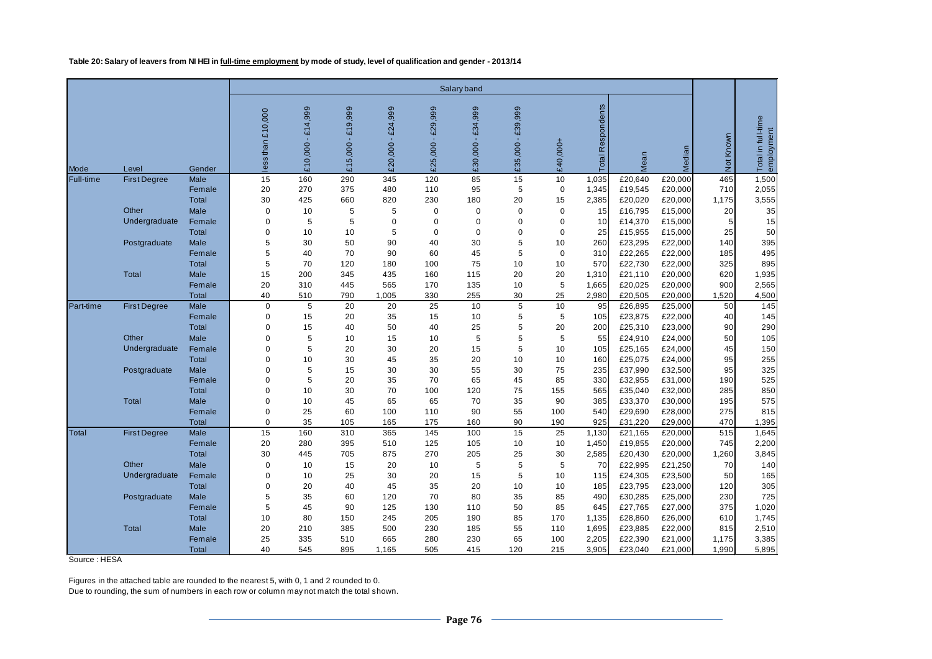**Table 20: Salary of leavers from NI HEI in full-time employment by mode of study, level of qualification and gender - 2013/14**

|              |                     |                        |                     |                    |                    |                       |                                     | Salary band                        |                    |             |                      |                    |                    |                       |                                  |
|--------------|---------------------|------------------------|---------------------|--------------------|--------------------|-----------------------|-------------------------------------|------------------------------------|--------------------|-------------|----------------------|--------------------|--------------------|-----------------------|----------------------------------|
| Mode         | Level               | Gender                 | than £10,000<br>ess | £14,999<br>£10,000 | £19,999<br>£15,000 | $-£24,999$<br>£20,000 | £29,999<br>$\mathcal{A}$<br>£25,000 | £34,999<br>$\mathbf{u}$<br>£30,000 | £39,999<br>£35,000 | £40,000+    | Respondents<br>Total | Mean               | Median             | Not Known             | Total in full-time<br>employment |
| Full-time    | <b>First Degree</b> | <b>Male</b>            | 15                  | 160                | 290                | 345                   | 120                                 | 85                                 | 15                 | 10          | 1,035                | £20,640            | £20,000            | 465                   | 1,500                            |
|              |                     | Female                 | 20                  | 270                | 375                | 480                   | 110                                 | 95                                 | 5                  | $\mathbf 0$ | 1,345                | £19,545            | £20,000            | 710                   | 2,055                            |
|              |                     | <b>Total</b>           | 30                  | 425                | 660                | 820                   | 230                                 | 180                                | 20                 | 15          | 2,385                | £20,020            | £20,000            | 1,175                 | 3,555                            |
|              | Other               | Male                   | $\mathbf 0$         | 10                 | 5                  | 5                     | $\mathbf 0$                         | 0                                  | 0                  | $\mathbf 0$ | 15                   | £16,795            | £15,000            | 20                    | 35                               |
|              | Undergraduate       | Female                 | $\Omega$            | 5                  | 5                  | $\Omega$              | $\Omega$                            | $\Omega$                           | $\Omega$           | $\Omega$    | 10                   | £14,370            | £15,000            | 5 <sup>1</sup>        | 15                               |
|              |                     | Total                  | $\mathbf 0$         | 10                 | 10                 | 5                     | $\mathbf 0$                         | $\Omega$                           | $\Omega$           | $\Omega$    | 25                   | £15,955            | £15,000            | 25                    | 50                               |
|              | Postgraduate        | Male                   | 5                   | 30                 | 50                 | 90                    | 40                                  | 30                                 | 5                  | 10          | 260                  | £23,295            | £22,000            | 140                   | 395                              |
|              |                     | Female                 | 5                   | 40                 | 70                 | 90                    | 60                                  | 45                                 | 5                  | $\mathbf 0$ | 310                  | £22,265            | £22,000            | 185                   | 495                              |
|              |                     | <b>Total</b>           | 5                   | 70                 | 120                | 180                   | 100                                 | 75                                 | 10                 | 10          | 570                  | £22,730            | £22,000            | 325                   | 895                              |
|              | <b>Total</b>        | Male                   | 15                  | 200                | 345                | 435                   | 160                                 | 115                                | 20                 | 20          | 1,310                | £21,110            | £20,000            | 620                   | 1,935                            |
|              |                     | Female                 | 20                  | 310                | 445                | 565                   | 170                                 | 135                                | 10                 | 5           | 1,665                | £20,025            | £20,000            | 900                   | 2,565                            |
|              |                     | Total                  | 40<br>$\Omega$      | 510                | 790                | 1,005                 | 330                                 | 255                                | 30                 | 25          | 2,980                | £20,505<br>£26.895 | £20,000            | 1,520                 | 4,500<br>145                     |
| Part-time    | <b>First Degree</b> | Male                   | $\Omega$            | 5                  | 20                 | 20                    | 25                                  | 10                                 | 5<br>5             | 10<br>5     | 95                   | £23,875            | £25,000<br>£22,000 | 50                    |                                  |
|              |                     | Female<br><b>Total</b> | $\mathbf 0$         | 15<br>15           | 20<br>40           | 35<br>50              | 15<br>40                            | 10<br>25                           | 5                  | 20          | 105<br>200           | £25,310            | £23,000            | 40<br>90 <sub>0</sub> | 145<br>290                       |
|              | Other               | Male                   | $\Omega$            | 5                  | 10                 | 15                    | 10                                  | 5                                  | 5                  | 5           | 55                   | £24,910            | £24,000            | 50                    | 105                              |
|              | Undergraduate       | Female                 | $\Omega$            | 5                  | 20                 | 30                    | 20                                  | 15                                 | 5                  | 10          | 105                  | £25,165            | £24,000            | 45                    | 150                              |
|              |                     | <b>Total</b>           | $\Omega$            | 10                 | 30                 | 45                    | 35                                  | 20                                 | 10                 | 10          | 160                  | £25,075            | £24,000            | 95                    | 255                              |
|              | Postgraduate        | Male                   | $\Omega$            | 5                  | 15                 | 30                    | 30                                  | 55                                 | 30                 | 75          | 235                  | £37,990            | £32,500            | 95                    | 325                              |
|              |                     | Female                 | $\Omega$            | 5                  | 20                 | 35                    | 70                                  | 65                                 | 45                 | 85          | 330                  | £32,955            | £31,000            | 190                   | 525                              |
|              |                     | <b>Total</b>           | $\Omega$            | 10                 | 30                 | 70                    | 100                                 | 120                                | 75                 | 155         | 565                  | £35,040            | £32,000            | 285                   | 850                              |
|              | <b>Total</b>        | Male                   | $\Omega$            | 10                 | 45                 | 65                    | 65                                  | 70                                 | 35                 | 90          | 385                  | £33,370            | £30,000            | 195                   | 575                              |
|              |                     | Female                 | 0                   | 25                 | 60                 | 100                   | 110                                 | 90                                 | 55                 | 100         | 540                  | £29,690            | £28,000            | 275                   | 815                              |
|              |                     | Total                  | $\mathbf 0$         | 35                 | 105                | 165                   | 175                                 | 160                                | 90                 | 190         | 925                  | £31,220            | £29,000            | 470                   | 1,395                            |
| <b>Total</b> | <b>First Degree</b> | Male                   | 15                  | 160                | 310                | 365                   | 145                                 | 100                                | 15                 | 25          | 1,130                | £21,165            | £20,000            | 515                   | 1,645                            |
|              |                     | Female                 | 20                  | 280                | 395                | 510                   | 125                                 | 105                                | 10                 | 10          | 1,450                | £19,855            | £20,000            | 745                   | 2,200                            |
|              |                     | <b>Total</b>           | 30                  | 445                | 705                | 875                   | 270                                 | 205                                | 25                 | 30          | 2,585                | £20,430            | £20,000            | 1,260                 | 3,845                            |
|              | Other               | Male                   | $\mathbf 0$         | 10                 | 15                 | 20                    | 10                                  | 5                                  | 5                  | 5           | 70                   | £22,995            | £21,250            | 70                    | 140                              |
|              | Undergraduate       | Female                 | $\mathbf 0$         | 10                 | 25                 | 30                    | 20                                  | 15                                 | 5                  | 10          | 115                  | £24,305            | £23,500            | 50                    | 165                              |
|              |                     | Total                  | $\mathbf 0$         | 20                 | 40                 | 45                    | 35                                  | 20                                 | 10                 | 10          | 185                  | £23,795            | £23,000            | 120                   | 305                              |
|              | Postgraduate        | Male                   | 5                   | 35                 | 60                 | 120                   | 70                                  | 80                                 | 35                 | 85          | 490                  | £30,285            | £25,000            | 230                   | 725                              |
|              |                     | Female                 | 5                   | 45                 | 90                 | 125                   | 130                                 | 110                                | 50                 | 85          | 645                  | £27,765            | £27,000            | 375                   | 1,020                            |
|              |                     | <b>Total</b>           | 10                  | 80                 | 150                | 245                   | 205                                 | 190                                | 85                 | 170         | 1,135                | £28,860            | £26,000            | 610                   | 1,745                            |
|              | <b>Total</b>        | Male                   | 20                  | 210                | 385                | 500                   | 230                                 | 185                                | 55                 | 110         | 1,695                | £23,885            | £22,000            | 815                   | 2,510                            |
|              |                     | Female                 | 25                  | 335                | 510                | 665                   | 280                                 | 230                                | 65                 | 100         | 2,205                | £22,390            | £21,000            | 1,175                 | 3,385                            |
|              |                     | Total                  | 40                  | 545                | 895                | 1,165                 | 505                                 | 415                                | 120                | 215         | 3,905                | £23,040            | £21,000            | 1,990                 | 5,895                            |

Source : HESA

Figures in the attached table are rounded to the nearest 5, with 0, 1 and 2 rounded to 0.

Due to rounding, the sum of numbers in each row or column may not match the total shown.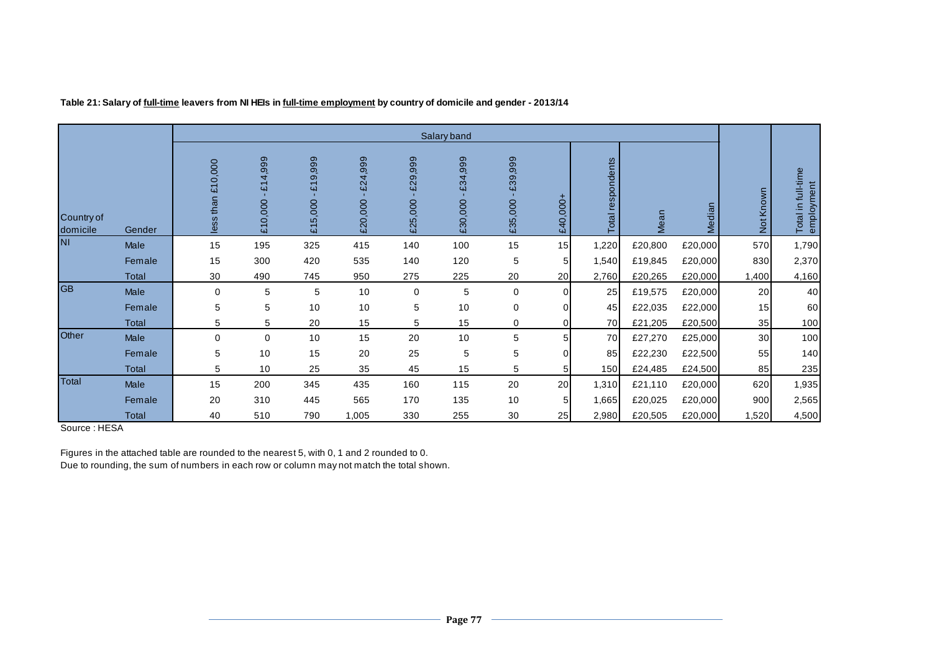|                        |              |                      |                    |                    |                    |                    | Salary band        |                    |             |                      |         |         |           |                                  |
|------------------------|--------------|----------------------|--------------------|--------------------|--------------------|--------------------|--------------------|--------------------|-------------|----------------------|---------|---------|-----------|----------------------------------|
| Country of<br>domicile | Gender       | £10,000<br>less than | £14,999<br>£10,000 | £19,999<br>£15,000 | £24,999<br>£20,000 | £29,999<br>£25,000 | £34,999<br>£30,000 | £39,999<br>£35,000 | £40,000+    | respondents<br>Total | Mean    | Median  | Not Known | Total in full-time<br>employment |
| <b>NI</b>              | Male         | 15                   | 195                | 325                | 415                | 140                | 100                | 15                 | 15          | 1,220                | £20,800 | £20,000 | 570       | 1,790                            |
|                        | Female       | 15                   | 300                | 420                | 535                | 140                | 120                | 5                  | 5           | 1,540                | £19,845 | £20,000 | 830       | 2,370                            |
|                        | <b>Total</b> | 30                   | 490                | 745                | 950                | 275                | 225                | 20                 | 20          | 2,760                | £20,265 | £20,000 | 1,400     | 4,160                            |
| <b>GB</b>              | Male         | $\mathbf 0$          | 5                  | 5                  | 10                 | 0                  | 5                  | 0                  | 0           | 25                   | £19,575 | £20,000 | 20        | 40                               |
|                        | Female       | 5                    | 5                  | 10                 | 10                 | 5                  | 10                 | 0                  | $\mathbf 0$ | 45                   | £22,035 | £22,000 | 15        | 60                               |
|                        | Total        | 5                    | 5                  | 20                 | 15                 | 5                  | 15                 | 0                  | $\mathbf 0$ | 70                   | £21,205 | £20,500 | 35        | 100                              |
| Other                  | Male         | $\mathbf 0$          | $\mathbf 0$        | 10                 | 15                 | 20                 | 10                 | 5                  | 5           | 70                   | £27,270 | £25,000 | 30        | 100                              |
|                        | Female       | 5                    | 10                 | 15                 | 20                 | 25                 | 5                  | 5                  | 0           | 85                   | £22,230 | £22,500 | 55        | 140                              |
|                        | Total        | 5                    | 10                 | 25                 | 35                 | 45                 | 15                 | 5                  | 5           | 150 <sup>1</sup>     | £24,485 | £24,500 | 85        | 235                              |
| Total                  | Male         | 15                   | 200                | 345                | 435                | 160                | 115                | 20                 | 20          | 1,310                | £21,110 | £20,000 | 620       | 1,935                            |
|                        | Female       | 20                   | 310                | 445                | 565                | 170                | 135                | 10                 | 5           | 1,665                | £20,025 | £20,000 | 900       | 2,565                            |
|                        | Total        | 40                   | 510                | 790                | 1,005              | 330                | 255                | 30                 | 25          | 2,980                | £20,505 | £20,000 | 1,520     | 4,500                            |

**Table 21: Salary of full-time leavers from NI HEIs in full-time employment by country of domicile and gender - 2013/14**

Source : HESA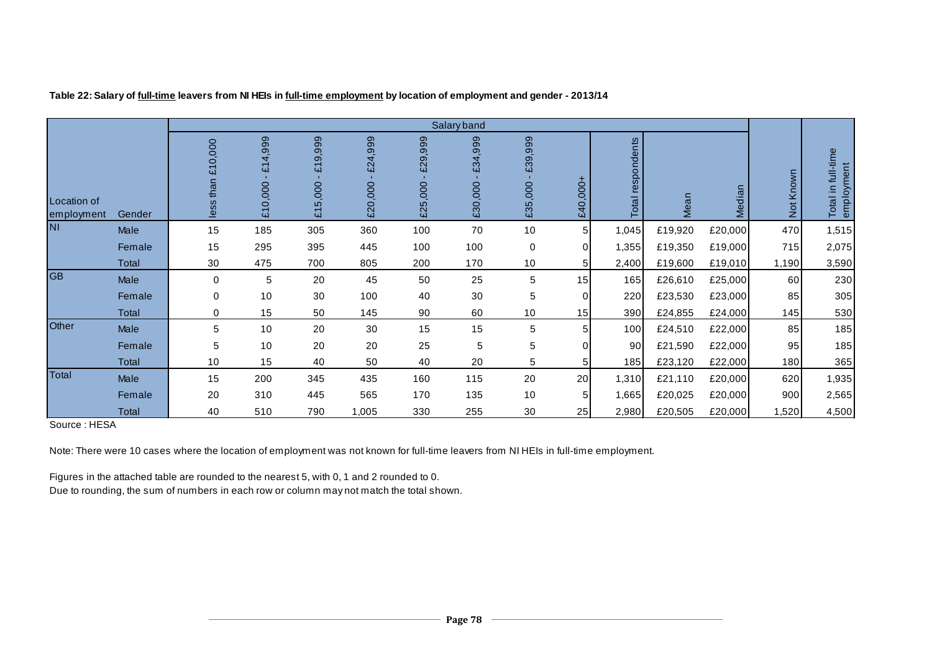|                           |              |                                |                                                 |                                          |                    |                       | Salary band            |                    |          |                      |         |         |           |                                  |
|---------------------------|--------------|--------------------------------|-------------------------------------------------|------------------------------------------|--------------------|-----------------------|------------------------|--------------------|----------|----------------------|---------|---------|-----------|----------------------------------|
| Location of<br>employment | Gender       | 0,000<br><u>ជ</u><br>less than | ,999<br>4<br>$\overline{\mathbf{u}}$<br>£10,000 | 999<br>$\frac{1}{2}$<br>4<br>5,000<br>্র | £24,999<br>£20,000 | 999<br>£29<br>£25,000 | ,999<br>£34<br>£30,000 | £39,999<br>£35,000 | £40,000+ | respondents<br>Total | Mean    | Median  | Not Known | Total in full-time<br>employment |
| <b>NI</b>                 | Male         | 15                             | 185                                             | 305                                      | 360                | 100                   | 70                     | 10                 | 5        | 1,045                | £19,920 | £20,000 | 470       | 1,515                            |
|                           | Female       | 15                             | 295                                             | 395                                      | 445                | 100                   | 100                    | 0                  | $\Omega$ | 1,355                | £19,350 | £19,000 | 715       | 2,075                            |
|                           | Total        | 30                             | 475                                             | 700                                      | 805                | 200                   | 170                    | 10                 |          | 2,400                | £19,600 | £19,010 | 1,190     | 3,590                            |
| <b>GB</b>                 | Male         | $\mathbf 0$                    | 5                                               | 20                                       | 45                 | 50                    | 25                     | 5                  | 15       | 165                  | £26,610 | £25,000 | 60        | 230                              |
|                           | Female       | 0                              | 10                                              | 30                                       | 100                | 40                    | 30                     | 5                  | $\Omega$ | 220                  | £23,530 | £23,000 | 85        | 305                              |
|                           | <b>Total</b> | $\mathbf 0$                    | 15                                              | 50                                       | 145                | 90                    | 60                     | 10                 | 15       | 390                  | £24,855 | £24,000 | 145       | 530                              |
| Other                     | Male         | 5                              | 10                                              | 20                                       | 30                 | 15                    | 15                     | 5                  |          | 100                  | £24,510 | £22,000 | 85        | 185                              |
|                           | Female       | 5                              | 10                                              | 20                                       | 20                 | 25                    | 5                      | 5                  |          | 90                   | £21,590 | £22,000 | 95        | 185                              |
|                           | Total        | 10                             | 15                                              | 40                                       | 50                 | 40                    | 20                     | 5                  |          | 185                  | £23,120 | £22,000 | 180       | 365                              |
| Total                     | Male         | 15                             | 200                                             | 345                                      | 435                | 160                   | 115                    | 20                 | 20       | 1,310                | £21,110 | £20,000 | 620       | 1,935                            |
|                           | Female       | 20                             | 310                                             | 445                                      | 565                | 170                   | 135                    | 10                 |          | 1,665                | £20,025 | £20,000 | 900       | 2,565                            |
|                           | Total        | 40                             | 510                                             | 790                                      | 1,005              | 330                   | 255                    | 30                 | 25       | 2,980                | £20,505 | £20,000 | 1,520     | 4,500                            |

**Table 22: Salary of full-time leavers from NI HEIs in full-time employment by location of employment and gender - 2013/14**

Source : HESA

Note: There were 10 cases where the location of employment was not known for full-time leavers from NI HEIs in full-time employment.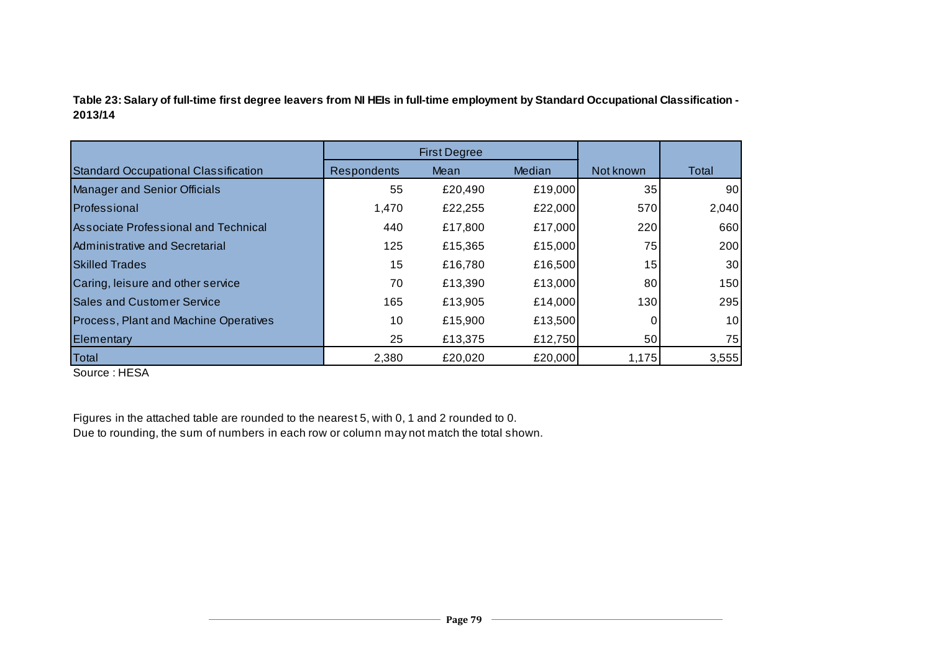**Table 23: Salary of full-time first degree leavers from NI HEIs in full-time employment by Standard Occupational Classification - 2013/14**

|                                             |                    | <b>First Degree</b> |         |           |       |
|---------------------------------------------|--------------------|---------------------|---------|-----------|-------|
| <b>Standard Occupational Classification</b> | <b>Respondents</b> | Mean                | Median  | Not known | Total |
| <b>Manager and Senior Officials</b>         | 55                 | £20,490             | £19,000 | 35        | 90    |
| Professional                                | 1,470              | £22,255             | £22,000 | 570       | 2,040 |
| <b>Associate Professional and Technical</b> | 440                | £17,800             | £17,000 | 220       | 660   |
| Administrative and Secretarial              | 125                | £15,365             | £15,000 | 75        | 200   |
| <b>Skilled Trades</b>                       | 15                 | £16,780             | £16,500 | 15        | 30    |
| Caring, leisure and other service           | 70                 | £13,390             | £13,000 | 80        | 150   |
| <b>Sales and Customer Service</b>           | 165                | £13,905             | £14,000 | 130       | 295   |
| Process, Plant and Machine Operatives       | 10                 | £15,900             | £13,500 | 0         | 10    |
| Elementary                                  | 25                 | £13,375             | £12,750 | 50        | 75    |
| Total                                       | 2,380              | £20,020             | £20,000 | 1,175     | 3,555 |

Source : HESA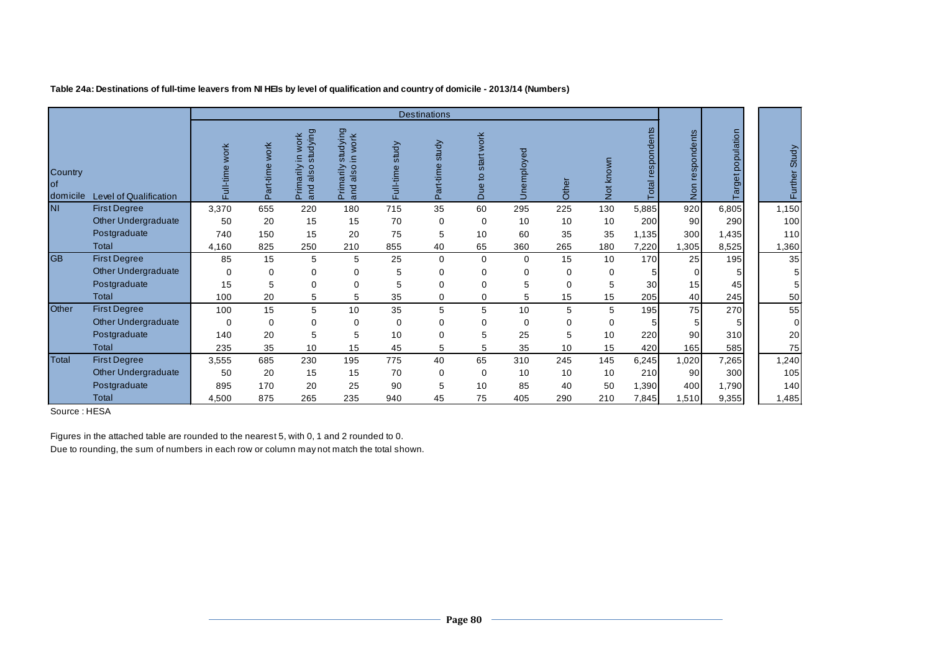|                            |                               |                          |                        |                                                                                                |                                                                    |                                | <b>Destinations</b>                |                                      |                     |          |           |                |                                       |                   |                |
|----------------------------|-------------------------------|--------------------------|------------------------|------------------------------------------------------------------------------------------------|--------------------------------------------------------------------|--------------------------------|------------------------------------|--------------------------------------|---------------------|----------|-----------|----------------|---------------------------------------|-------------------|----------------|
| Country<br>lof<br>domicile | <b>Level of Qualification</b> | <b>WOrk</b><br>Full-time | work<br>art-time<br>Ő. | tudying<br>work<br>⋸<br>$\overline{c}$<br>řί<br>Ō<br>$\overline{\sigma}$<br>ω<br>튼<br>ರ<br>훈 흕 | dying<br>work<br>stu<br>$\subset$<br>$\sigma$<br>ರ<br>ε<br>ā<br>Δ. | study<br>$\omega$<br>Full-time | study<br>$\Omega$<br>art-tir<br>Ő. | work<br>start<br>$\overline{6}$<br>ă | $\overline{8}$<br>っ | Other    | Not known | respo<br>Total | spondents<br>$\ddot{\mathbf{v}}$<br>ē | Target population | Further Study  |
| <b>NI</b>                  | <b>First Degree</b>           | 3,370                    | 655                    | 220                                                                                            | 180                                                                | 715                            | 35                                 | 60                                   | 295                 | 225      | 130       | 5,885          | 920                                   | 6,805             | 1,150          |
|                            | <b>Other Undergraduate</b>    | 50                       | 20                     | 15                                                                                             | 15                                                                 | 70                             | $\Omega$                           | 0                                    | 10                  | 10       | 10        | 200            | 90 <sub>1</sub>                       | 290               | 100            |
|                            | Postgraduate                  | 740                      | 150                    | 15                                                                                             | 20                                                                 | 75                             | 5                                  | 10                                   | 60                  | 35       | 35        | 1,135          | 300                                   | 1,435             | 110            |
|                            | Total                         | 4,160                    | 825                    | 250                                                                                            | 210                                                                | 855                            | 40                                 | 65                                   | 360                 | 265      | 180       | 7,220          | 1,305                                 | 8,525             | 1,360          |
| <b>GB</b>                  | <b>First Degree</b>           | 85                       | 15                     | 5                                                                                              | 5                                                                  | 25                             | $\Omega$                           | 0                                    | $\Omega$            | 15       | 10        | 170            | 25                                    | 195               | 35             |
|                            | <b>Other Undergraduate</b>    | $\Omega$                 | $\Omega$               | 0                                                                                              | $\Omega$                                                           | 5                              | ∩                                  | 0                                    | 0                   | 0        | $\Omega$  |                | 0                                     |                   | 5              |
|                            | Postgraduate                  | 15                       | 5                      | 0                                                                                              | 0                                                                  | 5                              | 0                                  | $\Omega$                             | 5                   | $\Omega$ | 5         | 30             | 15                                    | 45                | 5              |
|                            | Total                         | 100                      | 20                     | 5                                                                                              | 5                                                                  | 35                             | 0                                  | $\Omega$                             | 5                   | 15       | 15        | 205            | 40                                    | 245               | 50             |
| Other                      | <b>First Degree</b>           | 100                      | 15                     | 5                                                                                              | 10                                                                 | 35                             | 5                                  | 5                                    | 10                  | 5        | 5         | 195            | 75                                    | 270               | 55             |
|                            | Other Undergraduate           | $\Omega$                 | 0                      | 0                                                                                              | 0                                                                  | $\Omega$                       | 0                                  | 0                                    | $\Omega$            | $\Omega$ | 0         | 5              | 5                                     | 5 <sub>l</sub>    | $\overline{0}$ |
|                            | Postgraduate                  | 140                      | 20                     | 5                                                                                              | 5                                                                  | 10                             | 0                                  | 5                                    | 25                  | 5        | 10        | 220            | 90                                    | 310               | 20             |
|                            | Total                         | 235                      | 35                     | 10                                                                                             | 15                                                                 | 45                             | 5                                  | 5                                    | 35                  | 10       | 15        | 420            | 165                                   | 585               | 75             |
| Total                      | <b>First Degree</b>           | 3,555                    | 685                    | 230                                                                                            | 195                                                                | 775                            | 40                                 | 65                                   | 310                 | 245      | 145       | 6,245          | 1,020                                 | 7,265             | 1,240          |
|                            | Other Undergraduate           | 50                       | 20                     | 15                                                                                             | 15                                                                 | 70                             | $\Omega$                           | $\Omega$                             | 10                  | 10       | 10        | 210            | 90 <sub>1</sub>                       | 300               | 105            |
|                            | Postgraduate                  | 895                      | 170                    | 20                                                                                             | 25                                                                 | 90                             | 5                                  | 10                                   | 85                  | 40       | 50        | 1,390          | 400                                   | 1,790             | 140            |
|                            | Total                         | 4,500                    | 875                    | 265                                                                                            | 235                                                                | 940                            | 45                                 | 75                                   | 405                 | 290      | 210       | 7,845          | 1,510                                 | 9,355             | 1,485          |

**Table 24a: Destinations of full-time leavers from NI HEIs by level of qualification and country of domicile - 2013/14 (Numbers)**

Source : HESA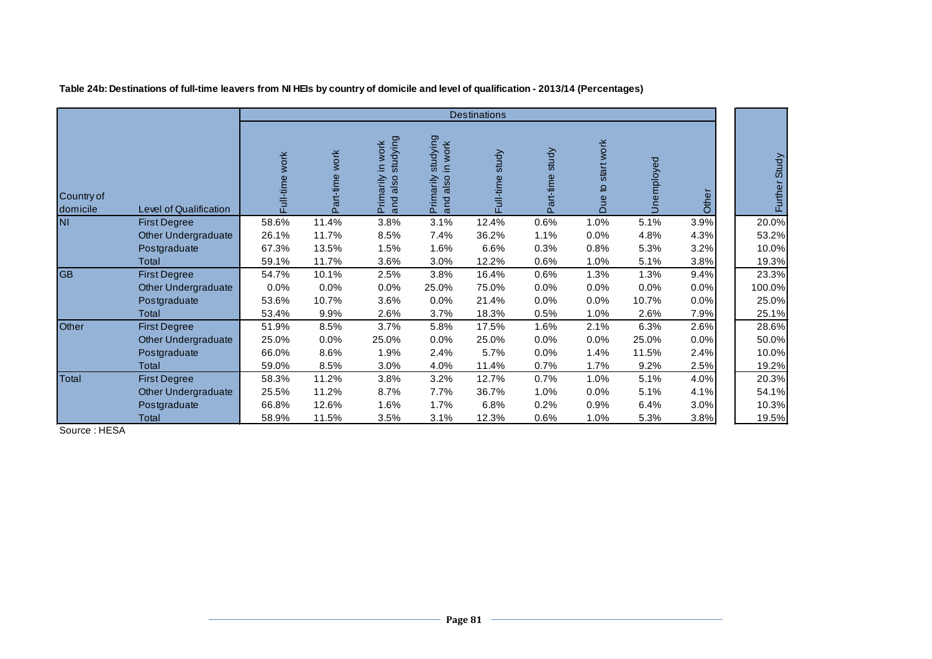|                        |                            |                   |                |                                                        |                                                 | <b>Destinations</b> |                 |                     |            |       |               |
|------------------------|----------------------------|-------------------|----------------|--------------------------------------------------------|-------------------------------------------------|---------------------|-----------------|---------------------|------------|-------|---------------|
| Country of<br>domicile | Level of Qualification     | work<br>Full-time | Part-time work | studying<br>work<br>Ξ<br>arily<br>also<br>Prima<br>and | studying<br>in work<br>Primarily<br>also<br>and | study<br>Full-time  | Part-time study | startwork<br>Due to | Unemployed | Other | Further Study |
| <b>NI</b>              | <b>First Degree</b>        | 58.6%             | 11.4%          | 3.8%                                                   | 3.1%                                            | 12.4%               | 0.6%            | 1.0%                | 5.1%       | 3.9%  | 20.0%         |
|                        | Other Undergraduate        | 26.1%             | 11.7%          | 8.5%                                                   | 7.4%                                            | 36.2%               | 1.1%            | 0.0%                | 4.8%       | 4.3%  | 53.2%         |
|                        | Postgraduate               | 67.3%             | 13.5%          | 1.5%                                                   | 1.6%                                            | 6.6%                | 0.3%            | 0.8%                | 5.3%       | 3.2%  | 10.0%         |
|                        | Total                      | 59.1%             | 11.7%          | 3.6%                                                   | 3.0%                                            | 12.2%               | 0.6%            | 1.0%                | 5.1%       | 3.8%  | 19.3%         |
| <b>GB</b>              | <b>First Degree</b>        | 54.7%             | 10.1%          | 2.5%                                                   | 3.8%                                            | 16.4%               | 0.6%            | 1.3%                | 1.3%       | 9.4%  | 23.3%         |
|                        | <b>Other Undergraduate</b> | 0.0%              | 0.0%           | 0.0%                                                   | 25.0%                                           | 75.0%               | 0.0%            | 0.0%                | 0.0%       | 0.0%  | 100.0%        |
|                        | Postgraduate               | 53.6%             | 10.7%          | 3.6%                                                   | 0.0%                                            | 21.4%               | 0.0%            | 0.0%                | 10.7%      | 0.0%  | 25.0%         |
|                        | Total                      | 53.4%             | 9.9%           | 2.6%                                                   | 3.7%                                            | 18.3%               | 0.5%            | 1.0%                | 2.6%       | 7.9%  | 25.1%         |
| Other                  | <b>First Degree</b>        | 51.9%             | 8.5%           | 3.7%                                                   | 5.8%                                            | 17.5%               | 1.6%            | 2.1%                | 6.3%       | 2.6%  | 28.6%         |
|                        | Other Undergraduate        | 25.0%             | 0.0%           | 25.0%                                                  | 0.0%                                            | 25.0%               | 0.0%            | 0.0%                | 25.0%      | 0.0%  | 50.0%         |
|                        | Postgraduate               | 66.0%             | 8.6%           | 1.9%                                                   | 2.4%                                            | 5.7%                | 0.0%            | 1.4%                | 11.5%      | 2.4%  | 10.0%         |
|                        | Total                      | 59.0%             | 8.5%           | 3.0%                                                   | 4.0%                                            | 11.4%               | 0.7%            | 1.7%                | 9.2%       | 2.5%  | 19.2%         |
| Total                  | <b>First Degree</b>        | 58.3%             | 11.2%          | 3.8%                                                   | 3.2%                                            | 12.7%               | 0.7%            | 1.0%                | 5.1%       | 4.0%  | 20.3%         |
|                        | Other Undergraduate        | 25.5%             | 11.2%          | 8.7%                                                   | 7.7%                                            | 36.7%               | 1.0%            | 0.0%                | 5.1%       | 4.1%  | 54.1%         |
|                        | Postgraduate               | 66.8%             | 12.6%          | 1.6%                                                   | 1.7%                                            | 6.8%                | 0.2%            | 0.9%                | 6.4%       | 3.0%  | 10.3%         |
|                        | Total                      | 58.9%             | 11.5%          | 3.5%                                                   | 3.1%                                            | 12.3%               | 0.6%            | 1.0%                | 5.3%       | 3.8%  | 19.5%         |

**Table 24b: Destinations of full-time leavers from NI HEIs by country of domicile and level of qualification - 2013/14 (Percentages)**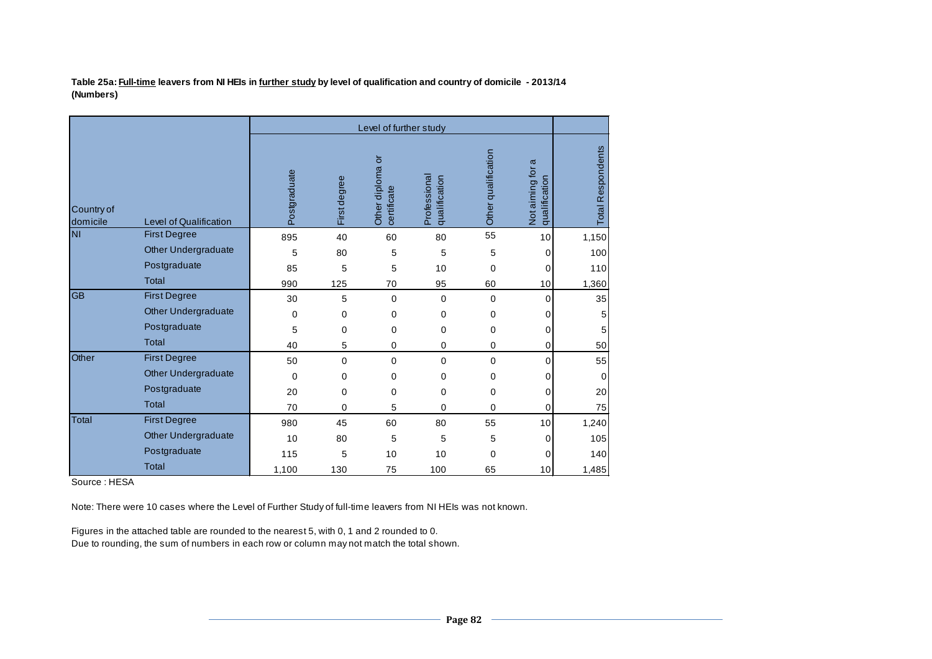**Table 25a: Full-time leavers from NI HEIs in further study by level of qualification and country of domicile - 2013/14 (Numbers)**

|                        |                               |              |                     | Level of further study          |                               |                     |                                      |                          |
|------------------------|-------------------------------|--------------|---------------------|---------------------------------|-------------------------------|---------------------|--------------------------------------|--------------------------|
| Country of<br>domicile | <b>Level of Qualification</b> | Postgraduate | <b>First degree</b> | Other diploma or<br>certificate | Professional<br>qualification | Other qualification | ω<br>Not aiming for<br>qualification | <b>Total Respondents</b> |
| <b>NI</b>              | <b>First Degree</b>           | 895          | 40                  | 60                              | 80                            | 55                  | 10                                   | 1,150                    |
|                        | Other Undergraduate           | 5            | 80                  | 5                               | 5                             | 5                   | 0                                    | 100                      |
|                        | Postgraduate                  | 85           | 5                   | 5                               | 10                            | 0                   | 0                                    | 110                      |
|                        | <b>Total</b>                  | 990          | 125                 | 70                              | 95                            | 60                  | 10                                   | 1,360                    |
| <b>GB</b>              | <b>First Degree</b>           | 30           | 5                   | $\mathbf 0$                     | 0                             | 0                   | 0                                    | 35                       |
|                        | Other Undergraduate           | 0            | 0                   | $\mathbf 0$                     | 0                             | 0                   | 0                                    | 5                        |
|                        | Postgraduate                  | 5            | 0                   | 0                               | 0                             | 0                   | 0                                    | 5                        |
|                        | <b>Total</b>                  | 40           | 5                   | 0                               | 0                             | 0                   | 0                                    | 50                       |
| Other                  | <b>First Degree</b>           | 50           | 0                   | $\Omega$                        | 0                             | 0                   | 0                                    | 55                       |
|                        | Other Undergraduate           | 0            | 0                   | $\mathbf 0$                     | 0                             | 0                   | 0                                    | 0                        |
|                        | Postgraduate                  | 20           | 0                   | 0                               | 0                             | 0                   | 0                                    | 20                       |
|                        | <b>Total</b>                  | 70           | 0                   | 5                               | 0                             | 0                   | 0                                    | 75                       |
| <b>Total</b>           | <b>First Degree</b>           | 980          | 45                  | 60                              | 80                            | 55                  | 10                                   | 1,240                    |
|                        | <b>Other Undergraduate</b>    | 10           | 80                  | 5                               | 5                             | 5                   | 0                                    | 105                      |
|                        | Postgraduate                  | 115          | 5                   | 10                              | 10                            | 0                   | 0                                    | 140                      |
|                        | <b>Total</b>                  | 1,100        | 130                 | 75                              | 100                           | 65                  | 10                                   | 1,485                    |

Source : HESA

Note: There were 10 cases where the Level of Further Study of full-time leavers from NI HEIs was not known.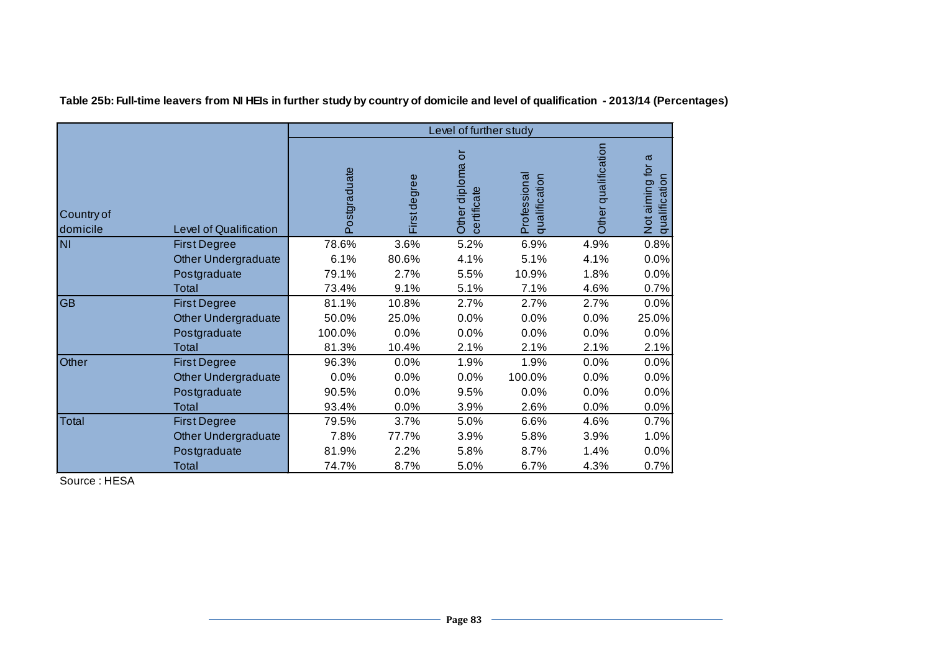|                        |                               | Level of further study |              |                                                    |                               |                     |                                                  |  |  |  |  |
|------------------------|-------------------------------|------------------------|--------------|----------------------------------------------------|-------------------------------|---------------------|--------------------------------------------------|--|--|--|--|
| Country of<br>domicile | <b>Level of Qualification</b> | Postgraduate           | First degree | $\overline{\circ}$<br>Other diploma<br>certificate | Professional<br>qualification | Other qualification | σ<br>Not aiming for<br>$\subset$<br>qualificatio |  |  |  |  |
| <b>NI</b>              | <b>First Degree</b>           | 78.6%                  | 3.6%         | 5.2%                                               | 6.9%                          | 4.9%                | 0.8%                                             |  |  |  |  |
|                        | Other Undergraduate           | 6.1%                   | 80.6%        | 4.1%                                               | 5.1%                          | 4.1%                | 0.0%                                             |  |  |  |  |
|                        | Postgraduate                  | 79.1%                  | 2.7%         | 5.5%                                               | 10.9%                         | 1.8%                | 0.0%                                             |  |  |  |  |
|                        | Total                         | 73.4%                  | 9.1%         | 5.1%                                               | 7.1%                          | 4.6%                | 0.7%                                             |  |  |  |  |
| <b>GB</b>              | <b>First Degree</b>           | 81.1%                  | 10.8%        | 2.7%                                               | 2.7%                          | 2.7%                | 0.0%                                             |  |  |  |  |
|                        | <b>Other Undergraduate</b>    | 50.0%                  | 25.0%        | 0.0%                                               | 0.0%                          | 0.0%                | 25.0%                                            |  |  |  |  |
|                        | Postgraduate                  | 100.0%                 | 0.0%         | 0.0%                                               | 0.0%                          | 0.0%                | 0.0%                                             |  |  |  |  |
|                        | Total                         | 81.3%                  | 10.4%        | 2.1%                                               | 2.1%                          | 2.1%                | 2.1%                                             |  |  |  |  |
| Other                  | <b>First Degree</b>           | 96.3%                  | 0.0%         | 1.9%                                               | 1.9%                          | 0.0%                | 0.0%                                             |  |  |  |  |
|                        | <b>Other Undergraduate</b>    | 0.0%                   | 0.0%         | 0.0%                                               | 100.0%                        | 0.0%                | 0.0%                                             |  |  |  |  |
|                        | Postgraduate                  | 90.5%                  | 0.0%         | 9.5%                                               | 0.0%                          | 0.0%                | 0.0%                                             |  |  |  |  |
|                        | Total                         | 93.4%                  | 0.0%         | 3.9%                                               | 2.6%                          | 0.0%                | 0.0%                                             |  |  |  |  |
| <b>Total</b>           | <b>First Degree</b>           | 79.5%                  | 3.7%         | 5.0%                                               | 6.6%                          | 4.6%                | 0.7%                                             |  |  |  |  |
|                        | Other Undergraduate           | 7.8%                   | 77.7%        | 3.9%                                               | 5.8%                          | 3.9%                | 1.0%                                             |  |  |  |  |
|                        | Postgraduate                  | 81.9%                  | 2.2%         | 5.8%                                               | 8.7%                          | 1.4%                | 0.0%                                             |  |  |  |  |
|                        | Total                         | 74.7%                  | 8.7%         | 5.0%                                               | 6.7%                          | 4.3%                | 0.7%                                             |  |  |  |  |

**Table 25b: Full-time leavers from NI HEIs in further study by country of domicile and level of qualification - 2013/14 (Percentages)**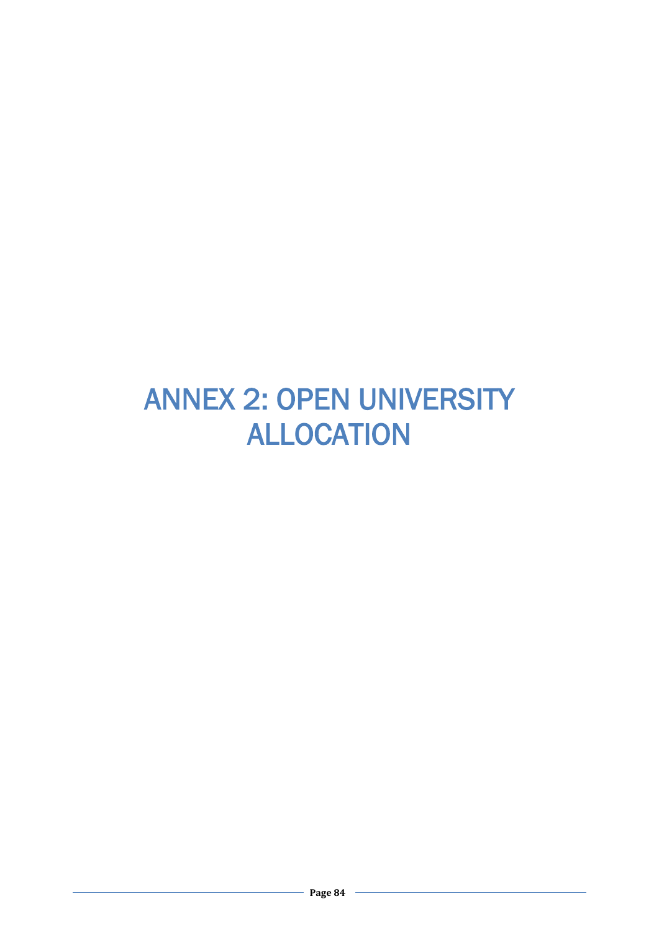## ANNEX 2: OPEN UNIVERSITY ALLOCATION